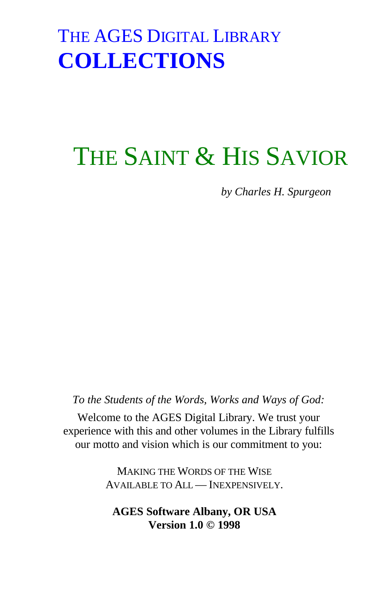# THE SAINT & HIS SAVIOR

*by Charles H. Spurgeon*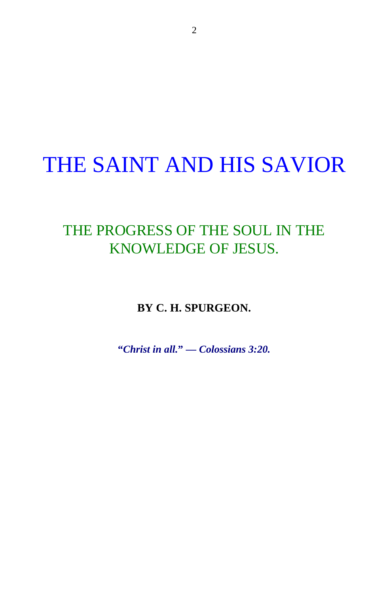## THE SAINT AND HIS SAVIOR

### THE PROGRESS OF THE SOUL IN THE KNOWLEDGE OF JESUS.

**BY C. H. SPURGEON.**

**"***Christ in all.***"** *— Colossians 3:20.*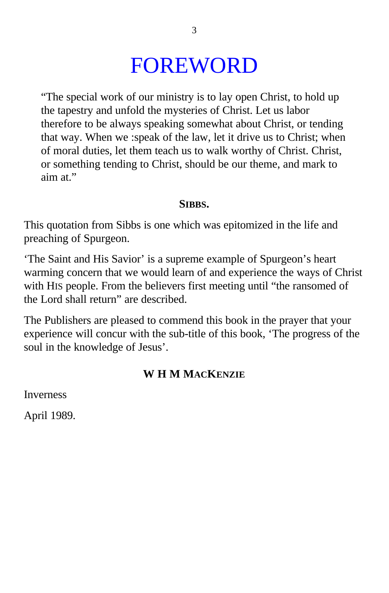## FOREWORD

"The special work of our ministry is to lay open Christ, to hold up the tapestry and unfold the mysteries of Christ. Let us labor therefore to be always speaking somewhat about Christ, or tending that way. When we :speak of the law, let it drive us to Christ; when of moral duties, let them teach us to walk worthy of Christ. Christ, or something tending to Christ, should be our theme, and mark to aim at"

#### **SIBBS.**

This quotation from Sibbs is one which was epitomized in the life and preaching of Spurgeon.

'The Saint and His Savior' is a supreme example of Spurgeon's heart warming concern that we would learn of and experience the ways of Christ with HIS people. From the believers first meeting until "the ransomed of the Lord shall return" are described.

The Publishers are pleased to commend this book in the prayer that your experience will concur with the sub-title of this book, 'The progress of the soul in the knowledge of Jesus'.

### **W H M MACKENZIE**

Inverness

April 1989.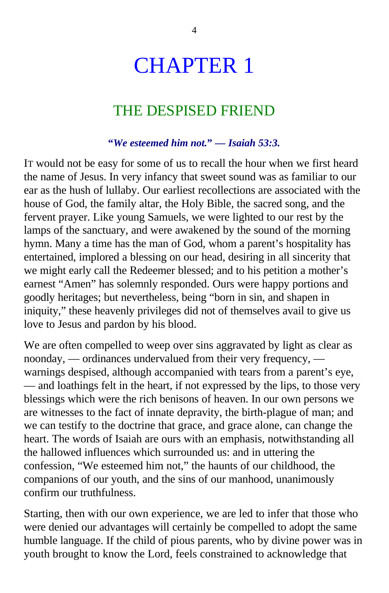## CHAPTER 1

### THE DESPISED FRIEND

#### **"***We esteemed him not.***"** *— Isaiah 53:3.*

IT would not be easy for some of us to recall the hour when we first heard the name of Jesus. In very infancy that sweet sound was as familiar to our ear as the hush of lullaby. Our earliest recollections are associated with the house of God, the family altar, the Holy Bible, the sacred song, and the fervent prayer. Like young Samuels, we were lighted to our rest by the lamps of the sanctuary, and were awakened by the sound of the morning hymn. Many a time has the man of God, whom a parent's hospitality has entertained, implored a blessing on our head, desiring in all sincerity that we might early call the Redeemer blessed; and to his petition a mother's earnest "Amen" has solemnly responded. Ours were happy portions and goodly heritages; but nevertheless, being "born in sin, and shapen in iniquity," these heavenly privileges did not of themselves avail to give us love to Jesus and pardon by his blood.

We are often compelled to weep over sins aggravated by light as clear as noonday, — ordinances undervalued from their very frequency, warnings despised, although accompanied with tears from a parent's eye, — and loathings felt in the heart, if not expressed by the lips, to those very blessings which were the rich benisons of heaven. In our own persons we are witnesses to the fact of innate depravity, the birth-plague of man; and we can testify to the doctrine that grace, and grace alone, can change the heart. The words of Isaiah are ours with an emphasis, notwithstanding all the hallowed influences which surrounded us: and in uttering the confession, "We esteemed him not," the haunts of our childhood, the companions of our youth, and the sins of our manhood, unanimously confirm our truthfulness.

Starting, then with our own experience, we are led to infer that those who were denied our advantages will certainly be compelled to adopt the same humble language. If the child of pious parents, who by divine power was in youth brought to know the Lord, feels constrained to acknowledge that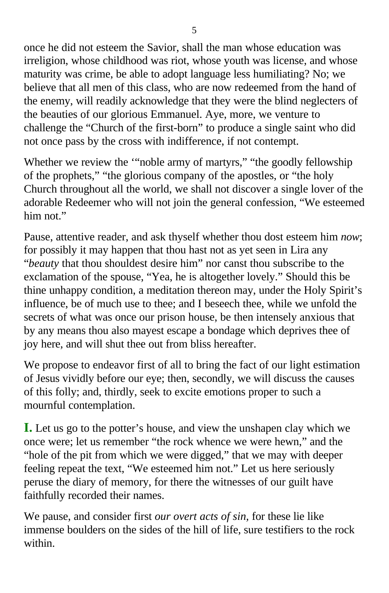once he did not esteem the Savior, shall the man whose education was irreligion, whose childhood was riot, whose youth was license, and whose maturity was crime, be able to adopt language less humiliating? No; we believe that all men of this class, who are now redeemed from the hand of the enemy, will readily acknowledge that they were the blind neglecters of the beauties of our glorious Emmanuel. Aye, more, we venture to challenge the "Church of the first-born" to produce a single saint who did not once pass by the cross with indifference, if not contempt.

Whether we review the "noble army of martyrs," "the goodly fellowship of the prophets," "the glorious company of the apostles, or "the holy Church throughout all the world, we shall not discover a single lover of the adorable Redeemer who will not join the general confession, "We esteemed him not."

Pause, attentive reader, and ask thyself whether thou dost esteem him *now*; for possibly it may happen that thou hast not as yet seen in Lira any "*beauty* that thou shouldest desire him" nor canst thou subscribe to the exclamation of the spouse, "Yea, he is altogether lovely." Should this be thine unhappy condition, a meditation thereon may, under the Holy Spirit's influence, be of much use to thee; and I beseech thee, while we unfold the secrets of what was once our prison house, be then intensely anxious that by any means thou also mayest escape a bondage which deprives thee of joy here, and will shut thee out from bliss hereafter.

We propose to endeavor first of all to bring the fact of our light estimation of Jesus vividly before our eye; then, secondly, we will discuss the causes of this folly; and, thirdly, seek to excite emotions proper to such a mournful contemplation.

**I.** Let us go to the potter's house, and view the unshapen clay which we once were; let us remember "the rock whence we were hewn," and the "hole of the pit from which we were digged," that we may with deeper feeling repeat the text, "We esteemed him not." Let us here seriously peruse the diary of memory, for there the witnesses of our guilt have faithfully recorded their names.

We pause, and consider first *our overt acts of sin,* for these lie like immense boulders on the sides of the hill of life, sure testifiers to the rock within.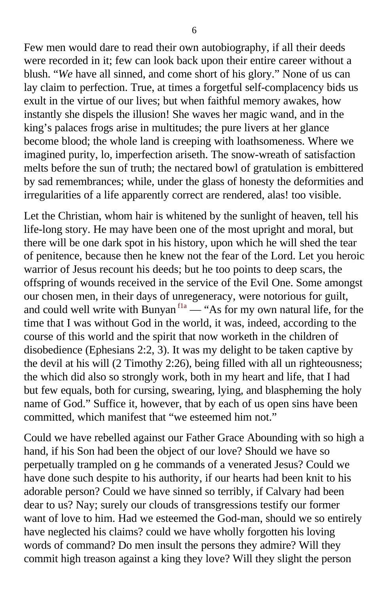Few men would dare to read their own autobiography, if all their deeds were recorded in it; few can look back upon their entire career without a blush. "*We* have all sinned, and come short of his glory." None of us can lay claim to perfection. True, at times a forgetful self-complacency bids us exult in the virtue of our lives; but when faithful memory awakes, how instantly she dispels the illusion! She waves her magic wand, and in the king's palaces frogs arise in multitudes; the pure livers at her glance become blood; the whole land is creeping with loathsomeness. Where we imagined purity, lo, imperfection ariseth. The snow-wreath of satisfaction melts before the sun of truth; the nectared bowl of gratulation is embittered by sad remembrances; while, under the glass of honesty the deformities and irregularities of a life apparently correct are rendered, alas! too visible.

Let the Christian, whom hair is whitened by the sunlight of heaven, tell his life-long story. He may have been one of the most upright and moral, but there will be one dark spot in his history, upon which he will shed the tear of penitence, because then he knew not the fear of the Lord. Let you heroic warrior of Jesus recount his deeds; but he too points to deep scars, the offspring of wounds received in the service of the Evil One. Some amongst our chosen men, in their days of unregeneracy, were notorious for guilt, and could well write with Bunyan  $f<sup>1a</sup>$  — "As for my own natural life, for the time that I was without God in the world, it was, indeed, according to the course of this world and the spirit that now worketh in the children of disobedience (Ephesians 2:2, 3). It was my delight to be taken captive by the devil at his will (2 Timothy 2:26), being filled with all un righteousness; the which did also so strongly work, both in my heart and life, that I had but few equals, both for cursing, swearing, lying, and blaspheming the holy name of God." Suffice it, however, that by each of us open sins have been committed, which manifest that "we esteemed him not."

Could we have rebelled against our Father Grace Abounding with so high a hand, if his Son had been the object of our love? Should we have so perpetually trampled on g he commands of a venerated Jesus? Could we have done such despite to his authority, if our hearts had been knit to his adorable person? Could we have sinned so terribly, if Calvary had been dear to us? Nay; surely our clouds of transgressions testify our former want of love to him. Had we esteemed the God-man, should we so entirely have neglected his claims? could we have wholly forgotten his loving words of command? Do men insult the persons they admire? Will they commit high treason against a king they love? Will they slight the person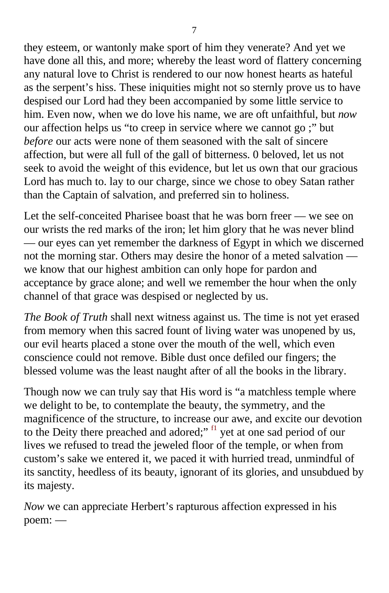they esteem, or wantonly make sport of him they venerate? And yet we have done all this, and more; whereby the least word of flattery concerning any natural love to Christ is rendered to our now honest hearts as hateful as the serpent's hiss. These iniquities might not so sternly prove us to have despised our Lord had they been accompanied by some little service to him. Even now, when we do love his name, we are oft unfaithful, but *now* our affection helps us "to creep in service where we cannot go ;" but *before* our acts were none of them seasoned with the salt of sincere affection, but were all full of the gall of bitterness. 0 beloved, let us not seek to avoid the weight of this evidence, but let us own that our gracious Lord has much to. lay to our charge, since we chose to obey Satan rather than the Captain of salvation, and preferred sin to holiness.

Let the self-conceited Pharisee boast that he was born freer — we see on our wrists the red marks of the iron; let him glory that he was never blind — our eyes can yet remember the darkness of Egypt in which we discerned not the morning star. Others may desire the honor of a meted salvation we know that our highest ambition can only hope for pardon and acceptance by grace alone; and well we remember the hour when the only channel of that grace was despised or neglected by us.

*The Book of Truth* shall next witness against us. The time is not yet erased from memory when this sacred fount of living water was unopened by us, our evil hearts placed a stone over the mouth of the well, which even conscience could not remove. Bible dust once defiled our fingers; the blessed volume was the least naught after of all the books in the library.

Though now we can truly say that His word is "a matchless temple where we delight to be, to contemplate the beauty, the symmetry, and the magnificence of the structure, to increase our awe, and excite our devotion to the Deity there preached and adored;" [f1](#page-230-0) yet at one sad period of our lives we refused to tread the jeweled floor of the temple, or when from custom's sake we entered it, we paced it with hurried tread, unmindful of its sanctity, heedless of its beauty, ignorant of its glories, and unsubdued by its majesty.

*Now* we can appreciate Herbert's rapturous affection expressed in his poem: —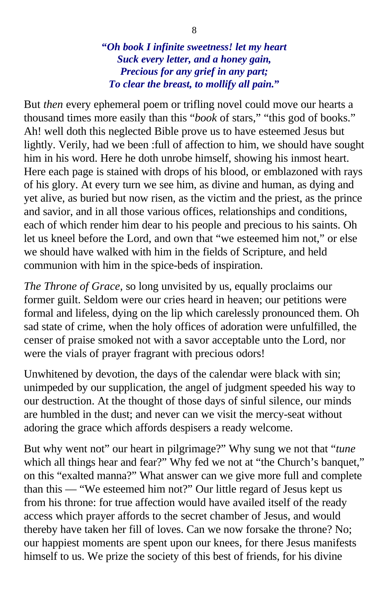**"***Oh book I infinite sweetness! let my heart Suck every letter, and a honey gain, Precious for any grief in any part; To clear the breast, to mollify all pain.***"**

But *then* every ephemeral poem or trifling novel could move our hearts a thousand times more easily than this "*book* of stars," "this god of books." Ah! well doth this neglected Bible prove us to have esteemed Jesus but lightly. Verily, had we been :full of affection to him, we should have sought him in his word. Here he doth unrobe himself, showing his inmost heart. Here each page is stained with drops of his blood, or emblazoned with rays of his glory. At every turn we see him, as divine and human, as dying and yet alive, as buried but now risen, as the victim and the priest, as the prince and savior, and in all those various offices, relationships and conditions, each of which render him dear to his people and precious to his saints. Oh let us kneel before the Lord, and own that "we esteemed him not," or else we should have walked with him in the fields of Scripture, and held communion with him in the spice-beds of inspiration.

*The Throne of Grace,* so long unvisited by us, equally proclaims our former guilt. Seldom were our cries heard in heaven; our petitions were formal and lifeless, dying on the lip which carelessly pronounced them. Oh sad state of crime, when the holy offices of adoration were unfulfilled, the censer of praise smoked not with a savor acceptable unto the Lord, nor were the vials of prayer fragrant with precious odors!

Unwhitened by devotion, the days of the calendar were black with sin; unimpeded by our supplication, the angel of judgment speeded his way to our destruction. At the thought of those days of sinful silence, our minds are humbled in the dust; and never can we visit the mercy-seat without adoring the grace which affords despisers a ready welcome.

But why went not" our heart in pilgrimage?" Why sung we not that "*tune* which all things hear and fear?" Why fed we not at "the Church's banquet," on this "exalted manna?" What answer can we give more full and complete than this — "We esteemed him not?" Our little regard of Jesus kept us from his throne: for true affection would have availed itself of the ready access which prayer affords to the secret chamber of Jesus, and would thereby have taken her fill of loves. Can we now forsake the throne? No; our happiest moments are spent upon our knees, for there Jesus manifests himself to us. We prize the society of this best of friends, for his divine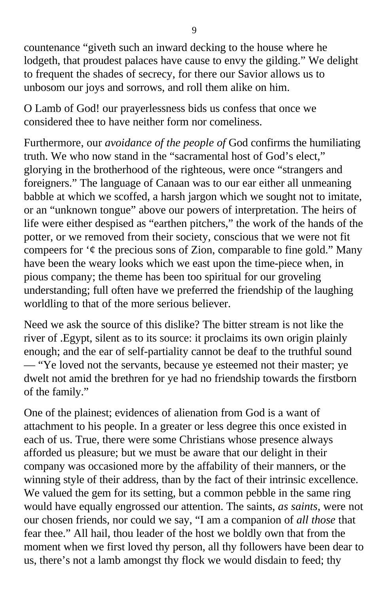countenance "giveth such an inward decking to the house where he lodgeth, that proudest palaces have cause to envy the gilding." We delight to frequent the shades of secrecy, for there our Savior allows us to unbosom our joys and sorrows, and roll them alike on him.

O Lamb of God! our prayerlessness bids us confess that once we considered thee to have neither form nor comeliness.

Furthermore, our *avoidance of the people of* God confirms the humiliating truth. We who now stand in the "sacramental host of God's elect," glorying in the brotherhood of the righteous, were once "strangers and foreigners." The language of Canaan was to our ear either all unmeaning babble at which we scoffed, a harsh jargon which we sought not to imitate, or an "unknown tongue" above our powers of interpretation. The heirs of life were either despised as "earthen pitchers," the work of the hands of the potter, or we removed from their society, conscious that we were not fit compeers for  $\varphi$  the precious sons of Zion, comparable to fine gold." Many have been the weary looks which we east upon the time-piece when, in pious company; the theme has been too spiritual for our groveling understanding; full often have we preferred the friendship of the laughing worldling to that of the more serious believer.

Need we ask the source of this dislike? The bitter stream is not like the river of .Egypt, silent as to its source: it proclaims its own origin plainly enough; and the ear of self-partiality cannot be deaf to the truthful sound — "Ye loved not the servants, because ye esteemed not their master; ye dwelt not amid the brethren for ye had no friendship towards the firstborn of the family."

One of the plainest; evidences of alienation from God is a want of attachment to his people. In a greater or less degree this once existed in each of us. True, there were some Christians whose presence always afforded us pleasure; but we must be aware that our delight in their company was occasioned more by the affability of their manners, or the winning style of their address, than by the fact of their intrinsic excellence. We valued the gem for its setting, but a common pebble in the same ring would have equally engrossed our attention. The saints, *as saints,* were not our chosen friends, nor could we say, "I am a companion of *all those* that fear thee." All hail, thou leader of the host we boldly own that from the moment when we first loved thy person, all thy followers have been dear to us, there's not a lamb amongst thy flock we would disdain to feed; thy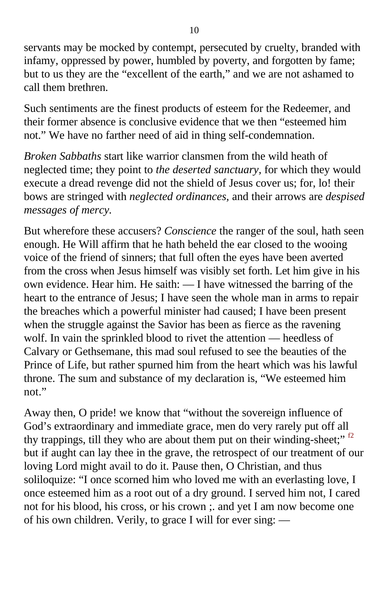servants may be mocked by contempt, persecuted by cruelty, branded with infamy, oppressed by power, humbled by poverty, and forgotten by fame; but to us they are the "excellent of the earth," and we are not ashamed to call them brethren.

Such sentiments are the finest products of esteem for the Redeemer, and their former absence is conclusive evidence that we then "esteemed him not." We have no farther need of aid in thing self-condemnation.

*Broken Sabbaths* start like warrior clansmen from the wild heath of neglected time; they point to *the deserted sanctuary,* for which they would execute a dread revenge did not the shield of Jesus cover us; for, lo! their bows are stringed with *neglected ordinances,* and their arrows are *despised messages of mercy.*

But wherefore these accusers? *Conscience* the ranger of the soul, hath seen enough. He Will affirm that he hath beheld the ear closed to the wooing voice of the friend of sinners; that full often the eyes have been averted from the cross when Jesus himself was visibly set forth. Let him give in his own evidence. Hear him. He saith: — I have witnessed the barring of the heart to the entrance of Jesus; I have seen the whole man in arms to repair the breaches which a powerful minister had caused; I have been present when the struggle against the Savior has been as fierce as the ravening wolf. In vain the sprinkled blood to rivet the attention — heedless of Calvary or Gethsemane, this mad soul refused to see the beauties of the Prince of Life, but rather spurned him from the heart which was his lawful throne. The sum and substance of my declaration is, "We esteemed him not"

Away then, O pride! we know that "without the sovereign influence of God's extraordinary and immediate grace, men do very rarely put off all thy trappings, till they who are about them put on their winding-sheet;"  $f<sup>2</sup>$ but if aught can lay thee in the grave, the retrospect of our treatment of our loving Lord might avail to do it. Pause then, O Christian, and thus soliloquize: "I once scorned him who loved me with an everlasting love, I once esteemed him as a root out of a dry ground. I served him not, I cared not for his blood, his cross, or his crown ;. and yet I am now become one of his own children. Verily, to grace I will for ever sing: —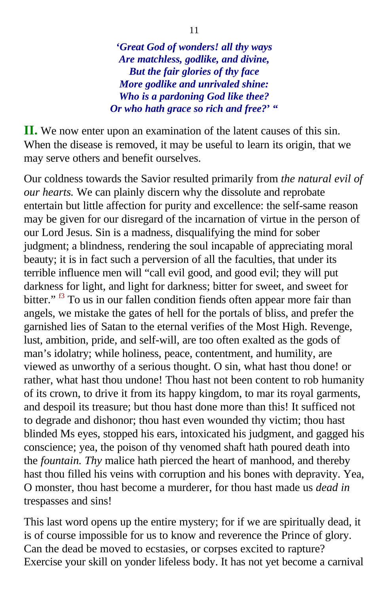**'***Great God of wonders! all thy ways Are matchless, godlike, and divine, But the fair glories of thy face More godlike and unrivaled shine: Who is a pardoning God like thee? Or who hath grace so rich and free?***' "**

**II.** We now enter upon an examination of the latent causes of this sin. When the disease is removed, it may be useful to learn its origin, that we may serve others and benefit ourselves.

Our coldness towards the Savior resulted primarily from *the natural evil of our hearts.* We can plainly discern why the dissolute and reprobate entertain but little affection for purity and excellence: the self-same reason may be given for our disregard of the incarnation of virtue in the person of our Lord Jesus. Sin is a madness, disqualifying the mind for sober judgment; a blindness, rendering the soul incapable of appreciating moral beauty; it is in fact such a perversion of all the faculties, that under its terrible influence men will "call evil good, and good evil; they will put darkness for light, and light for darkness; bitter for sweet, and sweet for bitter." <sup>[f3](#page-230-0)</sup> To us in our fallen condition fiends often appear more fair than angels, we mistake the gates of hell for the portals of bliss, and prefer the garnished lies of Satan to the eternal verifies of the Most High. Revenge, lust, ambition, pride, and self-will, are too often exalted as the gods of man's idolatry; while holiness, peace, contentment, and humility, are viewed as unworthy of a serious thought. O sin, what hast thou done! or rather, what hast thou undone! Thou hast not been content to rob humanity of its crown, to drive it from its happy kingdom, to mar its royal garments, and despoil its treasure; but thou hast done more than this! It sufficed not to degrade and dishonor; thou hast even wounded thy victim; thou hast blinded Ms eyes, stopped his ears, intoxicated his judgment, and gagged his conscience; yea, the poison of thy venomed shaft hath poured death into the *fountain. Thy* malice hath pierced the heart of manhood, and thereby hast thou filled his veins with corruption and his bones with depravity. Yea, O monster, thou hast become a murderer, for thou hast made us *dead in* trespasses and sins!

This last word opens up the entire mystery; for if we are spiritually dead, it is of course impossible for us to know and reverence the Prince of glory. Can the dead be moved to ecstasies, or corpses excited to rapture? Exercise your skill on yonder lifeless body. It has not yet become a carnival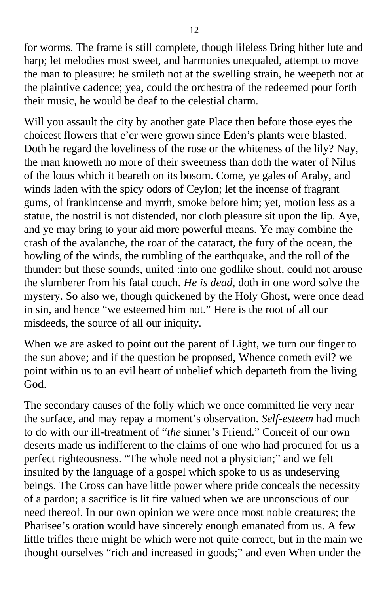for worms. The frame is still complete, though lifeless Bring hither lute and harp; let melodies most sweet, and harmonies unequaled, attempt to move the man to pleasure: he smileth not at the swelling strain, he weepeth not at the plaintive cadence; yea, could the orchestra of the redeemed pour forth their music, he would be deaf to the celestial charm.

Will you assault the city by another gate Place then before those eyes the choicest flowers that e'er were grown since Eden's plants were blasted. Doth he regard the loveliness of the rose or the whiteness of the lily? Nay, the man knoweth no more of their sweetness than doth the water of Nilus of the lotus which it beareth on its bosom. Come, ye gales of Araby, and winds laden with the spicy odors of Ceylon; let the incense of fragrant gums, of frankincense and myrrh, smoke before him; yet, motion less as a statue, the nostril is not distended, nor cloth pleasure sit upon the lip. Aye, and ye may bring to your aid more powerful means. Ye may combine the crash of the avalanche, the roar of the cataract, the fury of the ocean, the howling of the winds, the rumbling of the earthquake, and the roll of the thunder: but these sounds, united :into one godlike shout, could not arouse the slumberer from his fatal couch. *He is dead,* doth in one word solve the mystery. So also we, though quickened by the Holy Ghost, were once dead in sin, and hence "we esteemed him not." Here is the root of all our misdeeds, the source of all our iniquity.

When we are asked to point out the parent of Light, we turn our finger to the sun above; and if the question be proposed, Whence cometh evil? we point within us to an evil heart of unbelief which departeth from the living God.

The secondary causes of the folly which we once committed lie very near the surface, and may repay a moment's observation. *Self-esteem* had much to do with our ill-treatment of "*the* sinner's Friend." Conceit of our own deserts made us indifferent to the claims of one who had procured for us a perfect righteousness. "The whole need not a physician;" and we felt insulted by the language of a gospel which spoke to us as undeserving beings. The Cross can have little power where pride conceals the necessity of a pardon; a sacrifice is lit fire valued when we are unconscious of our need thereof. In our own opinion we were once most noble creatures; the Pharisee's oration would have sincerely enough emanated from us. A few little trifles there might be which were not quite correct, but in the main we thought ourselves "rich and increased in goods;" and even When under the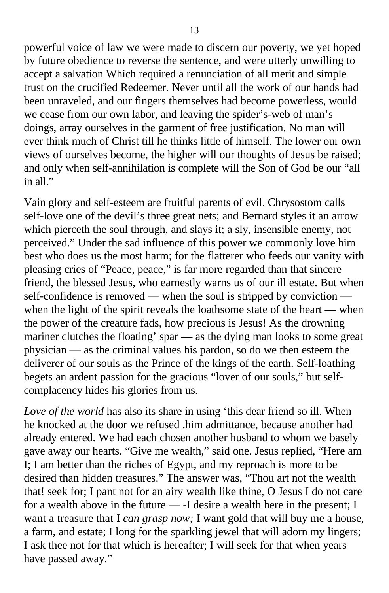powerful voice of law we were made to discern our poverty, we yet hoped by future obedience to reverse the sentence, and were utterly unwilling to accept a salvation Which required a renunciation of all merit and simple trust on the crucified Redeemer. Never until all the work of our hands had been unraveled, and our fingers themselves had become powerless, would we cease from our own labor, and leaving the spider's-web of man's doings, array ourselves in the garment of free justification. No man will ever think much of Christ till he thinks little of himself. The lower our own views of ourselves become, the higher will our thoughts of Jesus be raised; and only when self-annihilation is complete will the Son of God be our "all in all."

Vain glory and self-esteem are fruitful parents of evil. Chrysostom calls self-love one of the devil's three great nets; and Bernard styles it an arrow which pierceth the soul through, and slays it; a sly, insensible enemy, not perceived." Under the sad influence of this power we commonly love him best who does us the most harm; for the flatterer who feeds our vanity with pleasing cries of "Peace, peace," is far more regarded than that sincere friend, the blessed Jesus, who earnestly warns us of our ill estate. But when self-confidence is removed — when the soul is stripped by conviction when the light of the spirit reveals the loathsome state of the heart — when the power of the creature fads, how precious is Jesus! As the drowning mariner clutches the floating' spar — as the dying man looks to some great physician — as the criminal values his pardon, so do we then esteem the deliverer of our souls as the Prince of the kings of the earth. Self-loathing begets an ardent passion for the gracious "lover of our souls," but selfcomplacency hides his glories from us.

*Love of the world* has also its share in using 'this dear friend so ill. When he knocked at the door we refused .him admittance, because another had already entered. We had each chosen another husband to whom we basely gave away our hearts. "Give me wealth," said one. Jesus replied, "Here am I; I am better than the riches of Egypt, and my reproach is more to be desired than hidden treasures." The answer was, "Thou art not the wealth that! seek for; I pant not for an airy wealth like thine, O Jesus I do not care for a wealth above in the future — -I desire a wealth here in the present; I want a treasure that I *can grasp now;* I want gold that will buy me a house, a farm, and estate; I long for the sparkling jewel that will adorn my lingers; I ask thee not for that which is hereafter; I will seek for that when years have passed away."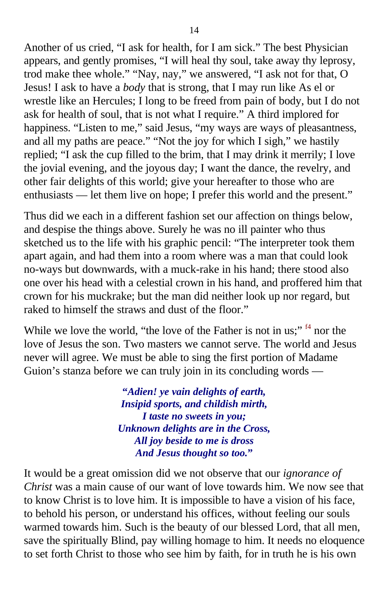Another of us cried, "I ask for health, for I am sick." The best Physician appears, and gently promises, "I will heal thy soul, take away thy leprosy, trod make thee whole." "Nay, nay," we answered, "I ask not for that, O Jesus! I ask to have a *body* that is strong, that I may run like As el or wrestle like an Hercules; I long to be freed from pain of body, but I do not ask for health of soul, that is not what I require." A third implored for happiness. "Listen to me," said Jesus, "my ways are ways of pleasantness, and all my paths are peace." "Not the joy for which I sigh," we hastily replied; "I ask the cup filled to the brim, that I may drink it merrily; I love the jovial evening, and the joyous day; I want the dance, the revelry, and other fair delights of this world; give your hereafter to those who are enthusiasts — let them live on hope; I prefer this world and the present."

Thus did we each in a different fashion set our affection on things below, and despise the things above. Surely he was no ill painter who thus sketched us to the life with his graphic pencil: "The interpreter took them apart again, and had them into a room where was a man that could look no-ways but downwards, with a muck-rake in his hand; there stood also one over his head with a celestial crown in his hand, and proffered him that crown for his muckrake; but the man did neither look up nor regard, but raked to himself the straws and dust of the floor."

While we love the world, "the love of the Father is not in us;"  $<sup>14</sup>$  nor the</sup> love of Jesus the son. Two masters we cannot serve. The world and Jesus never will agree. We must be able to sing the first portion of Madame Guion's stanza before we can truly join in its concluding words —

> **"***Adien! ye vain delights of earth, Insipid sports, and childish mirth, I taste no sweets in you; Unknown delights are in the Cross, All joy beside to me is dross And Jesus thought so too.***"**

It would be a great omission did we not observe that our *ignorance of Christ* was a main cause of our want of love towards him. We now see that to know Christ is to love him. It is impossible to have a vision of his face, to behold his person, or understand his offices, without feeling our souls warmed towards him. Such is the beauty of our blessed Lord, that all men, save the spiritually Blind, pay willing homage to him. It needs no eloquence to set forth Christ to those who see him by faith, for in truth he is his own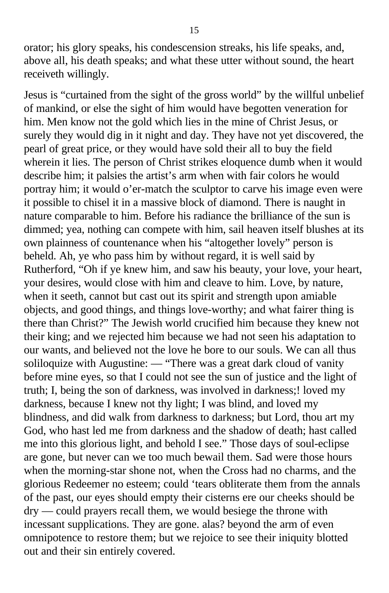orator; his glory speaks, his condescension streaks, his life speaks, and, above all, his death speaks; and what these utter without sound, the heart receiveth willingly.

Jesus is "curtained from the sight of the gross world" by the willful unbelief of mankind, or else the sight of him would have begotten veneration for him. Men know not the gold which lies in the mine of Christ Jesus, or surely they would dig in it night and day. They have not yet discovered, the pearl of great price, or they would have sold their all to buy the field wherein it lies. The person of Christ strikes eloquence dumb when it would describe him; it palsies the artist's arm when with fair colors he would portray him; it would o'er-match the sculptor to carve his image even were it possible to chisel it in a massive block of diamond. There is naught in nature comparable to him. Before his radiance the brilliance of the sun is dimmed; yea, nothing can compete with him, sail heaven itself blushes at its own plainness of countenance when his "altogether lovely" person is beheld. Ah, ye who pass him by without regard, it is well said by Rutherford, "Oh if ye knew him, and saw his beauty, your love, your heart, your desires, would close with him and cleave to him. Love, by nature, when it seeth, cannot but cast out its spirit and strength upon amiable objects, and good things, and things love-worthy; and what fairer thing is there than Christ?" The Jewish world crucified him because they knew not their king; and we rejected him because we had not seen his adaptation to our wants, and believed not the love he bore to our souls. We can all thus soliloquize with Augustine: — "There was a great dark cloud of vanity before mine eyes, so that I could not see the sun of justice and the light of truth; I, being the son of darkness, was involved in darkness;! loved my darkness, because I knew not thy light; I was blind, and loved my blindness, and did walk from darkness to darkness; but Lord, thou art my God, who hast led me from darkness and the shadow of death; hast called me into this glorious light, and behold I see." Those days of soul-eclipse are gone, but never can we too much bewail them. Sad were those hours when the morning-star shone not, when the Cross had no charms, and the glorious Redeemer no esteem; could 'tears obliterate them from the annals of the past, our eyes should empty their cisterns ere our cheeks should be dry — could prayers recall them, we would besiege the throne with incessant supplications. They are gone. alas? beyond the arm of even omnipotence to restore them; but we rejoice to see their iniquity blotted out and their sin entirely covered.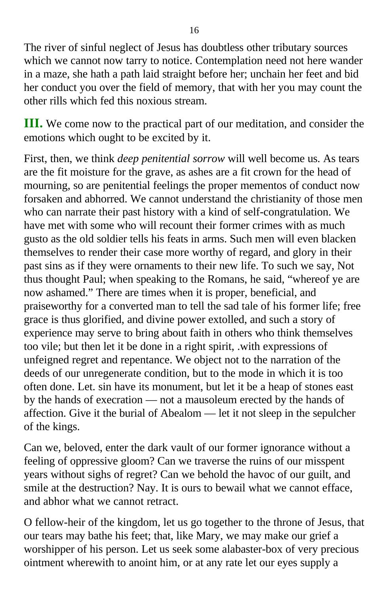The river of sinful neglect of Jesus has doubtless other tributary sources which we cannot now tarry to notice. Contemplation need not here wander in a maze, she hath a path laid straight before her; unchain her feet and bid her conduct you over the field of memory, that with her you may count the other rills which fed this noxious stream.

**III.** We come now to the practical part of our meditation, and consider the emotions which ought to be excited by it.

First, then, we think *deep penitential sorrow* will well become us. As tears are the fit moisture for the grave, as ashes are a fit crown for the head of mourning, so are penitential feelings the proper mementos of conduct now forsaken and abhorred. We cannot understand the christianity of those men who can narrate their past history with a kind of self-congratulation. We have met with some who will recount their former crimes with as much gusto as the old soldier tells his feats in arms. Such men will even blacken themselves to render their case more worthy of regard, and glory in their past sins as if they were ornaments to their new life. To such we say, Not thus thought Paul; when speaking to the Romans, he said, "whereof ye are now ashamed." There are times when it is proper, beneficial, and praiseworthy for a converted man to tell the sad tale of his former life; free grace is thus glorified, and divine power extolled, and such a story of experience may serve to bring about faith in others who think themselves too vile; but then let it be done in a right spirit, .with expressions of unfeigned regret and repentance. We object not to the narration of the deeds of our unregenerate condition, but to the mode in which it is too often done. Let. sin have its monument, but let it be a heap of stones east by the hands of execration — not a mausoleum erected by the hands of affection. Give it the burial of Abealom — let it not sleep in the sepulcher of the kings.

Can we, beloved, enter the dark vault of our former ignorance without a feeling of oppressive gloom? Can we traverse the ruins of our misspent years without sighs of regret? Can we behold the havoc of our guilt, and smile at the destruction? Nay. It is ours to bewail what we cannot efface, and abhor what we cannot retract.

O fellow-heir of the kingdom, let us go together to the throne of Jesus, that our tears may bathe his feet; that, like Mary, we may make our grief a worshipper of his person. Let us seek some alabaster-box of very precious ointment wherewith to anoint him, or at any rate let our eyes supply a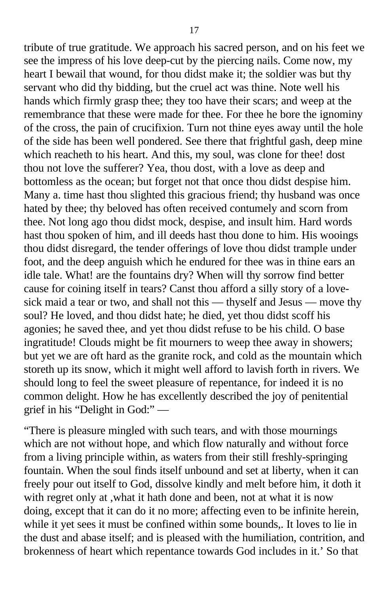tribute of true gratitude. We approach his sacred person, and on his feet we see the impress of his love deep-cut by the piercing nails. Come now, my heart I bewail that wound, for thou didst make it; the soldier was but thy servant who did thy bidding, but the cruel act was thine. Note well his hands which firmly grasp thee; they too have their scars; and weep at the remembrance that these were made for thee. For thee he bore the ignominy of the cross, the pain of crucifixion. Turn not thine eyes away until the hole of the side has been well pondered. See there that frightful gash, deep mine which reacheth to his heart. And this, my soul, was clone for thee! dost thou not love the sufferer? Yea, thou dost, with a love as deep and bottomless as the ocean; but forget not that once thou didst despise him. Many a. time hast thou slighted this gracious friend; thy husband was once hated by thee; thy beloved has often received contumely and scorn from thee. Not long ago thou didst mock, despise, and insult him. Hard words hast thou spoken of him, and ill deeds hast thou done to him. His wooings thou didst disregard, the tender offerings of love thou didst trample under foot, and the deep anguish which he endured for thee was in thine ears an idle tale. What! are the fountains dry? When will thy sorrow find better cause for coining itself in tears? Canst thou afford a silly story of a lovesick maid a tear or two, and shall not this — thyself and Jesus — move thy soul? He loved, and thou didst hate; he died, yet thou didst scoff his agonies; he saved thee, and yet thou didst refuse to be his child. O base ingratitude! Clouds might be fit mourners to weep thee away in showers; but yet we are oft hard as the granite rock, and cold as the mountain which storeth up its snow, which it might well afford to lavish forth in rivers. We should long to feel the sweet pleasure of repentance, for indeed it is no common delight. How he has excellently described the joy of penitential grief in his "Delight in God:" —

"There is pleasure mingled with such tears, and with those mournings which are not without hope, and which flow naturally and without force from a living principle within, as waters from their still freshly-springing fountain. When the soul finds itself unbound and set at liberty, when it can freely pour out itself to God, dissolve kindly and melt before him, it doth it with regret only at ,what it hath done and been, not at what it is now doing, except that it can do it no more; affecting even to be infinite herein, while it yet sees it must be confined within some bounds,. It loves to lie in the dust and abase itself; and is pleased with the humiliation, contrition, and brokenness of heart which repentance towards God includes in it.' So that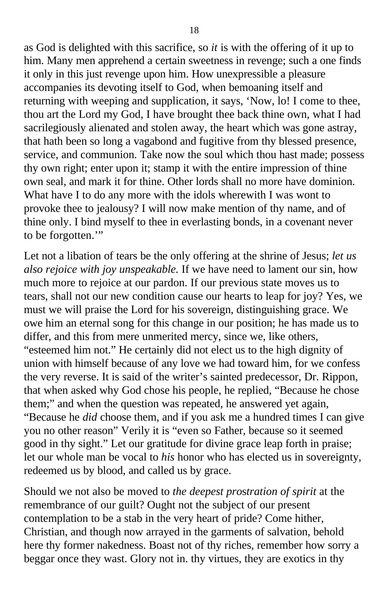as God is delighted with this sacrifice, so *it* is with the offering of it up to him. Many men apprehend a certain sweetness in revenge; such a one finds it only in this just revenge upon him. How unexpressible a pleasure accompanies its devoting itself to God, when bemoaning itself and returning with weeping and supplication, it says, 'Now, lo! I come to thee, thou art the Lord my God, I have brought thee back thine own, what I had sacrilegiously alienated and stolen away, the heart which was gone astray, that hath been so long a vagabond and fugitive from thy blessed presence, service, and communion. Take now the soul which thou hast made; possess thy own right; enter upon it; stamp it with the entire impression of thine own seal, and mark it for thine. Other lords shall no more have dominion. What have I to do any more with the idols wherewith I was wont to provoke thee to jealousy? I will now make mention of thy name, and of thine only. I bind myself to thee in everlasting bonds, in a covenant never to be forgotten."

Let not a libation of tears be the only offering at the shrine of Jesus; *let us also rejoice with joy unspeakable.* If we have need to lament our sin, how much more to rejoice at our pardon. If our previous state moves us to tears, shall not our new condition cause our hearts to leap for joy? Yes, we must we will praise the Lord for his sovereign, distinguishing grace. We owe him an eternal song for this change in our position; he has made us to differ, and this from mere unmerited mercy, since we, like others, "esteemed him not." He certainly did not elect us to the high dignity of union with himself because of any love we had toward him, for we confess the very reverse. It is said of the writer's sainted predecessor, Dr. Rippon, that when asked why God chose his people, he replied, "Because he chose them;" and when the question was repeated, he answered yet again, "Because he *did* choose them, and if you ask me a hundred times I can give you no other reason" Verily it is "even so Father, because so it seemed good in thy sight." Let our gratitude for divine grace leap forth in praise; let our whole man be vocal to *his* honor who has elected us in sovereignty, redeemed us by blood, and called us by grace.

Should we not also be moved to *the deepest pro*s*tration of spirit* at the remembrance of our guilt? Ought not the subject of our present contemplation to be a stab in the very heart of pride? Come hither, Christian, and though now arrayed in the garments of salvation, behold here thy former nakedness. Boast not of thy riches, remember how sorry a beggar once they wast. Glory not in. thy virtues, they are exotics in thy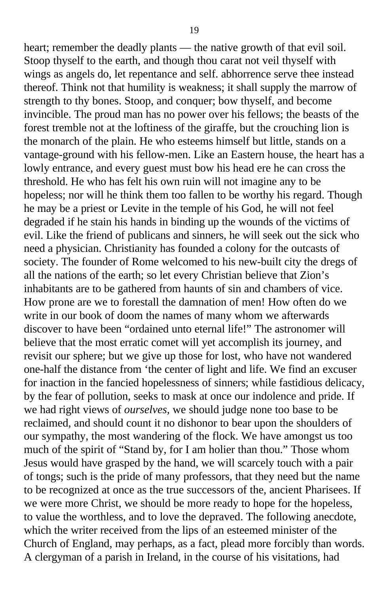heart; remember the deadly plants — the native growth of that evil soil. Stoop thyself to the earth, and though thou carat not veil thyself with wings as angels do, let repentance and self. abhorrence serve thee instead thereof. Think not that humility is weakness; it shall supply the marrow of strength to thy bones. Stoop, and conquer; bow thyself, and become invincible. The proud man has no power over his fellows; the beasts of the forest tremble not at the loftiness of the giraffe, but the crouching lion is the monarch of the plain. He who esteems himself but little, stands on a vantage-ground with his fellow-men. Like an Eastern house, the heart has a lowly entrance, and every guest must bow his head ere he can cross the threshold. He who has felt his own ruin will not imagine any to be hopeless; nor will he think them too fallen to be worthy his regard. Though he may be a priest or Levite in the temple of his God, he will not feel degraded if he stain his hands in binding up the wounds of the victims of evil. Like the friend of publicans and sinners, he will seek out the sick who need a physician. Christianity has founded a colony for the outcasts of society. The founder of Rome welcomed to his new-built city the dregs of all the nations of the earth; so let every Christian believe that Zion's inhabitants are to be gathered from haunts of sin and chambers of vice. How prone are we to forestall the damnation of men! How often do we write in our book of doom the names of many whom we afterwards discover to have been "ordained unto eternal life!" The astronomer will believe that the most erratic comet will yet accomplish its journey, and revisit our sphere; but we give up those for lost, who have not wandered one-half the distance from 'the center of light and life. We find an excuser for inaction in the fancied hopelessness of sinners; while fastidious delicacy, by the fear of pollution, seeks to mask at once our indolence and pride. If we had right views of *ourselves,* we should judge none too base to be reclaimed, and should count it no dishonor to bear upon the shoulders of our sympathy, the most wandering of the flock. We have amongst us too much of the spirit of "Stand by, for I am holier than thou." Those whom Jesus would have grasped by the hand, we will scarcely touch with a pair of tongs; such is the pride of many professors, that they need but the name to be recognized at once as the true successors of the, ancient Pharisees. If we were more Christ, we should be more ready to hope for the hopeless, to value the worthless, and to love the depraved. The following anecdote, which the writer received from the lips of an esteemed minister of the Church of England, may perhaps, as a fact, plead more forcibly than words. A clergyman of a parish in Ireland, in the course of his visitations, had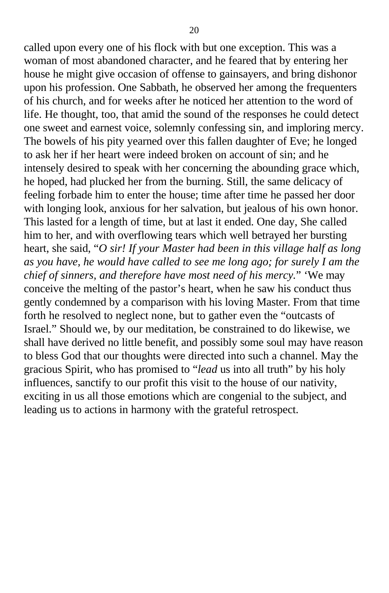called upon every one of his flock with but one exception. This was a woman of most abandoned character, and he feared that by entering her house he might give occasion of offense to gainsayers, and bring dishonor upon his profession. One Sabbath, he observed her among the frequenters of his church, and for weeks after he noticed her attention to the word of life. He thought, too, that amid the sound of the responses he could detect one sweet and earnest voice, solemnly confessing sin, and imploring mercy. The bowels of his pity yearned over this fallen daughter of Eve; he longed to ask her if her heart were indeed broken on account of sin; and he intensely desired to speak with her concerning the abounding grace which, he hoped, had plucked her from the burning. Still, the same delicacy of feeling forbade him to enter the house; time after time he passed her door with longing look, anxious for her salvation, but jealous of his own honor. This lasted for a length of time, but at last it ended. One day, She called him to her, and with overflowing tears which well betrayed her bursting heart, she said, "*O sir! If your Master had been in this village half as long as you have, he would have called to see me long ago; for surely I am the chief of sinners, and therefore have most need of his mercy.*" 'We may conceive the melting of the pastor's heart, when he saw his conduct thus gently condemned by a comparison with his loving Master. From that time forth he resolved to neglect none, but to gather even the "outcasts of Israel." Should we, by our meditation, be constrained to do likewise, we shall have derived no little benefit, and possibly some soul may have reason to bless God that our thoughts were directed into such a channel. May the gracious Spirit, who has promised to "*lead* us into all truth" by his holy influences, sanctify to our profit this visit to the house of our nativity, exciting in us all those emotions which are congenial to the subject, and leading us to actions in harmony with the grateful retrospect.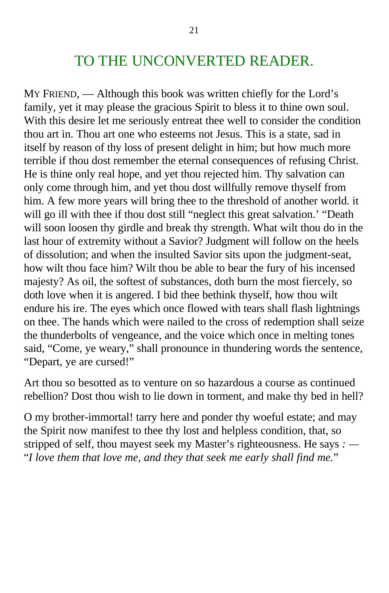### TO THE UNCONVERTED READER.

MY FRIEND, — Although this book was written chiefly for the Lord's family, yet it may please the gracious Spirit to bless it to thine own soul. With this desire let me seriously entreat thee well to consider the condition thou art in. Thou art one who esteems not Jesus. This is a state, sad in itself by reason of thy loss of present delight in him; but how much more terrible if thou dost remember the eternal consequences of refusing Christ. He is thine only real hope, and yet thou rejected him. Thy salvation can only come through him, and yet thou dost willfully remove thyself from him. A few more years will bring thee to the threshold of another world. it will go ill with thee if thou dost still "neglect this great salvation." "Death will soon loosen thy girdle and break thy strength. What wilt thou do in the last hour of extremity without a Savior? Judgment will follow on the heels of dissolution; and when the insulted Savior sits upon the judgment-seat, how wilt thou face him? Wilt thou be able to bear the fury of his incensed majesty? As oil, the softest of substances, doth burn the most fiercely, so doth love when it is angered. I bid thee bethink thyself, how thou wilt endure his ire. The eyes which once flowed with tears shall flash lightnings on thee. The hands which were nailed to the cross of redemption shall seize the thunderbolts of vengeance, and the voice which once in melting tones said, "Come, ye weary," shall pronounce in thundering words the sentence, "Depart, ye are cursed!"

Art thou so besotted as to venture on so hazardous a course as continued rebellion? Dost thou wish to lie down in torment, and make thy bed in hell?

O my brother-immortal! tarry here and ponder thy woeful estate; and may the Spirit now manifest to thee thy lost and helpless condition, that, so stripped of self, thou mayest seek my Master's righteousness. He says *: —* "*I love them that love me, and they that seek me early shall find me.*"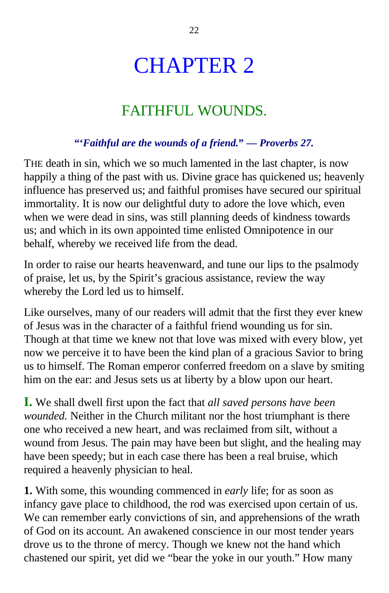# CHAPTER 2

## FAITHFUL WOUNDS.

### **"'***Faithful are the wounds of a friend.***"** *— Proverbs 27.*

THE death in sin, which we so much lamented in the last chapter, is now happily a thing of the past with us. Divine grace has quickened us; heavenly influence has preserved us; and faithful promises have secured our spiritual immortality. It is now our delightful duty to adore the love which, even when we were dead in sins, was still planning deeds of kindness towards us; and which in its own appointed time enlisted Omnipotence in our behalf, whereby we received life from the dead.

In order to raise our hearts heavenward, and tune our lips to the psalmody of praise, let us, by the Spirit's gracious assistance, review the way whereby the Lord led us to himself.

Like ourselves, many of our readers will admit that the first they ever knew of Jesus was in the character of a faithful friend wounding us for sin. Though at that time we knew not that love was mixed with every blow, yet now we perceive it to have been the kind plan of a gracious Savior to bring us to himself. The Roman emperor conferred freedom on a slave by smiting him on the ear: and Jesus sets us at liberty by a blow upon our heart.

**I.** We shall dwell first upon the fact that *all saved persons have been wounded.* Neither in the Church militant nor the host triumphant is there one who received a new heart, and was reclaimed from silt, without a wound from Jesus. The pain may have been but slight, and the healing may have been speedy; but in each case there has been a real bruise, which required a heavenly physician to heal.

**1.** With some, this wounding commenced in *early* life; for as soon as infancy gave place to childhood, the rod was exercised upon certain of us. We can remember early convictions of sin, and apprehensions of the wrath of God on its account. An awakened conscience in our most tender years drove us to the throne of mercy. Though we knew not the hand which chastened our spirit, yet did we "bear the yoke in our youth." How many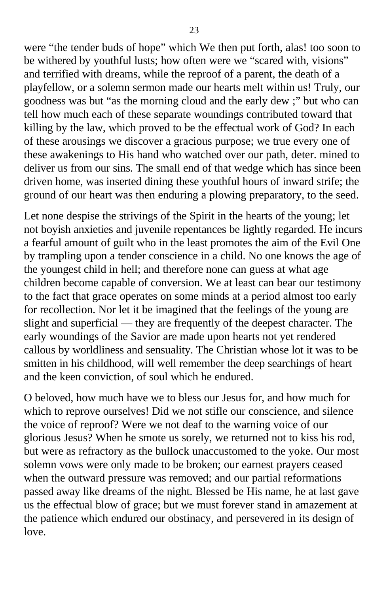were "the tender buds of hope" which We then put forth, alas! too soon to be withered by youthful lusts; how often were we "scared with, visions" and terrified with dreams, while the reproof of a parent, the death of a playfellow, or a solemn sermon made our hearts melt within us! Truly, our goodness was but "as the morning cloud and the early dew ;" but who can tell how much each of these separate woundings contributed toward that killing by the law, which proved to be the effectual work of God? In each of these arousings we discover a gracious purpose; we true every one of these awakenings to His hand who watched over our path, deter. mined to deliver us from our sins. The small end of that wedge which has since been driven home, was inserted dining these youthful hours of inward strife; the ground of our heart was then enduring a plowing preparatory, to the seed.

Let none despise the strivings of the Spirit in the hearts of the young; let not boyish anxieties and juvenile repentances be lightly regarded. He incurs a fearful amount of guilt who in the least promotes the aim of the Evil One by trampling upon a tender conscience in a child. No one knows the age of the youngest child in hell; and therefore none can guess at what age children become capable of conversion. We at least can bear our testimony to the fact that grace operates on some minds at a period almost too early for recollection. Nor let it be imagined that the feelings of the young are slight and superficial — they are frequently of the deepest character. The early woundings of the Savior are made upon hearts not yet rendered callous by worldliness and sensuality. The Christian whose lot it was to be smitten in his childhood, will well remember the deep searchings of heart and the keen conviction, of soul which he endured.

O beloved, how much have we to bless our Jesus for, and how much for which to reprove ourselves! Did we not stifle our conscience, and silence the voice of reproof? Were we not deaf to the warning voice of our glorious Jesus? When he smote us sorely, we returned not to kiss his rod, but were as refractory as the bullock unaccustomed to the yoke. Our most solemn vows were only made to be broken; our earnest prayers ceased when the outward pressure was removed; and our partial reformations passed away like dreams of the night. Blessed be His name, he at last gave us the effectual blow of grace; but we must forever stand in amazement at the patience which endured our obstinacy, and persevered in its design of love.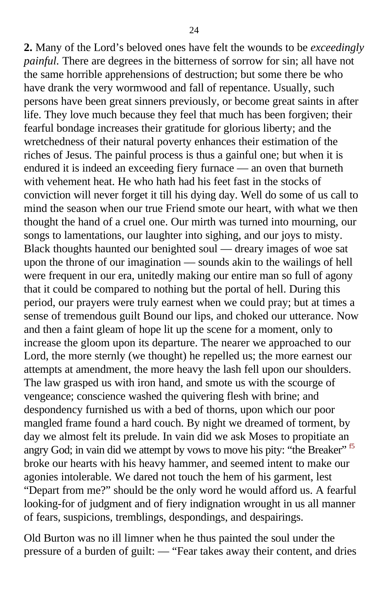**2.** Many of the Lord's beloved ones have felt the wounds to be *exceedingly painful.* There are degrees in the bitterness of sorrow for sin; all have not the same horrible apprehensions of destruction; but some there be who have drank the very wormwood and fall of repentance. Usually, such persons have been great sinners previously, or become great saints in after life. They love much because they feel that much has been forgiven; their fearful bondage increases their gratitude for glorious liberty; and the wretchedness of their natural poverty enhances their estimation of the riches of Jesus. The painful process is thus a gainful one; but when it is endured it is indeed an exceeding fiery furnace — an oven that burneth with vehement heat. He who hath had his feet fast in the stocks of conviction will never forget it till his dying day. Well do some of us call to mind the season when our true Friend smote our heart, with what we then thought the hand of a cruel one. Our mirth was turned into mourning, our songs to lamentations, our laughter into sighing, and our joys to misty. Black thoughts haunted our benighted soul — dreary images of woe sat upon the throne of our imagination — sounds akin to the wailings of hell were frequent in our era, unitedly making our entire man so full of agony that it could be compared to nothing but the portal of hell. During this period, our prayers were truly earnest when we could pray; but at times a sense of tremendous guilt Bound our lips, and choked our utterance. Now and then a faint gleam of hope lit up the scene for a moment, only to increase the gloom upon its departure. The nearer we approached to our Lord, the more sternly (we thought) he repelled us; the more earnest our attempts at amendment, the more heavy the lash fell upon our shoulders. The law grasped us with iron hand, and smote us with the scourge of vengeance; conscience washed the quivering flesh with brine; and despondency furnished us with a bed of thorns, upon which our poor mangled frame found a hard couch. By night we dreamed of torment, by day we almost felt its prelude. In vain did we ask Moses to propitiate an angry God; in vain did we attempt by vows to move his pity: "the Breaker" f<sup>5</sup> broke our hearts with his heavy hammer, and seemed intent to make our agonies intolerable. We dared not touch the hem of his garment, lest "Depart from me?" should be the only word he would afford us. A fearful looking-for of judgment and of fiery indignation wrought in us all manner of fears, suspicions, tremblings, despondings, and despairings.

Old Burton was no ill limner when he thus painted the soul under the pressure of a burden of guilt: — "Fear takes away their content, and dries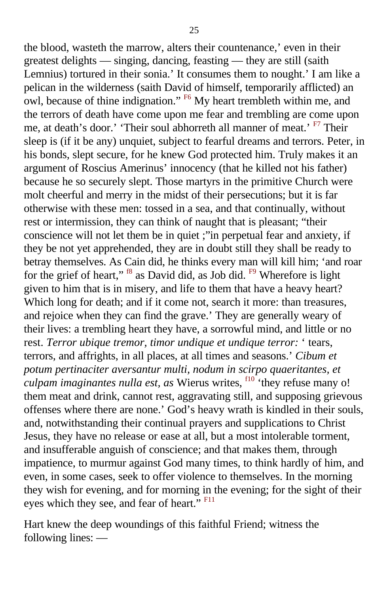the blood, wasteth the marrow, alters their countenance,' even in their greatest delights — singing, dancing, feasting — they are still (saith Lemnius) tortured in their sonia.' It consumes them to nought.' I am like a pelican in the wilderness (saith David of himself, temporarily afflicted) an owl, because of thine indignation." [F6](#page-230-0) My heart trembleth within me, and the terrors of death have come upon me fear and trembling are come upon me, at death's door.' 'Their soul abhorreth all manner of meat.' [F7](#page-230-0) Their sleep is (if it be any) unquiet, subject to fearful dreams and terrors. Peter, in his bonds, slept secure, for he knew God protected him. Truly makes it an argument of Roscius Amerinus' innocency (that he killed not his father) because he so securely slept. Those martyrs in the primitive Church were molt cheerful and merry in the midst of their persecutions; but it is far otherwise with these men: tossed in a sea, and that continually, without rest or intermission, they can think of naught that is pleasant; "their conscience will not let them be in quiet ;"in perpetual fear and anxiety, if they be not yet apprehended, they are in doubt still they shall be ready to betray themselves. As Cain did, he thinks every man will kill him; 'and roar for the grief of heart,"  $^{68}$  as David did, as Job did.  $^{F9}$  $^{F9}$  $^{F9}$  Wherefore is light given to him that is in misery, and life to them that have a heavy heart? Which long for death; and if it come not, search it more: than treasures, and rejoice when they can find the grave.' They are generally weary of their lives: a trembling heart they have, a sorrowful mind, and little or no rest. *Terror ubique tremor, timor undique et undique terror:* ' tears, terrors, and affrights, in all places, at all times and seasons.' *Cibum et potum pertinaciter aversantur multi, nodum in scirpo quaeritantes, et culpam imaginantes nulla est, as* Wierus writes, <sup>[f10](#page-230-0)</sup> 'they refuse many o! them meat and drink, cannot rest, aggravating still, and supposing grievous offenses where there are none.' God's heavy wrath is kindled in their souls, and, notwithstanding their continual prayers and supplications to Christ Jesus, they have no release or ease at all, but a most intolerable torment, and insufferable anguish of conscience; and that makes them, through impatience, to murmur against God many times, to think hardly of him, and even, in some cases, seek to offer violence to themselves. In the morning they wish for evening, and for morning in the evening; for the sight of their eyes which they see, and fear of heart." [F11](#page-230-0)

Hart knew the deep woundings of this faithful Friend; witness the following lines: —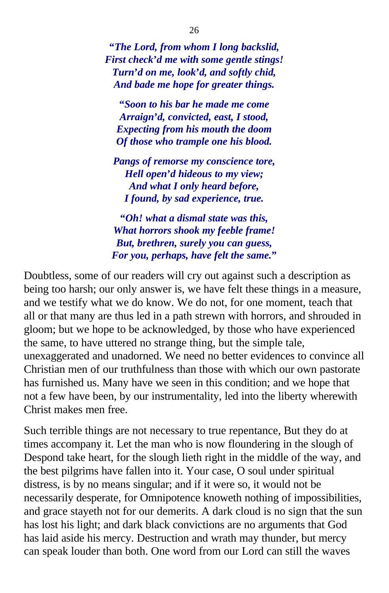**"***The Lord, from whom I long backslid, First check***'***d me with some gentle stings! Turn***'***d on me, look***'***d, and softly chid, And bade me hope for greater things.*

**"***Soon to his bar he made me come Arraign***'***d, convicted, east, I stood, Expecting from his mouth the doom Of those who trample one his blood.*

*Pangs of remorse my conscience tore, Hell open***'***d hideous to my view; And what I only heard before, I found, by sad experience, true.*

**"***Oh! what a dismal state was this, What horrors shook my feeble frame! But, brethren, surely you can guess, For you, perhaps, have felt the same.***"**

Doubtless, some of our readers will cry out against such a description as being too harsh; our only answer is, we have felt these things in a measure, and we testify what we do know. We do not, for one moment, teach that all or that many are thus led in a path strewn with horrors, and shrouded in gloom; but we hope to be acknowledged, by those who have experienced the same, to have uttered no strange thing, but the simple tale, unexaggerated and unadorned. We need no better evidences to convince all Christian men of our truthfulness than those with which our own pastorate has furnished us. Many have we seen in this condition; and we hope that not a few have been, by our instrumentality, led into the liberty wherewith Christ makes men free.

Such terrible things are not necessary to true repentance, But they do at times accompany it. Let the man who is now floundering in the slough of Despond take heart, for the slough lieth right in the middle of the way, and the best pilgrims have fallen into it. Your case, O soul under spiritual distress, is by no means singular; and if it were so, it would not be necessarily desperate, for Omnipotence knoweth nothing of impossibilities, and grace stayeth not for our demerits. A dark cloud is no sign that the sun has lost his light; and dark black convictions are no arguments that God has laid aside his mercy. Destruction and wrath may thunder, but mercy can speak louder than both. One word from our Lord can still the waves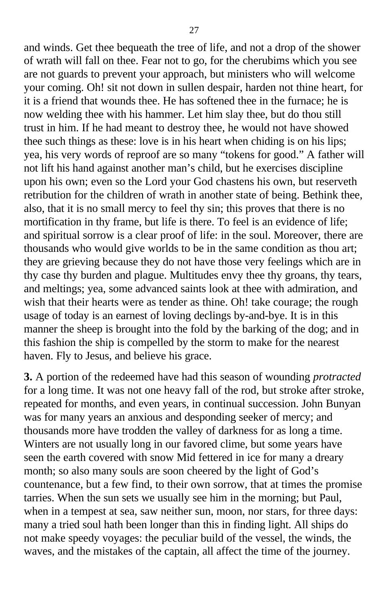and winds. Get thee bequeath the tree of life, and not a drop of the shower of wrath will fall on thee. Fear not to go, for the cherubims which you see are not guards to prevent your approach, but ministers who will welcome your coming. Oh! sit not down in sullen despair, harden not thine heart, for it is a friend that wounds thee. He has softened thee in the furnace; he is now welding thee with his hammer. Let him slay thee, but do thou still trust in him. If he had meant to destroy thee, he would not have showed thee such things as these: love is in his heart when chiding is on his lips; yea, his very words of reproof are so many "tokens for good." A father will not lift his hand against another man's child, but he exercises discipline upon his own; even so the Lord your God chastens his own, but reserveth retribution for the children of wrath in another state of being. Bethink thee, also, that it is no small mercy to feel thy sin; this proves that there is no mortification in thy frame, but life is there. To feel is an evidence of life; and spiritual sorrow is a clear proof of life: in the soul. Moreover, there are thousands who would give worlds to be in the same condition as thou art; they are grieving because they do not have those very feelings which are in thy case thy burden and plague. Multitudes envy thee thy groans, thy tears, and meltings; yea, some advanced saints look at thee with admiration, and wish that their hearts were as tender as thine. Oh! take courage; the rough usage of today is an earnest of loving declings by-and-bye. It is in this manner the sheep is brought into the fold by the barking of the dog; and in this fashion the ship is compelled by the storm to make for the nearest haven. Fly to Jesus, and believe his grace.

**3.** A portion of the redeemed have had this season of wounding *protracted* for a long time. It was not one heavy fall of the rod, but stroke after stroke, repeated for months, and even years, in continual succession. John Bunyan was for many years an anxious and desponding seeker of mercy; and thousands more have trodden the valley of darkness for as long a time. Winters are not usually long in our favored clime, but some years have seen the earth covered with snow Mid fettered in ice for many a dreary month; so also many souls are soon cheered by the light of God's countenance, but a few find, to their own sorrow, that at times the promise tarries. When the sun sets we usually see him in the morning; but Paul, when in a tempest at sea, saw neither sun, moon, nor stars, for three days: many a tried soul hath been longer than this in finding light. All ships do not make speedy voyages: the peculiar build of the vessel, the winds, the waves, and the mistakes of the captain, all affect the time of the journey.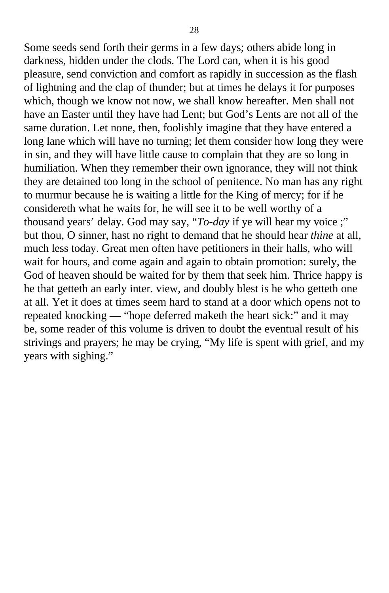Some seeds send forth their germs in a few days; others abide long in darkness, hidden under the clods. The Lord can, when it is his good pleasure, send conviction and comfort as rapidly in succession as the flash of lightning and the clap of thunder; but at times he delays it for purposes which, though we know not now, we shall know hereafter. Men shall not have an Easter until they have had Lent; but God's Lents are not all of the same duration. Let none, then, foolishly imagine that they have entered a long lane which will have no turning; let them consider how long they were in sin, and they will have little cause to complain that they are so long in humiliation. When they remember their own ignorance, they will not think they are detained too long in the school of penitence. No man has any right to murmur because he is waiting a little for the King of mercy; for if he considereth what he waits for, he will see it to be well worthy of a thousand years' delay. God may say, "*To-day* if ye will hear my voice ;" but thou, O sinner, hast no right to demand that he should hear *thine* at all, much less today. Great men often have petitioners in their halls, who will wait for hours, and come again and again to obtain promotion: surely, the God of heaven should be waited for by them that seek him. Thrice happy is he that getteth an early inter. view, and doubly blest is he who getteth one at all. Yet it does at times seem hard to stand at a door which opens not to repeated knocking — "hope deferred maketh the heart sick:" and it may be, some reader of this volume is driven to doubt the eventual result of his strivings and prayers; he may be crying, "My life is spent with grief, and my years with sighing."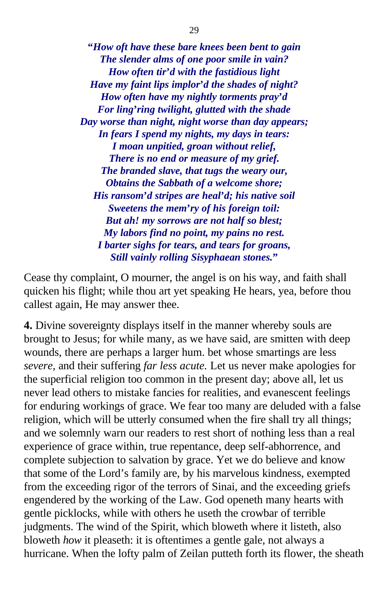**"***How oft have these bare knees been bent to gain The slender alms of one poor smile in vain? How often tir***'***d with the fastidious light Have my faint lips implor***'***d the shades of night? How often have my nightly torments pray***'***d For ling***'***ring twilight, glutted with the shade Day worse than night, night worse than day appears; In fears I spend my nights, my days in tears: I moan unpitied, groan without relief, There is no end or measure of my grief. The branded slave, that tugs the weary our, Obtains the Sabbath of a welcome shore; His ransom***'***d stripes are heal***'***d; his native soil Sweetens the mem***'***ry of his foreign toil: But ah! my sorrows are not half so blest; My labors find no point, my pains no rest. I barter sighs for tears, and tears for groans, Still vainly rolling Sisyphaean stones.***"**

Cease thy complaint, O mourner, the angel is on his way, and faith shall quicken his flight; while thou art yet speaking He hears, yea, before thou callest again, He may answer thee.

**4.** Divine sovereignty displays itself in the manner whereby souls are brought to Jesus; for while many, as we have said, are smitten with deep wounds, there are perhaps a larger hum. bet whose smartings are less *severe,* and their suffering *far less acute.* Let us never make apologies for the superficial religion too common in the present day; above all, let us never lead others to mistake fancies for realities, and evanescent feelings for enduring workings of grace. We fear too many are deluded with a false religion, which will be utterly consumed when the fire shall try all things; and we solemnly warn our readers to rest short of nothing less than a real experience of grace within, true repentance, deep self-abhorrence, and complete subjection to salvation by grace. Yet we do believe and know that some of the Lord's family are, by his marvelous kindness, exempted from the exceeding rigor of the terrors of Sinai, and the exceeding griefs engendered by the working of the Law. God openeth many hearts with gentle picklocks, while with others he useth the crowbar of terrible judgments. The wind of the Spirit, which bloweth where it listeth, also bloweth *how* it pleaseth: it is oftentimes a gentle gale, not always a hurricane. When the lofty palm of Zeilan putteth forth its flower, the sheath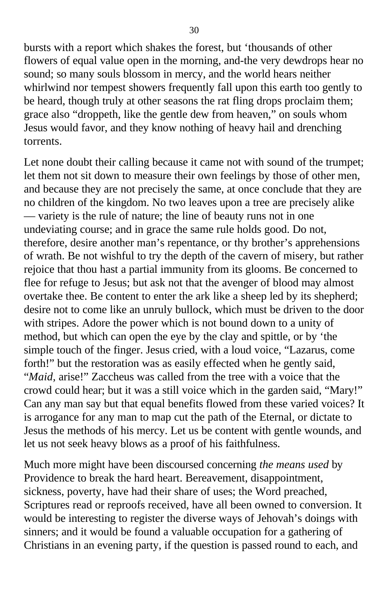bursts with a report which shakes the forest, but 'thousands of other flowers of equal value open in the morning, and-the very dewdrops hear no sound; so many souls blossom in mercy, and the world hears neither whirlwind nor tempest showers frequently fall upon this earth too gently to be heard, though truly at other seasons the rat fling drops proclaim them; grace also "droppeth, like the gentle dew from heaven," on souls whom Jesus would favor, and they know nothing of heavy hail and drenching torrents.

Let none doubt their calling because it came not with sound of the trumpet; let them not sit down to measure their own feelings by those of other men, and because they are not precisely the same, at once conclude that they are no children of the kingdom. No two leaves upon a tree are precisely alike — variety is the rule of nature; the line of beauty runs not in one undeviating course; and in grace the same rule holds good. Do not, therefore, desire another man's repentance, or thy brother's apprehensions of wrath. Be not wishful to try the depth of the cavern of misery, but rather rejoice that thou hast a partial immunity from its glooms. Be concerned to flee for refuge to Jesus; but ask not that the avenger of blood may almost overtake thee. Be content to enter the ark like a sheep led by its shepherd; desire not to come like an unruly bullock, which must be driven to the door with stripes. Adore the power which is not bound down to a unity of method, but which can open the eye by the clay and spittle, or by 'the simple touch of the finger. Jesus cried, with a loud voice, "Lazarus, come forth!" but the restoration was as easily effected when he gently said, "*Maid,* arise!" Zaccheus was called from the tree with a voice that the crowd could hear; but it was a still voice which in the garden said, "Mary!" Can any man say but that equal benefits flowed from these varied voices? It is arrogance for any man to map cut the path of the Eternal, or dictate to Jesus the methods of his mercy. Let us be content with gentle wounds, and let us not seek heavy blows as a proof of his faithfulness.

Much more might have been discoursed concerning *the means used* by Providence to break the hard heart. Bereavement, disappointment, sickness, poverty, have had their share of uses; the Word preached, Scriptures read or reproofs received, have all been owned to conversion. It would be interesting to register the diverse ways of Jehovah's doings with sinners; and it would be found a valuable occupation for a gathering of Christians in an evening party, if the question is passed round to each, and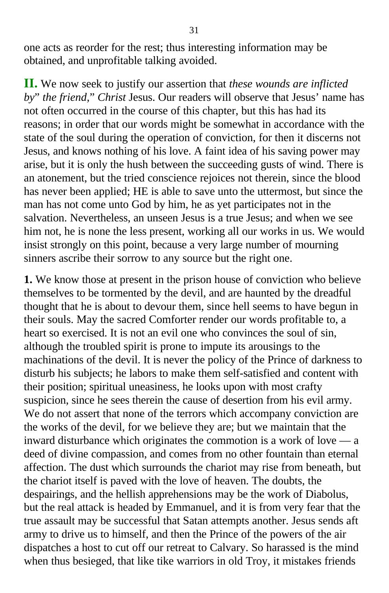one acts as reorder for the rest; thus interesting information may be obtained, and unprofitable talking avoided.

**II.** We now seek to justify our assertion that *these wounds are inflicted by*" *the friend,*" *Christ* Jesus. Our readers will observe that Jesus' name has not often occurred in the course of this chapter, but this has had its reasons; in order that our words might be somewhat in accordance with the state of the soul during the operation of conviction, for then it discerns not Jesus, and knows nothing of his love. A faint idea of his saving power may arise, but it is only the hush between the succeeding gusts of wind. There is an atonement, but the tried conscience rejoices not therein, since the blood has never been applied; HE is able to save unto the uttermost, but since the man has not come unto God by him, he as yet participates not in the salvation. Nevertheless, an unseen Jesus is a true Jesus; and when we see him not, he is none the less present, working all our works in us. We would insist strongly on this point, because a very large number of mourning sinners ascribe their sorrow to any source but the right one.

**1.** We know those at present in the prison house of conviction who believe themselves to be tormented by the devil, and are haunted by the dreadful thought that he is about to devour them, since hell seems to have begun in their souls. May the sacred Comforter render our words profitable to, a heart so exercised. It is not an evil one who convinces the soul of sin, although the troubled spirit is prone to impute its arousings to the machinations of the devil. It is never the policy of the Prince of darkness to disturb his subjects; he labors to make them self-satisfied and content with their position; spiritual uneasiness, he looks upon with most crafty suspicion, since he sees therein the cause of desertion from his evil army. We do not assert that none of the terrors which accompany conviction are the works of the devil, for we believe they are; but we maintain that the inward disturbance which originates the commotion is a work of love — a deed of divine compassion, and comes from no other fountain than eternal affection. The dust which surrounds the chariot may rise from beneath, but the chariot itself is paved with the love of heaven. The doubts, the despairings, and the hellish apprehensions may be the work of Diabolus, but the real attack is headed by Emmanuel, and it is from very fear that the true assault may be successful that Satan attempts another. Jesus sends aft army to drive us to himself, and then the Prince of the powers of the air dispatches a host to cut off our retreat to Calvary. So harassed is the mind when thus besieged, that like tike warriors in old Troy, it mistakes friends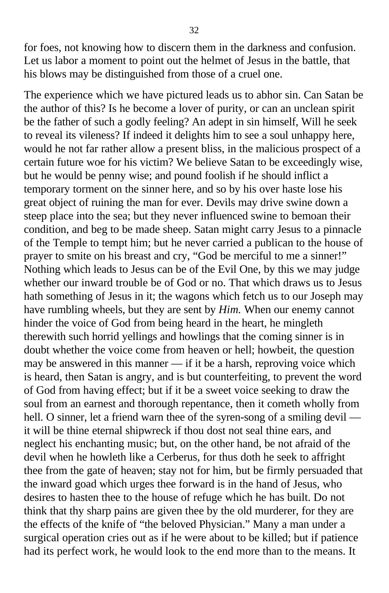for foes, not knowing how to discern them in the darkness and confusion. Let us labor a moment to point out the helmet of Jesus in the battle, that his blows may be distinguished from those of a cruel one.

The experience which we have pictured leads us to abhor sin. Can Satan be the author of this? Is he become a lover of purity, or can an unclean spirit be the father of such a godly feeling? An adept in sin himself, Will he seek to reveal its vileness? If indeed it delights him to see a soul unhappy here, would he not far rather allow a present bliss, in the malicious prospect of a certain future woe for his victim? We believe Satan to be exceedingly wise, but he would be penny wise; and pound foolish if he should inflict a temporary torment on the sinner here, and so by his over haste lose his great object of ruining the man for ever. Devils may drive swine down a steep place into the sea; but they never influenced swine to bemoan their condition, and beg to be made sheep. Satan might carry Jesus to a pinnacle of the Temple to tempt him; but he never carried a publican to the house of prayer to smite on his breast and cry, "God be merciful to me a sinner!" Nothing which leads to Jesus can be of the Evil One, by this we may judge whether our inward trouble be of God or no. That which draws us to Jesus hath something of Jesus in it; the wagons which fetch us to our Joseph may have rumbling wheels, but they are sent by *Him.* When our enemy cannot hinder the voice of God from being heard in the heart, he mingleth therewith such horrid yellings and howlings that the coming sinner is in doubt whether the voice come from heaven or hell; howbeit, the question may be answered in this manner — if it be a harsh, reproving voice which is heard, then Satan is angry, and is but counterfeiting, to prevent the word of God from having effect; but if it be a sweet voice seeking to draw the soul from an earnest and thorough repentance, then it cometh wholly from hell. O sinner, let a friend warn thee of the syren-song of a smiling devil it will be thine eternal shipwreck if thou dost not seal thine ears, and neglect his enchanting music; but, on the other hand, be not afraid of the devil when he howleth like a Cerberus, for thus doth he seek to affright thee from the gate of heaven; stay not for him, but be firmly persuaded that the inward goad which urges thee forward is in the hand of Jesus, who desires to hasten thee to the house of refuge which he has built. Do not think that thy sharp pains are given thee by the old murderer, for they are the effects of the knife of "the beloved Physician." Many a man under a surgical operation cries out as if he were about to be killed; but if patience had its perfect work, he would look to the end more than to the means. It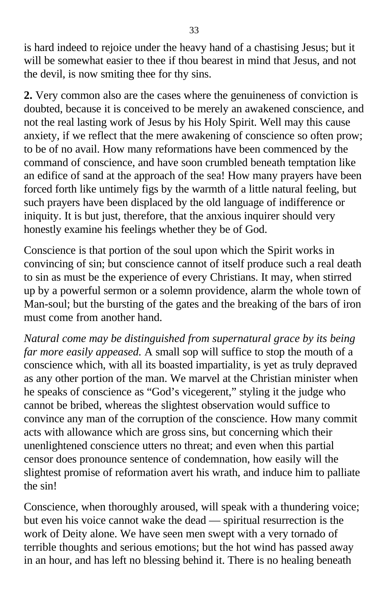is hard indeed to rejoice under the heavy hand of a chastising Jesus; but it will be somewhat easier to thee if thou bearest in mind that Jesus, and not the devil, is now smiting thee for thy sins.

**2.** Very common also are the cases where the genuineness of conviction is doubted, because it is conceived to be merely an awakened conscience, and not the real lasting work of Jesus by his Holy Spirit. Well may this cause anxiety, if we reflect that the mere awakening of conscience so often prow; to be of no avail. How many reformations have been commenced by the command of conscience, and have soon crumbled beneath temptation like an edifice of sand at the approach of the sea! How many prayers have been forced forth like untimely figs by the warmth of a little natural feeling, but such prayers have been displaced by the old language of indifference or iniquity. It is but just, therefore, that the anxious inquirer should very honestly examine his feelings whether they be of God.

Conscience is that portion of the soul upon which the Spirit works in convincing of sin; but conscience cannot of itself produce such a real death to sin as must be the experience of every Christians. It may, when stirred up by a powerful sermon or a solemn providence, alarm the whole town of Man-soul; but the bursting of the gates and the breaking of the bars of iron must come from another hand.

*Natural come may be distinguished from supernatural grace by its being far more easily appeased.* A small sop will suffice to stop the mouth of a conscience which, with all its boasted impartiality, is yet as truly depraved as any other portion of the man. We marvel at the Christian minister when he speaks of conscience as "God's vicegerent," styling it the judge who cannot be bribed, whereas the slightest observation would suffice to convince any man of the corruption of the conscience. How many commit acts with allowance which are gross sins, but concerning which their unenlightened conscience utters no threat; and even when this partial censor does pronounce sentence of condemnation, how easily will the slightest promise of reformation avert his wrath, and induce him to palliate the sin!

Conscience, when thoroughly aroused, will speak with a thundering voice; but even his voice cannot wake the dead — spiritual resurrection is the work of Deity alone. We have seen men swept with a very tornado of terrible thoughts and serious emotions; but the hot wind has passed away in an hour, and has left no blessing behind it. There is no healing beneath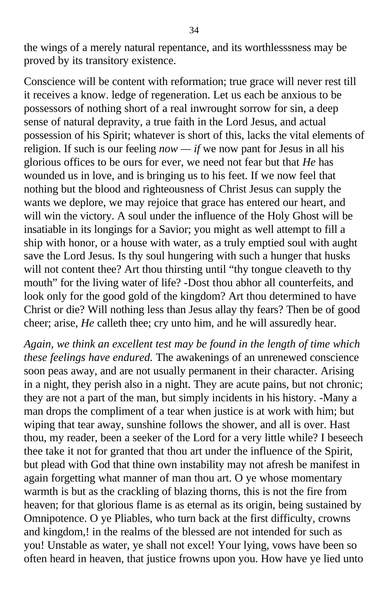the wings of a merely natural repentance, and its worthlesssness may be proved by its transitory existence.

Conscience will be content with reformation; true grace will never rest till it receives a know. ledge of regeneration. Let us each be anxious to be possessors of nothing short of a real inwrought sorrow for sin, a deep sense of natural depravity, a true faith in the Lord Jesus, and actual possession of his Spirit; whatever is short of this, lacks the vital elements of religion. If such is our feeling  $now - if$  we now pant for Jesus in all his glorious offices to be ours for ever, we need not fear but that *He* has wounded us in love, and is bringing us to his feet. If we now feel that nothing but the blood and righteousness of Christ Jesus can supply the wants we deplore, we may rejoice that grace has entered our heart, and will win the victory. A soul under the influence of the Holy Ghost will be insatiable in its longings for a Savior; you might as well attempt to fill a ship with honor, or a house with water, as a truly emptied soul with aught save the Lord Jesus. Is thy soul hungering with such a hunger that husks will not content thee? Art thou thirsting until "thy tongue cleaveth to thy mouth" for the living water of life? -Dost thou abhor all counterfeits, and look only for the good gold of the kingdom? Art thou determined to have Christ or die? Will nothing less than Jesus allay thy fears? Then be of good cheer; arise, *He* calleth thee; cry unto him, and he will assuredly hear.

*Again, we think an excellent test may be found in the length of time which these feelings have endured.* The awakenings of an unrenewed conscience soon peas away, and are not usually permanent in their character. Arising in a night, they perish also in a night. They are acute pains, but not chronic; they are not a part of the man, but simply incidents in his history. -Many a man drops the compliment of a tear when justice is at work with him; but wiping that tear away, sunshine follows the shower, and all is over. Hast thou, my reader, been a seeker of the Lord for a very little while? I beseech thee take it not for granted that thou art under the influence of the Spirit, but plead with God that thine own instability may not afresh be manifest in again forgetting what manner of man thou art. O ye whose momentary warmth is but as the crackling of blazing thorns, this is not the fire from heaven; for that glorious flame is as eternal as its origin, being sustained by Omnipotence. O ye Pliables, who turn back at the first difficulty, crowns and kingdom,! in the realms of the blessed are not intended for such as you! Unstable as water, ye shall not excel! Your lying, vows have been so often heard in heaven, that justice frowns upon you. How have ye lied unto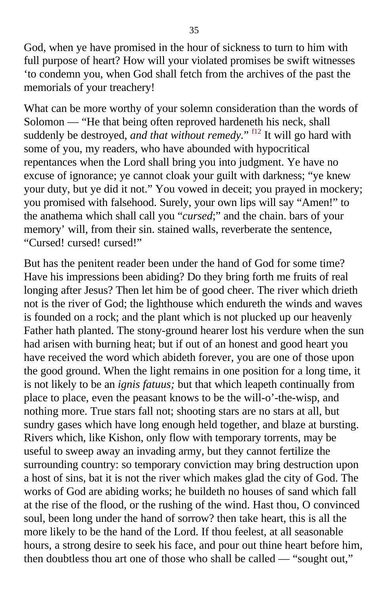God, when ye have promised in the hour of sickness to turn to him with full purpose of heart? How will your violated promises be swift witnesses 'to condemn you, when God shall fetch from the archives of the past the memorials of your treachery!

What can be more worthy of your solemn consideration than the words of Solomon — "He that being often reproved hardeneth his neck, shall suddenly be destroyed, *and that without remedy*." <sup>[f12](#page-230-0)</sup> It will go hard with some of you, my readers, who have abounded with hypocritical repentances when the Lord shall bring you into judgment. Ye have no excuse of ignorance; ye cannot cloak your guilt with darkness; "ye knew your duty, but ye did it not." You vowed in deceit; you prayed in mockery; you promised with falsehood. Surely, your own lips will say "Amen!" to the anathema which shall call you "*cursed*;" and the chain. bars of your memory' will, from their sin. stained walls, reverberate the sentence, "Cursed! cursed! cursed!"

But has the penitent reader been under the hand of God for some time? Have his impressions been abiding? Do they bring forth me fruits of real longing after Jesus? Then let him be of good cheer. The river which drieth not is the river of God; the lighthouse which endureth the winds and waves is founded on a rock; and the plant which is not plucked up our heavenly Father hath planted. The stony-ground hearer lost his verdure when the sun had arisen with burning heat; but if out of an honest and good heart you have received the word which abideth forever, you are one of those upon the good ground. When the light remains in one position for a long time, it is not likely to be an *ignis fatuus;* but that which leapeth continually from place to place, even the peasant knows to be the will-o'-the-wisp, and nothing more. True stars fall not; shooting stars are no stars at all, but sundry gases which have long enough held together, and blaze at bursting. Rivers which, like Kishon, only flow with temporary torrents, may be useful to sweep away an invading army, but they cannot fertilize the surrounding country: so temporary conviction may bring destruction upon a host of sins, bat it is not the river which makes glad the city of God. The works of God are abiding works; he buildeth no houses of sand which fall at the rise of the flood, or the rushing of the wind. Hast thou, O convinced soul, been long under the hand of sorrow? then take heart, this is all the more likely to be the hand of the Lord. If thou feelest, at all seasonable hours, a strong desire to seek his face, and pour out thine heart before him, then doubtless thou art one of those who shall be called — "sought out,"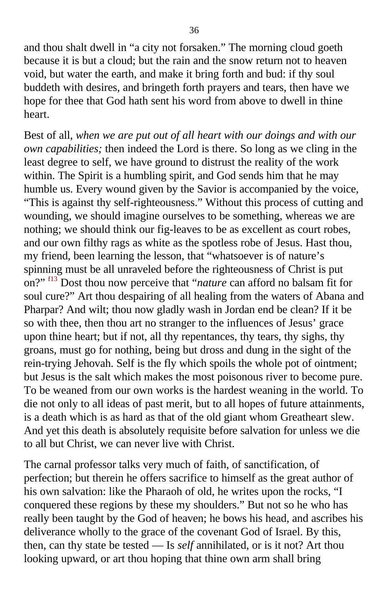and thou shalt dwell in "a city not forsaken." The morning cloud goeth because it is but a cloud; but the rain and the snow return not to heaven void, but water the earth, and make it bring forth and bud: if thy soul buddeth with desires, and bringeth forth prayers and tears, then have we hope for thee that God hath sent his word from above to dwell in thine heart.

Best of all, *when we are put out of all heart with our doings and with our own capabilities;* then indeed the Lord is there. So long as we cling in the least degree to self, we have ground to distrust the reality of the work within. The Spirit is a humbling spirit, and God sends him that he may humble us. Every wound given by the Savior is accompanied by the voice, "This is against thy self-righteousness." Without this process of cutting and wounding, we should imagine ourselves to be something, whereas we are nothing; we should think our fig-leaves to be as excellent as court robes, and our own filthy rags as white as the spotless robe of Jesus. Hast thou, my friend, been learning the lesson, that "whatsoever is of nature's spinning must be all unraveled before the righteousness of Christ is put on?" [f13](#page-230-0) Dost thou now perceive that "*nature* can afford no balsam fit for soul cure?" Art thou despairing of all healing from the waters of Abana and Pharpar? And wilt; thou now gladly wash in Jordan end be clean? If it be so with thee, then thou art no stranger to the influences of Jesus' grace upon thine heart; but if not, all thy repentances, thy tears, thy sighs, thy groans, must go for nothing, being but dross and dung in the sight of the rein-trying Jehovah. Self is the fly which spoils the whole pot of ointment; but Jesus is the salt which makes the most poisonous river to become pure. To be weaned from our own works is the hardest weaning in the world. To die not only to all ideas of past merit, but to all hopes of future attainments, is a death which is as hard as that of the old giant whom Greatheart slew. And yet this death is absolutely requisite before salvation for unless we die to all but Christ, we can never live with Christ.

The carnal professor talks very much of faith, of sanctification, of perfection; but therein he offers sacrifice to himself as the great author of his own salvation: like the Pharaoh of old, he writes upon the rocks, "I conquered these regions by these my shoulders." But not so he who has really been taught by the God of heaven; he bows his head, and ascribes his deliverance wholly to the grace of the covenant God of Israel. By this, then, can thy state be tested — Is *self* annihilated, or is it not? Art thou looking upward, or art thou hoping that thine own arm shall bring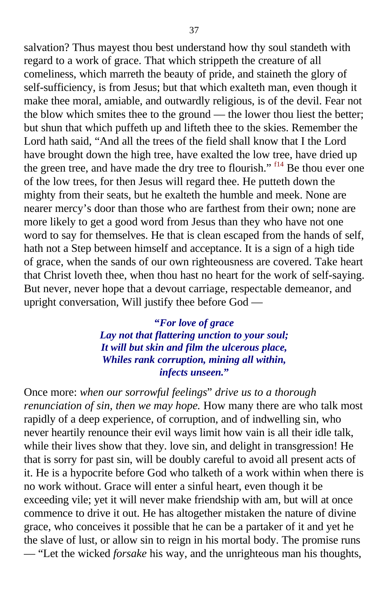salvation? Thus mayest thou best understand how thy soul standeth with regard to a work of grace. That which strippeth the creature of all comeliness, which marreth the beauty of pride, and staineth the glory of self-sufficiency, is from Jesus; but that which exalteth man, even though it make thee moral, amiable, and outwardly religious, is of the devil. Fear not the blow which smites thee to the ground — the lower thou liest the better; but shun that which puffeth up and lifteth thee to the skies. Remember the Lord hath said, "And all the trees of the field shall know that I the Lord have brought down the high tree, have exalted the low tree, have dried up the green tree, and have made the dry tree to flourish." <sup>[f14](#page-230-0)</sup> Be thou ever one of the low trees, for then Jesus will regard thee. He putteth down the mighty from their seats, but he exalteth the humble and meek. None are nearer mercy's door than those who are farthest from their own; none are more likely to get a good word from Jesus than they who have not one word to say for themselves. He that is clean escaped from the hands of self, hath not a Step between himself and acceptance. It is a sign of a high tide of grace, when the sands of our own righteousness are covered. Take heart that Christ loveth thee, when thou hast no heart for the work of self-saying. But never, never hope that a devout carriage, respectable demeanor, and upright conversation, Will justify thee before God —

> **"***For love of grace Lay not that flattering unction to your soul; It will but skin and film the ulcerous place, Whiles rank corruption, mining all within, infects unseen.***"**

Once more: *when our sorrowful feelings*" *drive us to a thorough renunciation of sin, then we may hope.* How many there are who talk most rapidly of a deep experience, of corruption, and of indwelling sin, who never heartily renounce their evil ways limit how vain is all their idle talk, while their lives show that they. love sin, and delight in transgression! He that is sorry for past sin, will be doubly careful to avoid all present acts of it. He is a hypocrite before God who talketh of a work within when there is no work without. Grace will enter a sinful heart, even though it be exceeding vile; yet it will never make friendship with am, but will at once commence to drive it out. He has altogether mistaken the nature of divine grace, who conceives it possible that he can be a partaker of it and yet he the slave of lust, or allow sin to reign in his mortal body. The promise runs — "Let the wicked *forsake* his way, and the unrighteous man his thoughts,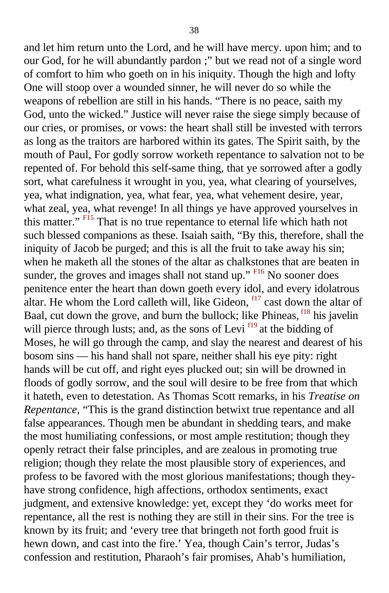and let him return unto the Lord, and he will have mercy. upon him; and to our God, for he will abundantly pardon ;" but we read not of a single word of comfort to him who goeth on in his iniquity. Though the high and lofty One will stoop over a wounded sinner, he will never do so while the weapons of rebellion are still in his hands. "There is no peace, saith my God, unto the wicked." Justice will never raise the siege simply because of our cries, or promises, or vows: the heart shall still be invested with terrors as long as the traitors are harbored within its gates. The Spirit saith, by the mouth of Paul, For godly sorrow worketh repentance to salvation not to be repented of. For behold this self-same thing, that ye sorrowed after a godly sort, what carefulness it wrought in you, yea, what clearing of yourselves, yea, what indignation, yea, what fear, yea, what vehement desire, year, what zeal, yea, what revenge! In all things ye have approved yourselves in this matter." [F15](#page-230-0) That is no true repentance to eternal life which hath not such blessed companions as these. Isaiah saith, "By this, therefore, shall the iniquity of Jacob be purged; and this is all the fruit to take away his sin; when he maketh all the stones of the altar as chalkstones that are beaten in sunder, the groves and images shall not stand up." F<sup>16</sup> No sooner does penitence enter the heart than down goeth every idol, and every idolatrous altar. He whom the Lord calleth will, like Gideon, <sup>[f17](#page-230-0)</sup> cast down the altar of Baal, cut down the grove, and burn the bullock; like Phineas, <sup>f18</sup> his javelin will pierce through lusts; and, as the sons of Levi  $f<sup>19</sup>$  at the bidding of Moses, he will go through the camp, and slay the nearest and dearest of his bosom sins — his hand shall not spare, neither shall his eye pity: right hands will be cut off, and right eyes plucked out; sin will be drowned in floods of godly sorrow, and the soul will desire to be free from that which it hateth, even to detestation. As Thomas Scott remarks, in his *Treatise on Repentance,* "This is the grand distinction betwixt true repentance and all false appearances. Though men be abundant in shedding tears, and make the most humiliating confessions, or most ample restitution; though they openly retract their false principles, and are zealous in promoting true religion; though they relate the most plausible story of experiences, and profess to be favored with the most glorious manifestations; though theyhave strong confidence, high affections, orthodox sentiments, exact judgment, and extensive knowledge: yet, except they 'do works meet for repentance, all the rest is nothing they are still in their sins. For the tree is known by its fruit; and 'every tree that bringeth not forth good fruit is hewn down, and cast into the fire.' Yea, though Cain's terror, Judas's confession and restitution, Pharaoh's fair promises, Ahab's humiliation,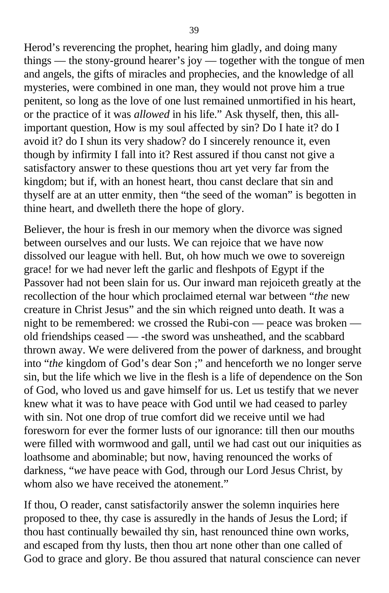Herod's reverencing the prophet, hearing him gladly, and doing many things — the stony-ground hearer's joy — together with the tongue of men and angels, the gifts of miracles and prophecies, and the knowledge of all mysteries, were combined in one man, they would not prove him a true penitent, so long as the love of one lust remained unmortified in his heart, or the practice of it was *allowed* in his life." Ask thyself, then, this allimportant question, How is my soul affected by sin? Do I hate it? do I avoid it? do I shun its very shadow? do I sincerely renounce it, even though by infirmity I fall into it? Rest assured if thou canst not give a satisfactory answer to these questions thou art yet very far from the kingdom; but if, with an honest heart, thou canst declare that sin and thyself are at an utter enmity, then "the seed of the woman" is begotten in thine heart, and dwelleth there the hope of glory.

Believer, the hour is fresh in our memory when the divorce was signed between ourselves and our lusts. We can rejoice that we have now dissolved our league with hell. But, oh how much we owe to sovereign grace! for we had never left the garlic and fleshpots of Egypt if the Passover had not been slain for us. Our inward man rejoiceth greatly at the recollection of the hour which proclaimed eternal war between "*the* new creature in Christ Jesus" and the sin which reigned unto death. It was a night to be remembered: we crossed the Rubi-con — peace was broken old friendships ceased — -the sword was unsheathed, and the scabbard thrown away. We were delivered from the power of darkness, and brought into "*the* kingdom of God's dear Son ;" and henceforth we no longer serve sin, but the life which we live in the flesh is a life of dependence on the Son of God, who loved us and gave himself for us. Let us testify that we never knew what it was to have peace with God until we had ceased to parley with sin. Not one drop of true comfort did we receive until we had foresworn for ever the former lusts of our ignorance: till then our mouths were filled with wormwood and gall, until we had cast out our iniquities as loathsome and abominable; but now, having renounced the works of darkness, "*we* have peace with God, through our Lord Jesus Christ, by whom also we have received the atonement."

If thou, O reader, canst satisfactorily answer the solemn inquiries here proposed to thee, thy case is assuredly in the hands of Jesus the Lord; if thou hast continually bewailed thy sin, hast renounced thine own works, and escaped from thy lusts, then thou art none other than one called of God to grace and glory. Be thou assured that natural conscience can never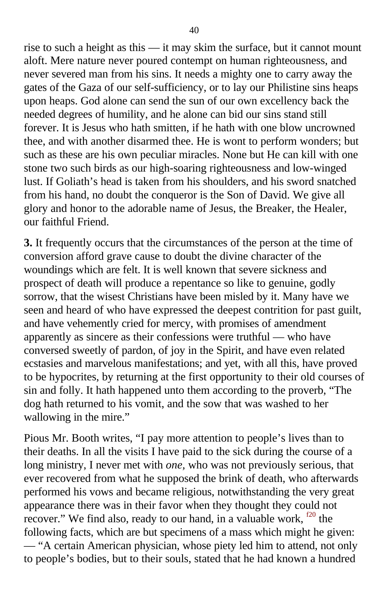rise to such a height as this — it may skim the surface, but it cannot mount aloft. Mere nature never poured contempt on human righteousness, and never severed man from his sins. It needs a mighty one to carry away the gates of the Gaza of our self-sufficiency, or to lay our Philistine sins heaps upon heaps. God alone can send the sun of our own excellency back the needed degrees of humility, and he alone can bid our sins stand still forever. It is Jesus who hath smitten, if he hath with one blow uncrowned thee, and with another disarmed thee. He is wont to perform wonders; but such as these are his own peculiar miracles. None but He can kill with one stone two such birds as our high-soaring righteousness and low-winged lust. If Goliath's head is taken from his shoulders, and his sword snatched from his hand, no doubt the conqueror is the Son of David. We give all glory and honor to the adorable name of Jesus, the Breaker, the Healer, our faithful Friend.

**3.** It frequently occurs that the circumstances of the person at the time of conversion afford grave cause to doubt the divine character of the woundings which are felt. It is well known that severe sickness and prospect of death will produce a repentance so like to genuine, godly sorrow, that the wisest Christians have been misled by it. Many have we seen and heard of who have expressed the deepest contrition for past guilt, and have vehemently cried for mercy, with promises of amendment apparently as sincere as their confessions were truthful — who have conversed sweetly of pardon, of joy in the Spirit, and have even related ecstasies and marvelous manifestations; and yet, with all this, have proved to be hypocrites, by returning at the first opportunity to their old courses of sin and folly. It hath happened unto them according to the proverb, "The dog hath returned to his vomit, and the sow that was washed to her wallowing in the mire."

Pious Mr. Booth writes, "I pay more attention to people's lives than to their deaths. In all the visits I have paid to the sick during the course of a long ministry, I never met with *one,* who was not previously serious, that ever recovered from what he supposed the brink of death, who afterwards performed his vows and became religious, notwithstanding the very great appearance there was in their favor when they thought they could not recover." We find also, ready to our hand, in a valuable work,  $f^{20}$  the following facts, which are but specimens of a mass which might he given: — "A certain American physician, whose piety led him to attend, not only to people's bodies, but to their souls, stated that he had known a hundred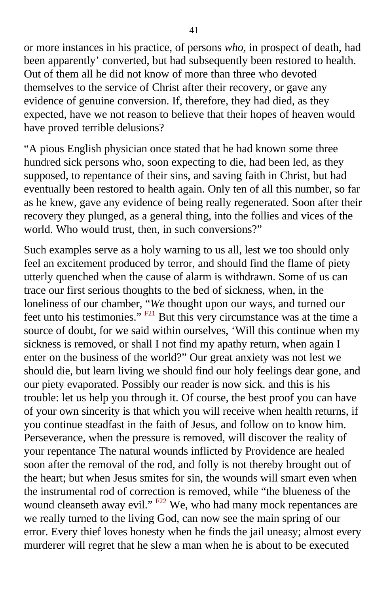or more instances in his practice, of persons *who,* in prospect of death, had been apparently' converted, but had subsequently been restored to health. Out of them all he did not know of more than three who devoted themselves to the service of Christ after their recovery, or gave any evidence of genuine conversion. If, therefore, they had died, as they expected, have we not reason to believe that their hopes of heaven would have proved terrible delusions?

"A pious English physician once stated that he had known some three hundred sick persons who, soon expecting to die, had been led, as they supposed, to repentance of their sins, and saving faith in Christ, but had eventually been restored to health again. Only ten of all this number, so far as he knew, gave any evidence of being really regenerated. Soon after their recovery they plunged, as a general thing, into the follies and vices of the world. Who would trust, then, in such conversions?"

Such examples serve as a holy warning to us all, lest we too should only feel an excitement produced by terror, and should find the flame of piety utterly quenched when the cause of alarm is withdrawn. Some of us can trace our first serious thoughts to the bed of sickness, when, in the loneliness of our chamber, "*We* thought upon our ways, and turned our feet unto his testimonies."  $F<sup>21</sup>$  But this very circumstance was at the time a source of doubt, for we said within ourselves, 'Will this continue when my sickness is removed, or shall I not find my apathy return, when again I enter on the business of the world?" Our great anxiety was not lest we should die, but learn living we should find our holy feelings dear gone, and our piety evaporated. Possibly our reader is now sick. and this is his trouble: let us help you through it. Of course, the best proof you can have of your own sincerity is that which you will receive when health returns, if you continue steadfast in the faith of Jesus, and follow on to know him. Perseverance, when the pressure is removed, will discover the reality of your repentance The natural wounds inflicted by Providence are healed soon after the removal of the rod, and folly is not thereby brought out of the heart; but when Jesus smites for sin, the wounds will smart even when the instrumental rod of correction is removed, while "the blueness of the wound cleanseth away evil." [F22](#page-230-0) We, who had many mock repentances are we really turned to the living God, can now see the main spring of our error. Every thief loves honesty when he finds the jail uneasy; almost every murderer will regret that he slew a man when he is about to be executed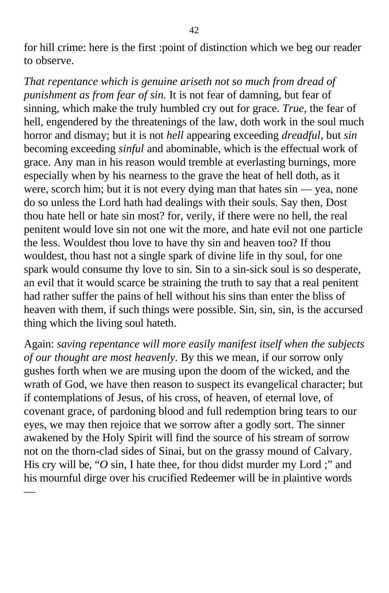for hill crime: here is the first :point of distinction which we beg our reader to observe.

*That repentance which is genuine ariseth not so much from dread of punishment as from fear of sin.* It is not fear of damning, but fear of sinning, which make the truly humbled cry out for grace. *True,* the fear of hell, engendered by the threatenings of the law, doth work in the soul much horror and dismay; but it is not *hell* appearing exceeding *dreadful,* but *sin* becoming exceeding *sinful* and abominable, which is the effectual work of grace. Any man in his reason would tremble at everlasting burnings, more especially when by his nearness to the grave the heat of hell doth, as it were, scorch him; but it is not every dying man that hates sin — yea, none do so unless the Lord hath had dealings with their souls. Say then, Dost thou hate hell or hate sin most? for, verily, if there were no hell, the real penitent would love sin not one wit the more, and hate evil not one particle the less. Wouldest thou love to have thy sin and heaven too? If thou wouldest, thou hast not a single spark of divine life in thy soul, for one spark would consume thy love to sin. Sin to a sin-sick soul is so desperate, an evil that it would scarce be straining the truth to say that a real penitent had rather suffer the pains of hell without his sins than enter the bliss of heaven with them, if such things were possible. Sin, sin, sin, is the accursed thing which the living soul hateth.

Again: *saving repentance will more easily manifest itself when the subjects of our thought are most heavenly.* By this we mean, if our sorrow only gushes forth when we are musing upon the doom of the wicked, and the wrath of God, we have then reason to suspect its evangelical character; but if contemplations of Jesus, of his cross, of heaven, of eternal love, of covenant grace, of pardoning blood and full redemption bring tears to our eyes, we may then rejoice that we sorrow after a godly sort. The sinner awakened by the Holy Spirit will find the source of his stream of sorrow not on the thorn-clad sides of Sinai, but on the grassy mound of Calvary. His cry will be, "*O* sin, I hate thee, for thou didst murder my Lord ;" and his mournful dirge over his crucified Redeemer will be in plaintive words

—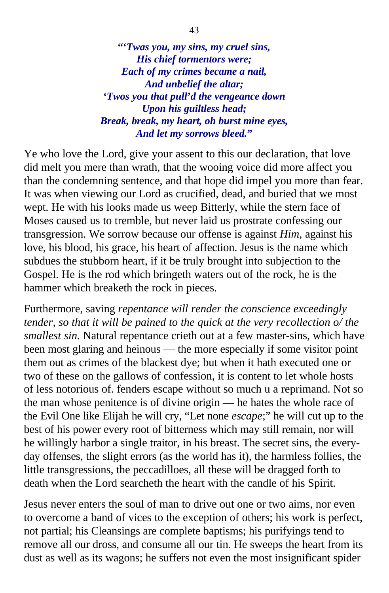**"'***Twas you, my sins, my cruel sins, His chief tormentors were; Each of my crimes became a nail, And unbelief the altar;* **'***Twos you that pull***'***d the vengeance down Upon his guiltless head; Break, break, my heart, oh burst mine eyes, And let my sorrows bleed.***"**

Ye who love the Lord, give your assent to this our declaration, that love did melt you mere than wrath, that the wooing voice did more affect you than the condemning sentence, and that hope did impel you more than fear. It was when viewing our Lord as crucified, dead, and buried that we most wept. He with his looks made us weep Bitterly, while the stern face of Moses caused us to tremble, but never laid us prostrate confessing our transgression. We sorrow because our offense is against *Him,* against his love, his blood, his grace, his heart of affection. Jesus is the name which subdues the stubborn heart, if it be truly brought into subjection to the Gospel. He is the rod which bringeth waters out of the rock, he is the hammer which breaketh the rock in pieces.

Furthermore, saving *repentance will render the conscience exceedingly tender, so that it will be pained to the quick at the very recollection o/ the smallest sin.* Natural repentance crieth out at a few master-sins, which have been most glaring and heinous — the more especially if some visitor point them out as crimes of the blackest dye; but when it hath executed one or two of these on the gallows of confession, it is content to let whole hosts of less notorious of. fenders escape without so much u a reprimand. Not so the man whose penitence is of divine origin — he hates the whole race of the Evil One like Elijah he will cry, "Let none *escape*;" he will cut up to the best of his power every root of bitterness which may still remain, nor will he willingly harbor a single traitor, in his breast. The secret sins, the everyday offenses, the slight errors (as the world has it), the harmless follies, the little transgressions, the peccadilloes, all these will be dragged forth to death when the Lord searcheth the heart with the candle of his Spirit.

Jesus never enters the soul of man to drive out one or two aims, nor even to overcome a band of vices to the exception of others; his work is perfect, not partial; his Cleansings are complete baptisms; his purifyings tend to remove all our dross, and consume all our tin. He sweeps the heart from its dust as well as its wagons; he suffers not even the most insignificant spider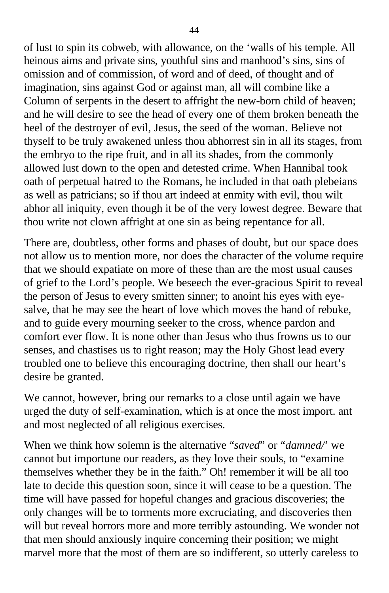of lust to spin its cobweb, with allowance, on the 'walls of his temple. All heinous aims and private sins, youthful sins and manhood's sins, sins of omission and of commission, of word and of deed, of thought and of imagination, sins against God or against man, all will combine like a Column of serpents in the desert to affright the new-born child of heaven; and he will desire to see the head of every one of them broken beneath the heel of the destroyer of evil, Jesus, the seed of the woman. Believe not thyself to be truly awakened unless thou abhorrest sin in all its stages, from the embryo to the ripe fruit, and in all its shades, from the commonly allowed lust down to the open and detested crime. When Hannibal took oath of perpetual hatred to the Romans, he included in that oath plebeians as well as patricians; so if thou art indeed at enmity with evil, thou wilt abhor all iniquity, even though it be of the very lowest degree. Beware that thou write not clown affright at one sin as being repentance for all.

There are, doubtless, other forms and phases of doubt, but our space does not allow us to mention more, nor does the character of the volume require that we should expatiate on more of these than are the most usual causes of grief to the Lord's people. We beseech the ever-gracious Spirit to reveal the person of Jesus to every smitten sinner; to anoint his eyes with eyesalve, that he may see the heart of love which moves the hand of rebuke, and to guide every mourning seeker to the cross, whence pardon and comfort ever flow. It is none other than Jesus who thus frowns us to our senses, and chastises us to right reason; may the Holy Ghost lead every troubled one to believe this encouraging doctrine, then shall our heart's desire be granted.

We cannot, however, bring our remarks to a close until again we have urged the duty of self-examination, which is at once the most import. ant and most neglected of all religious exercises.

When we think how solemn is the alternative "*saved*" or "*damned/*' we cannot but importune our readers, as they love their souls, to "examine themselves whether they be in the faith." Oh! remember it will be all too late to decide this question soon, since it will cease to be a question. The time will have passed for hopeful changes and gracious discoveries; the only changes will be to torments more excruciating, and discoveries then will but reveal horrors more and more terribly astounding. We wonder not that men should anxiously inquire concerning their position; we might marvel more that the most of them are so indifferent, so utterly careless to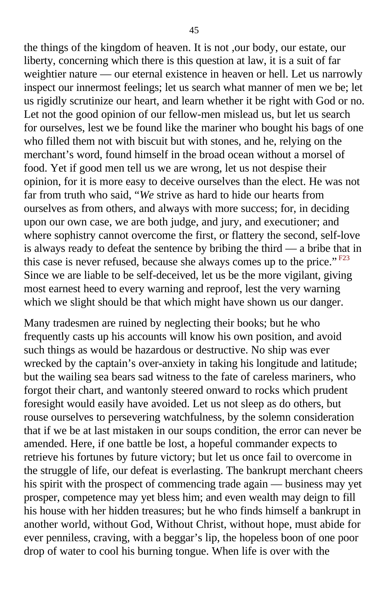the things of the kingdom of heaven. It is not ,our body, our estate, our liberty, concerning which there is this question at law, it is a suit of far weightier nature — our eternal existence in heaven or hell. Let us narrowly inspect our innermost feelings; let us search what manner of men we be; let us rigidly scrutinize our heart, and learn whether it be right with God or no. Let not the good opinion of our fellow-men mislead us, but let us search for ourselves, lest we be found like the mariner who bought his bags of one who filled them not with biscuit but with stones, and he, relying on the merchant's word, found himself in the broad ocean without a morsel of food. Yet if good men tell us we are wrong, let us not despise their opinion, for it is more easy to deceive ourselves than the elect. He was not far from truth who said, "*We* strive as hard to hide our hearts from ourselves as from others, and always with more success; for, in deciding upon our own case, we are both judge, and jury, and executioner; and where sophistry cannot overcome the first, or flattery the second, self-love is always ready to defeat the sentence by bribing the third — a bribe that in this case is never refused, because she always comes up to the price."  $F^{23}$ Since we are liable to be self-deceived, let us be the more vigilant, giving most earnest heed to every warning and reproof, lest the very warning which we slight should be that which might have shown us our danger.

Many tradesmen are ruined by neglecting their books; but he who frequently casts up his accounts will know his own position, and avoid such things as would be hazardous or destructive. No ship was ever wrecked by the captain's over-anxiety in taking his longitude and latitude; but the wailing sea bears sad witness to the fate of careless mariners, who forgot their chart, and wantonly steered onward to rocks which prudent foresight would easily have avoided. Let us not sleep as do others, but rouse ourselves to persevering watchfulness, by the solemn consideration that if we be at last mistaken in our soups condition, the error can never be amended. Here, if one battle be lost, a hopeful commander expects to retrieve his fortunes by future victory; but let us once fail to overcome in the struggle of life, our defeat is everlasting. The bankrupt merchant cheers his spirit with the prospect of commencing trade again — business may yet prosper, competence may yet bless him; and even wealth may deign to fill his house with her hidden treasures; but he who finds himself a bankrupt in another world, without God, Without Christ, without hope, must abide for ever penniless, craving, with a beggar's lip, the hopeless boon of one poor drop of water to cool his burning tongue. When life is over with the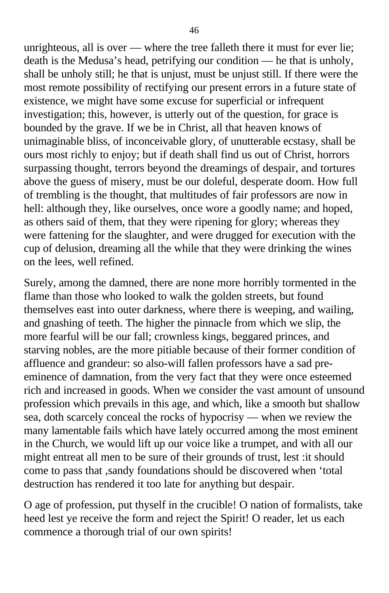unrighteous, all is over — where the tree falleth there it must for ever lie; death is the Medusa's head, petrifying our condition — he that is unholy, shall be unholy still; he that is unjust, must be unjust still. If there were the most remote possibility of rectifying our present errors in a future state of existence, we might have some excuse for superficial or infrequent investigation; this, however, is utterly out of the question, for grace is bounded by the grave. If we be in Christ, all that heaven knows of unimaginable bliss, of inconceivable glory, of unutterable ecstasy, shall be ours most richly to enjoy; but if death shall find us out of Christ, horrors surpassing thought, terrors beyond the dreamings of despair, and tortures above the guess of misery, must be our doleful, desperate doom. How full of trembling is the thought, that multitudes of fair professors are now in hell: although they, like ourselves, once wore a goodly name; and hoped, as others said of them, that they were ripening for glory; whereas they were fattening for the slaughter, and were drugged for execution with the cup of delusion, dreaming all the while that they were drinking the wines on the lees, well refined.

Surely, among the damned, there are none more horribly tormented in the flame than those who looked to walk the golden streets, but found themselves east into outer darkness, where there is weeping, and wailing, and gnashing of teeth. The higher the pinnacle from which we slip, the more fearful will be our fall; crownless kings, beggared princes, and starving nobles, are the more pitiable because of their former condition of affluence and grandeur: so also-will fallen professors have a sad preeminence of damnation, from the very fact that they were once esteemed rich and increased in goods. When we consider the vast amount of unsound profession which prevails in this age, and which, like a smooth but shallow sea, doth scarcely conceal the rocks of hypocrisy — when we review the many lamentable fails which have lately occurred among the most eminent in the Church, we would lift up our voice like a trumpet, and with all our might entreat all men to be sure of their grounds of trust, lest :it should come to pass that ,sandy foundations should be discovered when 'total destruction has rendered it too late for anything but despair.

O age of profession, put thyself in the crucible! O nation of formalists, take heed lest ye receive the form and reject the Spirit! O reader, let us each commence a thorough trial of our own spirits!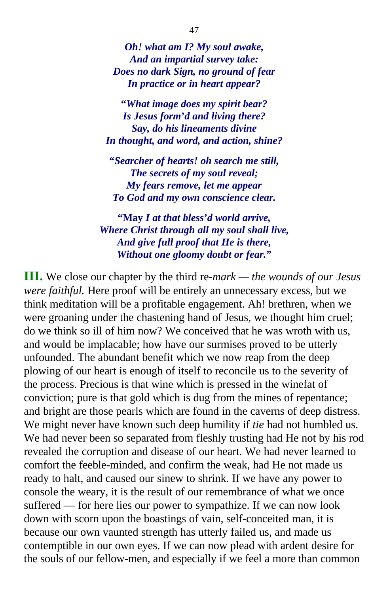*Oh! what am I? My soul awake, And an impartial survey take: Does no dark Sign, no ground of fear In practice or in heart appear?*

**"***What image does my spirit bear? Is Jesus form***'***d and living there? Say, do his lineaments divine In thought, and word, and action, shine?*

**"***Searcher of hearts! oh search me still, The secrets of my soul reveal; My fears remove, let me appear To God and my own conscience clear.*

**"May** *I at that bless***'***d world arrive, Where Christ through all my soul shall live, And give full proof that He is there, Without one gloomy doubt or fear.***"**

**III.** We close our chapter by the third re-*mark — the wounds of our Jesus were faithful.* Here proof will be entirely an unnecessary excess, but we think meditation will be a profitable engagement. Ah! brethren, when we were groaning under the chastening hand of Jesus, we thought him cruel; do we think so ill of him now? We conceived that he was wroth with us, and would be implacable; how have our surmises proved to be utterly unfounded. The abundant benefit which we now reap from the deep plowing of our heart is enough of itself to reconcile us to the severity of the process. Precious is that wine which is pressed in the winefat of conviction; pure is that gold which is dug from the mines of repentance; and bright are those pearls which are found in the caverns of deep distress. We might never have known such deep humility if *tie* had not humbled us. We had never been so separated from fleshly trusting had He not by his rod revealed the corruption and disease of our heart. We had never learned to comfort the feeble-minded, and confirm the weak, had He not made us ready to halt, and caused our sinew to shrink. If we have any power to console the weary, it is the result of our remembrance of what we once suffered — for here lies our power to sympathize. If we can now look down with scorn upon the boastings of vain, self-conceited man, it is because our own vaunted strength has utterly failed us, and made us contemptible in our own eyes. If we can now plead with ardent desire for the souls of our fellow-men, and especially if we feel a more than common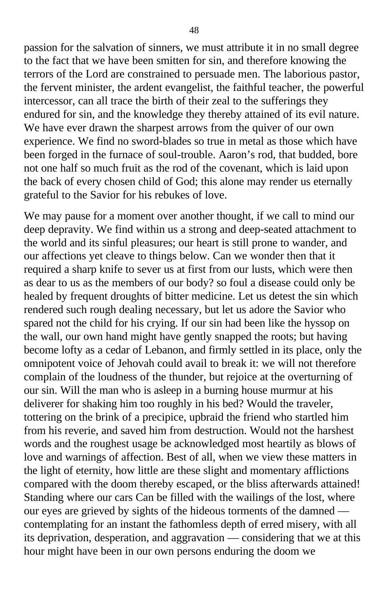passion for the salvation of sinners, we must attribute it in no small degree to the fact that we have been smitten for sin, and therefore knowing the terrors of the Lord are constrained to persuade men. The laborious pastor, the fervent minister, the ardent evangelist, the faithful teacher, the powerful intercessor, can all trace the birth of their zeal to the sufferings they endured for sin, and the knowledge they thereby attained of its evil nature. We have ever drawn the sharpest arrows from the quiver of our own experience. We find no sword-blades so true in metal as those which have been forged in the furnace of soul-trouble. Aaron's rod, that budded, bore not one half so much fruit as the rod of the covenant, which is laid upon the back of every chosen child of God; this alone may render us eternally grateful to the Savior for his rebukes of love.

We may pause for a moment over another thought, if we call to mind our deep depravity. We find within us a strong and deep-seated attachment to the world and its sinful pleasures; our heart is still prone to wander, and our affections yet cleave to things below. Can we wonder then that it required a sharp knife to sever us at first from our lusts, which were then as dear to us as the members of our body? so foul a disease could only be healed by frequent droughts of bitter medicine. Let us detest the sin which rendered such rough dealing necessary, but let us adore the Savior who spared not the child for his crying. If our sin had been like the hyssop on the wall, our own hand might have gently snapped the roots; but having become lofty as a cedar of Lebanon, and firmly settled in its place, only the omnipotent voice of Jehovah could avail to break it: we will not therefore complain of the loudness of the thunder, but rejoice at the overturning of our sin. Will the man who is asleep in a burning house murmur at his deliverer for shaking him too roughly in his bed? Would the traveler, tottering on the brink of a precipice, upbraid the friend who startled him from his reverie, and saved him from destruction. Would not the harshest words and the roughest usage be acknowledged most heartily as blows of love and warnings of affection. Best of all, when we view these matters in the light of eternity, how little are these slight and momentary afflictions compared with the doom thereby escaped, or the bliss afterwards attained! Standing where our cars Can be filled with the wailings of the lost, where our eyes are grieved by sights of the hideous torments of the damned contemplating for an instant the fathomless depth of erred misery, with all its deprivation, desperation, and aggravation — considering that we at this hour might have been in our own persons enduring the doom we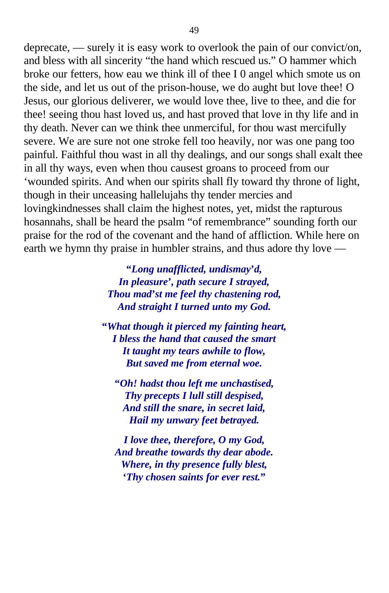deprecate, — surely it is easy work to overlook the pain of our convict/on, and bless with all sincerity "the hand which rescued us." O hammer which broke our fetters, how eau we think ill of thee I 0 angel which smote us on the side, and let us out of the prison-house, we do aught but love thee! O Jesus, our glorious deliverer, we would love thee, live to thee, and die for thee! seeing thou hast loved us, and hast proved that love in thy life and in thy death. Never can we think thee unmerciful, for thou wast mercifully severe. We are sure not one stroke fell too heavily, nor was one pang too painful. Faithful thou wast in all thy dealings, and our songs shall exalt thee in all thy ways, even when thou causest groans to proceed from our 'wounded spirits. And when our spirits shall fly toward thy throne of light, though in their unceasing hallelujahs thy tender mercies and lovingkindnesses shall claim the highest notes, yet, midst the rapturous hosannahs, shall be heard the psalm "of remembrance" sounding forth our praise for the rod of the covenant and the hand of affliction. While here on earth we hymn thy praise in humbler strains, and thus adore thy love —

> **"***Long unafflicted, undismay***'***d, In pleasure***'***, path secure I strayed, Thou mad***'***st me feel thy chastening rod, And straight I turned unto my God.*

**"***What though it pierced my fainting heart, I bless the hand that caused the smart It taught my tears awhile to flow, But saved me from eternal woe.*

**"***Oh! hadst thou left me unchastised, Thy precepts I lull still despised, And still the snare, in secret laid, Hail my unwary feet betrayed.*

*I love thee, therefore, O my God, And breathe towards thy dear abode. Where, in thy presence fully blest,* **'***Thy chosen saints for ever rest.***"**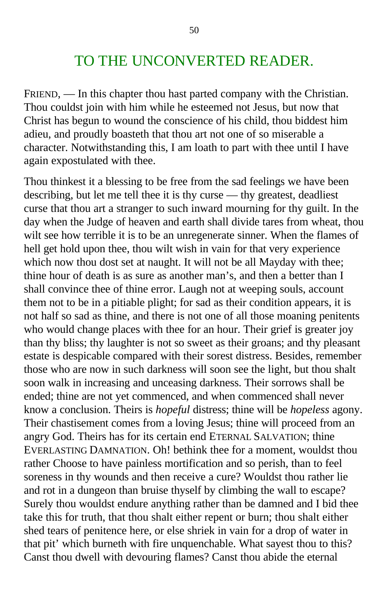## TO THE UNCONVERTED READER.

FRIEND, — In this chapter thou hast parted company with the Christian. Thou couldst join with him while he esteemed not Jesus, but now that Christ has begun to wound the conscience of his child, thou biddest him adieu, and proudly boasteth that thou art not one of so miserable a character. Notwithstanding this, I am loath to part with thee until I have again expostulated with thee.

Thou thinkest it a blessing to be free from the sad feelings we have been describing, but let me tell thee it is thy curse — thy greatest, deadliest curse that thou art a stranger to such inward mourning for thy guilt. In the day when the Judge of heaven and earth shall divide tares from wheat, thou wilt see how terrible it is to be an unregenerate sinner. When the flames of hell get hold upon thee, thou wilt wish in vain for that very experience which now thou dost set at naught. It will not be all Mayday with thee; thine hour of death is as sure as another man's, and then a better than I shall convince thee of thine error. Laugh not at weeping souls, account them not to be in a pitiable plight; for sad as their condition appears, it is not half so sad as thine, and there is not one of all those moaning penitents who would change places with thee for an hour. Their grief is greater joy than thy bliss; thy laughter is not so sweet as their groans; and thy pleasant estate is despicable compared with their sorest distress. Besides, remember those who are now in such darkness will soon see the light, but thou shalt soon walk in increasing and unceasing darkness. Their sorrows shall be ended; thine are not yet commenced, and when commenced shall never know a conclusion. Theirs is *hopeful* distress; thine will be *hopeless* agony. Their chastisement comes from a loving Jesus; thine will proceed from an angry God. Theirs has for its certain end ETERNAL SALVATION; thine EVERLASTING DAMNATION. Oh! bethink thee for a moment, wouldst thou rather Choose to have painless mortification and so perish, than to feel soreness in thy wounds and then receive a cure? Wouldst thou rather lie and rot in a dungeon than bruise thyself by climbing the wall to escape? Surely thou wouldst endure anything rather than be damned and I bid thee take this for truth, that thou shalt either repent or burn; thou shalt either shed tears of penitence here, or else shriek in vain for a drop of water in that pit' which burneth with fire unquenchable. What sayest thou to this? Canst thou dwell with devouring flames? Canst thou abide the eternal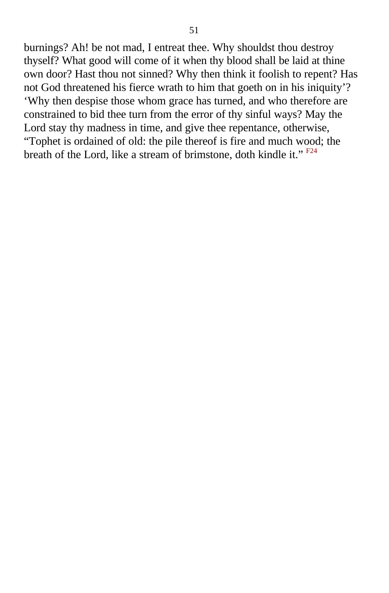burnings? Ah! be not mad, I entreat thee. Why shouldst thou destroy thyself? What good will come of it when thy blood shall be laid at thine own door? Hast thou not sinned? Why then think it foolish to repent? Has not God threatened his fierce wrath to him that goeth on in his iniquity'? 'Why then despise those whom grace has turned, and who therefore are constrained to bid thee turn from the error of thy sinful ways? May the Lord stay thy madness in time, and give thee repentance, otherwise, "Tophet is ordained of old: the pile thereof is fire and much wood; the breath of the Lord, like a stream of brimstone, doth kindle it."  $F^{24}$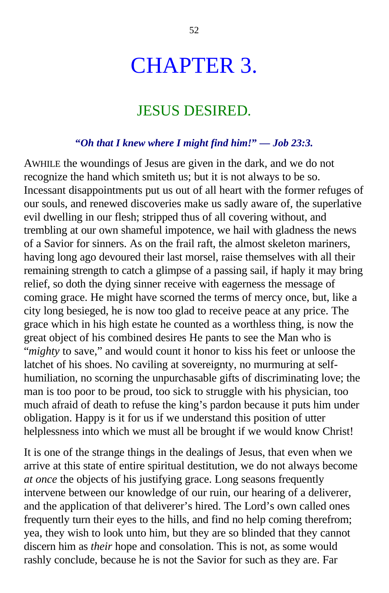# CHAPTER 3.

### JESUS DESIRED.

#### **"***Oh that I knew where I might find him!***"** *— Job 23:3.*

AWHILE the woundings of Jesus are given in the dark, and we do not recognize the hand which smiteth us; but it is not always to be so. Incessant disappointments put us out of all heart with the former refuges of our souls, and renewed discoveries make us sadly aware of, the superlative evil dwelling in our flesh; stripped thus of all covering without, and trembling at our own shameful impotence, we hail with gladness the news of a Savior for sinners. As on the frail raft, the almost skeleton mariners, having long ago devoured their last morsel, raise themselves with all their remaining strength to catch a glimpse of a passing sail, if haply it may bring relief, so doth the dying sinner receive with eagerness the message of coming grace. He might have scorned the terms of mercy once, but, like a city long besieged, he is now too glad to receive peace at any price. The grace which in his high estate he counted as a worthless thing, is now the great object of his combined desires He pants to see the Man who is "*mighty* to save," and would count it honor to kiss his feet or unloose the latchet of his shoes. No caviling at sovereignty, no murmuring at selfhumiliation, no scorning the unpurchasable gifts of discriminating love; the man is too poor to be proud, too sick to struggle with his physician, too much afraid of death to refuse the king's pardon because it puts him under obligation. Happy is it for us if we understand this position of utter helplessness into which we must all be brought if we would know Christ!

It is one of the strange things in the dealings of Jesus, that even when we arrive at this state of entire spiritual destitution, we do not always become *at once* the objects of his justifying grace. Long seasons frequently intervene between our knowledge of our ruin, our hearing of a deliverer, and the application of that deliverer's hired. The Lord's own called ones frequently turn their eyes to the hills, and find no help coming therefrom; yea, they wish to look unto him, but they are so blinded that they cannot discern him as *their* hope and consolation. This is not, as some would rashly conclude, because he is not the Savior for such as they are. Far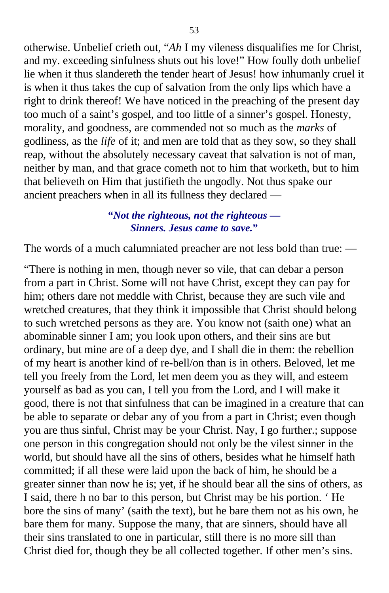otherwise. Unbelief crieth out, "*Ah* I my vileness disqualifies me for Christ, and my. exceeding sinfulness shuts out his love!" How foully doth unbelief lie when it thus slandereth the tender heart of Jesus! how inhumanly cruel it is when it thus takes the cup of salvation from the only lips which have a right to drink thereof! We have noticed in the preaching of the present day too much of a saint's gospel, and too little of a sinner's gospel. Honesty, morality, and goodness, are commended not so much as the *marks* of godliness, as the *life* of it; and men are told that as they sow, so they shall reap, without the absolutely necessary caveat that salvation is not of man, neither by man, and that grace cometh not to him that worketh, but to him that believeth on Him that justifieth the ungodly. Not thus spake our ancient preachers when in all its fullness they declared —

> **"***Not the righteous, not the righteous — Sinners. Jesus came to save.***"**

The words of a much calumniated preacher are not less bold than true: —

"There is nothing in men, though never so vile, that can debar a person from a part in Christ. Some will not have Christ, except they can pay for him; others dare not meddle with Christ, because they are such vile and wretched creatures, that they think it impossible that Christ should belong to such wretched persons as they are. You know not (saith one) what an abominable sinner I am; you look upon others, and their sins are but ordinary, but mine are of a deep dye, and I shall die in them: the rebellion of my heart is another kind of re-bell/on than is in others. Beloved, let me tell you freely from the Lord, let men deem you as they will, and esteem yourself as bad as you can, I tell you from the Lord, and I will make it good, there is not that sinfulness that can be imagined in a creature that can be able to separate or debar any of you from a part in Christ; even though you are thus sinful, Christ may be your Christ. Nay, I go further.; suppose one person in this congregation should not only be the vilest sinner in the world, but should have all the sins of others, besides what he himself hath committed; if all these were laid upon the back of him, he should be a greater sinner than now he is; yet, if he should bear all the sins of others, as I said, there h no bar to this person, but Christ may be his portion. ' He bore the sins of many' (saith the text), but he bare them not as his own, he bare them for many. Suppose the many, that are sinners, should have all their sins translated to one in particular, still there is no more sill than Christ died for, though they be all collected together. If other men's sins.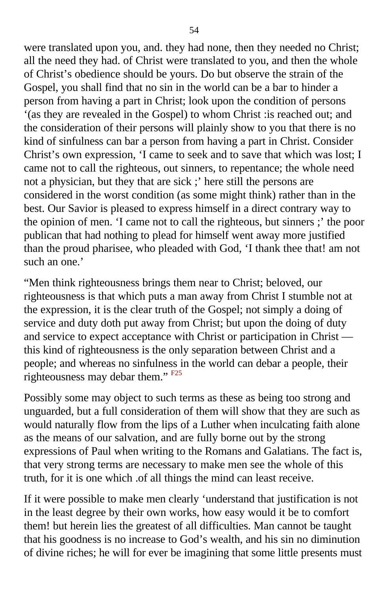were translated upon you, and. they had none, then they needed no Christ; all the need they had. of Christ were translated to you, and then the whole of Christ's obedience should be yours. Do but observe the strain of the Gospel, you shall find that no sin in the world can be a bar to hinder a person from having a part in Christ; look upon the condition of persons '(as they are revealed in the Gospel) to whom Christ :is reached out; and the consideration of their persons will plainly show to you that there is no kind of sinfulness can bar a person from having a part in Christ. Consider Christ's own expression, 'I came to seek and to save that which was lost; I came not to call the righteous, out sinners, to repentance; the whole need not a physician, but they that are sick ;' here still the persons are considered in the worst condition (as some might think) rather than in the best. Our Savior is pleased to express himself in a direct contrary way to the opinion of men. 'I came not to call the righteous, but sinners ;' the poor publican that had nothing to plead for himself went away more justified than the proud pharisee, who pleaded with God, 'I thank thee that! am not such an one.'

"Men think righteousness brings them near to Christ; beloved, our righteousness is that which puts a man away from Christ I stumble not at the expression, it is the clear truth of the Gospel; not simply a doing of service and duty doth put away from Christ; but upon the doing of duty and service to expect acceptance with Christ or participation in Christ this kind of righteousness is the only separation between Christ and a people; and whereas no sinfulness in the world can debar a people, their righteousness may debar them." [F25](#page-231-0)

Possibly some may object to such terms as these as being too strong and unguarded, but a full consideration of them will show that they are such as would naturally flow from the lips of a Luther when inculcating faith alone as the means of our salvation, and are fully borne out by the strong expressions of Paul when writing to the Romans and Galatians. The fact is, that very strong terms are necessary to make men see the whole of this truth, for it is one which .of all things the mind can least receive.

If it were possible to make men clearly 'understand that justification is not in the least degree by their own works, how easy would it be to comfort them! but herein lies the greatest of all difficulties. Man cannot be taught that his goodness is no increase to God's wealth, and his sin no diminution of divine riches; he will for ever be imagining that some little presents must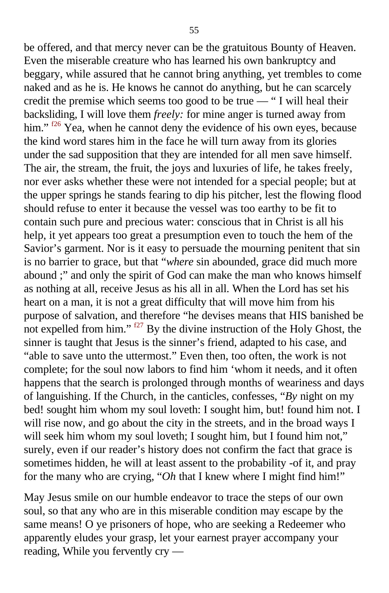be offered, and that mercy never can be the gratuitous Bounty of Heaven. Even the miserable creature who has learned his own bankruptcy and beggary, while assured that he cannot bring anything, yet trembles to come naked and as he is. He knows he cannot do anything, but he can scarcely credit the premise which seems too good to be true — " I will heal their backsliding, I will love them *freely:* for mine anger is turned away from him." <sup>[f26](#page-231-0)</sup> Yea, when he cannot deny the evidence of his own eyes, because the kind word stares him in the face he will turn away from its glories under the sad supposition that they are intended for all men save himself. The air, the stream, the fruit, the joys and luxuries of life, he takes freely, nor ever asks whether these were not intended for a special people; but at the upper springs he stands fearing to dip his pitcher, lest the flowing flood should refuse to enter it because the vessel was too earthy to be fit to contain such pure and precious water: conscious that in Christ is all his help, it yet appears too great a presumption even to touch the hem of the Savior's garment. Nor is it easy to persuade the mourning penitent that sin is no barrier to grace, but that "*where* sin abounded, grace did much more abound ;" and only the spirit of God can make the man who knows himself as nothing at all, receive Jesus as his all in all. When the Lord has set his heart on a man, it is not a great difficulty that will move him from his purpose of salvation, and therefore "he devises means that HIS banished be not expelled from him." <sup>[f27](#page-231-0)</sup> By the divine instruction of the Holy Ghost, the sinner is taught that Jesus is the sinner's friend, adapted to his case, and "able to save unto the uttermost." Even then, too often, the work is not complete; for the soul now labors to find him 'whom it needs, and it often happens that the search is prolonged through months of weariness and days of languishing. If the Church, in the canticles, confesses, "*By* night on my bed! sought him whom my soul loveth: I sought him, but! found him not. I will rise now, and go about the city in the streets, and in the broad ways I will seek him whom my soul loveth; I sought him, but I found him not," surely, even if our reader's history does not confirm the fact that grace is sometimes hidden, he will at least assent to the probability -of it, and pray for the many who are crying, "*Oh* that I knew where I might find him!"

May Jesus smile on our humble endeavor to trace the steps of our own soul, so that any who are in this miserable condition may escape by the same means! O ye prisoners of hope, who are seeking a Redeemer who apparently eludes your grasp, let your earnest prayer accompany your reading, While you fervently cry —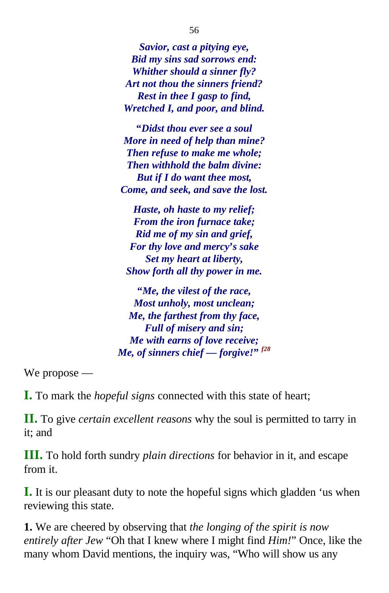*Savior, cast a pitying eye, Bid my sins sad sorrows end: Whither should a sinner fly? Art not thou the sinners friend? Rest in thee I gasp to find, Wretched I, and poor, and blind.*

**"***Didst thou ever see a soul More in need of help than mine? Then refuse to make me whole; Then withhold the balm divine: But if I do want thee most, Come, and seek, and save the lost.*

*Haste, oh haste to my relief; From the iron furnace take; Rid me of my sin and grief, For thy love and mercy***'***s sake Set my heart at liberty, Show forth all thy power in me.*

**"***Me, the vilest of the race, Most unholy, most unclean; Me, the farthest from thy face, Full of misery and sin; Me with earns of love receive; Me, of sinners chief — forgive!***"** *[f28](#page-231-0)*

We propose —

**I.** To mark the *hopeful signs* connected with this state of heart;

**II.** To give *certain excellent reasons* why the soul is permitted to tarry in it; and

**III.** To hold forth sundry *plain directions* for behavior in it, and escape from it.

**I.** It is our pleasant duty to note the hopeful signs which gladden 'us when reviewing this state.

**1.** We are cheered by observing that *the longing of the spirit is now entirely after Jew* "Oh that I knew where I might find *Him!*" Once, like the many whom David mentions, the inquiry was, "Who will show us any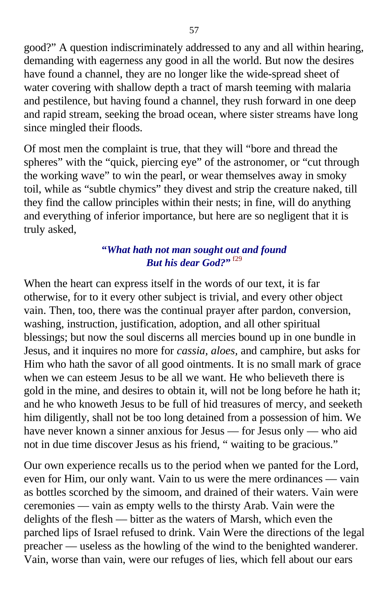good?" A question indiscriminately addressed to any and all within hearing, demanding with eagerness any good in all the world. But now the desires have found a channel, they are no longer like the wide-spread sheet of water covering with shallow depth a tract of marsh teeming with malaria and pestilence, but having found a channel, they rush forward in one deep and rapid stream, seeking the broad ocean, where sister streams have long since mingled their floods.

Of most men the complaint is true, that they will "bore and thread the spheres" with the "quick, piercing eye" of the astronomer, or "cut through the working wave" to win the pearl, or wear themselves away in smoky toil, while as "subtle chymics" they divest and strip the creature naked, till they find the callow principles within their nests; in fine, will do anything and everything of inferior importance, but here are so negligent that it is truly asked,

#### **"***What hath not man sought out and found But his dear God?*"<sup>f29</sup>

When the heart can express itself in the words of our text, it is far otherwise, for to it every other subject is trivial, and every other object vain. Then, too, there was the continual prayer after pardon, conversion, washing, instruction, justification, adoption, and all other spiritual blessings; but now the soul discerns all mercies bound up in one bundle in Jesus, and it inquires no more for *cassia, aloes,* and camphire, but asks for Him who hath the savor of all good ointments. It is no small mark of grace when we can esteem Jesus to be all we want. He who believeth there is gold in the mine, and desires to obtain it, will not be long before he hath it; and he who knoweth Jesus to be full of hid treasures of mercy, and seeketh him diligently, shall not be too long detained from a possession of him. We have never known a sinner anxious for Jesus — for Jesus only — who aid not in due time discover Jesus as his friend, " waiting to be gracious."

Our own experience recalls us to the period when we panted for the Lord, even for Him, our only want. Vain to us were the mere ordinances — vain as bottles scorched by the simoom, and drained of their waters. Vain were ceremonies — vain as empty wells to the thirsty Arab. Vain were the delights of the flesh — bitter as the waters of Marsh, which even the parched lips of Israel refused to drink. Vain Were the directions of the legal preacher — useless as the howling of the wind to the benighted wanderer. Vain, worse than vain, were our refuges of lies, which fell about our ears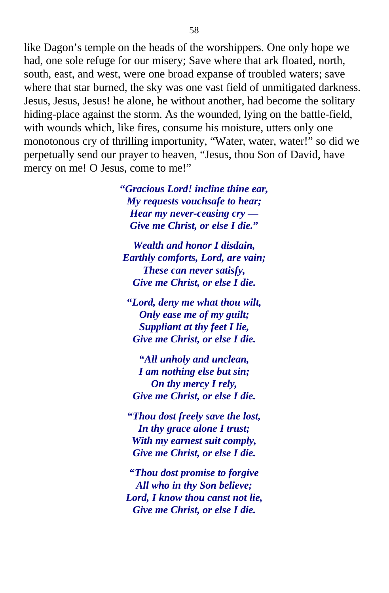like Dagon's temple on the heads of the worshippers. One only hope we had, one sole refuge for our misery; Save where that ark floated, north, south, east, and west, were one broad expanse of troubled waters; save where that star burned, the sky was one vast field of unmitigated darkness. Jesus, Jesus, Jesus! he alone, he without another, had become the solitary hiding-place against the storm. As the wounded, lying on the battle-field, with wounds which, like fires, consume his moisture, utters only one monotonous cry of thrilling importunity, "Water, water, water!" so did we perpetually send our prayer to heaven, "Jesus, thou Son of David, have mercy on me! O Jesus, come to me!"

> **"***Gracious Lord! incline thine ear, My requests vouchsafe to hear; Hear my never-ceasing cry — Give me Christ, or else I die.***"**

*Wealth and honor I disdain, Earthly comforts, Lord, are vain; These can never satisfy, Give me Christ, or else I die.*

**"***Lord, deny me what thou wilt, Only ease me of my guilt; Suppliant at thy feet I lie, Give me Christ, or else I die.*

**"***All unholy and unclean, I am nothing else but sin; On thy mercy I rely, Give me Christ, or else I die.*

**"***Thou dost freely save the lost, In thy grace alone I trust; With my earnest suit comply, Give me Christ, or else I die.*

**"***Thou dost promise to forgive All who in thy Son believe; Lord, I know thou canst not lie, Give me Christ, or else I die.*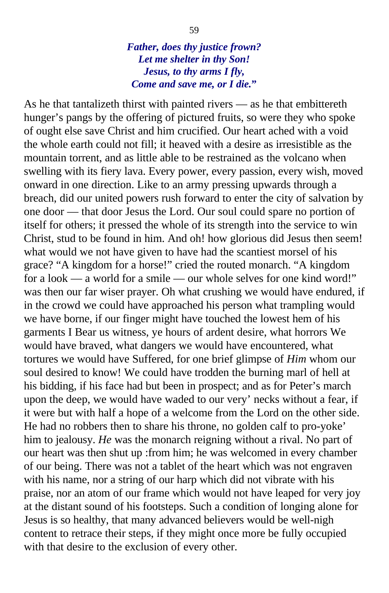*Father, does thy justice frown? Let me shelter in thy Son! Jesus, to thy arms I fly, Come and save me, or I die.***"**

As he that tantalizeth thirst with painted rivers — as he that embittereth hunger's pangs by the offering of pictured fruits, so were they who spoke of ought else save Christ and him crucified. Our heart ached with a void the whole earth could not fill; it heaved with a desire as irresistible as the mountain torrent, and as little able to be restrained as the volcano when swelling with its fiery lava. Every power, every passion, every wish, moved onward in one direction. Like to an army pressing upwards through a breach, did our united powers rush forward to enter the city of salvation by one door — that door Jesus the Lord. Our soul could spare no portion of itself for others; it pressed the whole of its strength into the service to win Christ, stud to be found in him. And oh! how glorious did Jesus then seem! what would we not have given to have had the scantiest morsel of his grace? "A kingdom for a horse!" cried the routed monarch. "A kingdom for a look — a world for a smile — our whole selves for one kind word!" was then our far wiser prayer. Oh what crushing we would have endured, if in the crowd we could have approached his person what trampling would we have borne, if our finger might have touched the lowest hem of his garments I Bear us witness, ye hours of ardent desire, what horrors We would have braved, what dangers we would have encountered, what tortures we would have Suffered, for one brief glimpse of *Him* whom our soul desired to know! We could have trodden the burning marl of hell at his bidding, if his face had but been in prospect; and as for Peter's march upon the deep, we would have waded to our very' necks without a fear, if it were but with half a hope of a welcome from the Lord on the other side. He had no robbers then to share his throne, no golden calf to pro-yoke' him to jealousy. *He* was the monarch reigning without a rival. No part of our heart was then shut up :from him; he was welcomed in every chamber of our being. There was not a tablet of the heart which was not engraven with his name, nor a string of our harp which did not vibrate with his praise, nor an atom of our frame which would not have leaped for very joy at the distant sound of his footsteps. Such a condition of longing alone for Jesus is so healthy, that many advanced believers would be well-nigh content to retrace their steps, if they might once more be fully occupied with that desire to the exclusion of every other.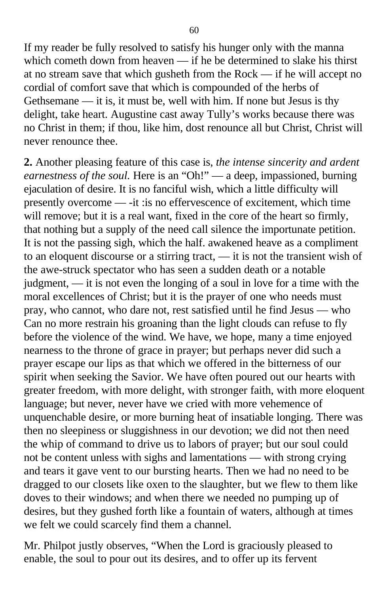If my reader be fully resolved to satisfy his hunger only with the manna which cometh down from heaven — if he be determined to slake his thirst at no stream save that which gusheth from the Rock — if he will accept no cordial of comfort save that which is compounded of the herbs of Gethsemane — it is, it must be, well with him. If none but Jesus is thy delight, take heart. Augustine cast away Tully's works because there was no Christ in them; if thou, like him, dost renounce all but Christ, Christ will never renounce thee.

**2.** Another pleasing feature of this case is, *the intense sincerity and ardent earnestness of the soul.* Here is an "Oh!" — a deep, impassioned, burning ejaculation of desire. It is no fanciful wish, which a little difficulty will presently overcome — -it :is no effervescence of excitement, which time will remove; but it is a real want, fixed in the core of the heart so firmly, that nothing but a supply of the need call silence the importunate petition. It is not the passing sigh, which the half. awakened heave as a compliment to an eloquent discourse or a stirring tract, — it is not the transient wish of the awe-struck spectator who has seen a sudden death or a notable judgment, — it is not even the longing of a soul in love for a time with the moral excellences of Christ; but it is the prayer of one who needs must pray, who cannot, who dare not, rest satisfied until he find Jesus — who Can no more restrain his groaning than the light clouds can refuse to fly before the violence of the wind. We have, we hope, many a time enjoyed nearness to the throne of grace in prayer; but perhaps never did such a prayer escape our lips as that which we offered in the bitterness of our spirit when seeking the Savior. We have often poured out our hearts with greater freedom, with more delight, with stronger faith, with more eloquent language; but never, never have we cried with more vehemence of unquenchable desire, or more burning heat of insatiable longing. There was then no sleepiness or sluggishness in our devotion; we did not then need the whip of command to drive us to labors of prayer; but our soul could not be content unless with sighs and lamentations — with strong crying and tears it gave vent to our bursting hearts. Then we had no need to be dragged to our closets like oxen to the slaughter, but we flew to them like doves to their windows; and when there we needed no pumping up of desires, but they gushed forth like a fountain of waters, although at times we felt we could scarcely find them a channel.

Mr. Philpot justly observes, "When the Lord is graciously pleased to enable, the soul to pour out its desires, and to offer up its fervent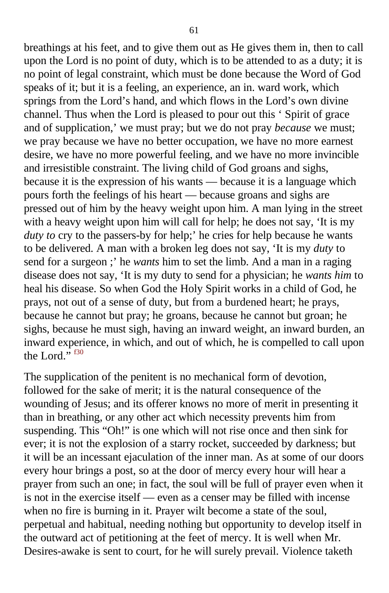breathings at his feet, and to give them out as He gives them in, then to call upon the Lord is no point of duty, which is to be attended to as a duty; it is no point of legal constraint, which must be done because the Word of God speaks of it; but it is a feeling, an experience, an in. ward work, which springs from the Lord's hand, and which flows in the Lord's own divine channel. Thus when the Lord is pleased to pour out this ' Spirit of grace and of supplication,' we must pray; but we do not pray *because* we must; we pray because we have no better occupation, we have no more earnest desire, we have no more powerful feeling, and we have no more invincible and irresistible constraint. The living child of God groans and sighs, because it is the expression of his wants — because it is a language which pours forth the feelings of his heart — because groans and sighs are pressed out of him by the heavy weight upon him. A man lying in the street with a heavy weight upon him will call for help; he does not say, 'It is my *duty to cry to the passers-by for help*;' he cries for help because he wants to be delivered. A man with a broken leg does not say, 'It is my *duty* to send for a surgeon ;' he *wants* him to set the limb. And a man in a raging disease does not say, 'It is my duty to send for a physician; he *wants him* to heal his disease. So when God the Holy Spirit works in a child of God, he prays, not out of a sense of duty, but from a burdened heart; he prays, because he cannot but pray; he groans, because he cannot but groan; he sighs, because he must sigh, having an inward weight, an inward burden, an inward experience, in which, and out of which, he is compelled to call upon the Lord<sup> $,$ 530</sup>

The supplication of the penitent is no mechanical form of devotion, followed for the sake of merit; it is the natural consequence of the wounding of Jesus; and its offerer knows no more of merit in presenting it than in breathing, or any other act which necessity prevents him from suspending. This "Oh!" is one which will not rise once and then sink for ever; it is not the explosion of a starry rocket, succeeded by darkness; but it will be an incessant ejaculation of the inner man. As at some of our doors every hour brings a post, so at the door of mercy every hour will hear a prayer from such an one; in fact, the soul will be full of prayer even when it is not in the exercise itself — even as a censer may be filled with incense when no fire is burning in it. Prayer wilt become a state of the soul, perpetual and habitual, needing nothing but opportunity to develop itself in the outward act of petitioning at the feet of mercy. It is well when Mr. Desires-awake is sent to court, for he will surely prevail. Violence taketh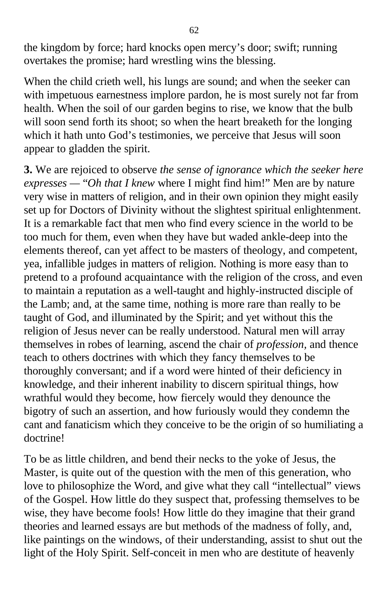the kingdom by force; hard knocks open mercy's door; swift; running overtakes the promise; hard wrestling wins the blessing.

When the child crieth well, his lungs are sound; and when the seeker can with impetuous earnestness implore pardon, he is most surely not far from health. When the soil of our garden begins to rise, we know that the bulb will soon send forth its shoot; so when the heart breaketh for the longing which it hath unto God's testimonies, we perceive that Jesus will soon appear to gladden the spirit.

**3.** We are rejoiced to observe *the sense of ignorance which the seeker here expresses —* "*Oh that I knew* where I might find him!" Men are by nature very wise in matters of religion, and in their own opinion they might easily set up for Doctors of Divinity without the slightest spiritual enlightenment. It is a remarkable fact that men who find every science in the world to be too much for them, even when they have but waded ankle-deep into the elements thereof, can yet affect to be masters of theology, and competent, yea, infallible judges in matters of religion. Nothing is more easy than to pretend to a profound acquaintance with the religion of the cross, and even to maintain a reputation as a well-taught and highly-instructed disciple of the Lamb; and, at the same time, nothing is more rare than really to be taught of God, and illuminated by the Spirit; and yet without this the religion of Jesus never can be really understood. Natural men will array themselves in robes of learning, ascend the chair of *profession,* and thence teach to others doctrines with which they fancy themselves to be thoroughly conversant; and if a word were hinted of their deficiency in knowledge, and their inherent inability to discern spiritual things, how wrathful would they become, how fiercely would they denounce the bigotry of such an assertion, and how furiously would they condemn the cant and fanaticism which they conceive to be the origin of so humiliating a doctrine!

To be as little children, and bend their necks to the yoke of Jesus, the Master, is quite out of the question with the men of this generation, who love to philosophize the Word, and give what they call "intellectual" views of the Gospel. How little do they suspect that, professing themselves to be wise, they have become fools! How little do they imagine that their grand theories and learned essays are but methods of the madness of folly, and, like paintings on the windows, of their understanding, assist to shut out the light of the Holy Spirit. Self-conceit in men who are destitute of heavenly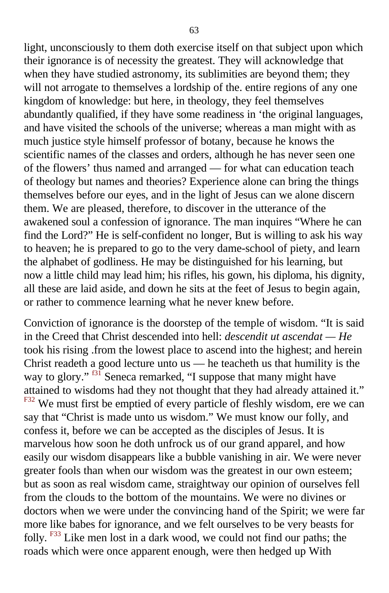light, unconsciously to them doth exercise itself on that subject upon which their ignorance is of necessity the greatest. They will acknowledge that when they have studied astronomy, its sublimities are beyond them; they will not arrogate to themselves a lordship of the. entire regions of any one kingdom of knowledge: but here, in theology, they feel themselves abundantly qualified, if they have some readiness in 'the original languages, and have visited the schools of the universe; whereas a man might with as much justice style himself professor of botany, because he knows the scientific names of the classes and orders, although he has never seen one of the flowers' thus named and arranged — for what can education teach of theology but names and theories? Experience alone can bring the things themselves before our eyes, and in the light of Jesus can we alone discern them. We are pleased, therefore, to discover in the utterance of the awakened soul a confession of ignorance. The man inquires "Where he can find the Lord?" He is self-confident no longer, But is willing to ask his way to heaven; he is prepared to go to the very dame-school of piety, and learn the alphabet of godliness. He may be distinguished for his learning, but now a little child may lead him; his rifles, his gown, his diploma, his dignity, all these are laid aside, and down he sits at the feet of Jesus to begin again, or rather to commence learning what he never knew before.

Conviction of ignorance is the doorstep of the temple of wisdom. "It is said in the Creed that Christ descended into hell: *descendit ut ascendat — He* took his rising .from the lowest place to ascend into the highest; and herein Christ readeth a good lecture unto us — he teacheth us that humility is the way to glory." <sup>[f31](#page-231-0)</sup> Seneca remarked, "I suppose that many might have attained to wisdoms had they not thought that they had already attained it."  $F<sup>32</sup>$  We must first be emptied of every particle of fleshly wisdom, ere we can say that "Christ is made unto us wisdom." We must know our folly, and confess it, before we can be accepted as the disciples of Jesus. It is marvelous how soon he doth unfrock us of our grand apparel, and how easily our wisdom disappears like a bubble vanishing in air. We were never greater fools than when our wisdom was the greatest in our own esteem; but as soon as real wisdom came, straightway our opinion of ourselves fell from the clouds to the bottom of the mountains. We were no divines or doctors when we were under the convincing hand of the Spirit; we were far more like babes for ignorance, and we felt ourselves to be very beasts for folly. [F33](#page-231-0) Like men lost in a dark wood, we could not find our paths; the roads which were once apparent enough, were then hedged up With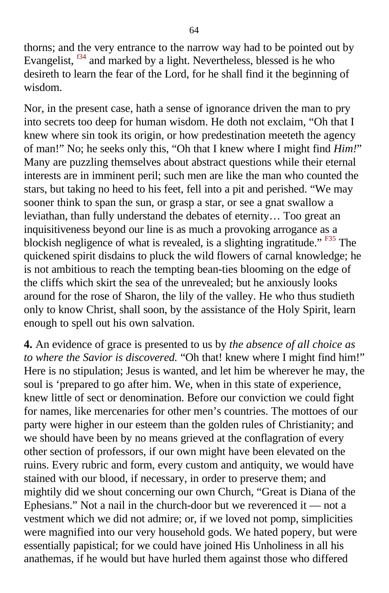thorns; and the very entrance to the narrow way had to be pointed out by Evangelist,  $^{534}$  and marked by a light. Nevertheless, blessed is he who desireth to learn the fear of the Lord, for he shall find it the beginning of wisdom.

Nor, in the present case, hath a sense of ignorance driven the man to pry into secrets too deep for human wisdom. He doth not exclaim, "Oh that I knew where sin took its origin, or how predestination meeteth the agency of man!" No; he seeks only this, "Oh that I knew where I might find *Him!*" Many are puzzling themselves about abstract questions while their eternal interests are in imminent peril; such men are like the man who counted the stars, but taking no heed to his feet, fell into a pit and perished. "We may sooner think to span the sun, or grasp a star, or see a gnat swallow a leviathan, than fully understand the debates of eternity… Too great an inquisitiveness beyond our line is as much a provoking arrogance as a blockish negligence of what is revealed, is a slighting ingratitude." [F35](#page-231-0) The quickened spirit disdains to pluck the wild flowers of carnal knowledge; he is not ambitious to reach the tempting bean-ties blooming on the edge of the cliffs which skirt the sea of the unrevealed; but he anxiously looks around for the rose of Sharon, the lily of the valley. He who thus studieth only to know Christ, shall soon, by the assistance of the Holy Spirit, learn enough to spell out his own salvation.

**4.** An evidence of grace is presented to us by *the absence of all choice as to where the Savior is discovered.* "Oh that! knew where I might find him!" Here is no stipulation; Jesus is wanted, and let him be wherever he may, the soul is 'prepared to go after him. We, when in this state of experience, knew little of sect or denomination. Before our conviction we could fight for names, like mercenaries for other men's countries. The mottoes of our party were higher in our esteem than the golden rules of Christianity; and we should have been by no means grieved at the conflagration of every other section of professors, if our own might have been elevated on the ruins. Every rubric and form, every custom and antiquity, we would have stained with our blood, if necessary, in order to preserve them; and mightily did we shout concerning our own Church, "Great is Diana of the Ephesians." Not a nail in the church-door but we reverenced it — not a vestment which we did not admire; or, if we loved not pomp, simplicities were magnified into our very household gods. We hated popery, but were essentially papistical; for we could have joined His Unholiness in all his anathemas, if he would but have hurled them against those who differed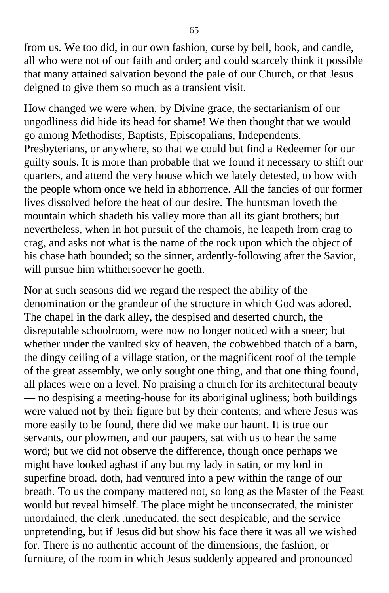from us. We too did, in our own fashion, curse by bell, book, and candle, all who were not of our faith and order; and could scarcely think it possible that many attained salvation beyond the pale of our Church, or that Jesus deigned to give them so much as a transient visit.

How changed we were when, by Divine grace, the sectarianism of our ungodliness did hide its head for shame! We then thought that we would go among Methodists, Baptists, Episcopalians, Independents, Presbyterians, or anywhere, so that we could but find a Redeemer for our guilty souls. It is more than probable that we found it necessary to shift our quarters, and attend the very house which we lately detested, to bow with the people whom once we held in abhorrence. All the fancies of our former lives dissolved before the heat of our desire. The huntsman loveth the mountain which shadeth his valley more than all its giant brothers; but nevertheless, when in hot pursuit of the chamois, he leapeth from crag to crag, and asks not what is the name of the rock upon which the object of his chase hath bounded; so the sinner, ardently-following after the Savior, will pursue him whithersoever he goeth.

Nor at such seasons did we regard the respect the ability of the denomination or the grandeur of the structure in which God was adored. The chapel in the dark alley, the despised and deserted church, the disreputable schoolroom, were now no longer noticed with a sneer; but whether under the vaulted sky of heaven, the cobwebbed thatch of a barn, the dingy ceiling of a village station, or the magnificent roof of the temple of the great assembly, we only sought one thing, and that one thing found, all places were on a level. No praising a church for its architectural beauty — no despising a meeting-house for its aboriginal ugliness; both buildings were valued not by their figure but by their contents; and where Jesus was more easily to be found, there did we make our haunt. It is true our servants, our plowmen, and our paupers, sat with us to hear the same word; but we did not observe the difference, though once perhaps we might have looked aghast if any but my lady in satin, or my lord in superfine broad. doth, had ventured into a pew within the range of our breath. To us the company mattered not, so long as the Master of the Feast would but reveal himself. The place might be unconsecrated, the minister unordained, the clerk .uneducated, the sect despicable, and the service unpretending, but if Jesus did but show his face there it was all we wished for. There is no authentic account of the dimensions, the fashion, or furniture, of the room in which Jesus suddenly appeared and pronounced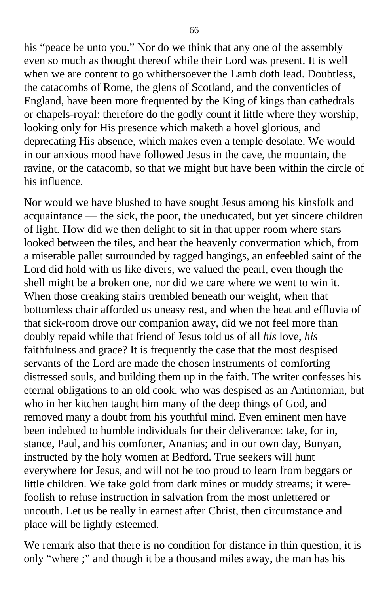his "peace be unto you." Nor do we think that any one of the assembly even so much as thought thereof while their Lord was present. It is well when we are content to go whithersoever the Lamb doth lead. Doubtless, the catacombs of Rome, the glens of Scotland, and the conventicles of England, have been more frequented by the King of kings than cathedrals or chapels-royal: therefore do the godly count it little where they worship, looking only for His presence which maketh a hovel glorious, and deprecating His absence, which makes even a temple desolate. We would in our anxious mood have followed Jesus in the cave, the mountain, the ravine, or the catacomb, so that we might but have been within the circle of his influence.

Nor would we have blushed to have sought Jesus among his kinsfolk and acquaintance — the sick, the poor, the uneducated, but yet sincere children of light. How did we then delight to sit in that upper room where stars looked between the tiles, and hear the heavenly convermation which, from a miserable pallet surrounded by ragged hangings, an enfeebled saint of the Lord did hold with us like divers, we valued the pearl, even though the shell might be a broken one, nor did we care where we went to win it. When those creaking stairs trembled beneath our weight, when that bottomless chair afforded us uneasy rest, and when the heat and effluvia of that sick-room drove our companion away, did we not feel more than doubly repaid while that friend of Jesus told us of all *his* love, *his* faithfulness and grace? It is frequently the case that the most despised servants of the Lord are made the chosen instruments of comforting distressed souls, and building them up in the faith. The writer confesses his eternal obligations to an old cook, who was despised as an Antinomian, but who in her kitchen taught him many of the deep things of God, and removed many a doubt from his youthful mind. Even eminent men have been indebted to humble individuals for their deliverance: take, for in, stance, Paul, and his comforter, Ananias; and in our own day, Bunyan, instructed by the holy women at Bedford. True seekers will hunt everywhere for Jesus, and will not be too proud to learn from beggars or little children. We take gold from dark mines or muddy streams; it werefoolish to refuse instruction in salvation from the most unlettered or uncouth. Let us be really in earnest after Christ, then circumstance and place will be lightly esteemed.

We remark also that there is no condition for distance in thin question, it is only "where ;" and though it be a thousand miles away, the man has his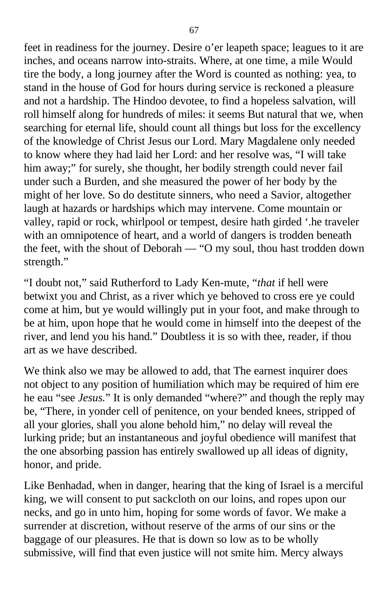feet in readiness for the journey. Desire o'er leapeth space; leagues to it are inches, and oceans narrow into-straits. Where, at one time, a mile Would tire the body, a long journey after the Word is counted as nothing: yea, to stand in the house of God for hours during service is reckoned a pleasure and not a hardship. The Hindoo devotee, to find a hopeless salvation, will roll himself along for hundreds of miles: it seems But natural that we, when searching for eternal life, should count all things but loss for the excellency of the knowledge of Christ Jesus our Lord. Mary Magdalene only needed to know where they had laid her Lord: and her resolve was, "I will take him away;" for surely, she thought, her bodily strength could never fail under such a Burden, and she measured the power of her body by the might of her love. So do destitute sinners, who need a Savior, altogether laugh at hazards or hardships which may intervene. Come mountain or valley, rapid or rock, whirlpool or tempest, desire hath girded '.he traveler with an omnipotence of heart, and a world of dangers is trodden beneath the feet, with the shout of Deborah — "O my soul, thou hast trodden down strength."

"I doubt not," said Rutherford to Lady Ken-mute, "*that* if hell were betwixt you and Christ, as a river which ye behoved to cross ere ye could come at him, but ye would willingly put in your foot, and make through to be at him, upon hope that he would come in himself into the deepest of the river, and lend you his hand." Doubtless it is so with thee, reader, if thou art as we have described.

We think also we may be allowed to add, that The earnest inquirer does not object to any position of humiliation which may be required of him ere he eau "see *Jesus.*" It is only demanded "where?" and though the reply may be, "There, in yonder cell of penitence, on your bended knees, stripped of all your glories, shall you alone behold him," no delay will reveal the lurking pride; but an instantaneous and joyful obedience will manifest that the one absorbing passion has entirely swallowed up all ideas of dignity, honor, and pride.

Like Benhadad, when in danger, hearing that the king of Israel is a merciful king, we will consent to put sackcloth on our loins, and ropes upon our necks, and go in unto him, hoping for some words of favor. We make a surrender at discretion, without reserve of the arms of our sins or the baggage of our pleasures. He that is down so low as to be wholly submissive, will find that even justice will not smite him. Mercy always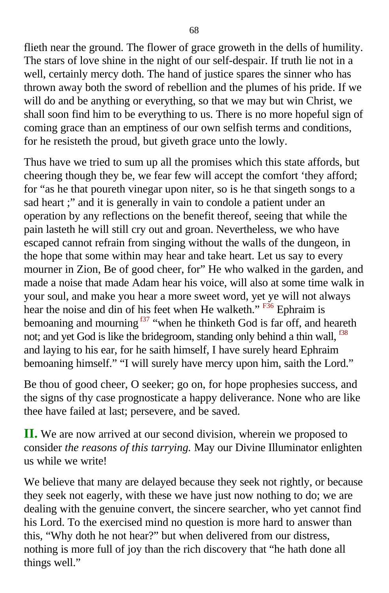flieth near the ground. The flower of grace groweth in the dells of humility. The stars of love shine in the night of our self-despair. If truth lie not in a well, certainly mercy doth. The hand of justice spares the sinner who has thrown away both the sword of rebellion and the plumes of his pride. If we will do and be anything or everything, so that we may but win Christ, we shall soon find him to be everything to us. There is no more hopeful sign of coming grace than an emptiness of our own selfish terms and conditions, for he resisteth the proud, but giveth grace unto the lowly.

Thus have we tried to sum up all the promises which this state affords, but cheering though they be, we fear few will accept the comfort 'they afford; for "as he that poureth vinegar upon niter, so is he that singeth songs to a sad heart ;" and it is generally in vain to condole a patient under an operation by any reflections on the benefit thereof, seeing that while the pain lasteth he will still cry out and groan. Nevertheless, we who have escaped cannot refrain from singing without the walls of the dungeon, in the hope that some within may hear and take heart. Let us say to every mourner in Zion, Be of good cheer, for" He who walked in the garden, and made a noise that made Adam hear his voice, will also at some time walk in your soul, and make you hear a more sweet word, yet ye will not always hear the noise and din of his feet when He walketh." [F36](#page-231-0) Ephraim is bemoaning and mourning  $f^{37}$  "when he thinketh God is far off, and heareth not; and yet God is like the bridegroom, standing only behind a thin wall, <sup>[f38](#page-231-0)</sup> and laying to his ear, for he saith himself, I have surely heard Ephraim bemoaning himself." "I will surely have mercy upon him, saith the Lord."

Be thou of good cheer, O seeker; go on, for hope prophesies success, and the signs of thy case prognosticate a happy deliverance. None who are like thee have failed at last; persevere, and be saved.

**II.** We are now arrived at our second division, wherein we proposed to consider *the reasons of this tarrying.* May our Divine Illuminator enlighten us while we write!

We believe that many are delayed because they seek not rightly, or because they seek not eagerly, with these we have just now nothing to do; we are dealing with the genuine convert, the sincere searcher, who yet cannot find his Lord. To the exercised mind no question is more hard to answer than this, "Why doth he not hear?" but when delivered from our distress, nothing is more full of joy than the rich discovery that "he hath done all things well."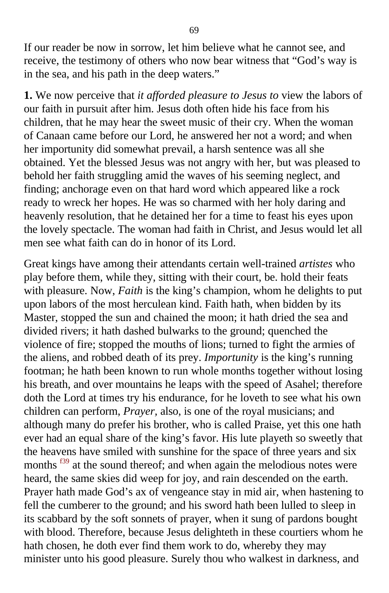If our reader be now in sorrow, let him believe what he cannot see, and receive, the testimony of others who now bear witness that "God's way is in the sea, and his path in the deep waters."

**1.** We now perceive that *it afforded pleasure to Jesus to* view the labors of our faith in pursuit after him. Jesus doth often hide his face from his children, that he may hear the sweet music of their cry. When the woman of Canaan came before our Lord, he answered her not a word; and when her importunity did somewhat prevail, a harsh sentence was all she obtained. Yet the blessed Jesus was not angry with her, but was pleased to behold her faith struggling amid the waves of his seeming neglect, and finding; anchorage even on that hard word which appeared like a rock ready to wreck her hopes. He was so charmed with her holy daring and heavenly resolution, that he detained her for a time to feast his eyes upon the lovely spectacle. The woman had faith in Christ, and Jesus would let all men see what faith can do in honor of its Lord.

Great kings have among their attendants certain well-trained *artistes* who play before them, while they, sitting with their court, be. hold their feats with pleasure. Now, *Faith* is the king's champion, whom he delights to put upon labors of the most herculean kind. Faith hath, when bidden by its Master, stopped the sun and chained the moon; it hath dried the sea and divided rivers; it hath dashed bulwarks to the ground; quenched the violence of fire; stopped the mouths of lions; turned to fight the armies of the aliens, and robbed death of its prey. *Importunity* is the king's running footman; he hath been known to run whole months together without losing his breath, and over mountains he leaps with the speed of Asahel; therefore doth the Lord at times try his endurance, for he loveth to see what his own children can perform, *Prayer,* also, is one of the royal musicians; and although many do prefer his brother, who is called Praise, yet this one hath ever had an equal share of the king's favor. His lute playeth so sweetly that the heavens have smiled with sunshine for the space of three years and six months  $f39$  at the sound thereof; and when again the melodious notes were heard, the same skies did weep for joy, and rain descended on the earth. Prayer hath made God's ax of vengeance stay in mid air, when hastening to fell the cumberer to the ground; and his sword hath been lulled to sleep in its scabbard by the soft sonnets of prayer, when it sung of pardons bought with blood. Therefore, because Jesus delighteth in these courtiers whom he hath chosen, he doth ever find them work to do, whereby they may minister unto his good pleasure. Surely thou who walkest in darkness, and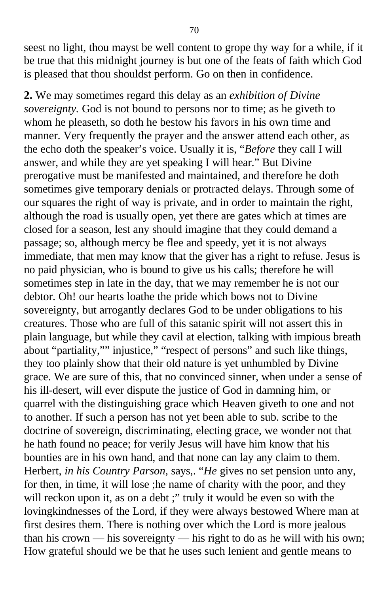seest no light, thou mayst be well content to grope thy way for a while, if it be true that this midnight journey is but one of the feats of faith which God is pleased that thou shouldst perform. Go on then in confidence.

**2.** We may sometimes regard this delay as an *exhibition of Divine sovereignty.* God is not bound to persons nor to time; as he giveth to whom he pleaseth, so doth he bestow his favors in his own time and manner. Very frequently the prayer and the answer attend each other, as the echo doth the speaker's voice. Usually it is, "*Before* they call I will answer, and while they are yet speaking I will hear." But Divine prerogative must be manifested and maintained, and therefore he doth sometimes give temporary denials or protracted delays. Through some of our squares the right of way is private, and in order to maintain the right, although the road is usually open, yet there are gates which at times are closed for a season, lest any should imagine that they could demand a passage; so, although mercy be flee and speedy, yet it is not always immediate, that men may know that the giver has a right to refuse. Jesus is no paid physician, who is bound to give us his calls; therefore he will sometimes step in late in the day, that we may remember he is not our debtor. Oh! our hearts loathe the pride which bows not to Divine sovereignty, but arrogantly declares God to be under obligations to his creatures. Those who are full of this satanic spirit will not assert this in plain language, but while they cavil at election, talking with impious breath about "partiality,"" injustice," "respect of persons" and such like things, they too plainly show that their old nature is yet unhumbled by Divine grace. We are sure of this, that no convinced sinner, when under a sense of his ill-desert, will ever dispute the justice of God in damning him, or quarrel with the distinguishing grace which Heaven giveth to one and not to another. If such a person has not yet been able to sub. scribe to the doctrine of sovereign, discriminating, electing grace, we wonder not that he hath found no peace; for verily Jesus will have him know that his bounties are in his own hand, and that none can lay any claim to them. Herbert, *in his Country Parson,* says,. "*He* gives no set pension unto any, for then, in time, it will lose ;he name of charity with the poor, and they will reckon upon it, as on a debt;" truly it would be even so with the lovingkindnesses of the Lord, if they were always bestowed Where man at first desires them. There is nothing over which the Lord is more jealous than his crown — his sovereignty — his right to do as he will with his own; How grateful should we be that he uses such lenient and gentle means to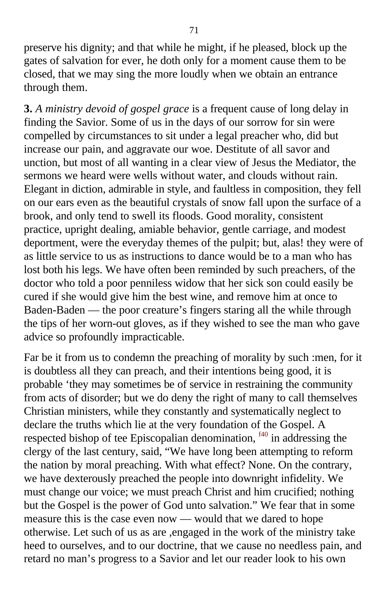preserve his dignity; and that while he might, if he pleased, block up the gates of salvation for ever, he doth only for a moment cause them to be closed, that we may sing the more loudly when we obtain an entrance through them.

**3.** *A ministry devoid of gospel grace* is a frequent cause of long delay in finding the Savior. Some of us in the days of our sorrow for sin were compelled by circumstances to sit under a legal preacher who, did but increase our pain, and aggravate our woe. Destitute of all savor and unction, but most of all wanting in a clear view of Jesus the Mediator, the sermons we heard were wells without water, and clouds without rain. Elegant in diction, admirable in style, and faultless in composition, they fell on our ears even as the beautiful crystals of snow fall upon the surface of a brook, and only tend to swell its floods. Good morality, consistent practice, upright dealing, amiable behavior, gentle carriage, and modest deportment, were the everyday themes of the pulpit; but, alas! they were of as little service to us as instructions to dance would be to a man who has lost both his legs. We have often been reminded by such preachers, of the doctor who told a poor penniless widow that her sick son could easily be cured if she would give him the best wine, and remove him at once to Baden-Baden — the poor creature's fingers staring all the while through the tips of her worn-out gloves, as if they wished to see the man who gave advice so profoundly impracticable.

Far be it from us to condemn the preaching of morality by such :men, for it is doubtless all they can preach, and their intentions being good, it is probable 'they may sometimes be of service in restraining the community from acts of disorder; but we do deny the right of many to call themselves Christian ministers, while they constantly and systematically neglect to declare the truths which lie at the very foundation of the Gospel. A respected bishop of tee Episcopalian denomination,  $f^{40}$  in addressing the clergy of the last century, said, "We have long been attempting to reform the nation by moral preaching. With what effect? None. On the contrary, we have dexterously preached the people into downright infidelity. We must change our voice; we must preach Christ and him crucified; nothing but the Gospel is the power of God unto salvation." We fear that in some measure this is the case even now — would that we dared to hope otherwise. Let such of us as are ,engaged in the work of the ministry take heed to ourselves, and to our doctrine, that we cause no needless pain, and retard no man's progress to a Savior and let our reader look to his own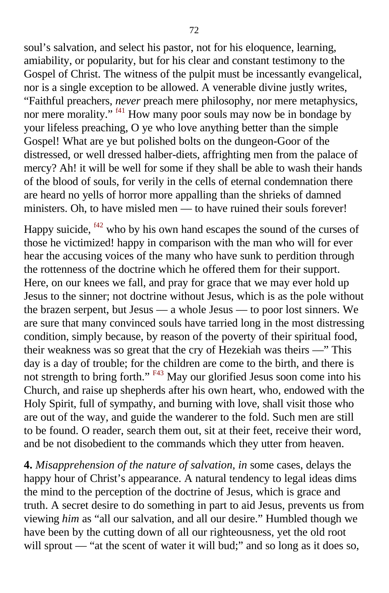soul's salvation, and select his pastor, not for his eloquence, learning, amiability, or popularity, but for his clear and constant testimony to the Gospel of Christ. The witness of the pulpit must be incessantly evangelical, nor is a single exception to be allowed. A venerable divine justly writes, "Faithful preachers, *never* preach mere philosophy, nor mere metaphysics, nor mere morality." <sup>[f41](#page-231-0)</sup> How many poor souls may now be in bondage by your lifeless preaching, O ye who love anything better than the simple Gospel! What are ye but polished bolts on the dungeon-Goor of the distressed, or well dressed halber-diets, affrighting men from the palace of mercy? Ah! it will be well for some if they shall be able to wash their hands of the blood of souls, for verily in the cells of eternal condemnation there are heard no yells of horror more appalling than the shrieks of damned ministers. Oh, to have misled men — to have ruined their souls forever!

Happy suicide,  $f^{42}$  who by his own hand escapes the sound of the curses of those he victimized! happy in comparison with the man who will for ever hear the accusing voices of the many who have sunk to perdition through the rottenness of the doctrine which he offered them for their support. Here, on our knees we fall, and pray for grace that we may ever hold up Jesus to the sinner; not doctrine without Jesus, which is as the pole without the brazen serpent, but Jesus — a whole Jesus — to poor lost sinners. We are sure that many convinced souls have tarried long in the most distressing condition, simply because, by reason of the poverty of their spiritual food, their weakness was so great that the cry of Hezekiah was theirs —" This day is a day of trouble; for the children are come to the birth, and there is not strength to bring forth." [F43](#page-231-0) May our glorified Jesus soon come into his Church, and raise up shepherds after his own heart, who, endowed with the Holy Spirit, full of sympathy, and burning with love, shall visit those who are out of the way, and guide the wanderer to the fold. Such men are still to be found. O reader, search them out, sit at their feet, receive their word, and be not disobedient to the commands which they utter from heaven.

**4.** *Misapprehension of the nature of salvation, in* some cases, delays the happy hour of Christ's appearance. A natural tendency to legal ideas dims the mind to the perception of the doctrine of Jesus, which is grace and truth. A secret desire to do something in part to aid Jesus, prevents us from viewing *him* as "all our salvation, and all our desire." Humbled though we have been by the cutting down of all our righteousness, yet the old root will sprout — "at the scent of water it will bud;" and so long as it does so,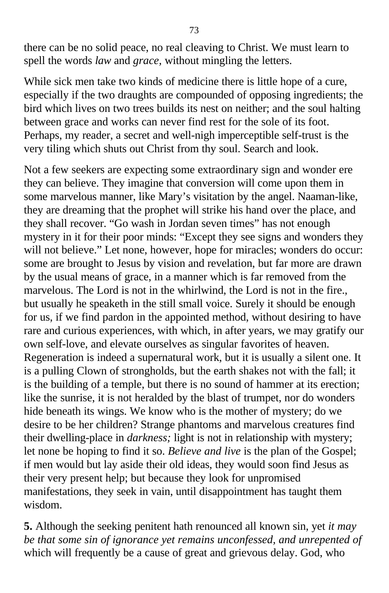there can be no solid peace, no real cleaving to Christ. We must learn to spell the words *law* and *grace,* without mingling the letters.

While sick men take two kinds of medicine there is little hope of a cure, especially if the two draughts are compounded of opposing ingredients; the bird which lives on two trees builds its nest on neither; and the soul halting between grace and works can never find rest for the sole of its foot. Perhaps, my reader, a secret and well-nigh imperceptible self-trust is the very tiling which shuts out Christ from thy soul. Search and look.

Not a few seekers are expecting some extraordinary sign and wonder ere they can believe. They imagine that conversion will come upon them in some marvelous manner, like Mary's visitation by the angel. Naaman-like, they are dreaming that the prophet will strike his hand over the place, and they shall recover. "Go wash in Jordan seven times" has not enough mystery in it for their poor minds: "Except they see signs and wonders they will not believe." Let none, however, hope for miracles; wonders do occur: some are brought to Jesus by vision and revelation, but far more are drawn by the usual means of grace, in a manner which is far removed from the marvelous. The Lord is not in the whirlwind, the Lord is not in the fire., but usually he speaketh in the still small voice. Surely it should be enough for us, if we find pardon in the appointed method, without desiring to have rare and curious experiences, with which, in after years, we may gratify our own self-love, and elevate ourselves as singular favorites of heaven. Regeneration is indeed a supernatural work, but it is usually a silent one. It is a pulling Clown of strongholds, but the earth shakes not with the fall; it is the building of a temple, but there is no sound of hammer at its erection; like the sunrise, it is not heralded by the blast of trumpet, nor do wonders hide beneath its wings. We know who is the mother of mystery; do we desire to be her children? Strange phantoms and marvelous creatures find their dwelling-place in *darkness;* light is not in relationship with mystery; let none be hoping to find it so. *Believe and live* is the plan of the Gospel; if men would but lay aside their old ideas, they would soon find Jesus as their very present help; but because they look for unpromised manifestations, they seek in vain, until disappointment has taught them wisdom.

**5.** Although the seeking penitent hath renounced all known sin, yet *it may be that some sin of ignorance yet remains unconfessed, and unrepented of* which will frequently be a cause of great and grievous delay. God, who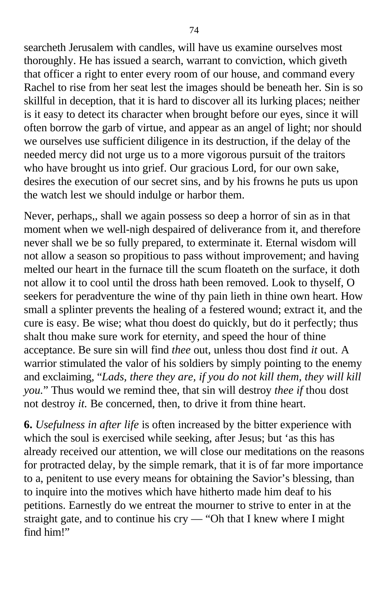searcheth Jerusalem with candles, will have us examine ourselves most thoroughly. He has issued a search, warrant to conviction, which giveth that officer a right to enter every room of our house, and command every Rachel to rise from her seat lest the images should be beneath her. Sin is so skillful in deception, that it is hard to discover all its lurking places; neither is it easy to detect its character when brought before our eyes, since it will often borrow the garb of virtue, and appear as an angel of light; nor should we ourselves use sufficient diligence in its destruction, if the delay of the needed mercy did not urge us to a more vigorous pursuit of the traitors who have brought us into grief. Our gracious Lord, for our own sake, desires the execution of our secret sins, and by his frowns he puts us upon the watch lest we should indulge or harbor them.

Never, perhaps,, shall we again possess so deep a horror of sin as in that moment when we well-nigh despaired of deliverance from it, and therefore never shall we be so fully prepared, to exterminate it. Eternal wisdom will not allow a season so propitious to pass without improvement; and having melted our heart in the furnace till the scum floateth on the surface, it doth not allow it to cool until the dross hath been removed. Look to thyself, O seekers for peradventure the wine of thy pain lieth in thine own heart. How small a splinter prevents the healing of a festered wound; extract it, and the cure is easy. Be wise; what thou doest do quickly, but do it perfectly; thus shalt thou make sure work for eternity, and speed the hour of thine acceptance. Be sure sin will find *thee* out, unless thou dost find *it* out. A warrior stimulated the valor of his soldiers by simply pointing to the enemy and exclaiming, "*Lads, there they are, if you do not kill them, they will kill you.*" Thus would we remind thee, that sin will destroy *thee if* thou dost not destroy *it.* Be concerned, then, to drive it from thine heart.

**6.** *Usefulness in after life* is often increased by the bitter experience with which the soul is exercised while seeking, after Jesus; but 'as this has already received our attention, we will close our meditations on the reasons for protracted delay, by the simple remark, that it is of far more importance to a, penitent to use every means for obtaining the Savior's blessing, than to inquire into the motives which have hitherto made him deaf to his petitions. Earnestly do we entreat the mourner to strive to enter in at the straight gate, and to continue his cry — "Oh that I knew where I might find him!"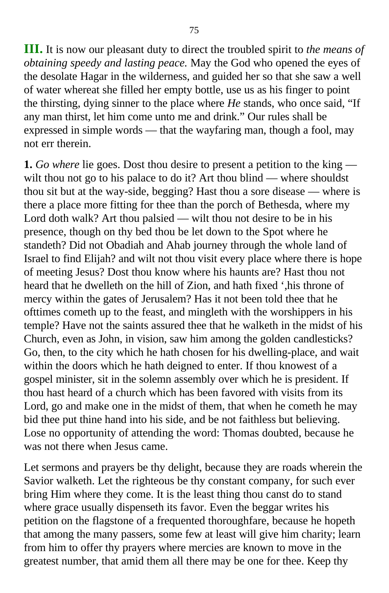**III.** It is now our pleasant duty to direct the troubled spirit to *the means of obtaining speedy and lasting peace.* May the God who opened the eyes of the desolate Hagar in the wilderness, and guided her so that she saw a well of water whereat she filled her empty bottle, use us as his finger to point the thirsting, dying sinner to the place where *He* stands, who once said, "If any man thirst, let him come unto me and drink." Our rules shall be expressed in simple words — that the wayfaring man, though a fool, may not err therein.

**1.** *Go where* lie goes. Dost thou desire to present a petition to the king wilt thou not go to his palace to do it? Art thou blind — where shouldst thou sit but at the way-side, begging? Hast thou a sore disease — where is there a place more fitting for thee than the porch of Bethesda, where my Lord doth walk? Art thou palsied — wilt thou not desire to be in his presence, though on thy bed thou be let down to the Spot where he standeth? Did not Obadiah and Ahab journey through the whole land of Israel to find Elijah? and wilt not thou visit every place where there is hope of meeting Jesus? Dost thou know where his haunts are? Hast thou not heard that he dwelleth on the hill of Zion, and hath fixed ', his throne of mercy within the gates of Jerusalem? Has it not been told thee that he ofttimes cometh up to the feast, and mingleth with the worshippers in his temple? Have not the saints assured thee that he walketh in the midst of his Church, even as John, in vision, saw him among the golden candlesticks? Go, then, to the city which he hath chosen for his dwelling-place, and wait within the doors which he hath deigned to enter. If thou knowest of a gospel minister, sit in the solemn assembly over which he is president. If thou hast heard of a church which has been favored with visits from its Lord, go and make one in the midst of them, that when he cometh he may bid thee put thine hand into his side, and be not faithless but believing. Lose no opportunity of attending the word: Thomas doubted, because he was not there when Jesus came.

Let sermons and prayers be thy delight, because they are roads wherein the Savior walketh. Let the righteous be thy constant company, for such ever bring Him where they come. It is the least thing thou canst do to stand where grace usually dispenseth its favor. Even the beggar writes his petition on the flagstone of a frequented thoroughfare, because he hopeth that among the many passers, some few at least will give him charity; learn from him to offer thy prayers where mercies are known to move in the greatest number, that amid them all there may be one for thee. Keep thy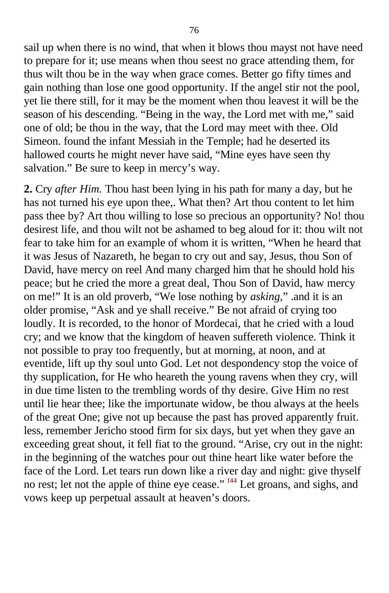sail up when there is no wind, that when it blows thou mayst not have need to prepare for it; use means when thou seest no grace attending them, for thus wilt thou be in the way when grace comes. Better go fifty times and gain nothing than lose one good opportunity. If the angel stir not the pool, yet lie there still, for it may be the moment when thou leavest it will be the season of his descending. "Being in the way, the Lord met with me," said one of old; be thou in the way, that the Lord may meet with thee. Old Simeon. found the infant Messiah in the Temple; had he deserted its hallowed courts he might never have said, "Mine eyes have seen thy salvation." Be sure to keep in mercy's way.

**2.** Cry *after Him.* Thou hast been lying in his path for many a day, but he has not turned his eye upon thee,. What then? Art thou content to let him pass thee by? Art thou willing to lose so precious an opportunity? No! thou desirest life, and thou wilt not be ashamed to beg aloud for it: thou wilt not fear to take him for an example of whom it is written, "When he heard that it was Jesus of Nazareth, he began to cry out and say, Jesus, thou Son of David, have mercy on reel And many charged him that he should hold his peace; but he cried the more a great deal, Thou Son of David, haw mercy on me!" It is an old proverb, "We lose nothing by *asking,*" .and it is an older promise, "Ask and ye shall receive." Be not afraid of crying too loudly. It is recorded, to the honor of Mordecai, that he cried with a loud cry; and we know that the kingdom of heaven suffereth violence. Think it not possible to pray too frequently, but at morning, at noon, and at eventide, lift up thy soul unto God. Let not despondency stop the voice of thy supplication, for He who heareth the young ravens when they cry, will in due time listen to the trembling words of thy desire. Give Him no rest until lie hear thee; like the importunate widow, be thou always at the heels of the great One; give not up because the past has proved apparently fruit. less, remember Jericho stood firm for six days, but yet when they gave an exceeding great shout, it fell fiat to the ground. "Arise, cry out in the night: in the beginning of the watches pour out thine heart like water before the face of the Lord. Let tears run down like a river day and night: give thyself no rest; let not the apple of thine eye cease." <sup>[f44](#page-231-0)</sup> Let groans, and sighs, and vows keep up perpetual assault at heaven's doors.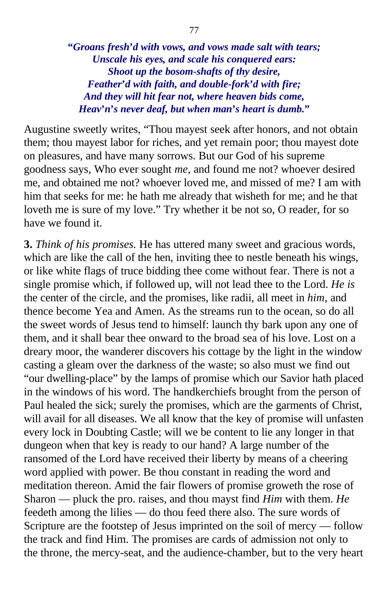**"***Groans fresh***'***d with vows, and vows made salt with tears; Unscale his eyes, and scale his conquered ears: Shoot up the bosom-shafts of thy desire, Feather***'***d with faith, and double-fork***'***d with fire; And they will hit fear not, where heaven bids come, Heav***'***n***'***s never deaf, but when man***'***s heart is dumb.***"**

Augustine sweetly writes, "Thou mayest seek after honors, and not obtain them; thou mayest labor for riches, and yet remain poor; thou mayest dote on pleasures, and have many sorrows. But our God of his supreme goodness says, Who ever sought *me,* and found me not? whoever desired me, and obtained me not? whoever loved me, and missed of me? I am with him that seeks for me: he hath me already that wisheth for me; and he that loveth me is sure of my love." Try whether it be not so, O reader, for so have we found it.

**3.** *Think of his promises.* He has uttered many sweet and gracious words, which are like the call of the hen, inviting thee to nestle beneath his wings, or like white flags of truce bidding thee come without fear. There is not a single promise which, if followed up, will not lead thee to the Lord. *He is* the center of the circle, and the promises, like radii, all meet in *him,* and thence become Yea and Amen. As the streams run to the ocean, so do all the sweet words of Jesus tend to himself: launch thy bark upon any one of them, and it shall bear thee onward to the broad sea of his love. Lost on a dreary moor, the wanderer discovers his cottage by the light in the window casting a gleam over the darkness of the waste; so also must we find out "our dwelling-place" by the lamps of promise which our Savior hath placed in the windows of his word. The handkerchiefs brought from the person of Paul healed the sick; surely the promises, which are the garments of Christ, will avail for all diseases. We all know that the key of promise will unfasten every lock in Doubting Castle; will we be content to lie any longer in that dungeon when that key is ready to our hand? A large number of the ransomed of the Lord have received their liberty by means of a cheering word applied with power. Be thou constant in reading the word and meditation thereon. Amid the fair flowers of promise groweth the rose of Sharon — pluck the pro. raises, and thou mayst find *Him* with them. *He* feedeth among the lilies — do thou feed there also. The sure words of Scripture are the footstep of Jesus imprinted on the soil of mercy — follow the track and find Him. The promises are cards of admission not only to the throne, the mercy-seat, and the audience-chamber, but to the very heart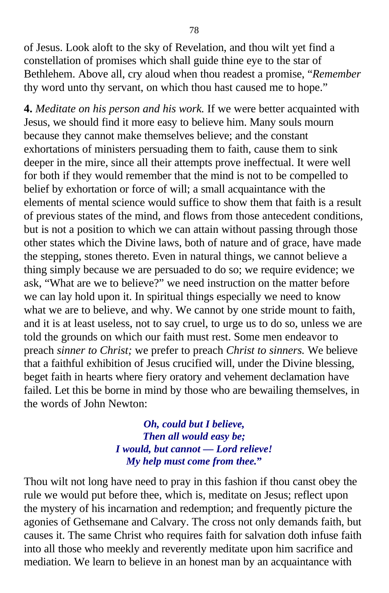of Jesus. Look aloft to the sky of Revelation, and thou wilt yet find a constellation of promises which shall guide thine eye to the star of Bethlehem. Above all, cry aloud when thou readest a promise, "*Remember* thy word unto thy servant, on which thou hast caused me to hope."

**4.** *Meditate on his person and his work.* If we were better acquainted with Jesus, we should find it more easy to believe him. Many souls mourn because they cannot make themselves believe; and the constant exhortations of ministers persuading them to faith, cause them to sink deeper in the mire, since all their attempts prove ineffectual. It were well for both if they would remember that the mind is not to be compelled to belief by exhortation or force of will; a small acquaintance with the elements of mental science would suffice to show them that faith is a result of previous states of the mind, and flows from those antecedent conditions, but is not a position to which we can attain without passing through those other states which the Divine laws, both of nature and of grace, have made the stepping, stones thereto. Even in natural things, we cannot believe a thing simply because we are persuaded to do so; we require evidence; we ask, "What are we to believe?" we need instruction on the matter before we can lay hold upon it. In spiritual things especially we need to know what we are to believe, and why. We cannot by one stride mount to faith, and it is at least useless, not to say cruel, to urge us to do so, unless we are told the grounds on which our faith must rest. Some men endeavor to preach *sinner to Christ;* we prefer to preach *Christ to sinners.* We believe that a faithful exhibition of Jesus crucified will, under the Divine blessing, beget faith in hearts where fiery oratory and vehement declamation have failed. Let this be borne in mind by those who are bewailing themselves, in the words of John Newton:

> *Oh, could but I believe, Then all would easy be; I would, but cannot — Lord relieve! My help must come from thee.***"**

Thou wilt not long have need to pray in this fashion if thou canst obey the rule we would put before thee, which is, meditate on Jesus; reflect upon the mystery of his incarnation and redemption; and frequently picture the agonies of Gethsemane and Calvary. The cross not only demands faith, but causes it. The same Christ who requires faith for salvation doth infuse faith into all those who meekly and reverently meditate upon him sacrifice and mediation. We learn to believe in an honest man by an acquaintance with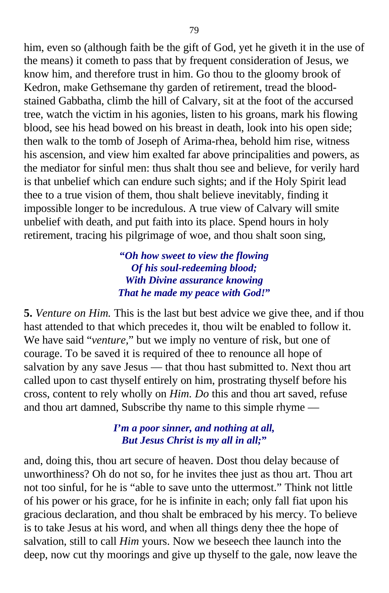him, even so (although faith be the gift of God, yet he giveth it in the use of the means) it cometh to pass that by frequent consideration of Jesus, we know him, and therefore trust in him. Go thou to the gloomy brook of Kedron, make Gethsemane thy garden of retirement, tread the bloodstained Gabbatha, climb the hill of Calvary, sit at the foot of the accursed tree, watch the victim in his agonies, listen to his groans, mark his flowing blood, see his head bowed on his breast in death, look into his open side; then walk to the tomb of Joseph of Arima-rhea, behold him rise, witness his ascension, and view him exalted far above principalities and powers, as the mediator for sinful men: thus shalt thou see and believe, for verily hard is that unbelief which can endure such sights; and if the Holy Spirit lead thee to a true vision of them, thou shalt believe inevitably, finding it impossible longer to be incredulous. A true view of Calvary will smite unbelief with death, and put faith into its place. Spend hours in holy retirement, tracing his pilgrimage of woe, and thou shalt soon sing,

#### **"***Oh how sweet to view the flowing Of his soul-redeeming blood; With Divine assurance knowing That he made my peace with God!***"**

**5.** *Venture on Him.* This is the last but best advice we give thee, and if thou hast attended to that which precedes it, thou wilt be enabled to follow it. We have said "*venture,*" but we imply no venture of risk, but one of courage. To be saved it is required of thee to renounce all hope of salvation by any save Jesus — that thou hast submitted to. Next thou art called upon to cast thyself entirely on him, prostrating thyself before his cross, content to rely wholly on *Him. Do* this and thou art saved, refuse and thou art damned, Subscribe thy name to this simple rhyme —

#### *I***'***m a poor sinner, and nothing at all, But Jesus Christ is my all in all;***"**

and, doing this, thou art secure of heaven. Dost thou delay because of unworthiness? Oh do not so, for he invites thee just as thou art. Thou art not too sinful, for he is "able to save unto the uttermost." Think not little of his power or his grace, for he is infinite in each; only fall fiat upon his gracious declaration, and thou shalt be embraced by his mercy. To believe is to take Jesus at his word, and when all things deny thee the hope of salvation, still to call *Him* yours. Now we beseech thee launch into the deep, now cut thy moorings and give up thyself to the gale, now leave the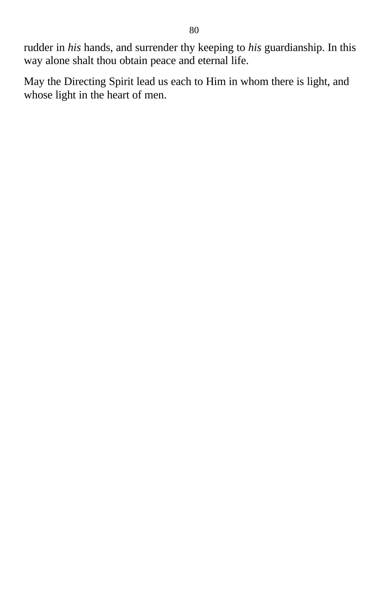rudder in *his* hands, and surrender thy keeping to *his* guardianship. In this way alone shalt thou obtain peace and eternal life.

May the Directing Spirit lead us each to Him in whom there is light, and whose light in the heart of men.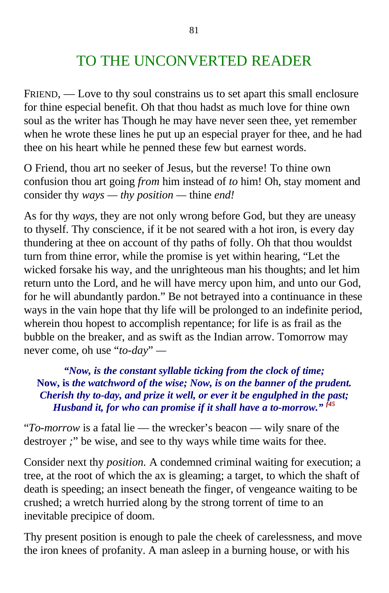## TO THE UNCONVERTED READER

FRIEND, — Love to thy soul constrains us to set apart this small enclosure for thine especial benefit. Oh that thou hadst as much love for thine own soul as the writer has Though he may have never seen thee, yet remember when he wrote these lines he put up an especial prayer for thee, and he had thee on his heart while he penned these few but earnest words.

O Friend, thou art no seeker of Jesus, but the reverse! To thine own confusion thou art going *from* him instead of *to* him! Oh, stay moment and consider thy *ways — thy position —* thine *end!*

As for thy *ways,* they are not only wrong before God, but they are uneasy to thyself. Thy conscience, if it be not seared with a hot iron, is every day thundering at thee on account of thy paths of folly. Oh that thou wouldst turn from thine error, while the promise is yet within hearing, "Let the wicked forsake his way, and the unrighteous man his thoughts; and let him return unto the Lord, and he will have mercy upon him, and unto our God, for he will abundantly pardon." Be not betrayed into a continuance in these ways in the vain hope that thy life will be prolonged to an indefinite period, wherein thou hopest to accomplish repentance; for life is as frail as the bubble on the breaker, and as swift as the Indian arrow. Tomorrow may never come, oh use "*to-day*" *—*

*"Now, is the constant syllable ticking from the clock of time;* **Now, is** *the watchword of the wise; Now, is on the banner of the prudent. Cherish thy to-day, and prize it well, or ever it be engulphed in the past; Husband it, for who can promise if it shall have a to-morrow." [f45](#page-231-0)*

"*To-morrow* is a fatal lie — the wrecker's beacon — wily snare of the destroyer *;*" be wise, and see to thy ways while time waits for thee.

Consider next thy *position.* A condemned criminal waiting for execution; a tree, at the root of which the ax is gleaming; a target, to which the shaft of death is speeding; an insect beneath the finger, of vengeance waiting to be crushed; a wretch hurried along by the strong torrent of time to an inevitable precipice of doom.

Thy present position is enough to pale the cheek of carelessness, and move the iron knees of profanity. A man asleep in a burning house, or with his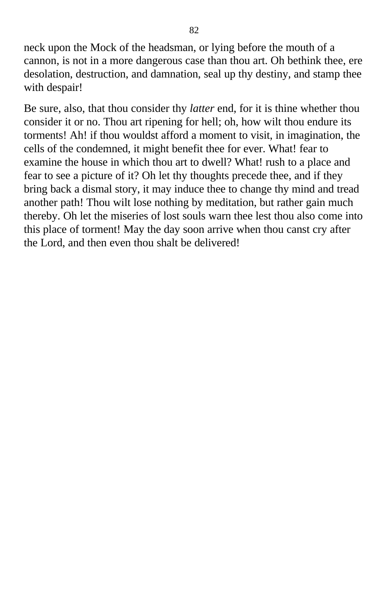neck upon the Mock of the headsman, or lying before the mouth of a cannon, is not in a more dangerous case than thou art. Oh bethink thee, ere desolation, destruction, and damnation, seal up thy destiny, and stamp thee with despair!

Be sure, also, that thou consider thy *latter* end, for it is thine whether thou consider it or no. Thou art ripening for hell; oh, how wilt thou endure its torments! Ah! if thou wouldst afford a moment to visit, in imagination, the cells of the condemned, it might benefit thee for ever. What! fear to examine the house in which thou art to dwell? What! rush to a place and fear to see a picture of it? Oh let thy thoughts precede thee, and if they bring back a dismal story, it may induce thee to change thy mind and tread another path! Thou wilt lose nothing by meditation, but rather gain much thereby. Oh let the miseries of lost souls warn thee lest thou also come into this place of torment! May the day soon arrive when thou canst cry after the Lord, and then even thou shalt be delivered!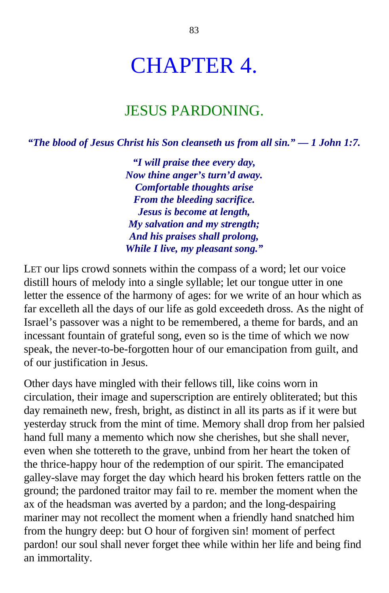# CHAPTER 4.

### JESUS PARDONING.

*"The blood of Jesus Christ his Son cleanseth us from all sin." — 1 John 1:7.*

*"I will praise thee every day, Now thine anger's turn'd away. Comfortable thoughts arise From the bleeding sacrifice. Jesus is become at length, My salvation and my strength; And his praises shall prolong, While I live, my pleasant song."*

LET our lips crowd sonnets within the compass of a word; let our voice distill hours of melody into a single syllable; let our tongue utter in one letter the essence of the harmony of ages: for we write of an hour which as far excelleth all the days of our life as gold exceedeth dross. As the night of Israel's passover was a night to be remembered, a theme for bards, and an incessant fountain of grateful song, even so is the time of which we now speak, the never-to-be-forgotten hour of our emancipation from guilt, and of our justification in Jesus.

Other days have mingled with their fellows till, like coins worn in circulation, their image and superscription are entirely obliterated; but this day remaineth new, fresh, bright, as distinct in all its parts as if it were but yesterday struck from the mint of time. Memory shall drop from her palsied hand full many a memento which now she cherishes, but she shall never, even when she tottereth to the grave, unbind from her heart the token of the thrice-happy hour of the redemption of our spirit. The emancipated galley-slave may forget the day which heard his broken fetters rattle on the ground; the pardoned traitor may fail to re. member the moment when the ax of the headsman was averted by a pardon; and the long-despairing mariner may not recollect the moment when a friendly hand snatched him from the hungry deep: but O hour of forgiven sin! moment of perfect pardon! our soul shall never forget thee while within her life and being find an immortality.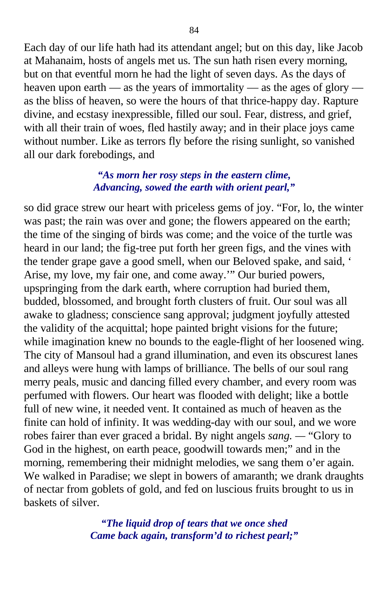Each day of our life hath had its attendant angel; but on this day, like Jacob at Mahanaim, hosts of angels met us. The sun hath risen every morning, but on that eventful morn he had the light of seven days. As the days of heaven upon earth — as the years of immortality — as the ages of glory as the bliss of heaven, so were the hours of that thrice-happy day. Rapture divine, and ecstasy inexpressible, filled our soul. Fear, distress, and grief, with all their train of woes, fled hastily away; and in their place joys came without number. Like as terrors fly before the rising sunlight, so vanished all our dark forebodings, and

#### *"As morn her rosy steps in the eastern clime, Advancing, sowed the earth with orient pearl,"*

so did grace strew our heart with priceless gems of joy. "For, lo, the winter was past; the rain was over and gone; the flowers appeared on the earth; the time of the singing of birds was come; and the voice of the turtle was heard in our land; the fig-tree put forth her green figs, and the vines with the tender grape gave a good smell, when our Beloved spake, and said, ' Arise, my love, my fair one, and come away.'" Our buried powers, upspringing from the dark earth, where corruption had buried them, budded, blossomed, and brought forth clusters of fruit. Our soul was all awake to gladness; conscience sang approval; judgment joyfully attested the validity of the acquittal; hope painted bright visions for the future; while imagination knew no bounds to the eagle-flight of her loosened wing. The city of Mansoul had a grand illumination, and even its obscurest lanes and alleys were hung with lamps of brilliance. The bells of our soul rang merry peals, music and dancing filled every chamber, and every room was perfumed with flowers. Our heart was flooded with delight; like a bottle full of new wine, it needed vent. It contained as much of heaven as the finite can hold of infinity. It was wedding-day with our soul, and we wore robes fairer than ever graced a bridal. By night angels *sang. —* "Glory to God in the highest, on earth peace, goodwill towards men;" and in the morning, remembering their midnight melodies, we sang them o'er again. We walked in Paradise; we slept in bowers of amaranth; we drank draughts of nectar from goblets of gold, and fed on luscious fruits brought to us in baskets of silver.

> *"The liquid drop of tears that we once shed Came back again, transform'd to richest pearl;"*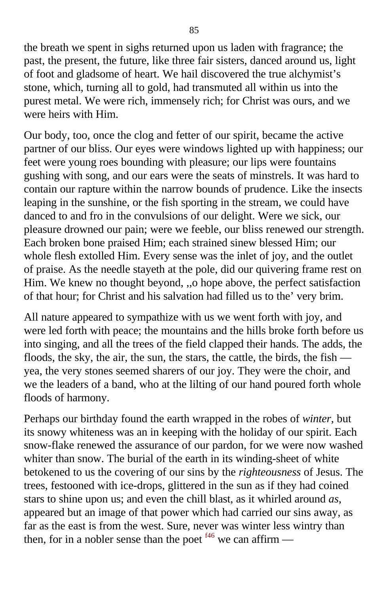the breath we spent in sighs returned upon us laden with fragrance; the past, the present, the future, like three fair sisters, danced around us, light of foot and gladsome of heart. We hail discovered the true alchymist's stone, which, turning all to gold, had transmuted all within us into the purest metal. We were rich, immensely rich; for Christ was ours, and we were heirs with Him.

Our body, too, once the clog and fetter of our spirit, became the active partner of our bliss. Our eyes were windows lighted up with happiness; our feet were young roes bounding with pleasure; our lips were fountains gushing with song, and our ears were the seats of minstrels. It was hard to contain our rapture within the narrow bounds of prudence. Like the insects leaping in the sunshine, or the fish sporting in the stream, we could have danced to and fro in the convulsions of our delight. Were we sick, our pleasure drowned our pain; were we feeble, our bliss renewed our strength. Each broken bone praised Him; each strained sinew blessed Him; our whole flesh extolled Him. Every sense was the inlet of joy, and the outlet of praise. As the needle stayeth at the pole, did our quivering frame rest on Him. We knew no thought beyond, ,,o hope above, the perfect satisfaction of that hour; for Christ and his salvation had filled us to the' very brim.

All nature appeared to sympathize with us we went forth with joy, and were led forth with peace; the mountains and the hills broke forth before us into singing, and all the trees of the field clapped their hands. The adds, the floods, the sky, the air, the sun, the stars, the cattle, the birds, the fish yea, the very stones seemed sharers of our joy. They were the choir, and we the leaders of a band, who at the lilting of our hand poured forth whole floods of harmony.

Perhaps our birthday found the earth wrapped in the robes of *winter,* but its snowy whiteness was an in keeping with the holiday of our spirit. Each snow-flake renewed the assurance of our pardon, for we were now washed whiter than snow. The burial of the earth in its winding-sheet of white betokened to us the covering of our sins by the *righteousness* of Jesus. The trees, festooned with ice-drops, glittered in the sun as if they had coined stars to shine upon us; and even the chill blast, as it whirled around *as,* appeared but an image of that power which had carried our sins away, as far as the east is from the west. Sure, never was winter less wintry than then, for in a nobler sense than the poet  $\frac{146}{146}$  we can affirm —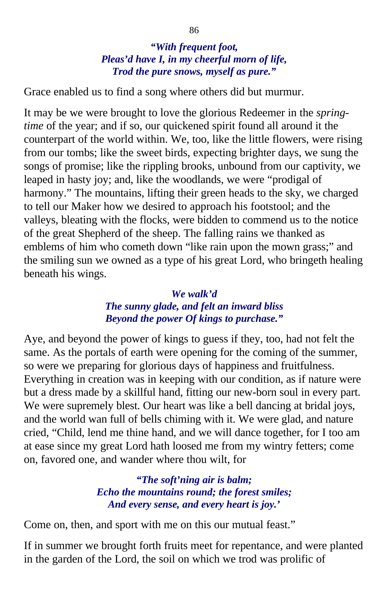#### *"With frequent foot, Pleas'd have I, in my cheerful morn of life, Trod the pure snows, myself as pure."*

Grace enabled us to find a song where others did but murmur.

It may be we were brought to love the glorious Redeemer in the *springtime* of the year; and if so, our quickened spirit found all around it the counterpart of the world within. We, too, like the little flowers, were rising from our tombs; like the sweet birds, expecting brighter days, we sung the songs of promise; like the rippling brooks, unbound from our captivity, we leaped in hasty joy; and, like the woodlands, we were "prodigal of harmony." The mountains, lifting their green heads to the sky, we charged to tell our Maker how we desired to approach his footstool; and the valleys, bleating with the flocks, were bidden to commend us to the notice of the great Shepherd of the sheep. The falling rains we thanked as emblems of him who cometh down "like rain upon the mown grass;" and the smiling sun we owned as a type of his great Lord, who bringeth healing beneath his wings.

#### *We walk'd The sunny glade, and felt an inward bliss Beyond the power Of kings to purchase."*

Aye, and beyond the power of kings to guess if they, too, had not felt the same. As the portals of earth were opening for the coming of the summer, so were we preparing for glorious days of happiness and fruitfulness. Everything in creation was in keeping with our condition, as if nature were but a dress made by a skillful hand, fitting our new-born soul in every part. We were supremely blest. Our heart was like a bell dancing at bridal joys, and the world wan full of bells chiming with it. We were glad, and nature cried, "Child, lend me thine hand, and we will dance together, for I too am at ease since my great Lord hath loosed me from my wintry fetters; come on, favored one, and wander where thou wilt, for

> *"The soft'ning air is balm; Echo the mountains round; the forest smiles; And every sense, and every heart is joy.'*

Come on, then, and sport with me on this our mutual feast."

If in summer we brought forth fruits meet for repentance, and were planted in the garden of the Lord, the soil on which we trod was prolific of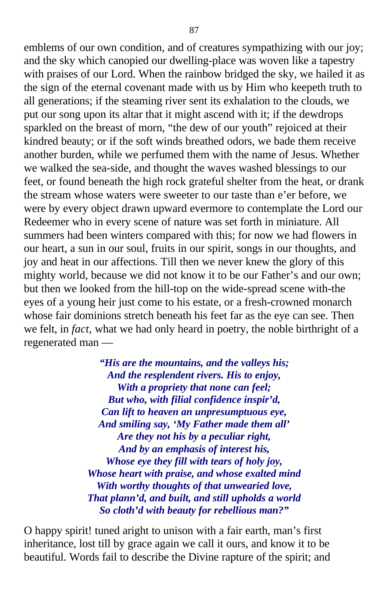emblems of our own condition, and of creatures sympathizing with our joy; and the sky which canopied our dwelling-place was woven like a tapestry with praises of our Lord. When the rainbow bridged the sky, we hailed it as the sign of the eternal covenant made with us by Him who keepeth truth to all generations; if the steaming river sent its exhalation to the clouds, we put our song upon its altar that it might ascend with it; if the dewdrops sparkled on the breast of morn, "the dew of our youth" rejoiced at their kindred beauty; or if the soft winds breathed odors, we bade them receive another burden, while we perfumed them with the name of Jesus. Whether we walked the sea-side, and thought the waves washed blessings to our feet, or found beneath the high rock grateful shelter from the heat, or drank the stream whose waters were sweeter to our taste than e'er before, we were by every object drawn upward evermore to contemplate the Lord our Redeemer who in every scene of nature was set forth in miniature. All summers had been winters compared with this; for now we had flowers in our heart, a sun in our soul, fruits in our spirit, songs in our thoughts, and joy and heat in our affections. Till then we never knew the glory of this mighty world, because we did not know it to be our Father's and our own; but then we looked from the hill-top on the wide-spread scene with-the eyes of a young heir just come to his estate, or a fresh-crowned monarch whose fair dominions stretch beneath his feet far as the eye can see. Then we felt, in *fact,* what we had only heard in poetry, the noble birthright of a regenerated man —

> *"His are the mountains, and the valleys his; And the resplendent rivers. His to enjoy, With a propriety that none can feel; But who, with filial confidence inspir'd, Can lift to heaven an unpresumptuous eye, And smiling say, 'My Father made them all' Are they not his by a peculiar right, And by an emphasis of interest his, Whose eye they fill with tears of holy joy, Whose heart with praise, and whose exalted mind With worthy thoughts of that unwearied love, That plann'd, and built, and still upholds a world So cloth'd with beauty for rebellious man?"*

O happy spirit! tuned aright to unison with a fair earth, man's first inheritance, lost till by grace again we call it ours, and know it to be beautiful. Words fail to describe the Divine rapture of the spirit; and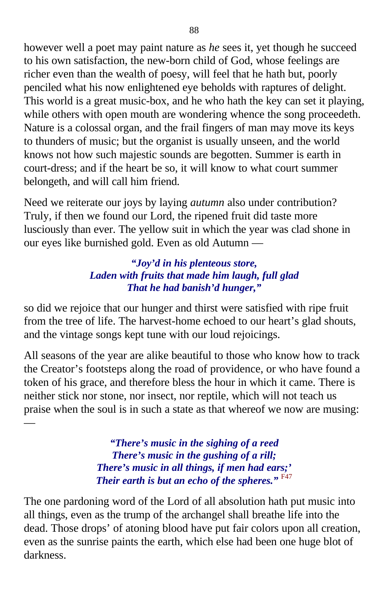however well a poet may paint nature as *he* sees it, yet though he succeed to his own satisfaction, the new-born child of God, whose feelings are richer even than the wealth of poesy, will feel that he hath but, poorly penciled what his now enlightened eye beholds with raptures of delight. This world is a great music-box, and he who hath the key can set it playing, while others with open mouth are wondering whence the song proceedeth. Nature is a colossal organ, and the frail fingers of man may move its keys to thunders of music; but the organist is usually unseen, and the world knows not how such majestic sounds are begotten. Summer is earth in court-dress; and if the heart be so, it will know to what court summer belongeth, and will call him friend.

Need we reiterate our joys by laying *autumn* also under contribution? Truly, if then we found our Lord, the ripened fruit did taste more lusciously than ever. The yellow suit in which the year was clad shone in our eyes like burnished gold. Even as old Autumn —

#### *"Joy'd in his plenteous store, Laden with fruits that made him laugh, full glad That he had banish'd hunger,"*

so did we rejoice that our hunger and thirst were satisfied with ripe fruit from the tree of life. The harvest-home echoed to our heart's glad shouts, and the vintage songs kept tune with our loud rejoicings.

All seasons of the year are alike beautiful to those who know how to track the Creator's footsteps along the road of providence, or who have found a token of his grace, and therefore bless the hour in which it came. There is neither stick nor stone, nor insect, nor reptile, which will not teach us praise when the soul is in such a state as that whereof we now are musing: —

> *"There's music in the sighing of a reed There's music in the gushing of a rill; There's music in all things, if men had ears;' Their earth is but an echo of the spheres.*" <sup>[F47](#page-231-0)</sup>

The one pardoning word of the Lord of all absolution hath put music into all things, even as the trump of the archangel shall breathe life into the dead. Those drops' of atoning blood have put fair colors upon all creation, even as the sunrise paints the earth, which else had been one huge blot of darkness.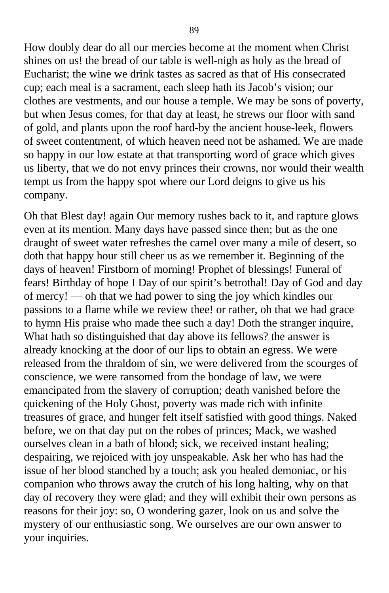How doubly dear do all our mercies become at the moment when Christ shines on us! the bread of our table is well-nigh as holy as the bread of Eucharist; the wine we drink tastes as sacred as that of His consecrated cup; each meal is a sacrament, each sleep hath its Jacob's vision; our clothes are vestments, and our house a temple. We may be sons of poverty, but when Jesus comes, for that day at least, he strews our floor with sand of gold, and plants upon the roof hard-by the ancient house-leek, flowers of sweet contentment, of which heaven need not be ashamed. We are made so happy in our low estate at that transporting word of grace which gives us liberty, that we do not envy princes their crowns, nor would their wealth tempt us from the happy spot where our Lord deigns to give us his company.

Oh that Blest day! again Our memory rushes back to it, and rapture glows even at its mention. Many days have passed since then; but as the one draught of sweet water refreshes the camel over many a mile of desert, so doth that happy hour still cheer us as we remember it. Beginning of the days of heaven! Firstborn of morning! Prophet of blessings! Funeral of fears! Birthday of hope I Day of our spirit's betrothal! Day of God and day of mercy! — oh that we had power to sing the joy which kindles our passions to a flame while we review thee! or rather, oh that we had grace to hymn His praise who made thee such a day! Doth the stranger inquire, What hath so distinguished that day above its fellows? the answer is already knocking at the door of our lips to obtain an egress. We were released from the thraldom of sin, we were delivered from the scourges of conscience, we were ransomed from the bondage of law, we were emancipated from the slavery of corruption; death vanished before the quickening of the Holy Ghost, poverty was made rich with infinite treasures of grace, and hunger felt itself satisfied with good things. Naked before, we on that day put on the robes of princes; Mack, we washed ourselves clean in a bath of blood; sick, we received instant healing; despairing, we rejoiced with joy unspeakable. Ask her who has had the issue of her blood stanched by a touch; ask you healed demoniac, or his companion who throws away the crutch of his long halting, why on that day of recovery they were glad; and they will exhibit their own persons as reasons for their joy: so, O wondering gazer, look on us and solve the mystery of our enthusiastic song. We ourselves are our own answer to your inquiries.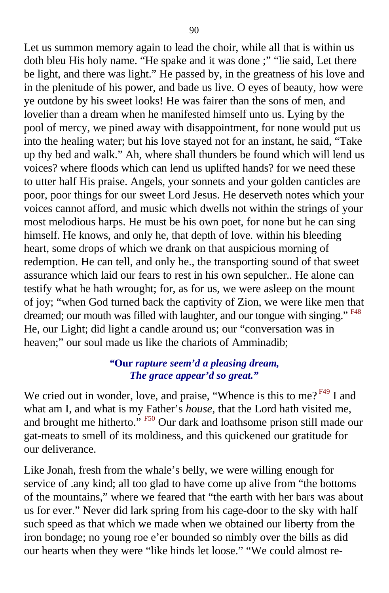Let us summon memory again to lead the choir, while all that is within us doth bleu His holy name. "He spake and it was done ;" "lie said, Let there be light, and there was light." He passed by, in the greatness of his love and in the plenitude of his power, and bade us live. O eyes of beauty, how were ye outdone by his sweet looks! He was fairer than the sons of men, and lovelier than a dream when he manifested himself unto us. Lying by the pool of mercy, we pined away with disappointment, for none would put us into the healing water; but his love stayed not for an instant, he said, "Take up thy bed and walk." Ah, where shall thunders be found which will lend us voices? where floods which can lend us uplifted hands? for we need these to utter half His praise. Angels, your sonnets and your golden canticles are poor, poor things for our sweet Lord Jesus. He deserveth notes which your voices cannot afford, and music which dwells not within the strings of your most melodious harps. He must be his own poet, for none but he can sing himself. He knows, and only he, that depth of love. within his bleeding heart, some drops of which we drank on that auspicious morning of redemption. He can tell, and only he., the transporting sound of that sweet assurance which laid our fears to rest in his own sepulcher.. He alone can testify what he hath wrought; for, as for us, we were asleep on the mount of joy; "when God turned back the captivity of Zion, we were like men that dreamed; our mouth was filled with laughter, and our tongue with singing." <sup>[F48](#page-232-0)</sup> He, our Light; did light a candle around us; our "conversation was in heaven;" our soul made us like the chariots of Amminadib;

#### *"***Our** *rapture seem'd a pleasing dream, The grace appear'd so great."*

We cried out in wonder, love, and praise, "Whence is this to me?  $F^{49}$  I and what am I, and what is my Father's *house,* that the Lord hath visited me, and brought me hitherto." F<sub>50</sub> Our dark and loathsome prison still made our gat-meats to smell of its moldiness, and this quickened our gratitude for our deliverance.

Like Jonah, fresh from the whale's belly, we were willing enough for service of .any kind; all too glad to have come up alive from "the bottoms of the mountains," where we feared that "the earth with her bars was about us for ever." Never did lark spring from his cage-door to the sky with half such speed as that which we made when we obtained our liberty from the iron bondage; no young roe e'er bounded so nimbly over the bills as did our hearts when they were "like hinds let loose." "We could almost re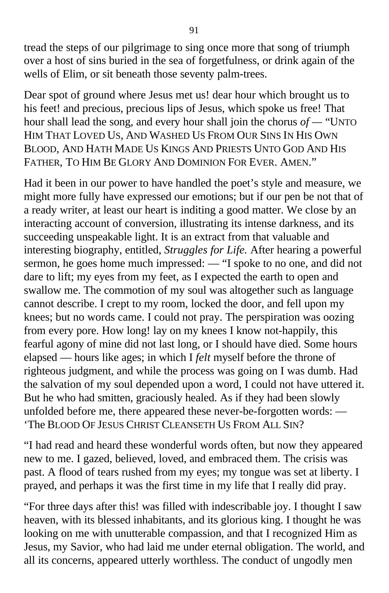tread the steps of our pilgrimage to sing once more that song of triumph over a host of sins buried in the sea of forgetfulness, or drink again of the wells of Elim, or sit beneath those seventy palm-trees.

Dear spot of ground where Jesus met us! dear hour which brought us to his feet! and precious, precious lips of Jesus, which spoke us free! That hour shall lead the song, and every hour shall join the chorus *of —* "UNTO HIM THAT LOVED US, AND WASHED US FROM OUR SINS IN HIS OWN BLOOD, AND HATH MADE US KINGS AND PRIESTS UNTO GOD AND HIS FATHER, TO HIM BE GLORY AND DOMINION FOR EVER. AMEN."

Had it been in our power to have handled the poet's style and measure, we might more fully have expressed our emotions; but if our pen be not that of a ready writer, at least our heart is inditing a good matter. We close by an interacting account of conversion, illustrating its intense darkness, and its succeeding unspeakable light. It is an extract from that valuable and interesting biography, entitled, *Struggles for Life.* After hearing a powerful sermon, he goes home much impressed: — "I spoke to no one, and did not dare to lift; my eyes from my feet, as I expected the earth to open and swallow me. The commotion of my soul was altogether such as language cannot describe. I crept to my room, locked the door, and fell upon my knees; but no words came. I could not pray. The perspiration was oozing from every pore. How long! lay on my knees I know not-happily, this fearful agony of mine did not last long, or I should have died. Some hours elapsed — hours like ages; in which I *felt* myself before the throne of righteous judgment, and while the process was going on I was dumb. Had the salvation of my soul depended upon a word, I could not have uttered it. But he who had smitten, graciously healed. As if they had been slowly unfolded before me, there appeared these never-be-forgotten words: — 'The BLOOD OF JESUS CHRIST CLEANSETH US FROM ALL SIN?

"I had read and heard these wonderful words often, but now they appeared new to me. I gazed, believed, loved, and embraced them. The crisis was past. A flood of tears rushed from my eyes; my tongue was set at liberty. I prayed, and perhaps it was the first time in my life that I really did pray.

"For three days after this! was filled with indescribable joy. I thought I saw heaven, with its blessed inhabitants, and its glorious king. I thought he was looking on me with unutterable compassion, and that I recognized Him as Jesus, my Savior, who had laid me under eternal obligation. The world, and all its concerns, appeared utterly worthless. The conduct of ungodly men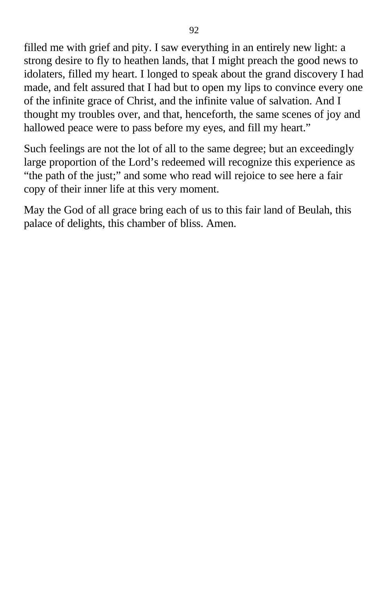filled me with grief and pity. I saw everything in an entirely new light: a strong desire to fly to heathen lands, that I might preach the good news to idolaters, filled my heart. I longed to speak about the grand discovery I had made, and felt assured that I had but to open my lips to convince every one of the infinite grace of Christ, and the infinite value of salvation. And I thought my troubles over, and that, henceforth, the same scenes of joy and hallowed peace were to pass before my eyes, and fill my heart."

Such feelings are not the lot of all to the same degree; but an exceedingly large proportion of the Lord's redeemed will recognize this experience as "the path of the just;" and some who read will rejoice to see here a fair copy of their inner life at this very moment.

May the God of all grace bring each of us to this fair land of Beulah, this palace of delights, this chamber of bliss. Amen.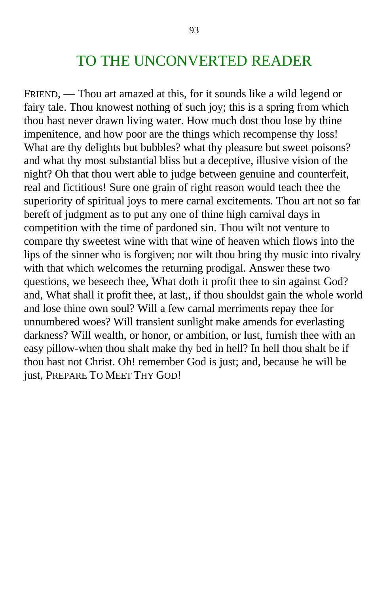## TO THE UNCONVERTED READER

FRIEND, — Thou art amazed at this, for it sounds like a wild legend or fairy tale. Thou knowest nothing of such joy; this is a spring from which thou hast never drawn living water. How much dost thou lose by thine impenitence, and how poor are the things which recompense thy loss! What are thy delights but bubbles? what thy pleasure but sweet poisons? and what thy most substantial bliss but a deceptive, illusive vision of the night? Oh that thou wert able to judge between genuine and counterfeit, real and fictitious! Sure one grain of right reason would teach thee the superiority of spiritual joys to mere carnal excitements. Thou art not so far bereft of judgment as to put any one of thine high carnival days in competition with the time of pardoned sin. Thou wilt not venture to compare thy sweetest wine with that wine of heaven which flows into the lips of the sinner who is forgiven; nor wilt thou bring thy music into rivalry with that which welcomes the returning prodigal. Answer these two questions, we beseech thee, What doth it profit thee to sin against God? and, What shall it profit thee, at last,, if thou shouldst gain the whole world and lose thine own soul? Will a few carnal merriments repay thee for unnumbered woes? Will transient sunlight make amends for everlasting darkness? Will wealth, or honor, or ambition, or lust, furnish thee with an easy pillow-when thou shalt make thy bed in hell? In hell thou shalt be if thou hast not Christ. Oh! remember God is just; and, because he will be just, PREPARE TO MEET THY GOD!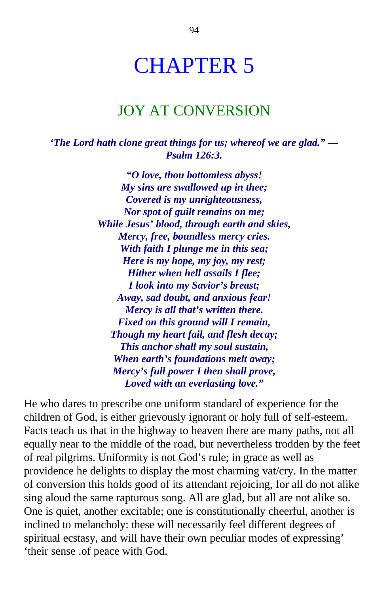# CHAPTER 5

### JOY AT CONVERSION

*'The Lord hath clone great things for us; whereof we are glad." — Psalm 126:3.*

> *"O love, thou bottomless abyss! My sins are swallowed up in thee; Covered is my unrighteousness, Nor spot of guilt remains on me; While Jesus' blood, through earth and skies, Mercy, free, boundless mercy cries. With faith I plunge me in this sea; Here is my hope, my joy, my rest; Hither when hell assails I flee; I look into my Savior's breast; Away, sad doubt, and anxious fear! Mercy is all that's written there. Fixed on this ground will I remain, Though my heart fail, and flesh decay; This anchor shall my soul sustain, When earth's foundations melt away; Mercy's full power I then shall prove, Loved with an everlasting love."*

He who dares to prescribe one uniform standard of experience for the children of God, is either grievously ignorant or holy full of self-esteem. Facts teach us that in the highway to heaven there are many paths, not all equally near to the middle of the road, but nevertheless trodden by the feet of real pilgrims. Uniformity is not God's rule; in grace as well as providence he delights to display the most charming vat/cry. In the matter of conversion this holds good of its attendant rejoicing, for all do not alike sing aloud the same rapturous song. All are glad, but all are not alike so. One is quiet, another excitable; one is constitutionally cheerful, another is inclined to melancholy: these will necessarily feel different degrees of spiritual ecstasy, and will have their own peculiar modes of expressing' 'their sense .of peace with God.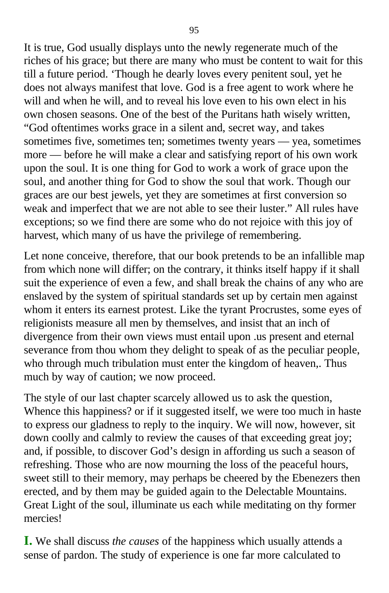It is true, God usually displays unto the newly regenerate much of the riches of his grace; but there are many who must be content to wait for this till a future period. 'Though he dearly loves every penitent soul, yet he does not always manifest that love. God is a free agent to work where he will and when he will, and to reveal his love even to his own elect in his own chosen seasons. One of the best of the Puritans hath wisely written, "God oftentimes works grace in a silent and, secret way, and takes sometimes five, sometimes ten; sometimes twenty years — yea, sometimes more — before he will make a clear and satisfying report of his own work upon the soul. It is one thing for God to work a work of grace upon the soul, and another thing for God to show the soul that work. Though our graces are our best jewels, yet they are sometimes at first conversion so weak and imperfect that we are not able to see their luster." All rules have exceptions; so we find there are some who do not rejoice with this joy of harvest, which many of us have the privilege of remembering.

Let none conceive, therefore, that our book pretends to be an infallible map from which none will differ; on the contrary, it thinks itself happy if it shall suit the experience of even a few, and shall break the chains of any who are enslaved by the system of spiritual standards set up by certain men against whom it enters its earnest protest. Like the tyrant Procrustes, some eyes of religionists measure all men by themselves, and insist that an inch of divergence from their own views must entail upon .us present and eternal severance from thou whom they delight to speak of as the peculiar people, who through much tribulation must enter the kingdom of heaven,. Thus much by way of caution; we now proceed.

The style of our last chapter scarcely allowed us to ask the question, Whence this happiness? or if it suggested itself, we were too much in haste to express our gladness to reply to the inquiry. We will now, however, sit down coolly and calmly to review the causes of that exceeding great joy; and, if possible, to discover God's design in affording us such a season of refreshing. Those who are now mourning the loss of the peaceful hours, sweet still to their memory, may perhaps be cheered by the Ebenezers then erected, and by them may be guided again to the Delectable Mountains. Great Light of the soul, illuminate us each while meditating on thy former mercies!

**I.** We shall discuss *the causes* of the happiness which usually attends a sense of pardon. The study of experience is one far more calculated to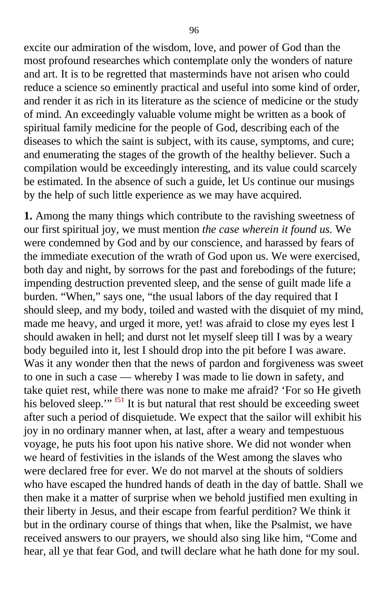excite our admiration of the wisdom, love, and power of God than the most profound researches which contemplate only the wonders of nature and art. It is to be regretted that masterminds have not arisen who could reduce a science so eminently practical and useful into some kind of order, and render it as rich in its literature as the science of medicine or the study of mind. An exceedingly valuable volume might be written as a book of spiritual family medicine for the people of God, describing each of the diseases to which the saint is subject, with its cause, symptoms, and cure; and enumerating the stages of the growth of the healthy believer. Such a compilation would be exceedingly interesting, and its value could scarcely be estimated. In the absence of such a guide, let Us continue our musings by the help of such little experience as we may have acquired.

**1.** Among the many things which contribute to the ravishing sweetness of our first spiritual joy, we must mention *the case wherein it found us.* We were condemned by God and by our conscience, and harassed by fears of the immediate execution of the wrath of God upon us. We were exercised, both day and night, by sorrows for the past and forebodings of the future; impending destruction prevented sleep, and the sense of guilt made life a burden. "When," says one, "the usual labors of the day required that I should sleep, and my body, toiled and wasted with the disquiet of my mind, made me heavy, and urged it more, yet! was afraid to close my eyes lest I should awaken in hell; and durst not let myself sleep till I was by a weary body beguiled into it, lest I should drop into the pit before I was aware. Was it any wonder then that the news of pardon and forgiveness was sweet to one in such a case — whereby I was made to lie down in safety, and take quiet rest, while there was none to make me afraid? 'For so He giveth his beloved sleep."<sup>51</sup> It is but natural that rest should be exceeding sweet after such a period of disquietude. We expect that the sailor will exhibit his joy in no ordinary manner when, at last, after a weary and tempestuous voyage, he puts his foot upon his native shore. We did not wonder when we heard of festivities in the islands of the West among the slaves who were declared free for ever. We do not marvel at the shouts of soldiers who have escaped the hundred hands of death in the day of battle. Shall we then make it a matter of surprise when we behold justified men exulting in their liberty in Jesus, and their escape from fearful perdition? We think it but in the ordinary course of things that when, like the Psalmist, we have received answers to our prayers, we should also sing like him, "Come and hear, all ye that fear God, and twill declare what he hath done for my soul.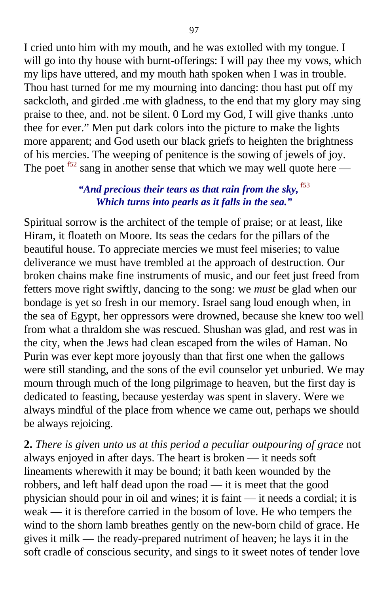I cried unto him with my mouth, and he was extolled with my tongue. I will go into thy house with burnt-offerings: I will pay thee my vows, which my lips have uttered, and my mouth hath spoken when I was in trouble. Thou hast turned for me my mourning into dancing: thou hast put off my sackcloth, and girded .me with gladness, to the end that my glory may sing praise to thee, and. not be silent. 0 Lord my God, I will give thanks .unto thee for ever." Men put dark colors into the picture to make the lights more apparent; and God useth our black griefs to heighten the brightness of his mercies. The weeping of penitence is the sowing of jewels of joy. The poet  $f^{52}$  sang in another sense that which we may well quote here —

#### *"And precious their tears as that rain from the sky.*  $53$ *Which turns into pearls as it falls in the sea."*

Spiritual sorrow is the architect of the temple of praise; or at least, like Hiram, it floateth on Moore. Its seas the cedars for the pillars of the beautiful house. To appreciate mercies we must feel miseries; to value deliverance we must have trembled at the approach of destruction. Our broken chains make fine instruments of music, and our feet just freed from fetters move right swiftly, dancing to the song: we *must* be glad when our bondage is yet so fresh in our memory. Israel sang loud enough when, in the sea of Egypt, her oppressors were drowned, because she knew too well from what a thraldom she was rescued. Shushan was glad, and rest was in the city, when the Jews had clean escaped from the wiles of Haman. No Purin was ever kept more joyously than that first one when the gallows were still standing, and the sons of the evil counselor yet unburied. We may mourn through much of the long pilgrimage to heaven, but the first day is dedicated to feasting, because yesterday was spent in slavery. Were we always mindful of the place from whence we came out, perhaps we should be always rejoicing.

**2.** *There is given unto us at this period a peculiar outpouring of grace* not always enjoyed in after days. The heart is broken — it needs soft lineaments wherewith it may be bound; it bath keen wounded by the robbers, and left half dead upon the road — it is meet that the good physician should pour in oil and wines; it is faint — it needs a cordial; it is weak — it is therefore carried in the bosom of love. He who tempers the wind to the shorn lamb breathes gently on the new-born child of grace. He gives it milk — the ready-prepared nutriment of heaven; he lays it in the soft cradle of conscious security, and sings to it sweet notes of tender love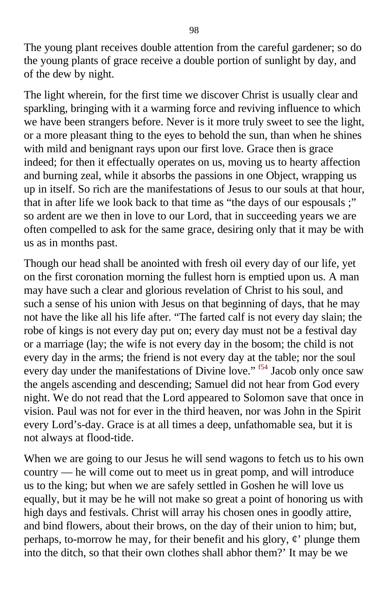The young plant receives double attention from the careful gardener; so do the young plants of grace receive a double portion of sunlight by day, and of the dew by night.

The light wherein, for the first time we discover Christ is usually clear and sparkling, bringing with it a warming force and reviving influence to which we have been strangers before. Never is it more truly sweet to see the light, or a more pleasant thing to the eyes to behold the sun, than when he shines with mild and benignant rays upon our first love. Grace then is grace indeed; for then it effectually operates on us, moving us to hearty affection and burning zeal, while it absorbs the passions in one Object, wrapping us up in itself. So rich are the manifestations of Jesus to our souls at that hour, that in after life we look back to that time as "the days of our espousals ;" so ardent are we then in love to our Lord, that in succeeding years we are often compelled to ask for the same grace, desiring only that it may be with us as in months past.

Though our head shall be anointed with fresh oil every day of our life, yet on the first coronation morning the fullest horn is emptied upon us. A man may have such a clear and glorious revelation of Christ to his soul, and such a sense of his union with Jesus on that beginning of days, that he may not have the like all his life after. "The farted calf is not every day slain; the robe of kings is not every day put on; every day must not be a festival day or a marriage (lay; the wife is not every day in the bosom; the child is not every day in the arms; the friend is not every day at the table; nor the soul every day under the manifestations of Divine love." <sup>[f54](#page-232-0)</sup> Jacob only once saw the angels ascending and descending; Samuel did not hear from God every night. We do not read that the Lord appeared to Solomon save that once in vision. Paul was not for ever in the third heaven, nor was John in the Spirit every Lord's-day. Grace is at all times a deep, unfathomable sea, but it is not always at flood-tide.

When we are going to our Jesus he will send wagons to fetch us to his own country — he will come out to meet us in great pomp, and will introduce us to the king; but when we are safely settled in Goshen he will love us equally, but it may be he will not make so great a point of honoring us with high days and festivals. Christ will array his chosen ones in goodly attire, and bind flowers, about their brows, on the day of their union to him; but, perhaps, to-morrow he may, for their benefit and his glory,  $\phi'$  plunge them into the ditch, so that their own clothes shall abhor them?' It may be we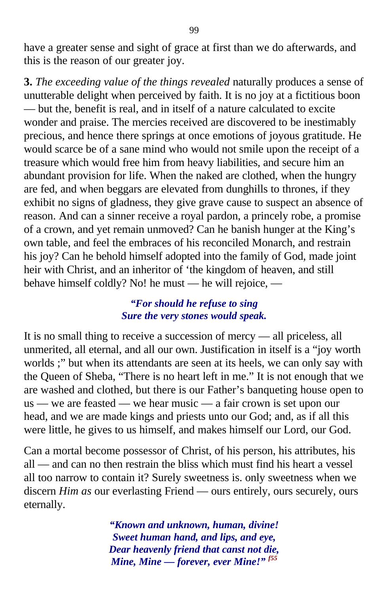have a greater sense and sight of grace at first than we do afterwards, and this is the reason of our greater joy.

**3.** *The exceeding value of the things revealed naturally produces a sense of* unutterable delight when perceived by faith. It is no joy at a fictitious boon — but the, benefit is real, and in itself of a nature calculated to excite wonder and praise. The mercies received are discovered to be inestimably precious, and hence there springs at once emotions of joyous gratitude. He would scarce be of a sane mind who would not smile upon the receipt of a treasure which would free him from heavy liabilities, and secure him an abundant provision for life. When the naked are clothed, when the hungry are fed, and when beggars are elevated from dunghills to thrones, if they exhibit no signs of gladness, they give grave cause to suspect an absence of reason. And can a sinner receive a royal pardon, a princely robe, a promise of a crown, and yet remain unmoved? Can he banish hunger at the King's own table, and feel the embraces of his reconciled Monarch, and restrain his joy? Can he behold himself adopted into the family of God, made joint heir with Christ, and an inheritor of 'the kingdom of heaven, and still behave himself coldly? No! he must — he will rejoice, —

#### *"For should he refuse to sing Sure the very stones would speak.*

It is no small thing to receive a succession of mercy — all priceless, all unmerited, all eternal, and all our own. Justification in itself is a "joy worth worlds ;" but when its attendants are seen at its heels, we can only say with the Queen of Sheba, "There is no heart left in me." It is not enough that we are washed and clothed, but there is our Father's banqueting house open to us — we are feasted — we hear music — a fair crown is set upon our head, and we are made kings and priests unto our God; and, as if all this were little, he gives to us himself, and makes himself our Lord, our God.

Can a mortal become possessor of Christ, of his person, his attributes, his all — and can no then restrain the bliss which must find his heart a vessel all too narrow to contain it? Surely sweetness is. only sweetness when we discern *Him as* our everlasting Friend — ours entirely, ours securely, ours eternally.

> *"Known and unknown, human, divine! Sweet human hand, and lips, and eye, Dear heavenly friend that canst not die, Mine, Mine — forever, ever Mine!" [f55](#page-232-0)*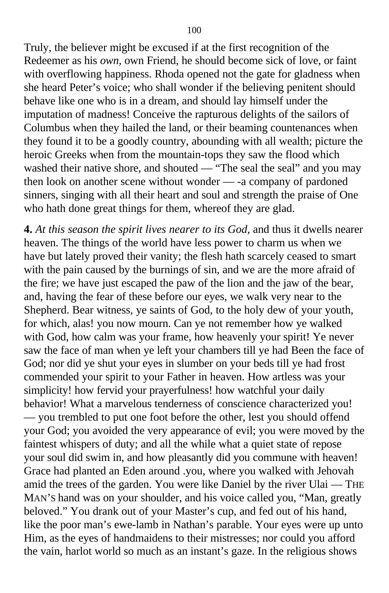Truly, the believer might be excused if at the first recognition of the Redeemer as his *own,* own Friend, he should become sick of love, or faint with overflowing happiness. Rhoda opened not the gate for gladness when she heard Peter's voice; who shall wonder if the believing penitent should behave like one who is in a dream, and should lay himself under the imputation of madness! Conceive the rapturous delights of the sailors of Columbus when they hailed the land, or their beaming countenances when they found it to be a goodly country, abounding with all wealth; picture the heroic Greeks when from the mountain-tops they saw the flood which washed their native shore, and shouted — "The seal the seal" and you may then look on another scene without wonder — -a company of pardoned sinners, singing with all their heart and soul and strength the praise of One who hath done great things for them, whereof they are glad.

**4.** *At this season the spirit lives nearer to its God,* and thus it dwells nearer heaven. The things of the world have less power to charm us when we have but lately proved their vanity; the flesh hath scarcely ceased to smart with the pain caused by the burnings of sin, and we are the more afraid of the fire; we have just escaped the paw of the lion and the jaw of the bear, and, having the fear of these before our eyes, we walk very near to the Shepherd. Bear witness, ye saints of God, to the holy dew of your youth, for which, alas! you now mourn. Can ye not remember how ye walked with God, how calm was your frame, how heavenly your spirit! Ye never saw the face of man when ye left your chambers till ye had Been the face of God; nor did ye shut your eyes in slumber on your beds till ye had frost commended your spirit to your Father in heaven. How artless was your simplicity! how fervid your prayerfulness! how watchful your daily behavior! What a marvelous tenderness of conscience characterized you! — you trembled to put one foot before the other, lest you should offend your God; you avoided the very appearance of evil; you were moved by the faintest whispers of duty; and all the while what a quiet state of repose your soul did swim in, and how pleasantly did you commune with heaven! Grace had planted an Eden around .you, where you walked with Jehovah amid the trees of the garden. You were like Daniel by the river Ulai — THE MAN'S hand was on your shoulder, and his voice called you, "Man, greatly beloved." You drank out of your Master's cup, and fed out of his hand, like the poor man's ewe-lamb in Nathan's parable. Your eyes were up unto Him, as the eyes of handmaidens to their mistresses; nor could you afford the vain, harlot world so much as an instant's gaze. In the religious shows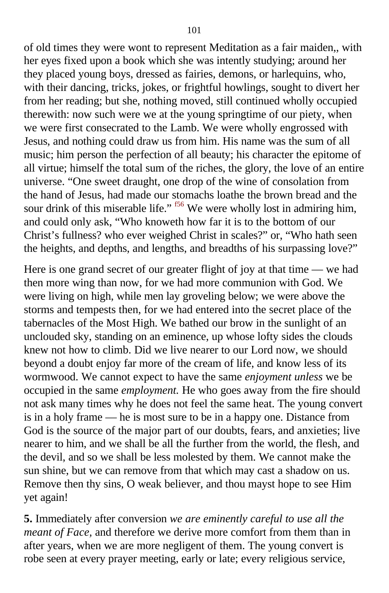of old times they were wont to represent Meditation as a fair maiden,, with her eyes fixed upon a book which she was intently studying; around her they placed young boys, dressed as fairies, demons, or harlequins, who, with their dancing, tricks, jokes, or frightful howlings, sought to divert her from her reading; but she, nothing moved, still continued wholly occupied therewith: now such were we at the young springtime of our piety, when we were first consecrated to the Lamb. We were wholly engrossed with Jesus, and nothing could draw us from him. His name was the sum of all music; him person the perfection of all beauty; his character the epitome of all virtue; himself the total sum of the riches, the glory, the love of an entire universe. "One sweet draught, one drop of the wine of consolation from the hand of Jesus, had made our stomachs loathe the brown bread and the sour drink of this miserable life." <sup>[f56](#page-232-0)</sup> We were wholly lost in admiring him, and could only ask, "Who knoweth how far it is to the bottom of our Christ's fullness? who ever weighed Christ in scales?" or, "Who hath seen the heights, and depths, and lengths, and breadths of his surpassing love?"

Here is one grand secret of our greater flight of joy at that time — we had then more wing than now, for we had more communion with God. We were living on high, while men lay groveling below; we were above the storms and tempests then, for we had entered into the secret place of the tabernacles of the Most High. We bathed our brow in the sunlight of an unclouded sky, standing on an eminence, up whose lofty sides the clouds knew not how to climb. Did we live nearer to our Lord now, we should beyond a doubt enjoy far more of the cream of life, and know less of its wormwood. We cannot expect to have the same *enjoyment unless* we be occupied in the same *employment.* He who goes away from the fire should not ask many times why he does not feel the same heat. The young convert is in a holy frame — he is most sure to be in a happy one. Distance from God is the source of the major part of our doubts, fears, and anxieties; live nearer to him, and we shall be all the further from the world, the flesh, and the devil, and so we shall be less molested by them. We cannot make the sun shine, but we can remove from that which may cast a shadow on us. Remove then thy sins, O weak believer, and thou mayst hope to see Him yet again!

**5.** Immediately after conversion *we are eminently careful to use all the meant of Face,* and therefore we derive more comfort from them than in after years, when we are more negligent of them. The young convert is robe seen at every prayer meeting, early or late; every religious service,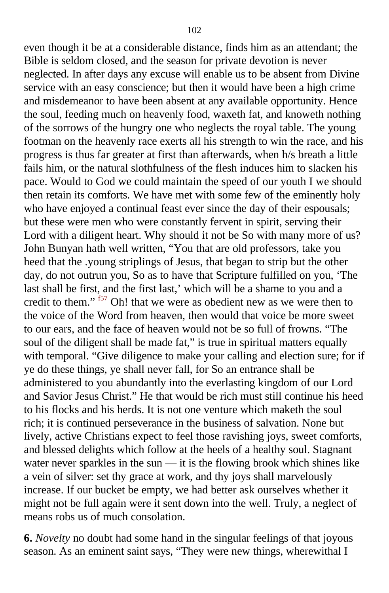even though it be at a considerable distance, finds him as an attendant; the Bible is seldom closed, and the season for private devotion is never neglected. In after days any excuse will enable us to be absent from Divine service with an easy conscience; but then it would have been a high crime and misdemeanor to have been absent at any available opportunity. Hence the soul, feeding much on heavenly food, waxeth fat, and knoweth nothing of the sorrows of the hungry one who neglects the royal table. The young footman on the heavenly race exerts all his strength to win the race, and his progress is thus far greater at first than afterwards, when h/s breath a little fails him, or the natural slothfulness of the flesh induces him to slacken his pace. Would to God we could maintain the speed of our youth I we should then retain its comforts. We have met with some few of the eminently holy who have enjoyed a continual feast ever since the day of their espousals; but these were men who were constantly fervent in spirit, serving their Lord with a diligent heart. Why should it not be So with many more of us? John Bunyan hath well written, "You that are old professors, take you heed that the .young striplings of Jesus, that began to strip but the other day, do not outrun you, So as to have that Scripture fulfilled on you, 'The last shall be first, and the first last,' which will be a shame to you and a credit to them." <sup>[f57](#page-232-0)</sup> Oh! that we were as obedient new as we were then to the voice of the Word from heaven, then would that voice be more sweet to our ears, and the face of heaven would not be so full of frowns. "The soul of the diligent shall be made fat," is true in spiritual matters equally with temporal. "Give diligence to make your calling and election sure; for if ye do these things, ye shall never fall, for So an entrance shall be administered to you abundantly into the everlasting kingdom of our Lord and Savior Jesus Christ." He that would be rich must still continue his heed to his flocks and his herds. It is not one venture which maketh the soul rich; it is continued perseverance in the business of salvation. None but lively, active Christians expect to feel those ravishing joys, sweet comforts, and blessed delights which follow at the heels of a healthy soul. Stagnant water never sparkles in the sun  $-$  it is the flowing brook which shines like a vein of silver: set thy grace at work, and thy joys shall marvelously increase. If our bucket be empty, we had better ask ourselves whether it might not be full again were it sent down into the well. Truly, a neglect of means robs us of much consolation.

**6.** *Novelty* no doubt had some hand in the singular feelings of that joyous season. As an eminent saint says, "They were new things, wherewithal I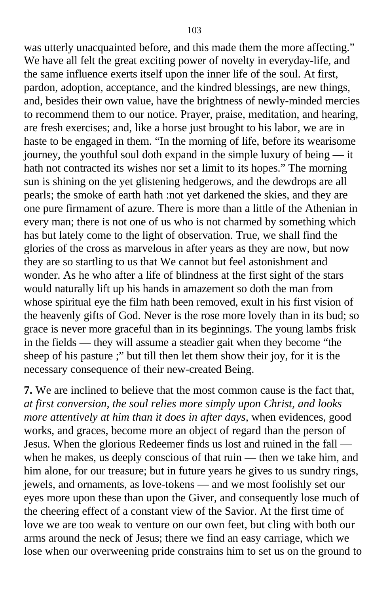was utterly unacquainted before, and this made them the more affecting." We have all felt the great exciting power of novelty in everyday-life, and the same influence exerts itself upon the inner life of the soul. At first, pardon, adoption, acceptance, and the kindred blessings, are new things, and, besides their own value, have the brightness of newly-minded mercies to recommend them to our notice. Prayer, praise, meditation, and hearing, are fresh exercises; and, like a horse just brought to his labor, we are in haste to be engaged in them. "In the morning of life, before its wearisome journey, the youthful soul doth expand in the simple luxury of being — it hath not contracted its wishes nor set a limit to its hopes." The morning sun is shining on the yet glistening hedgerows, and the dewdrops are all pearls; the smoke of earth hath :not yet darkened the skies, and they are one pure firmament of azure. There is more than a little of the Athenian in every man; there is not one of us who is not charmed by something which has but lately come to the light of observation. True, we shall find the glories of the cross as marvelous in after years as they are now, but now they are so startling to us that We cannot but feel astonishment and wonder. As he who after a life of blindness at the first sight of the stars would naturally lift up his hands in amazement so doth the man from whose spiritual eye the film hath been removed, exult in his first vision of the heavenly gifts of God. Never is the rose more lovely than in its bud; so grace is never more graceful than in its beginnings. The young lambs frisk in the fields — they will assume a steadier gait when they become "the sheep of his pasture ;" but till then let them show their joy, for it is the necessary consequence of their new-created Being.

**7.** We are inclined to believe that the most common cause is the fact that, *at first conversion, the soul relies more simply upon Christ, and looks more attentively at him than it does in after days,* when evidences, good works, and graces, become more an object of regard than the person of Jesus. When the glorious Redeemer finds us lost and ruined in the fall when he makes, us deeply conscious of that ruin — then we take him, and him alone, for our treasure; but in future years he gives to us sundry rings, jewels, and ornaments, as love-tokens — and we most foolishly set our eyes more upon these than upon the Giver, and consequently lose much of the cheering effect of a constant view of the Savior. At the first time of love we are too weak to venture on our own feet, but cling with both our arms around the neck of Jesus; there we find an easy carriage, which we lose when our overweening pride constrains him to set us on the ground to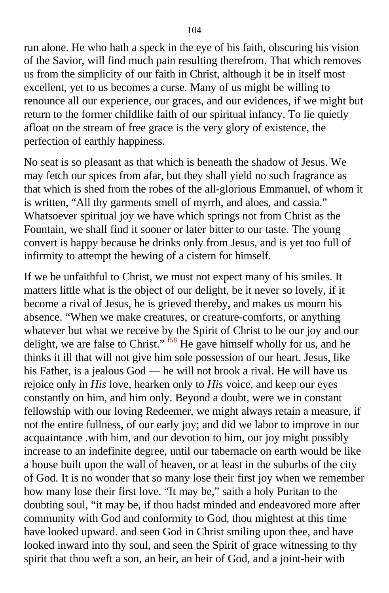run alone. He who hath a speck in the eye of his faith, obscuring his vision of the Savior, will find much pain resulting therefrom. That which removes us from the simplicity of our faith in Christ, although it be in itself most excellent, yet to us becomes a curse. Many of us might be willing to renounce all our experience, our graces, and our evidences, if we might but return to the former childlike faith of our spiritual infancy. To lie quietly afloat on the stream of free grace is the very glory of existence, the perfection of earthly happiness.

No seat is so pleasant as that which is beneath the shadow of Jesus. We may fetch our spices from afar, but they shall yield no such fragrance as that which is shed from the robes of the all-glorious Emmanuel, of whom it is written, "All thy garments smell of myrrh, and aloes, and cassia." Whatsoever spiritual joy we have which springs not from Christ as the Fountain, we shall find it sooner or later bitter to our taste. The young convert is happy because he drinks only from Jesus, and is yet too full of infirmity to attempt the hewing of a cistern for himself.

If we be unfaithful to Christ, we must not expect many of his smiles. It matters little what is the object of our delight, be it never so lovely, if it become a rival of Jesus, he is grieved thereby, and makes us mourn his absence. "When we make creatures, or creature-comforts, or anything whatever but what we receive by the Spirit of Christ to be our joy and our delight, we are false to Christ." <sup>[f58](#page-232-0)</sup> He gave himself wholly for us, and he thinks it ill that will not give him sole possession of our heart. Jesus, like his Father, is a jealous God — he will not brook a rival. He will have us rejoice only in *His* love, hearken only to *His* voice, and keep our eyes constantly on him, and him only. Beyond a doubt, were we in constant fellowship with our loving Redeemer, we might always retain a measure, if not the entire fullness, of our early joy; and did we labor to improve in our acquaintance .with him, and our devotion to him, our joy might possibly increase to an indefinite degree, until our tabernacle on earth would be like a house built upon the wall of heaven, or at least in the suburbs of the city of God. It is no wonder that so many lose their first joy when we remember how many lose their first love. "It may be," saith a holy Puritan to the doubting soul, "it may be, if thou hadst minded and endeavored more after community with God and conformity to God, thou mightest at this time have looked upward. and seen God in Christ smiling upon thee, and have looked inward into thy soul, and seen the Spirit of grace witnessing to thy spirit that thou weft a son, an heir, an heir of God, and a joint-heir with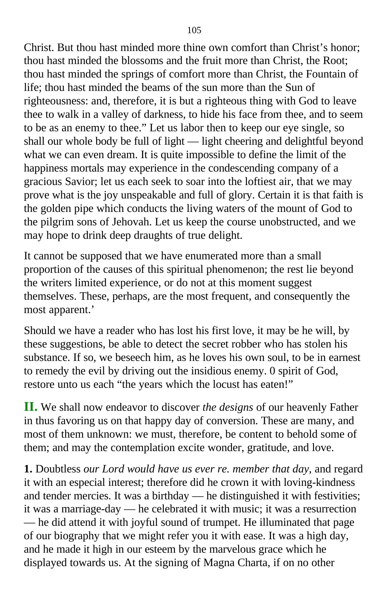Christ. But thou hast minded more thine own comfort than Christ's honor; thou hast minded the blossoms and the fruit more than Christ, the Root; thou hast minded the springs of comfort more than Christ, the Fountain of life; thou hast minded the beams of the sun more than the Sun of righteousness: and, therefore, it is but a righteous thing with God to leave thee to walk in a valley of darkness, to hide his face from thee, and to seem to be as an enemy to thee." Let us labor then to keep our eye single, so shall our whole body be full of light — light cheering and delightful beyond what we can even dream. It is quite impossible to define the limit of the happiness mortals may experience in the condescending company of a gracious Savior; let us each seek to soar into the loftiest air, that we may prove what is the joy unspeakable and full of glory. Certain it is that faith is the golden pipe which conducts the living waters of the mount of God to the pilgrim sons of Jehovah. Let us keep the course unobstructed, and we may hope to drink deep draughts of true delight.

It cannot be supposed that we have enumerated more than a small proportion of the causes of this spiritual phenomenon; the rest lie beyond the writers limited experience, or do not at this moment suggest themselves. These, perhaps, are the most frequent, and consequently the most apparent.'

Should we have a reader who has lost his first love, it may be he will, by these suggestions, be able to detect the secret robber who has stolen his substance. If so, we beseech him, as he loves his own soul, to be in earnest to remedy the evil by driving out the insidious enemy. 0 spirit of God, restore unto us each "the years which the locust has eaten!"

**II.** We shall now endeavor to discover *the designs* of our heavenly Father in thus favoring us on that happy day of conversion. These are many, and most of them unknown: we must, therefore, be content to behold some of them; and may the contemplation excite wonder, gratitude, and love.

**1.** Doubtless *our Lord would have us ever re. member that day,* and regard it with an especial interest; therefore did he crown it with loving-kindness and tender mercies. It was a birthday — he distinguished it with festivities; it was a marriage-day — he celebrated it with music; it was a resurrection — he did attend it with joyful sound of trumpet. He illuminated that page of our biography that we might refer you it with ease. It was a high day, and he made it high in our esteem by the marvelous grace which he displayed towards us. At the signing of Magna Charta, if on no other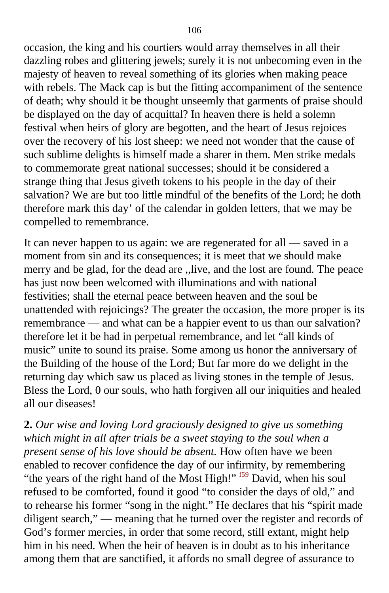occasion, the king and his courtiers would array themselves in all their dazzling robes and glittering jewels; surely it is not unbecoming even in the majesty of heaven to reveal something of its glories when making peace with rebels. The Mack cap is but the fitting accompaniment of the sentence of death; why should it be thought unseemly that garments of praise should be displayed on the day of acquittal? In heaven there is held a solemn festival when heirs of glory are begotten, and the heart of Jesus rejoices over the recovery of his lost sheep: we need not wonder that the cause of such sublime delights is himself made a sharer in them. Men strike medals to commemorate great national successes; should it be considered a strange thing that Jesus giveth tokens to his people in the day of their salvation? We are but too little mindful of the benefits of the Lord; he doth therefore mark this day' of the calendar in golden letters, that we may be compelled to remembrance.

It can never happen to us again: we are regenerated for all — saved in a moment from sin and its consequences; it is meet that we should make merry and be glad, for the dead are ,,live, and the lost are found. The peace has just now been welcomed with illuminations and with national festivities; shall the eternal peace between heaven and the soul be unattended with rejoicings? The greater the occasion, the more proper is its remembrance — and what can be a happier event to us than our salvation? therefore let it be had in perpetual remembrance, and let "all kinds of music" unite to sound its praise. Some among us honor the anniversary of the Building of the house of the Lord; But far more do we delight in the returning day which saw us placed as living stones in the temple of Jesus. Bless the Lord, 0 our souls, who hath forgiven all our iniquities and healed all our diseases!

**2.** *Our wise and loving Lord graciously designed to give us something which might in all after trials be a sweet staying to the soul when a present sense of his love should be absent.* How often have we been enabled to recover confidence the day of our infirmity, by remembering "the years of the right hand of the Most High!" <sup>[f59](#page-232-0)</sup> David, when his soul refused to be comforted, found it good "to consider the days of old," and to rehearse his former "song in the night." He declares that his "spirit made diligent search," — meaning that he turned over the register and records of God's former mercies, in order that some record, still extant, might help him in his need. When the heir of heaven is in doubt as to his inheritance among them that are sanctified, it affords no small degree of assurance to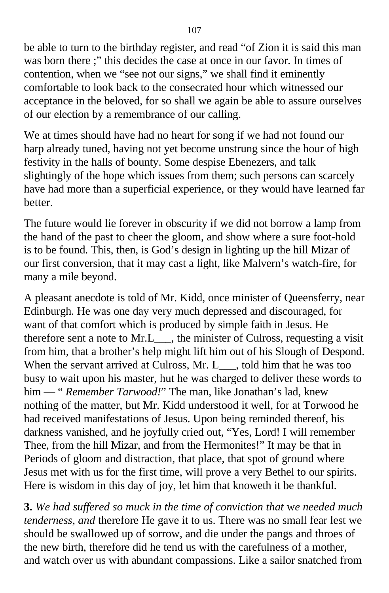be able to turn to the birthday register, and read "of Zion it is said this man was born there ;" this decides the case at once in our favor. In times of contention, when we "see not our signs," we shall find it eminently comfortable to look back to the consecrated hour which witnessed our acceptance in the beloved, for so shall we again be able to assure ourselves of our election by a remembrance of our calling.

We at times should have had no heart for song if we had not found our harp already tuned, having not yet become unstrung since the hour of high festivity in the halls of bounty. Some despise Ebenezers, and talk slightingly of the hope which issues from them; such persons can scarcely have had more than a superficial experience, or they would have learned far better.

The future would lie forever in obscurity if we did not borrow a lamp from the hand of the past to cheer the gloom, and show where a sure foot-hold is to be found. This, then, is God's design in lighting up the hill Mizar of our first conversion, that it may cast a light, like Malvern's watch-fire, for many a mile beyond.

A pleasant anecdote is told of Mr. Kidd, once minister of Queensferry, near Edinburgh. He was one day very much depressed and discouraged, for want of that comfort which is produced by simple faith in Jesus. He therefore sent a note to Mr.L\_\_\_, the minister of Culross, requesting a visit from him, that a brother's help might lift him out of his Slough of Despond. When the servant arrived at Culross, Mr. L\_\_\_, told him that he was too busy to wait upon his master, hut he was charged to deliver these words to him — " *Remember Tarwood!*" The man, like Jonathan's lad, knew nothing of the matter, but Mr. Kidd understood it well, for at Torwood he had received manifestations of Jesus. Upon being reminded thereof, his darkness vanished, and he joyfully cried out, "Yes, Lord! I will remember Thee, from the hill Mizar, and from the Hermonites!" It may be that in Periods of gloom and distraction, that place, that spot of ground where Jesus met with us for the first time, will prove a very Bethel to our spirits. Here is wisdom in this day of joy, let him that knoweth it be thankful.

**3.** *We had suffered so muck in the time of conviction that* w*e needed much tenderness, and* therefore He gave it to us. There was no small fear lest we should be swallowed up of sorrow, and die under the pangs and throes of the new birth, therefore did he tend us with the carefulness of a mother, and watch over us with abundant compassions. Like a sailor snatched from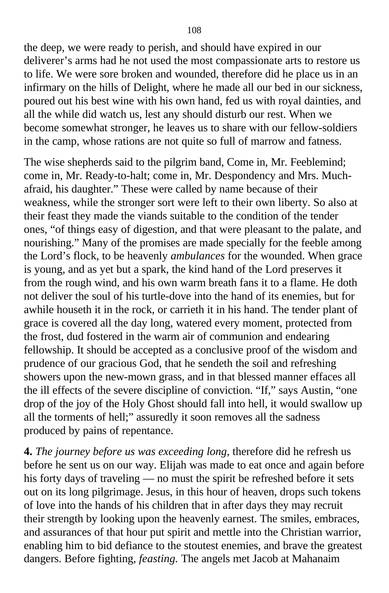the deep, we were ready to perish, and should have expired in our deliverer's arms had he not used the most compassionate arts to restore us to life. We were sore broken and wounded, therefore did he place us in an infirmary on the hills of Delight, where he made all our bed in our sickness, poured out his best wine with his own hand, fed us with royal dainties, and all the while did watch us, lest any should disturb our rest. When we become somewhat stronger, he leaves us to share with our fellow-soldiers in the camp, whose rations are not quite so full of marrow and fatness.

The wise shepherds said to the pilgrim band, Come in, Mr. Feeblemind; come in, Mr. Ready-to-halt; come in, Mr. Despondency and Mrs. Muchafraid, his daughter." These were called by name because of their weakness, while the stronger sort were left to their own liberty. So also at their feast they made the viands suitable to the condition of the tender ones, "of things easy of digestion, and that were pleasant to the palate, and nourishing." Many of the promises are made specially for the feeble among the Lord's flock, to be heavenly *ambulances* for the wounded. When grace is young, and as yet but a spark, the kind hand of the Lord preserves it from the rough wind, and his own warm breath fans it to a flame. He doth not deliver the soul of his turtle-dove into the hand of its enemies, but for awhile houseth it in the rock, or carrieth it in his hand. The tender plant of grace is covered all the day long, watered every moment, protected from the frost, dud fostered in the warm air of communion and endearing fellowship. It should be accepted as a conclusive proof of the wisdom and prudence of our gracious God, that he sendeth the soil and refreshing showers upon the new-mown grass, and in that blessed manner effaces all the ill effects of the severe discipline of conviction. "If," says Austin, "one drop of the joy of the Holy Ghost should fall into hell, it would swallow up all the torments of hell;" assuredly it soon removes all the sadness produced by pains of repentance.

**4.** *The journey before us was exceeding long,* therefore did he refresh us before he sent us on our way. Elijah was made to eat once and again before his forty days of traveling — no must the spirit be refreshed before it sets out on its long pilgrimage. Jesus, in this hour of heaven, drops such tokens of love into the hands of his children that in after days they may recruit their strength by looking upon the heavenly earnest. The smiles, embraces, and assurances of that hour put spirit and mettle into the Christian warrior, enabling him to bid defiance to the stoutest enemies, and brave the greatest dangers. Before fighting, *feasting.* The angels met Jacob at Mahanaim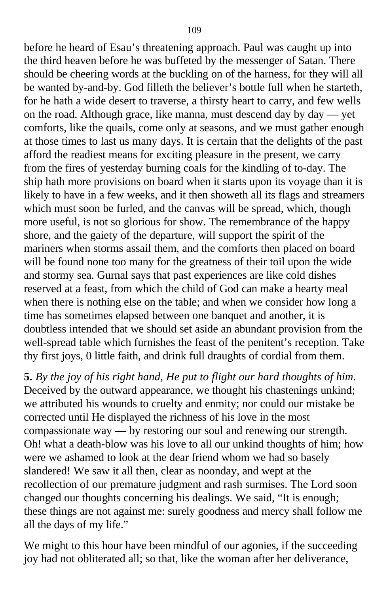before he heard of Esau's threatening approach. Paul was caught up into the third heaven before he was buffeted by the messenger of Satan. There should be cheering words at the buckling on of the harness, for they will all be wanted by-and-by. God filleth the believer's bottle full when he starteth, for he hath a wide desert to traverse, a thirsty heart to carry, and few wells on the road. Although grace, like manna, must descend day by day — yet comforts, like the quails, come only at seasons, and we must gather enough at those times to last us many days. It is certain that the delights of the past afford the readiest means for exciting pleasure in the present, we carry from the fires of yesterday burning coals for the kindling of to-day. The ship hath more provisions on board when it starts upon its voyage than it is likely to have in a few weeks, and it then showeth all its flags and streamers which must soon be furled, and the canvas will be spread, which, though more useful, is not so glorious for show. The remembrance of the happy shore, and the gaiety of the departure, will support the spirit of the mariners when storms assail them, and the comforts then placed on board will be found none too many for the greatness of their toil upon the wide and stormy sea. Gurnal says that past experiences are like cold dishes reserved at a feast, from which the child of God can make a hearty meal when there is nothing else on the table; and when we consider how long a time has sometimes elapsed between one banquet and another, it is doubtless intended that we should set aside an abundant provision from the well-spread table which furnishes the feast of the penitent's reception. Take thy first joys, 0 little faith, and drink full draughts of cordial from them.

**5.** *By the joy of his right hand, He put to flight our hard thoughts of him.* Deceived by the outward appearance, we thought his chastenings unkind; we attributed his wounds to cruelty and enmity; nor could our mistake be corrected until He displayed the richness of his love in the most compassionate way — by restoring our soul and renewing our strength. Oh! what a death-blow was his love to all our unkind thoughts of him; how were we ashamed to look at the dear friend whom we had so basely slandered! We saw it all then, clear as noonday, and wept at the recollection of our premature judgment and rash surmises. The Lord soon changed our thoughts concerning his dealings. We said, "It is enough; these things are not against me: surely goodness and mercy shall follow me all the days of my life."

We might to this hour have been mindful of our agonies, if the succeeding joy had not obliterated all; so that, like the woman after her deliverance,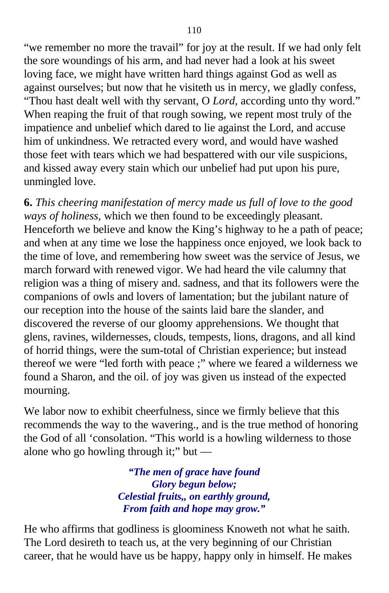"we remember no more the travail" for joy at the result. If we had only felt the sore woundings of his arm, and had never had a look at his sweet loving face, we might have written hard things against God as well as against ourselves; but now that he visiteth us in mercy, we gladly confess, "Thou hast dealt well with thy servant, O *Lord,* according unto thy word." When reaping the fruit of that rough sowing, we repent most truly of the impatience and unbelief which dared to lie against the Lord, and accuse him of unkindness. We retracted every word, and would have washed those feet with tears which we had bespattered with our vile suspicions, and kissed away every stain which our unbelief had put upon his pure, unmingled love.

**6.** *This cheering manifestation of mercy made us full of love to the good ways of holiness,* which we then found to be exceedingly pleasant. Henceforth we believe and know the King's highway to he a path of peace; and when at any time we lose the happiness once enjoyed, we look back to the time of love, and remembering how sweet was the service of Jesus, we march forward with renewed vigor. We had heard the vile calumny that religion was a thing of misery and. sadness, and that its followers were the companions of owls and lovers of lamentation; but the jubilant nature of our reception into the house of the saints laid bare the slander, and discovered the reverse of our gloomy apprehensions. We thought that glens, ravines, wildernesses, clouds, tempests, lions, dragons, and all kind of horrid things, were the sum-total of Christian experience; but instead thereof we were "led forth with peace ;" where we feared a wilderness we found a Sharon, and the oil. of joy was given us instead of the expected mourning.

We labor now to exhibit cheerfulness, since we firmly believe that this recommends the way to the wavering., and is the true method of honoring the God of all 'consolation. "This world is a howling wilderness to those alone who go howling through it;" but —

> *"The men of grace have found Glory begun below; Celestial fruits,, on earthly ground, From faith and hope may grow."*

He who affirms that godliness is gloominess Knoweth not what he saith. The Lord desireth to teach us, at the very beginning of our Christian career, that he would have us be happy, happy only in himself. He makes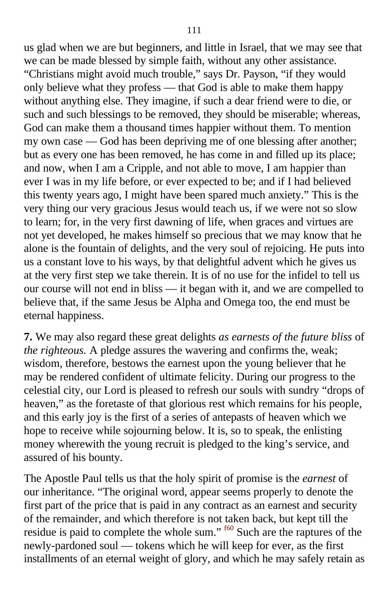us glad when we are but beginners, and little in Israel, that we may see that we can be made blessed by simple faith, without any other assistance. "Christians might avoid much trouble," says Dr. Payson, "if they would only believe what they profess — that God is able to make them happy without anything else. They imagine, if such a dear friend were to die, or such and such blessings to be removed, they should be miserable; whereas, God can make them a thousand times happier without them. To mention my own case — God has been depriving me of one blessing after another; but as every one has been removed, he has come in and filled up its place; and now, when I am a Cripple, and not able to move, I am happier than ever I was in my life before, or ever expected to be; and if I had believed this twenty years ago, I might have been spared much anxiety." This is the very thing our very gracious Jesus would teach us, if we were not so slow to learn; for, in the very first dawning of life, when graces and virtues are not yet developed, he makes himself so precious that we may know that he alone is the fountain of delights, and the very soul of rejoicing. He puts into us a constant love to his ways, by that delightful advent which he gives us at the very first step we take therein. It is of no use for the infidel to tell us our course will not end in bliss — it began with it, and we are compelled to believe that, if the same Jesus be Alpha and Omega too, the end must be eternal happiness.

**7.** We may also regard these great delights *as earnests of the future bliss* of *the righteous.* A pledge assures the wavering and confirms the, weak; wisdom, therefore, bestows the earnest upon the young believer that he may be rendered confident of ultimate felicity. During our progress to the celestial city, our Lord is pleased to refresh our souls with sundry "drops of heaven," as the foretaste of that glorious rest which remains for his people, and this early joy is the first of a series of antepasts of heaven which we hope to receive while sojourning below. It is, so to speak, the enlisting money wherewith the young recruit is pledged to the king's service, and assured of his bounty.

The Apostle Paul tells us that the holy spirit of promise is the *earnest* of our inheritance. "The original word, appear seems properly to denote the first part of the price that is paid in any contract as an earnest and security of the remainder, and which therefore is not taken back, but kept till the residue is paid to complete the whole sum." <sup>[f60](#page-232-0)</sup> Such are the raptures of the newly-pardoned soul — tokens which he will keep for ever, as the first installments of an eternal weight of glory, and which he may safely retain as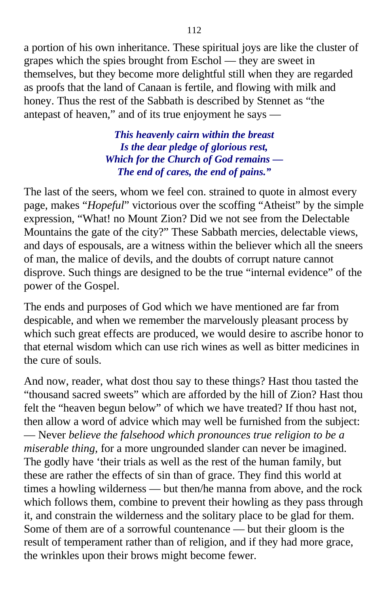a portion of his own inheritance. These spiritual joys are like the cluster of grapes which the spies brought from Eschol — they are sweet in themselves, but they become more delightful still when they are regarded as proofs that the land of Canaan is fertile, and flowing with milk and honey. Thus the rest of the Sabbath is described by Stennet as "the antepast of heaven," and of its true enjoyment he says —

> *This heavenly cairn within the breast Is the dear pledge of glorious rest, Which for the Church of God remains — The end of cares, the end of pains."*

The last of the seers, whom we feel con. strained to quote in almost every page, makes "*Hopeful*" victorious over the scoffing "Atheist" by the simple expression, "What! no Mount Zion? Did we not see from the Delectable Mountains the gate of the city?" These Sabbath mercies, delectable views, and days of espousals, are a witness within the believer which all the sneers of man, the malice of devils, and the doubts of corrupt nature cannot disprove. Such things are designed to be the true "internal evidence" of the power of the Gospel.

The ends and purposes of God which we have mentioned are far from despicable, and when we remember the marvelously pleasant process by which such great effects are produced, we would desire to ascribe honor to that eternal wisdom which can use rich wines as well as bitter medicines in the cure of souls.

And now, reader, what dost thou say to these things? Hast thou tasted the "thousand sacred sweets" which are afforded by the hill of Zion? Hast thou felt the "heaven begun below" of which we have treated? If thou hast not, then allow a word of advice which may well be furnished from the subject: — Never *believe the falsehood which pronounces true religion to be a miserable thing,* for a more ungrounded slander can never be imagined. The godly have 'their trials as well as the rest of the human family, but these are rather the effects of sin than of grace. They find this world at times a howling wilderness — but then/he manna from above, and the rock which follows them, combine to prevent their howling as they pass through it, and constrain the wilderness and the solitary place to be glad for them. Some of them are of a sorrowful countenance — but their gloom is the result of temperament rather than of religion, and if they had more grace, the wrinkles upon their brows might become fewer.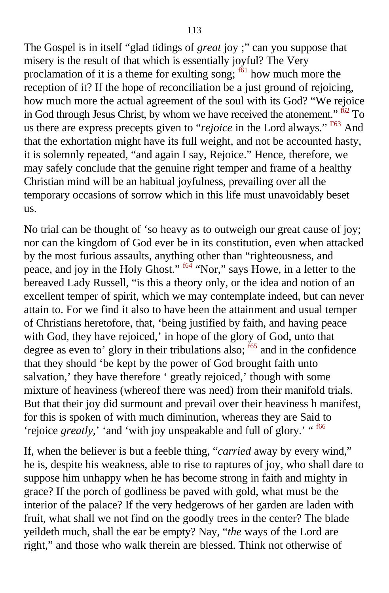The Gospel is in itself "glad tidings of *great* joy ;" can you suppose that misery is the result of that which is essentially joyful? The Very proclamation of it is a theme for exulting song;  $^{61}$  how much more the reception of it? If the hope of reconciliation be a just ground of rejoicing, how much more the actual agreement of the soul with its God? "We rejoice in God through Jesus Christ, by whom we have received the atonement."  $\frac{1}{102}$  To us there are express precepts given to "*rejoice* in the Lord always." [F63](#page-232-0) And that the exhortation might have its full weight, and not be accounted hasty, it is solemnly repeated, "and again I say, Rejoice." Hence, therefore, we may safely conclude that the genuine right temper and frame of a healthy Christian mind will be an habitual joyfulness, prevailing over all the temporary occasions of sorrow which in this life must unavoidably beset us.

No trial can be thought of 'so heavy as to outweigh our great cause of joy; nor can the kingdom of God ever be in its constitution, even when attacked by the most furious assaults, anything other than "righteousness, and peace, and joy in the Holy Ghost." <sup>[f64](#page-232-0)</sup> "Nor," says Howe, in a letter to the bereaved Lady Russell, "is this a theory only, or the idea and notion of an excellent temper of spirit, which we may contemplate indeed, but can never attain to. For we find it also to have been the attainment and usual temper of Christians heretofore, that, 'being justified by faith, and having peace with God, they have rejoiced,' in hope of the glory of God, unto that degree as even to' glory in their tribulations also;  $\frac{165}{105}$  and in the confidence that they should 'be kept by the power of God brought faith unto salvation,' they have therefore ' greatly rejoiced,' though with some mixture of heaviness (whereof there was need) from their manifold trials. But that their joy did surmount and prevail over their heaviness h manifest, for this is spoken of with much diminution, whereas they are Said to 'rejoice *greatly*,' 'and 'with joy unspeakable and full of glory.' " <sup>[f66](#page-232-0)</sup>

If, when the believer is but a feeble thing, "*carried* away by every wind," he is, despite his weakness, able to rise to raptures of joy, who shall dare to suppose him unhappy when he has become strong in faith and mighty in grace? If the porch of godliness be paved with gold, what must be the interior of the palace? If the very hedgerows of her garden are laden with fruit, what shall we not find on the goodly trees in the center? The blade yeildeth much, shall the ear be empty? Nay, "*the* ways of the Lord are right," and those who walk therein are blessed. Think not otherwise of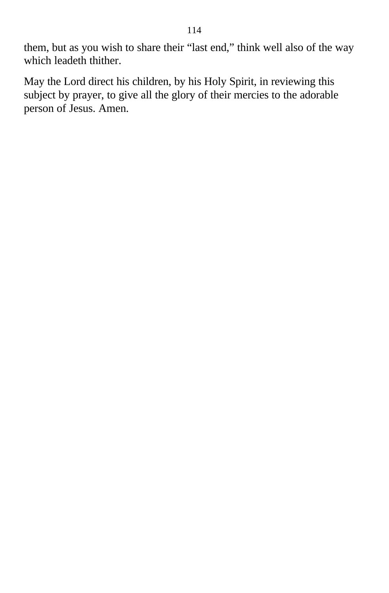them, but as you wish to share their "last end," think well also of the way which leadeth thither.

May the Lord direct his children, by his Holy Spirit, in reviewing this subject by prayer, to give all the glory of their mercies to the adorable person of Jesus. Amen.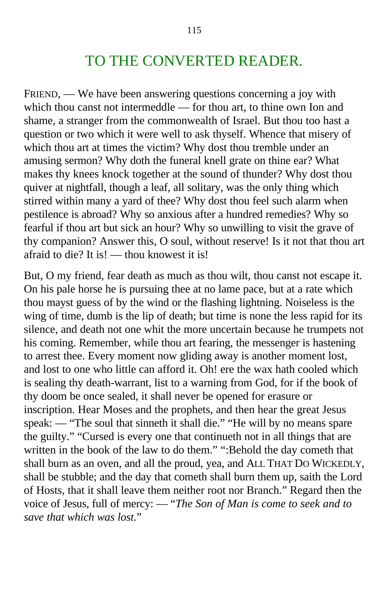## TO THE CONVERTED READER.

FRIEND, — We have been answering questions concerning a joy with which thou canst not intermeddle — for thou art, to thine own Ion and shame, a stranger from the commonwealth of Israel. But thou too hast a question or two which it were well to ask thyself. Whence that misery of which thou art at times the victim? Why dost thou tremble under an amusing sermon? Why doth the funeral knell grate on thine ear? What makes thy knees knock together at the sound of thunder? Why dost thou quiver at nightfall, though a leaf, all solitary, was the only thing which stirred within many a yard of thee? Why dost thou feel such alarm when pestilence is abroad? Why so anxious after a hundred remedies? Why so fearful if thou art but sick an hour? Why so unwilling to visit the grave of thy companion? Answer this, O soul, without reserve! Is it not that thou art afraid to die? It is! — thou knowest it is!

But, O my friend, fear death as much as thou wilt, thou canst not escape it. On his pale horse he is pursuing thee at no lame pace, but at a rate which thou mayst guess of by the wind or the flashing lightning. Noiseless is the wing of time, dumb is the lip of death; but time is none the less rapid for its silence, and death not one whit the more uncertain because he trumpets not his coming. Remember, while thou art fearing, the messenger is hastening to arrest thee. Every moment now gliding away is another moment lost, and lost to one who little can afford it. Oh! ere the wax hath cooled which is sealing thy death-warrant, list to a warning from God, for if the book of thy doom be once sealed, it shall never be opened for erasure or inscription. Hear Moses and the prophets, and then hear the great Jesus speak: — "The soul that sinneth it shall die." "He will by no means spare the guilty." "Cursed is every one that continueth not in all things that are written in the book of the law to do them." ":Behold the day cometh that shall burn as an oven, and all the proud, yea, and ALL THAT DO WICKEDLY, shall be stubble; and the day that cometh shall burn them up, saith the Lord of Hosts, that it shall leave them neither root nor Branch." Regard then the voice of Jesus, full of mercy: — "*The Son of Man is come to seek and to save that which was lost.*"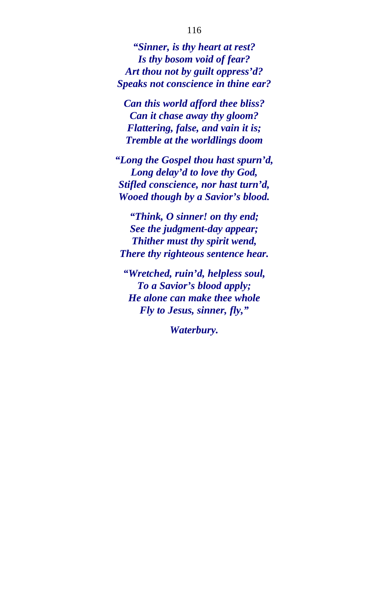*"Sinner, is thy heart at rest? Is thy bosom void of fear? Art thou not by guilt oppress'd? Speaks not conscience in thine ear?*

*Can this world afford thee bliss? Can it chase away thy gloom? Flattering, false, and vain it is; Tremble at the worldlings doom*

*"Long the Gospel thou hast spurn'd, Long delay'd to love thy God, Stifled conscience, nor hast turn'd, Wooed though by a Savior's blood.*

*"Think, O sinner! on thy end; See the judgment-day appear; Thither must thy spirit wend, There thy righteous sentence hear.*

*"Wretched, ruin'd, helpless soul, To a Savior's blood apply; He alone can make thee whole Fly to Jesus, sinner, fly,"*

*Waterbury.*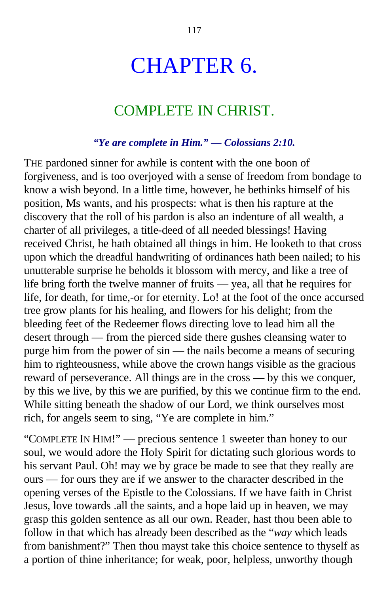# CHAPTER 6.

### COMPLETE IN CHRIST.

#### *"Ye are complete in Him." — Colossians 2:10.*

THE pardoned sinner for awhile is content with the one boon of forgiveness, and is too overjoyed with a sense of freedom from bondage to know a wish beyond. In a little time, however, he bethinks himself of his position, Ms wants, and his prospects: what is then his rapture at the discovery that the roll of his pardon is also an indenture of all wealth, a charter of all privileges, a title-deed of all needed blessings! Having received Christ, he hath obtained all things in him. He looketh to that cross upon which the dreadful handwriting of ordinances hath been nailed; to his unutterable surprise he beholds it blossom with mercy, and like a tree of life bring forth the twelve manner of fruits — yea, all that he requires for life, for death, for time,-or for eternity. Lo! at the foot of the once accursed tree grow plants for his healing, and flowers for his delight; from the bleeding feet of the Redeemer flows directing love to lead him all the desert through — from the pierced side there gushes cleansing water to purge him from the power of sin — the nails become a means of securing him to righteousness, while above the crown hangs visible as the gracious reward of perseverance. All things are in the cross — by this we conquer, by this we live, by this we are purified, by this we continue firm to the end. While sitting beneath the shadow of our Lord, we think ourselves most rich, for angels seem to sing, "Ye are complete in him."

"COMPLETE IN HIM!" — precious sentence 1 sweeter than honey to our soul, we would adore the Holy Spirit for dictating such glorious words to his servant Paul. Oh! may we by grace be made to see that they really are ours — for ours they are if we answer to the character described in the opening verses of the Epistle to the Colossians. If we have faith in Christ Jesus, love towards .all the saints, and a hope laid up in heaven, we may grasp this golden sentence as all our own. Reader, hast thou been able to follow in that which has already been described as the "*way* which leads from banishment?" Then thou mayst take this choice sentence to thyself as a portion of thine inheritance; for weak, poor, helpless, unworthy though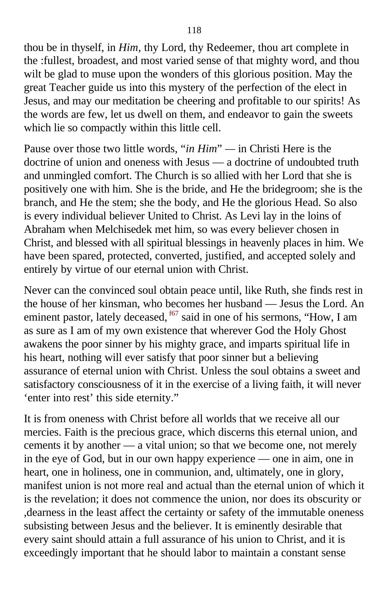thou be in thyself, in *Him,* thy Lord, thy Redeemer, thou art complete in the :fullest, broadest, and most varied sense of that mighty word, and thou wilt be glad to muse upon the wonders of this glorious position. May the great Teacher guide us into this mystery of the perfection of the elect in Jesus, and may our meditation be cheering and profitable to our spirits! As the words are few, let us dwell on them, and endeavor to gain the sweets which lie so compactly within this little cell.

Pause over those two little words, "*in Him*" *—* in Christi Here is the doctrine of union and oneness with Jesus — a doctrine of undoubted truth and unmingled comfort. The Church is so allied with her Lord that she is positively one with him. She is the bride, and He the bridegroom; she is the branch, and He the stem; she the body, and He the glorious Head. So also is every individual believer United to Christ. As Levi lay in the loins of Abraham when Melchisedek met him, so was every believer chosen in Christ, and blessed with all spiritual blessings in heavenly places in him. We have been spared, protected, converted, justified, and accepted solely and entirely by virtue of our eternal union with Christ.

Never can the convinced soul obtain peace until, like Ruth, she finds rest in the house of her kinsman, who becomes her husband — Jesus the Lord. An eminent pastor, lately deceased,  $67$  said in one of his sermons, "How, I am as sure as I am of my own existence that wherever God the Holy Ghost awakens the poor sinner by his mighty grace, and imparts spiritual life in his heart, nothing will ever satisfy that poor sinner but a believing assurance of eternal union with Christ. Unless the soul obtains a sweet and satisfactory consciousness of it in the exercise of a living faith, it will never 'enter into rest' this side eternity."

It is from oneness with Christ before all worlds that we receive all our mercies. Faith is the precious grace, which discerns this eternal union, and cements it by another — a vital union; so that we become one, not merely in the eye of God, but in our own happy experience — one in aim, one in heart, one in holiness, one in communion, and, ultimately, one in glory, manifest union is not more real and actual than the eternal union of which it is the revelation; it does not commence the union, nor does its obscurity or ,dearness in the least affect the certainty or safety of the immutable oneness subsisting between Jesus and the believer. It is eminently desirable that every saint should attain a full assurance of his union to Christ, and it is exceedingly important that he should labor to maintain a constant sense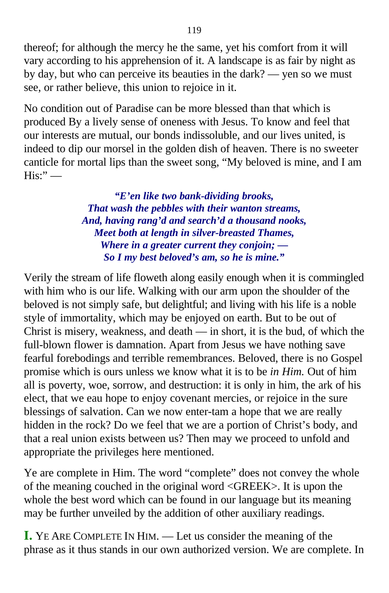thereof; for although the mercy he the same, yet his comfort from it will vary according to his apprehension of it. A landscape is as fair by night as by day, but who can perceive its beauties in the dark? — yen so we must see, or rather believe, this union to rejoice in it.

No condition out of Paradise can be more blessed than that which is produced By a lively sense of oneness with Jesus. To know and feel that our interests are mutual, our bonds indissoluble, and our lives united, is indeed to dip our morsel in the golden dish of heaven. There is no sweeter canticle for mortal lips than the sweet song, "My beloved is mine, and I am  $His''$  —

> *"E'en like two bank-dividing brooks, That wash the pebbles with their wanton streams, And, having rang'd and search'd a thousand nooks, Meet both at length in silver-breasted Thames, Where in a greater current they conjoin; — So I my best beloved's am, so he is mine."*

Verily the stream of life floweth along easily enough when it is commingled with him who is our life. Walking with our arm upon the shoulder of the beloved is not simply safe, but delightful; and living with his life is a noble style of immortality, which may be enjoyed on earth. But to be out of Christ is misery, weakness, and death — in short, it is the bud, of which the full-blown flower is damnation. Apart from Jesus we have nothing save fearful forebodings and terrible remembrances. Beloved, there is no Gospel promise which is ours unless we know what it is to be *in Him.* Out of him all is poverty, woe, sorrow, and destruction: it is only in him, the ark of his elect, that we eau hope to enjoy covenant mercies, or rejoice in the sure blessings of salvation. Can we now enter-tam a hope that we are really hidden in the rock? Do we feel that we are a portion of Christ's body, and that a real union exists between us? Then may we proceed to unfold and appropriate the privileges here mentioned.

Ye are complete in Him. The word "complete" does not convey the whole of the meaning couched in the original word <GREEK>. It is upon the whole the best word which can be found in our language but its meaning may be further unveiled by the addition of other auxiliary readings.

**I.** YE ARE COMPLETE IN HIM. — Let us consider the meaning of the phrase as it thus stands in our own authorized version. We are complete. In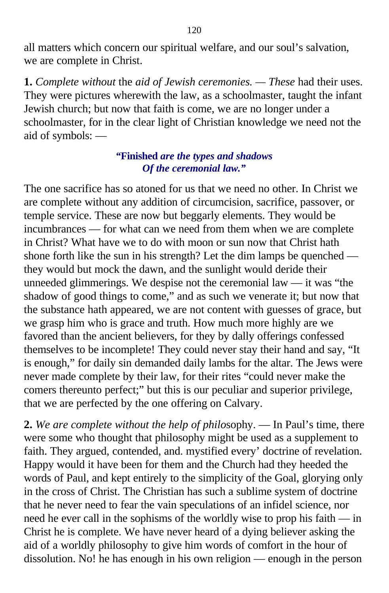all matters which concern our spiritual welfare, and our soul's salvation, we are complete in Christ.

**1.** *Complete without* the *aid of Jewish ceremonies. — These* had their uses. They were pictures wherewith the law, as a schoolmaster, taught the infant Jewish church; but now that faith is come, we are no longer under a schoolmaster, for in the clear light of Christian knowledge we need not the aid of symbols: —

### *"***Finished** *are the types and shadows Of the ceremonial law."*

The one sacrifice has so atoned for us that we need no other. In Christ we are complete without any addition of circumcision, sacrifice, passover, or temple service. These are now but beggarly elements. They would be incumbrances — for what can we need from them when we are complete in Christ? What have we to do with moon or sun now that Christ hath shone forth like the sun in his strength? Let the dim lamps be quenched they would but mock the dawn, and the sunlight would deride their unneeded glimmerings. We despise not the ceremonial law — it was "the shadow of good things to come," and as such we venerate it; but now that the substance hath appeared, we are not content with guesses of grace, but we grasp him who is grace and truth. How much more highly are we favored than the ancient believers, for they by dally offerings confessed themselves to be incomplete! They could never stay their hand and say, "It is enough," for daily sin demanded daily lambs for the altar. The Jews were never made complete by their law, for their rites "could never make the comers thereunto perfect;" but this is our peculiar and superior privilege, that we are perfected by the one offering on Calvary.

**2.** *We are complete without the help of philo*sophy. — In Paul's time, there were some who thought that philosophy might be used as a supplement to faith. They argued, contended, and. mystified every' doctrine of revelation. Happy would it have been for them and the Church had they heeded the words of Paul, and kept entirely to the simplicity of the Goal, glorying only in the cross of Christ. The Christian has such a sublime system of doctrine that he never need to fear the vain speculations of an infidel science, nor need he ever call in the sophisms of the worldly wise to prop his faith — in Christ he is complete. We have never heard of a dying believer asking the aid of a worldly philosophy to give him words of comfort in the hour of dissolution. No! he has enough in his own religion — enough in the person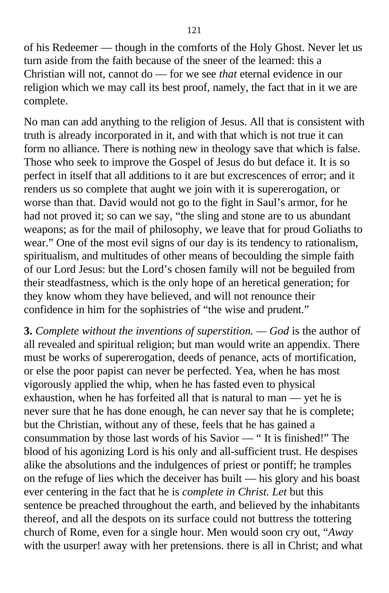of his Redeemer — though in the comforts of the Holy Ghost. Never let us turn aside from the faith because of the sneer of the learned: this a Christian will not, cannot do — for we see *that* eternal evidence in our religion which we may call its best proof, namely, the fact that in it we are complete.

No man can add anything to the religion of Jesus. All that is consistent with truth is already incorporated in it, and with that which is not true it can form no alliance. There is nothing new in theology save that which is false. Those who seek to improve the Gospel of Jesus do but deface it. It is so perfect in itself that all additions to it are but excrescences of error; and it renders us so complete that aught we join with it is supererogation, or worse than that. David would not go to the fight in Saul's armor, for he had not proved it; so can we say, "the sling and stone are to us abundant weapons; as for the mail of philosophy, we leave that for proud Goliaths to wear." One of the most evil signs of our day is its tendency to rationalism, spiritualism, and multitudes of other means of becoulding the simple faith of our Lord Jesus: but the Lord's chosen family will not be beguiled from their steadfastness, which is the only hope of an heretical generation; for they know whom they have believed, and will not renounce their confidence in him for the sophistries of "the wise and prudent."

**3.** *Complete without the inventions of superstition. — God* is the author of all revealed and spiritual religion; but man would write an appendix. There must be works of supererogation, deeds of penance, acts of mortification, or else the poor papist can never be perfected. Yea, when he has most vigorously applied the whip, when he has fasted even to physical exhaustion, when he has forfeited all that is natural to man — yet he is never sure that he has done enough, he can never say that he is complete; but the Christian, without any of these, feels that he has gained a consummation by those last words of his Savior — " It is finished!" The blood of his agonizing Lord is his only and all-sufficient trust. He despises alike the absolutions and the indulgences of priest or pontiff; he tramples on the refuge of lies which the deceiver has built — his glory and his boast ever centering in the fact that he is *complete in Christ. Let* but this sentence be preached throughout the earth, and believed by the inhabitants thereof, and all the despots on its surface could not buttress the tottering church of Rome, even for a single hour. Men would soon cry out, "*Away* with the usurper! away with her pretensions. there is all in Christ; and what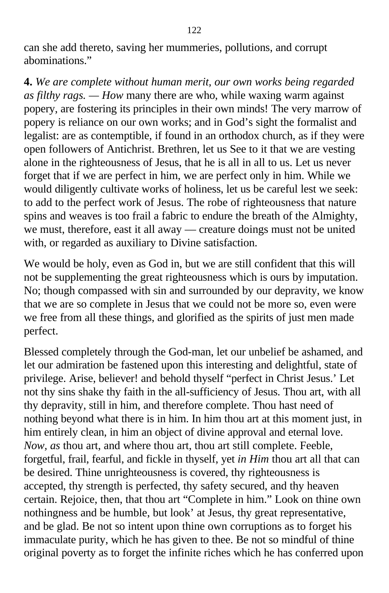can she add thereto, saving her mummeries, pollutions, and corrupt abominations."

**4.** *We are complete without human merit, our own works being regarded as filthy rags. — How* many there are who, while waxing warm against popery, are fostering its principles in their own minds! The very marrow of popery is reliance on our own works; and in God's sight the formalist and legalist: are as contemptible, if found in an orthodox church, as if they were open followers of Antichrist. Brethren, let us See to it that we are vesting alone in the righteousness of Jesus, that he is all in all to us. Let us never forget that if we are perfect in him, we are perfect only in him. While we would diligently cultivate works of holiness, let us be careful lest we seek: to add to the perfect work of Jesus. The robe of righteousness that nature spins and weaves is too frail a fabric to endure the breath of the Almighty, we must, therefore, east it all away — creature doings must not be united with, or regarded as auxiliary to Divine satisfaction.

We would be holy, even as God in, but we are still confident that this will not be supplementing the great righteousness which is ours by imputation. No; though compassed with sin and surrounded by our depravity, we know that we are so complete in Jesus that we could not be more so, even were we free from all these things, and glorified as the spirits of just men made perfect.

Blessed completely through the God-man, let our unbelief be ashamed, and let our admiration be fastened upon this interesting and delightful, state of privilege. Arise, believer! and behold thyself "perfect in Christ Jesus.' Let not thy sins shake thy faith in the all-sufficiency of Jesus. Thou art, with all thy depravity, still in him, and therefore complete. Thou hast need of nothing beyond what there is in him. In him thou art at this moment just, in him entirely clean, in him an object of divine approval and eternal love. *Now, as* thou art, and where thou art, thou art still complete. Feeble, forgetful, frail, fearful, and fickle in thyself, yet *in Him* thou art all that can be desired. Thine unrighteousness is covered, thy righteousness is accepted, thy strength is perfected, thy safety secured, and thy heaven certain. Rejoice, then, that thou art "Complete in him." Look on thine own nothingness and be humble, but look' at Jesus, thy great representative, and be glad. Be not so intent upon thine own corruptions as to forget his immaculate purity, which he has given to thee. Be not so mindful of thine original poverty as to forget the infinite riches which he has conferred upon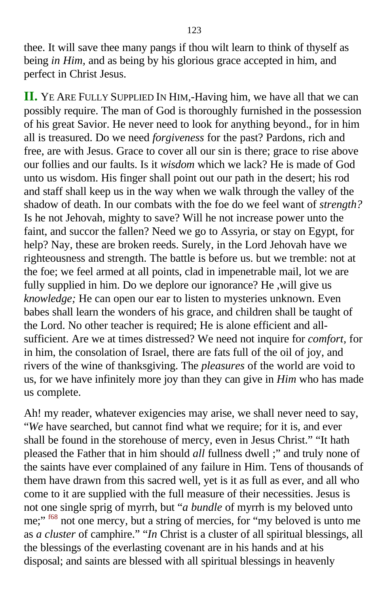thee. It will save thee many pangs if thou wilt learn to think of thyself as being *in Him,* and as being by his glorious grace accepted in him, and perfect in Christ Jesus.

**II.** YE ARE FULLY SUPPLIED IN HIM,-Having him, we have all that we can possibly require. The man of God is thoroughly furnished in the possession of his great Savior. He never need to look for anything beyond., for in him all is treasured. Do we need *forgiveness* for the past? Pardons, rich and free, are with Jesus. Grace to cover all our sin is there; grace to rise above our follies and our faults. Is it *wisdom* which we lack? He is made of God unto us wisdom. His finger shall point out our path in the desert; his rod and staff shall keep us in the way when we walk through the valley of the shadow of death. In our combats with the foe do we feel want of *strength?* Is he not Jehovah, mighty to save? Will he not increase power unto the faint, and succor the fallen? Need we go to Assyria, or stay on Egypt, for help? Nay, these are broken reeds. Surely, in the Lord Jehovah have we righteousness and strength. The battle is before us. but we tremble: not at the foe; we feel armed at all points, clad in impenetrable mail, lot we are fully supplied in him. Do we deplore our ignorance? He ,will give us *knowledge;* He can open our ear to listen to mysteries unknown. Even babes shall learn the wonders of his grace, and children shall be taught of the Lord. No other teacher is required; He is alone efficient and allsufficient. Are we at times distressed? We need not inquire for *comfort,* for in him, the consolation of Israel, there are fats full of the oil of joy, and rivers of the wine of thanksgiving. The *pleasures* of the world are void to us, for we have infinitely more joy than they can give in *Him* who has made us complete.

Ah! my reader, whatever exigencies may arise, we shall never need to say, "*We* have searched, but cannot find what we require; for it is, and ever shall be found in the storehouse of mercy, even in Jesus Christ." "It hath pleased the Father that in him should *all* fullness dwell ;" and truly none of the saints have ever complained of any failure in Him. Tens of thousands of them have drawn from this sacred well, yet is it as full as ever, and all who come to it are supplied with the full measure of their necessities. Jesus is not one single sprig of myrrh, but "*a bundle* of myrrh is my beloved unto me;"  $\frac{1}{168}$  not one mercy, but a string of mercies, for "my beloved is unto me as *a cluster* of camphire." "*In* Christ is a cluster of all spiritual blessings, all the blessings of the everlasting covenant are in his hands and at his disposal; and saints are blessed with all spiritual blessings in heavenly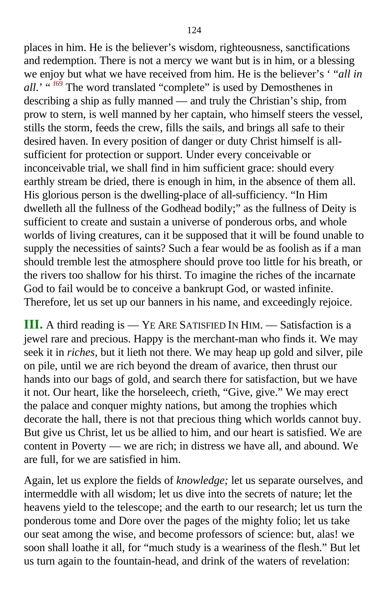places in him. He is the believer's wisdom, righteousness, sanctifications and redemption. There is not a mercy we want but is in him, or a blessing we enjoy but what we have received from him. He is the believer's ' "*all in all.*' "<sup>669</sup> The word translated "complete" is used by Demosthenes in describing a ship as fully manned — and truly the Christian's ship, from prow to stern, is well manned by her captain, who himself steers the vessel, stills the storm, feeds the crew, fills the sails, and brings all safe to their desired haven. In every position of danger or duty Christ himself is allsufficient for protection or support. Under every conceivable or inconceivable trial, we shall find in him sufficient grace: should every earthly stream be dried, there is enough in him, in the absence of them all. His glorious person is the dwelling-place of all-sufficiency. "In Him dwelleth all the fullness of the Godhead bodily;" as the fullness of Deity is sufficient to create and sustain a universe of ponderous orbs, and whole worlds of living creatures, can it be supposed that it will be found unable to supply the necessities of saints? Such a fear would be as foolish as if a man should tremble lest the atmosphere should prove too little for his breath, or the rivers too shallow for his thirst. To imagine the riches of the incarnate God to fail would be to conceive a bankrupt God, or wasted infinite. Therefore, let us set up our banners in his name, and exceedingly rejoice.

**III.** A third reading is — YE ARE SATISFIED IN HIM. — Satisfaction is a jewel rare and precious. Happy is the merchant-man who finds it. We may seek it in *riches,* but it lieth not there. We may heap up gold and silver, pile on pile, until we are rich beyond the dream of avarice, then thrust our hands into our bags of gold, and search there for satisfaction, but we have it not. Our heart, like the horseleech, crieth, "Give, give." We may erect the palace and conquer mighty nations, but among the trophies which decorate the hall, there is not that precious thing which worlds cannot buy. But give us Christ, let us be allied to him, and our heart is satisfied. We are content in Poverty — we are rich; in distress we have all, and abound. We are full, for we are satisfied in him.

Again, let us explore the fields of *knowledge;* let us separate ourselves, and intermeddle with all wisdom; let us dive into the secrets of nature; let the heavens yield to the telescope; and the earth to our research; let us turn the ponderous tome and Dore over the pages of the mighty folio; let us take our seat among the wise, and become professors of science: but, alas! we soon shall loathe it all, for "much study is a weariness of the flesh." But let us turn again to the fountain-head, and drink of the waters of revelation: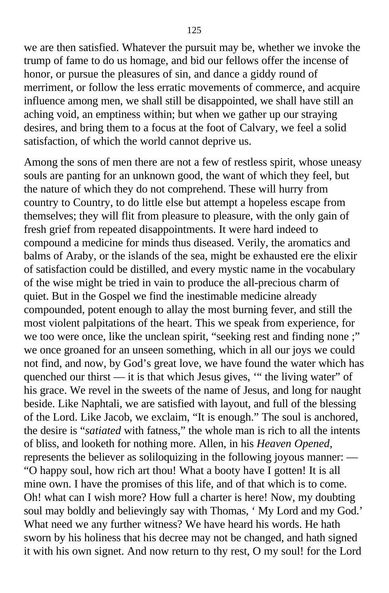we are then satisfied. Whatever the pursuit may be, whether we invoke the trump of fame to do us homage, and bid our fellows offer the incense of honor, or pursue the pleasures of sin, and dance a giddy round of merriment, or follow the less erratic movements of commerce, and acquire influence among men, we shall still be disappointed, we shall have still an aching void, an emptiness within; but when we gather up our straying desires, and bring them to a focus at the foot of Calvary, we feel a solid satisfaction, of which the world cannot deprive us.

Among the sons of men there are not a few of restless spirit, whose uneasy souls are panting for an unknown good, the want of which they feel, but the nature of which they do not comprehend. These will hurry from country to Country, to do little else but attempt a hopeless escape from themselves; they will flit from pleasure to pleasure, with the only gain of fresh grief from repeated disappointments. It were hard indeed to compound a medicine for minds thus diseased. Verily, the aromatics and balms of Araby, or the islands of the sea, might be exhausted ere the elixir of satisfaction could be distilled, and every mystic name in the vocabulary of the wise might be tried in vain to produce the all-precious charm of quiet. But in the Gospel we find the inestimable medicine already compounded, potent enough to allay the most burning fever, and still the most violent palpitations of the heart. This we speak from experience, for we too were once, like the unclean spirit, "seeking rest and finding none;" we once groaned for an unseen something, which in all our joys we could not find, and now, by God's great love, we have found the water which has quenched our thirst — it is that which Jesus gives, '" the living water" of his grace. We revel in the sweets of the name of Jesus, and long for naught beside. Like Naphtali, we are satisfied with layout, and full of the blessing of the Lord. Like Jacob, we exclaim, "It is enough." The soul is anchored, the desire is "*satiated* with fatness," the whole man is rich to all the intents of bliss, and looketh for nothing more. Allen, in his *Heaven Opened,* represents the believer as soliloquizing in the following joyous manner: —

"O happy soul, how rich art thou! What a booty have I gotten! It is all mine own. I have the promises of this life, and of that which is to come. Oh! what can I wish more? How full a charter is here! Now, my doubting soul may boldly and believingly say with Thomas, ' My Lord and my God.' What need we any further witness? We have heard his words. He hath sworn by his holiness that his decree may not be changed, and hath signed it with his own signet. And now return to thy rest, O my soul! for the Lord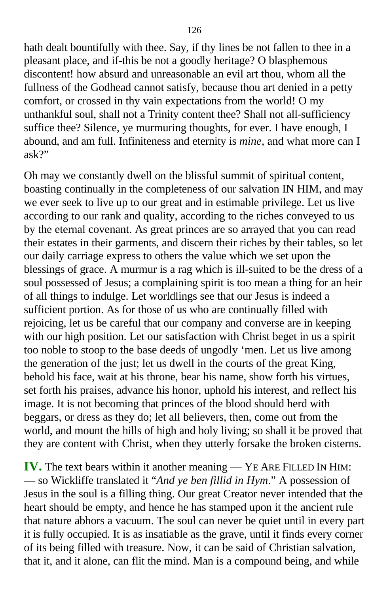hath dealt bountifully with thee. Say, if thy lines be not fallen to thee in a pleasant place, and if-this be not a goodly heritage? O blasphemous discontent! how absurd and unreasonable an evil art thou, whom all the fullness of the Godhead cannot satisfy, because thou art denied in a petty comfort, or crossed in thy vain expectations from the world! O my unthankful soul, shall not a Trinity content thee? Shall not all-sufficiency suffice thee? Silence, ye murmuring thoughts, for ever. I have enough, I abound, and am full. Infiniteness and eternity is *mine,* and what more can I ask?"

Oh may we constantly dwell on the blissful summit of spiritual content, boasting continually in the completeness of our salvation IN HIM, and may we ever seek to live up to our great and in estimable privilege. Let us live according to our rank and quality, according to the riches conveyed to us by the eternal covenant. As great princes are so arrayed that you can read their estates in their garments, and discern their riches by their tables, so let our daily carriage express to others the value which we set upon the blessings of grace. A murmur is a rag which is ill-suited to be the dress of a soul possessed of Jesus; a complaining spirit is too mean a thing for an heir of all things to indulge. Let worldlings see that our Jesus is indeed a sufficient portion. As for those of us who are continually filled with rejoicing, let us be careful that our company and converse are in keeping with our high position. Let our satisfaction with Christ beget in us a spirit too noble to stoop to the base deeds of ungodly 'men. Let us live among the generation of the just; let us dwell in the courts of the great King, behold his face, wait at his throne, bear his name, show forth his virtues, set forth his praises, advance his honor, uphold his interest, and reflect his image. It is not becoming that princes of the blood should herd with beggars, or dress as they do; let all believers, then, come out from the world, and mount the hills of high and holy living; so shall it be proved that they are content with Christ, when they utterly forsake the broken cisterns.

**IV.** The text bears within it another meaning — YE ARE FILLED IN HIM: — so Wickliffe translated it "*And ye ben fillid in Hym*." A possession of Jesus in the soul is a filling thing. Our great Creator never intended that the heart should be empty, and hence he has stamped upon it the ancient rule that nature abhors a vacuum. The soul can never be quiet until in every part it is fully occupied. It is as insatiable as the grave, until it finds every corner of its being filled with treasure. Now, it can be said of Christian salvation, that it, and it alone, can flit the mind. Man is a compound being, and while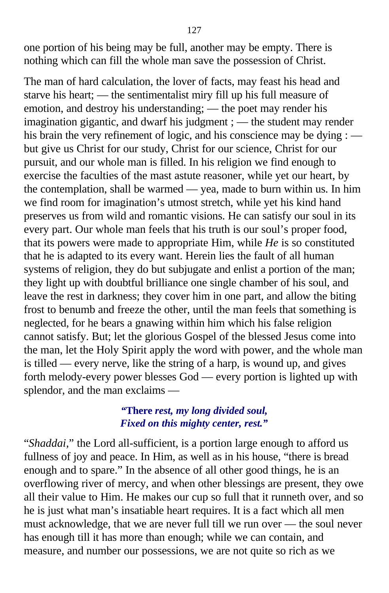one portion of his being may be full, another may be empty. There is nothing which can fill the whole man save the possession of Christ.

The man of hard calculation, the lover of facts, may feast his head and starve his heart; — the sentimentalist miry fill up his full measure of emotion, and destroy his understanding; — the poet may render his imagination gigantic, and dwarf his judgment ; — the student may render his brain the very refinement of logic, and his conscience may be dying : but give us Christ for our study, Christ for our science, Christ for our pursuit, and our whole man is filled. In his religion we find enough to exercise the faculties of the mast astute reasoner, while yet our heart, by the contemplation, shall be warmed — yea, made to burn within us. In him we find room for imagination's utmost stretch, while yet his kind hand preserves us from wild and romantic visions. He can satisfy our soul in its every part. Our whole man feels that his truth is our soul's proper food, that its powers were made to appropriate Him, while *He* is so constituted that he is adapted to its every want. Herein lies the fault of all human systems of religion, they do but subjugate and enlist a portion of the man; they light up with doubtful brilliance one single chamber of his soul, and leave the rest in darkness; they cover him in one part, and allow the biting frost to benumb and freeze the other, until the man feels that something is neglected, for he bears a gnawing within him which his false religion cannot satisfy. But; let the glorious Gospel of the blessed Jesus come into the man, let the Holy Spirit apply the word with power, and the whole man is tilled — every nerve, like the string of a harp, is wound up, and gives forth melody-every power blesses God — every portion is lighted up with splendor, and the man exclaims —

### *"***There** *rest, my long divided soul, Fixed on this mighty center, rest."*

"*Shaddai,*" the Lord all-sufficient, is a portion large enough to afford us fullness of joy and peace. In Him, as well as in his house, "there is bread enough and to spare." In the absence of all other good things, he is an overflowing river of mercy, and when other blessings are present, they owe all their value to Him. He makes our cup so full that it runneth over, and so he is just what man's insatiable heart requires. It is a fact which all men must acknowledge, that we are never full till we run over — the soul never has enough till it has more than enough; while we can contain, and measure, and number our possessions, we are not quite so rich as we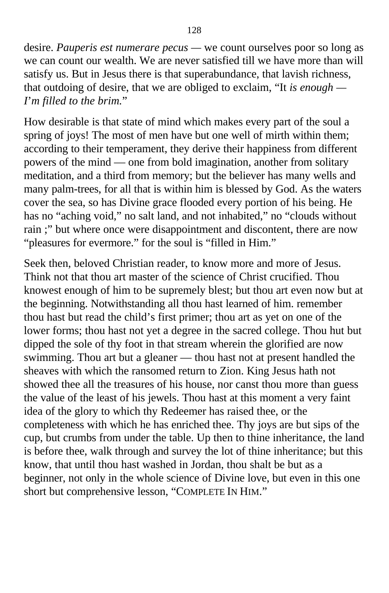desire. *Pauperis est numerare pecus —* we count ourselves poor so long as we can count our wealth. We are never satisfied till we have more than will satisfy us. But in Jesus there is that superabundance, that lavish richness, that outdoing of desire, that we are obliged to exclaim, "It *is enough — I*'*m filled to the brim.*"

How desirable is that state of mind which makes every part of the soul a spring of joys! The most of men have but one well of mirth within them; according to their temperament, they derive their happiness from different powers of the mind — one from bold imagination, another from solitary meditation, and a third from memory; but the believer has many wells and many palm-trees, for all that is within him is blessed by God. As the waters cover the sea, so has Divine grace flooded every portion of his being. He has no "aching void," no salt land, and not inhabited," no "clouds without rain ;" but where once were disappointment and discontent, there are now "pleasures for evermore." for the soul is "filled in Him."

Seek then, beloved Christian reader, to know more and more of Jesus. Think not that thou art master of the science of Christ crucified. Thou knowest enough of him to be supremely blest; but thou art even now but at the beginning. Notwithstanding all thou hast learned of him. remember thou hast but read the child's first primer; thou art as yet on one of the lower forms; thou hast not yet a degree in the sacred college. Thou hut but dipped the sole of thy foot in that stream wherein the glorified are now swimming. Thou art but a gleaner — thou hast not at present handled the sheaves with which the ransomed return to Zion. King Jesus hath not showed thee all the treasures of his house, nor canst thou more than guess the value of the least of his jewels. Thou hast at this moment a very faint idea of the glory to which thy Redeemer has raised thee, or the completeness with which he has enriched thee. Thy joys are but sips of the cup, but crumbs from under the table. Up then to thine inheritance, the land is before thee, walk through and survey the lot of thine inheritance; but this know, that until thou hast washed in Jordan, thou shalt be but as a beginner, not only in the whole science of Divine love, but even in this one short but comprehensive lesson, "COMPLETE IN HIM."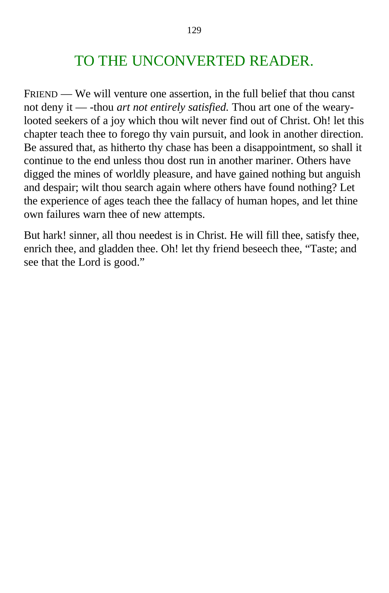# TO THE UNCONVERTED READER.

FRIEND — We will venture one assertion, in the full belief that thou canst not deny it — -thou *art not entirely satisfied.* Thou art one of the wearylooted seekers of a joy which thou wilt never find out of Christ. Oh! let this chapter teach thee to forego thy vain pursuit, and look in another direction. Be assured that, as hitherto thy chase has been a disappointment, so shall it continue to the end unless thou dost run in another mariner. Others have digged the mines of worldly pleasure, and have gained nothing but anguish and despair; wilt thou search again where others have found nothing? Let the experience of ages teach thee the fallacy of human hopes, and let thine own failures warn thee of new attempts.

But hark! sinner, all thou needest is in Christ. He will fill thee, satisfy thee, enrich thee, and gladden thee. Oh! let thy friend beseech thee, "Taste; and see that the Lord is good."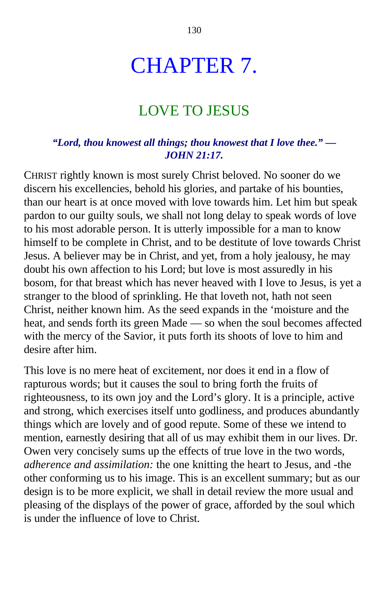# CHAPTER 7.

## LOVE TO JESUS

### *"Lord, thou knowest all things; thou knowest that I love thee." — JOHN 21:17.*

CHRIST rightly known is most surely Christ beloved. No sooner do we discern his excellencies, behold his glories, and partake of his bounties, than our heart is at once moved with love towards him. Let him but speak pardon to our guilty souls, we shall not long delay to speak words of love to his most adorable person. It is utterly impossible for a man to know himself to be complete in Christ, and to be destitute of love towards Christ Jesus. A believer may be in Christ, and yet, from a holy jealousy, he may doubt his own affection to his Lord; but love is most assuredly in his bosom, for that breast which has never heaved with I love to Jesus, is yet a stranger to the blood of sprinkling. He that loveth not, hath not seen Christ, neither known him. As the seed expands in the 'moisture and the heat, and sends forth its green Made — so when the soul becomes affected with the mercy of the Savior, it puts forth its shoots of love to him and desire after him.

This love is no mere heat of excitement, nor does it end in a flow of rapturous words; but it causes the soul to bring forth the fruits of righteousness, to its own joy and the Lord's glory. It is a principle, active and strong, which exercises itself unto godliness, and produces abundantly things which are lovely and of good repute. Some of these we intend to mention, earnestly desiring that all of us may exhibit them in our lives. Dr. Owen very concisely sums up the effects of true love in the two words, *adherence and assimilation:* the one knitting the heart to Jesus, and -the other conforming us to his image. This is an excellent summary; but as our design is to be more explicit, we shall in detail review the more usual and pleasing of the displays of the power of grace, afforded by the soul which is under the influence of love to Christ.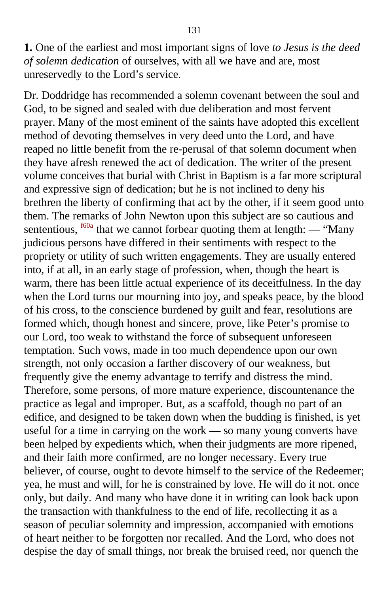**1.** One of the earliest and most important signs of love *to Jesus is the deed of solemn dedication* of ourselves, with all we have and are, most unreservedly to the Lord's service.

Dr. Doddridge has recommended a solemn covenant between the soul and God, to be signed and sealed with due deliberation and most fervent prayer. Many of the most eminent of the saints have adopted this excellent method of devoting themselves in very deed unto the Lord, and have reaped no little benefit from the re-perusal of that solemn document when they have afresh renewed the act of dedication. The writer of the present volume conceives that burial with Christ in Baptism is a far more scriptural and expressive sign of dedication; but he is not inclined to deny his brethren the liberty of confirming that act by the other, if it seem good unto them. The remarks of John Newton upon this subject are so cautious and sententious,  $f_{60a}$  that we cannot forbear quoting them at length: — "Many" judicious persons have differed in their sentiments with respect to the propriety or utility of such written engagements. They are usually entered into, if at all, in an early stage of profession, when, though the heart is warm, there has been little actual experience of its deceitfulness. In the day when the Lord turns our mourning into joy, and speaks peace, by the blood of his cross, to the conscience burdened by guilt and fear, resolutions are formed which, though honest and sincere, prove, like Peter's promise to our Lord, too weak to withstand the force of subsequent unforeseen temptation. Such vows, made in too much dependence upon our own strength, not only occasion a farther discovery of our weakness, but frequently give the enemy advantage to terrify and distress the mind. Therefore, some persons, of more mature experience, discountenance the practice as legal and improper. But, as a scaffold, though no part of an edifice, and designed to be taken down when the budding is finished, is yet useful for a time in carrying on the work — so many young converts have been helped by expedients which, when their judgments are more ripened, and their faith more confirmed, are no longer necessary. Every true believer, of course, ought to devote himself to the service of the Redeemer; yea, he must and will, for he is constrained by love. He will do it not. once only, but daily. And many who have done it in writing can look back upon the transaction with thankfulness to the end of life, recollecting it as a season of peculiar solemnity and impression, accompanied with emotions of heart neither to be forgotten nor recalled. And the Lord, who does not despise the day of small things, nor break the bruised reed, nor quench the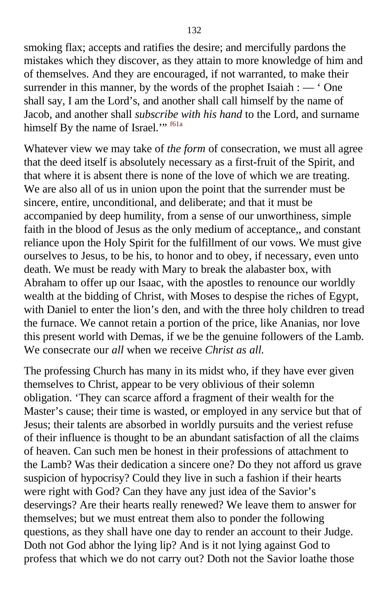smoking flax; accepts and ratifies the desire; and mercifully pardons the mistakes which they discover, as they attain to more knowledge of him and of themselves. And they are encouraged, if not warranted, to make their surrender in this manner, by the words of the prophet Isaiah :  $-$  'One shall say, I am the Lord's, and another shall call himself by the name of Jacob, and another shall *subscribe with his hand* to the Lord, and surname himself By the name of Israel."<sup>561a</sup>

Whatever view we may take of *the form* of consecration, we must all agree that the deed itself is absolutely necessary as a first-fruit of the Spirit, and that where it is absent there is none of the love of which we are treating. We are also all of us in union upon the point that the surrender must be sincere, entire, unconditional, and deliberate; and that it must be accompanied by deep humility, from a sense of our unworthiness, simple faith in the blood of Jesus as the only medium of acceptance,, and constant reliance upon the Holy Spirit for the fulfillment of our vows. We must give ourselves to Jesus, to be his, to honor and to obey, if necessary, even unto death. We must be ready with Mary to break the alabaster box, with Abraham to offer up our Isaac, with the apostles to renounce our worldly wealth at the bidding of Christ, with Moses to despise the riches of Egypt, with Daniel to enter the lion's den, and with the three holy children to tread the furnace. We cannot retain a portion of the price, like Ananias, nor love this present world with Demas, if we be the genuine followers of the Lamb. We consecrate our *all* when we receive *Christ as all.*

The professing Church has many in its midst who, if they have ever given themselves to Christ, appear to be very oblivious of their solemn obligation. 'They can scarce afford a fragment of their wealth for the Master's cause; their time is wasted, or employed in any service but that of Jesus; their talents are absorbed in worldly pursuits and the veriest refuse of their influence is thought to be an abundant satisfaction of all the claims of heaven. Can such men be honest in their professions of attachment to the Lamb? Was their dedication a sincere one? Do they not afford us grave suspicion of hypocrisy? Could they live in such a fashion if their hearts were right with God? Can they have any just idea of the Savior's deservings? Are their hearts really renewed? We leave them to answer for themselves; but we must entreat them also to ponder the following questions, as they shall have one day to render an account to their Judge. Doth not God abhor the lying lip? And is it not lying against God to profess that which we do not carry out? Doth not the Savior loathe those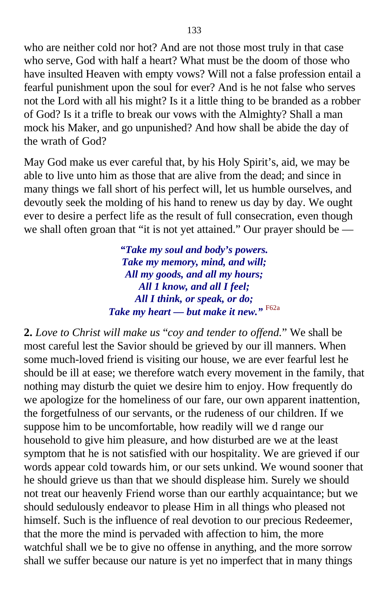who are neither cold nor hot? And are not those most truly in that case who serve, God with half a heart? What must be the doom of those who have insulted Heaven with empty vows? Will not a false profession entail a fearful punishment upon the soul for ever? And is he not false who serves not the Lord with all his might? Is it a little thing to be branded as a robber of God? Is it a trifle to break our vows with the Almighty? Shall a man mock his Maker, and go unpunished? And how shall be abide the day of the wrath of God?

May God make us ever careful that, by his Holy Spirit's, aid, we may be able to live unto him as those that are alive from the dead; and since in many things we fall short of his perfect will, let us humble ourselves, and devoutly seek the molding of his hand to renew us day by day. We ought ever to desire a perfect life as the result of full consecration, even though we shall often groan that "it is not yet attained." Our prayer should be —

> *"Take my soul and body's powers. Take my memory, mind, and will; All my goods, and all my hours; All 1 know, and all I feel; All I think, or speak, or do; Take my heart — but make it new."* [F62a](#page-232-0)

**2.** *Love to Christ will make us* "*coy and tender to offend.*" We shall be most careful lest the Savior should be grieved by our ill manners. When some much-loved friend is visiting our house, we are ever fearful lest he should be ill at ease; we therefore watch every movement in the family, that nothing may disturb the quiet we desire him to enjoy. How frequently do we apologize for the homeliness of our fare, our own apparent inattention, the forgetfulness of our servants, or the rudeness of our children. If we suppose him to be uncomfortable, how readily will we d range our household to give him pleasure, and how disturbed are we at the least symptom that he is not satisfied with our hospitality. We are grieved if our words appear cold towards him, or our sets unkind. We wound sooner that he should grieve us than that we should displease him. Surely we should not treat our heavenly Friend worse than our earthly acquaintance; but we should sedulously endeavor to please Him in all things who pleased not himself. Such is the influence of real devotion to our precious Redeemer, that the more the mind is pervaded with affection to him, the more watchful shall we be to give no offense in anything, and the more sorrow shall we suffer because our nature is yet no imperfect that in many things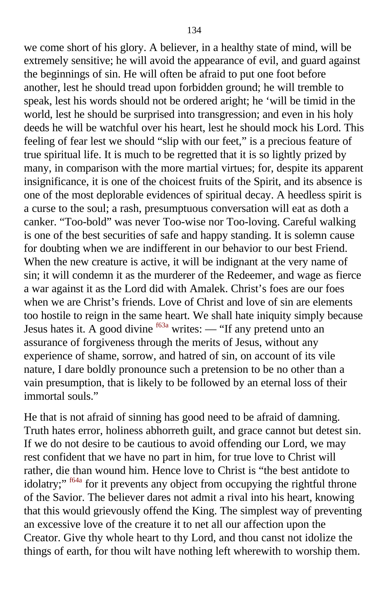we come short of his glory. A believer, in a healthy state of mind, will be extremely sensitive; he will avoid the appearance of evil, and guard against the beginnings of sin. He will often be afraid to put one foot before another, lest he should tread upon forbidden ground; he will tremble to speak, lest his words should not be ordered aright; he 'will be timid in the world, lest he should be surprised into transgression; and even in his holy deeds he will be watchful over his heart, lest he should mock his Lord. This feeling of fear lest we should "slip with our feet," is a precious feature of true spiritual life. It is much to be regretted that it is so lightly prized by many, in comparison with the more martial virtues; for, despite its apparent insignificance, it is one of the choicest fruits of the Spirit, and its absence is one of the most deplorable evidences of spiritual decay. A heedless spirit is a curse to the soul; a rash, presumptuous conversation will eat as doth a canker. "Too-bold" was never Too-wise nor Too-loving. Careful walking is one of the best securities of safe and happy standing. It is solemn cause for doubting when we are indifferent in our behavior to our best Friend. When the new creature is active, it will be indignant at the very name of sin; it will condemn it as the murderer of the Redeemer, and wage as fierce a war against it as the Lord did with Amalek. Christ's foes are our foes when we are Christ's friends. Love of Christ and love of sin are elements too hostile to reign in the same heart. We shall hate iniquity simply because Jesus hates it. A good divine  $\frac{163a}{b}$  writes: — "If any pretend unto an assurance of forgiveness through the merits of Jesus, without any experience of shame, sorrow, and hatred of sin, on account of its vile nature, I dare boldly pronounce such a pretension to be no other than a vain presumption, that is likely to be followed by an eternal loss of their immortal souls."

He that is not afraid of sinning has good need to be afraid of damning. Truth hates error, holiness abhorreth guilt, and grace cannot but detest sin. If we do not desire to be cautious to avoid offending our Lord, we may rest confident that we have no part in him, for true love to Christ will rather, die than wound him. Hence love to Christ is "the best antidote to idolatry;" <sup>[f64a](#page-233-0)</sup> for it prevents any object from occupying the rightful throne of the Savior. The believer dares not admit a rival into his heart, knowing that this would grievously offend the King. The simplest way of preventing an excessive love of the creature it to net all our affection upon the Creator. Give thy whole heart to thy Lord, and thou canst not idolize the things of earth, for thou wilt have nothing left wherewith to worship them.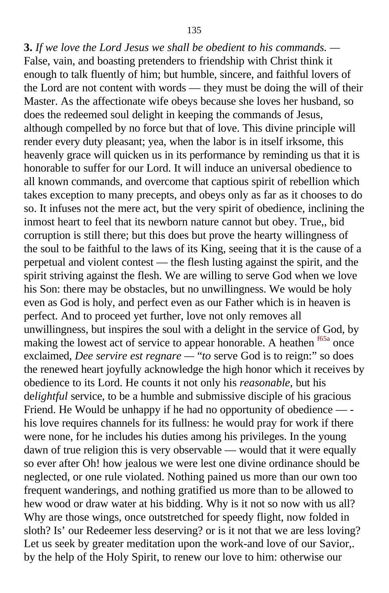**3.** *If we love the Lord Jesus we shall be obedient to his commands. —* False, vain, and boasting pretenders to friendship with Christ think it enough to talk fluently of him; but humble, sincere, and faithful lovers of the Lord are not content with words — they must be doing the will of their Master. As the affectionate wife obeys because she loves her husband, so does the redeemed soul delight in keeping the commands of Jesus, although compelled by no force but that of love. This divine principle will render every duty pleasant; yea, when the labor is in itself irksome, this heavenly grace will quicken us in its performance by reminding us that it is honorable to suffer for our Lord. It will induce an universal obedience to all known commands, and overcome that captious spirit of rebellion which takes exception to many precepts, and obeys only as far as it chooses to do so. It infuses not the mere act, but the very spirit of obedience, inclining the inmost heart to feel that its newborn nature cannot but obey. True,, bid corruption is still there; but this does but prove the hearty willingness of the soul to be faithful to the laws of its King, seeing that it is the cause of a perpetual and violent contest — the flesh lusting against the spirit, and the spirit striving against the flesh. We are willing to serve God when we love his Son: there may be obstacles, but no unwillingness. We would be holy even as God is holy, and perfect even as our Father which is in heaven is perfect. And to proceed yet further, love not only removes all unwillingness, but inspires the soul with a delight in the service of God, by making the lowest act of service to appear honorable. A heathen <sup>[f65a](#page-233-0)</sup> once exclaimed, *Dee servire est regnare —* "*to* serve God is to reign:" so does the renewed heart joyfully acknowledge the high honor which it receives by obedience to its Lord. He counts it not only his *reasonable,* but his de*lightful* service, to be a humble and submissive disciple of his gracious Friend. He Would be unhappy if he had no opportunity of obedience — his love requires channels for its fullness: he would pray for work if there were none, for he includes his duties among his privileges. In the young dawn of true religion this is very observable — would that it were equally so ever after Oh! how jealous we were lest one divine ordinance should be neglected, or one rule violated. Nothing pained us more than our own too frequent wanderings, and nothing gratified us more than to be allowed to hew wood or draw water at his bidding. Why is it not so now with us all? Why are those wings, once outstretched for speedy flight, now folded in sloth? Is' our Redeemer less deserving? or is it not that we are less loving? Let us seek by greater meditation upon the work-and love of our Savior,. by the help of the Holy Spirit, to renew our love to him: otherwise our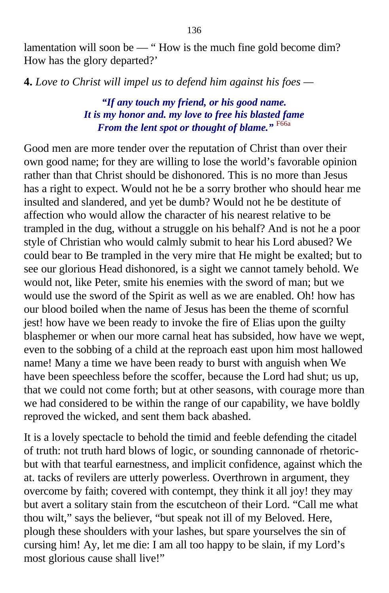lamentation will soon be — " How is the much fine gold become dim? How has the glory departed?'

**4.** *Love to Christ will impel us to defend him against his foes —*

### *"If any touch my friend, or his good name. It is my honor and. my love to free his blasted fame From the lent spot or thought of blame.*" <sup>[F66a](#page-233-0)</sup>

Good men are more tender over the reputation of Christ than over their own good name; for they are willing to lose the world's favorable opinion rather than that Christ should be dishonored. This is no more than Jesus has a right to expect. Would not he be a sorry brother who should hear me insulted and slandered, and yet be dumb? Would not he be destitute of affection who would allow the character of his nearest relative to be trampled in the dug, without a struggle on his behalf? And is not he a poor style of Christian who would calmly submit to hear his Lord abused? We could bear to Be trampled in the very mire that He might be exalted; but to see our glorious Head dishonored, is a sight we cannot tamely behold. We would not, like Peter, smite his enemies with the sword of man; but we would use the sword of the Spirit as well as we are enabled. Oh! how has our blood boiled when the name of Jesus has been the theme of scornful jest! how have we been ready to invoke the fire of Elias upon the guilty blasphemer or when our more carnal heat has subsided, how have we wept, even to the sobbing of a child at the reproach east upon him most hallowed name! Many a time we have been ready to burst with anguish when We have been speechless before the scoffer, because the Lord had shut; us up, that we could not come forth; but at other seasons, with courage more than we had considered to be within the range of our capability, we have boldly reproved the wicked, and sent them back abashed.

It is a lovely spectacle to behold the timid and feeble defending the citadel of truth: not truth hard blows of logic, or sounding cannonade of rhetoricbut with that tearful earnestness, and implicit confidence, against which the at. tacks of revilers are utterly powerless. Overthrown in argument, they overcome by faith; covered with contempt, they think it all joy! they may but avert a solitary stain from the escutcheon of their Lord. "Call me what thou wilt," says the believer, "but speak not ill of my Beloved. Here, plough these shoulders with your lashes, but spare yourselves the sin of cursing him! Ay, let me die: I am all too happy to be slain, if my Lord's most glorious cause shall live!"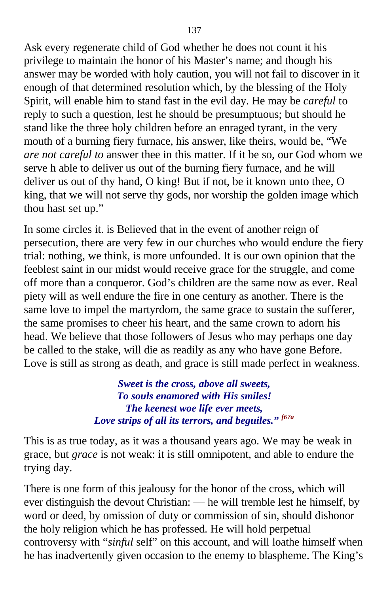Ask every regenerate child of God whether he does not count it his privilege to maintain the honor of his Master's name; and though his answer may be worded with holy caution, you will not fail to discover in it enough of that determined resolution which, by the blessing of the Holy Spirit, will enable him to stand fast in the evil day. He may be *careful* to reply to such a question, lest he should be presumptuous; but should he stand like the three holy children before an enraged tyrant, in the very mouth of a burning fiery furnace, his answer, like theirs, would be, "We *are not careful to* answer thee in this matter. If it be so, our God whom we serve h able to deliver us out of the burning fiery furnace, and he will deliver us out of thy hand, O king! But if not, be it known unto thee, O king, that we will not serve thy gods, nor worship the golden image which thou hast set up."

In some circles it. is Believed that in the event of another reign of persecution, there are very few in our churches who would endure the fiery trial: nothing, we think, is more unfounded. It is our own opinion that the feeblest saint in our midst would receive grace for the struggle, and come off more than a conqueror. God's children are the same now as ever. Real piety will as well endure the fire in one century as another. There is the same love to impel the martyrdom, the same grace to sustain the sufferer, the same promises to cheer his heart, and the same crown to adorn his head. We believe that those followers of Jesus who may perhaps one day be called to the stake, will die as readily as any who have gone Before. Love is still as strong as death, and grace is still made perfect in weakness.

> *Sweet is the cross, above all sweets, To souls enamored with His smiles! The keenest woe life ever meets, Love strips of all its terrors, and beguiles." [f67a](#page-233-0)*

This is as true today, as it was a thousand years ago. We may be weak in grace, but *grace* is not weak: it is still omnipotent, and able to endure the trying day.

There is one form of this jealousy for the honor of the cross, which will ever distinguish the devout Christian: — he will tremble lest he himself, by word or deed, by omission of duty or commission of sin, should dishonor the holy religion which he has professed. He will hold perpetual controversy with "*sinful* self" on this account, and will loathe himself when he has inadvertently given occasion to the enemy to blaspheme. The King's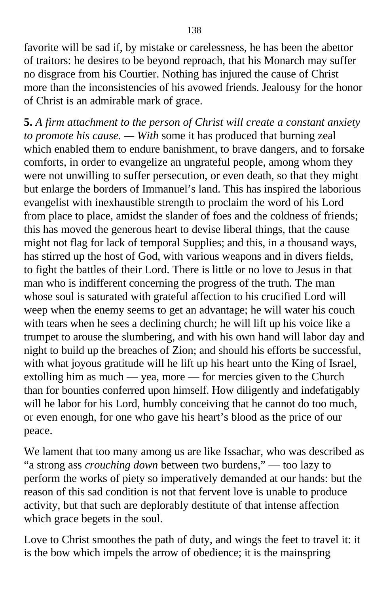favorite will be sad if, by mistake or carelessness, he has been the abettor of traitors: he desires to be beyond reproach, that his Monarch may suffer no disgrace from his Courtier. Nothing has injured the cause of Christ more than the inconsistencies of his avowed friends. Jealousy for the honor of Christ is an admirable mark of grace.

**5.** *A firm attachment to the person of Christ will create a constant anxiety to promote his cause. — With* some it has produced that burning zeal which enabled them to endure banishment, to brave dangers, and to forsake comforts, in order to evangelize an ungrateful people, among whom they were not unwilling to suffer persecution, or even death, so that they might but enlarge the borders of Immanuel's land. This has inspired the laborious evangelist with inexhaustible strength to proclaim the word of his Lord from place to place, amidst the slander of foes and the coldness of friends; this has moved the generous heart to devise liberal things, that the cause might not flag for lack of temporal Supplies; and this, in a thousand ways, has stirred up the host of God, with various weapons and in divers fields, to fight the battles of their Lord. There is little or no love to Jesus in that man who is indifferent concerning the progress of the truth. The man whose soul is saturated with grateful affection to his crucified Lord will weep when the enemy seems to get an advantage; he will water his couch with tears when he sees a declining church; he will lift up his voice like a trumpet to arouse the slumbering, and with his own hand will labor day and night to build up the breaches of Zion; and should his efforts be successful, with what joyous gratitude will he lift up his heart unto the King of Israel, extolling him as much — yea, more — for mercies given to the Church than for bounties conferred upon himself. How diligently and indefatigably will he labor for his Lord, humbly conceiving that he cannot do too much, or even enough, for one who gave his heart's blood as the price of our peace.

We lament that too many among us are like Issachar, who was described as "a strong ass *crouching down* between two burdens," — too lazy to perform the works of piety so imperatively demanded at our hands: but the reason of this sad condition is not that fervent love is unable to produce activity, but that such are deplorably destitute of that intense affection which grace begets in the soul.

Love to Christ smoothes the path of duty, and wings the feet to travel it: it is the bow which impels the arrow of obedience; it is the mainspring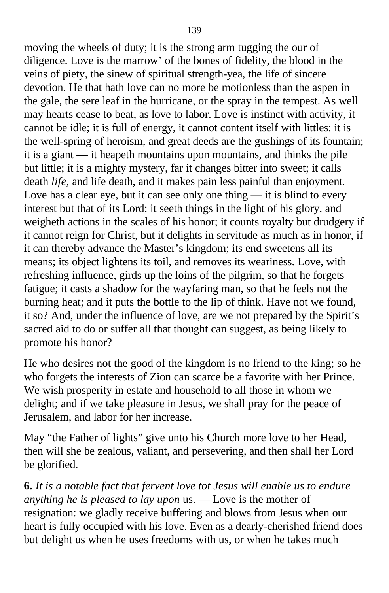moving the wheels of duty; it is the strong arm tugging the our of diligence. Love is the marrow' of the bones of fidelity, the blood in the veins of piety, the sinew of spiritual strength-yea, the life of sincere devotion. He that hath love can no more be motionless than the aspen in the gale, the sere leaf in the hurricane, or the spray in the tempest. As well may hearts cease to beat, as love to labor. Love is instinct with activity, it cannot be idle; it is full of energy, it cannot content itself with littles: it is the well-spring of heroism, and great deeds are the gushings of its fountain; it is a giant — it heapeth mountains upon mountains, and thinks the pile but little; it is a mighty mystery, far it changes bitter into sweet; it calls death *life,* and life death, and it makes pain less painful than enjoyment. Love has a clear eye, but it can see only one thing  $-$  it is blind to every interest but that of its Lord; it seeth things in the light of his glory, and weigheth actions in the scales of his honor; it counts royalty but drudgery if it cannot reign for Christ, but it delights in servitude as much as in honor, if it can thereby advance the Master's kingdom; its end sweetens all its means; its object lightens its toil, and removes its weariness. Love, with refreshing influence, girds up the loins of the pilgrim, so that he forgets fatigue; it casts a shadow for the wayfaring man, so that he feels not the burning heat; and it puts the bottle to the lip of think. Have not we found, it so? And, under the influence of love, are we not prepared by the Spirit's sacred aid to do or suffer all that thought can suggest, as being likely to promote his honor?

He who desires not the good of the kingdom is no friend to the king; so he who forgets the interests of Zion can scarce be a favorite with her Prince. We wish prosperity in estate and household to all those in whom we delight; and if we take pleasure in Jesus, we shall pray for the peace of Jerusalem, and labor for her increase.

May "the Father of lights" give unto his Church more love to her Head, then will she be zealous, valiant, and persevering, and then shall her Lord be glorified.

**6.** *It is a notable fact that fervent love tot Jesus will enable us to endure anything he is pleased to lay upon* us. — Love is the mother of resignation: we gladly receive buffering and blows from Jesus when our heart is fully occupied with his love. Even as a dearly-cherished friend does but delight us when he uses freedoms with us, or when he takes much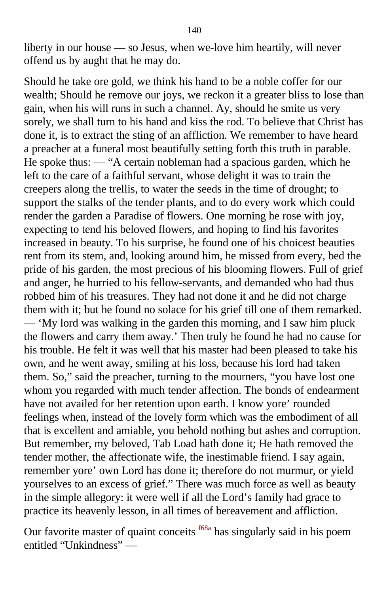liberty in our house — so Jesus, when we-love him heartily, will never offend us by aught that he may do.

Should he take ore gold, we think his hand to be a noble coffer for our wealth; Should he remove our joys, we reckon it a greater bliss to lose than gain, when his will runs in such a channel. Ay, should he smite us very sorely, we shall turn to his hand and kiss the rod. To believe that Christ has done it, is to extract the sting of an affliction. We remember to have heard a preacher at a funeral most beautifully setting forth this truth in parable. He spoke thus: — "A certain nobleman had a spacious garden, which he left to the care of a faithful servant, whose delight it was to train the creepers along the trellis, to water the seeds in the time of drought; to support the stalks of the tender plants, and to do every work which could render the garden a Paradise of flowers. One morning he rose with joy, expecting to tend his beloved flowers, and hoping to find his favorites increased in beauty. To his surprise, he found one of his choicest beauties rent from its stem, and, looking around him, he missed from every, bed the pride of his garden, the most precious of his blooming flowers. Full of grief and anger, he hurried to his fellow-servants, and demanded who had thus robbed him of his treasures. They had not done it and he did not charge them with it; but he found no solace for his grief till one of them remarked. — 'My lord was walking in the garden this morning, and I saw him pluck the flowers and carry them away.' Then truly he found he had no cause for his trouble. He felt it was well that his master had been pleased to take his own, and he went away, smiling at his loss, because his lord had taken them. So," said the preacher, turning to the mourners, "you have lost one whom you regarded with much tender affection. The bonds of endearment have not availed for her retention upon earth. I know yore' rounded feelings when, instead of the lovely form which was the embodiment of all that is excellent and amiable, you behold nothing but ashes and corruption. But remember, my beloved, Tab Load hath done it; He hath removed the tender mother, the affectionate wife, the inestimable friend. I say again, remember yore' own Lord has done it; therefore do not murmur, or yield yourselves to an excess of grief." There was much force as well as beauty in the simple allegory: it were well if all the Lord's family had grace to practice its heavenly lesson, in all times of bereavement and affliction.

Our favorite master of quaint conceits <sup>[f68a](#page-233-0)</sup> has singularly said in his poem entitled "Unkindness" —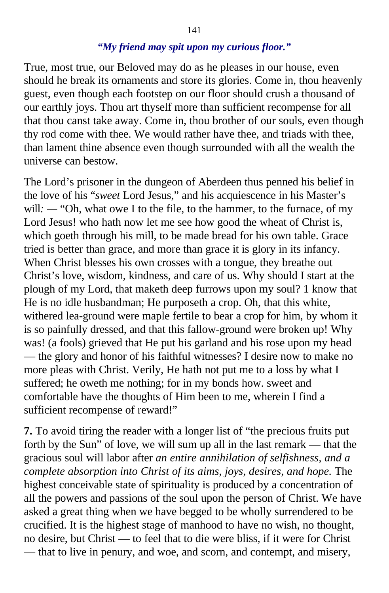### *"My friend may spit upon my curious floor."*

True, most true, our Beloved may do as he pleases in our house, even should he break its ornaments and store its glories. Come in, thou heavenly guest, even though each footstep on our floor should crush a thousand of our earthly joys. Thou art thyself more than sufficient recompense for all that thou canst take away. Come in, thou brother of our souls, even though thy rod come with thee. We would rather have thee, and triads with thee, than lament thine absence even though surrounded with all the wealth the universe can bestow.

The Lord's prisoner in the dungeon of Aberdeen thus penned his belief in the love of his "*sweet* Lord Jesus," and his acquiescence in his Master's will: — "Oh, what owe I to the file, to the hammer, to the furnace, of my Lord Jesus! who hath now let me see how good the wheat of Christ is, which goeth through his mill, to be made bread for his own table. Grace tried is better than grace, and more than grace it is glory in its infancy. When Christ blesses his own crosses with a tongue, they breathe out Christ's love, wisdom, kindness, and care of us. Why should I start at the plough of my Lord, that maketh deep furrows upon my soul? 1 know that He is no idle husbandman; He purposeth a crop. Oh, that this white, withered lea-ground were maple fertile to bear a crop for him, by whom it is so painfully dressed, and that this fallow-ground were broken up! Why was! (a fools) grieved that He put his garland and his rose upon my head — the glory and honor of his faithful witnesses? I desire now to make no more pleas with Christ. Verily, He hath not put me to a loss by what I suffered; he oweth me nothing; for in my bonds how. sweet and comfortable have the thoughts of Him been to me, wherein I find a sufficient recompense of reward!"

**7.** To avoid tiring the reader with a longer list of "the precious fruits put forth by the Sun" of love, we will sum up all in the last remark — that the gracious soul will labor after *an entire annihilation of selfishness, and a complete absorption into Christ of its aims, joys, desires, and hope.* The highest conceivable state of spirituality is produced by a concentration of all the powers and passions of the soul upon the person of Christ. We have asked a great thing when we have begged to be wholly surrendered to be crucified. It is the highest stage of manhood to have no wish, no thought, no desire, but Christ — to feel that to die were bliss, if it were for Christ — that to live in penury, and woe, and scorn, and contempt, and misery,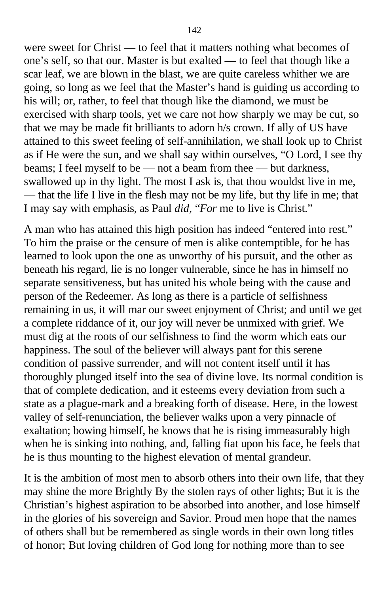were sweet for Christ — to feel that it matters nothing what becomes of one's self, so that our. Master is but exalted — to feel that though like a scar leaf, we are blown in the blast, we are quite careless whither we are going, so long as we feel that the Master's hand is guiding us according to his will; or, rather, to feel that though like the diamond, we must be exercised with sharp tools, yet we care not how sharply we may be cut, so that we may be made fit brilliants to adorn h/s crown. If ally of US have attained to this sweet feeling of self-annihilation, we shall look up to Christ as if He were the sun, and we shall say within ourselves, "O Lord, I see thy beams; I feel myself to be — not a beam from thee — but darkness, swallowed up in thy light. The most I ask is, that thou wouldst live in me, — that the life I live in the flesh may not be my life, but thy life in me; that I may say with emphasis, as Paul *did,* "*For* me to live is Christ."

A man who has attained this high position has indeed "entered into rest." To him the praise or the censure of men is alike contemptible, for he has learned to look upon the one as unworthy of his pursuit, and the other as beneath his regard, lie is no longer vulnerable, since he has in himself no separate sensitiveness, but has united his whole being with the cause and person of the Redeemer. As long as there is a particle of selfishness remaining in us, it will mar our sweet enjoyment of Christ; and until we get a complete riddance of it, our joy will never be unmixed with grief. We must dig at the roots of our selfishness to find the worm which eats our happiness. The soul of the believer will always pant for this serene condition of passive surrender, and will not content itself until it has thoroughly plunged itself into the sea of divine love. Its normal condition is that of complete dedication, and it esteems every deviation from such a state as a plague-mark and a breaking forth of disease. Here, in the lowest valley of self-renunciation, the believer walks upon a very pinnacle of exaltation; bowing himself, he knows that he is rising immeasurably high when he is sinking into nothing, and, falling fiat upon his face, he feels that he is thus mounting to the highest elevation of mental grandeur.

It is the ambition of most men to absorb others into their own life, that they may shine the more Brightly By the stolen rays of other lights; But it is the Christian's highest aspiration to be absorbed into another, and lose himself in the glories of his sovereign and Savior. Proud men hope that the names of others shall but be remembered as single words in their own long titles of honor; But loving children of God long for nothing more than to see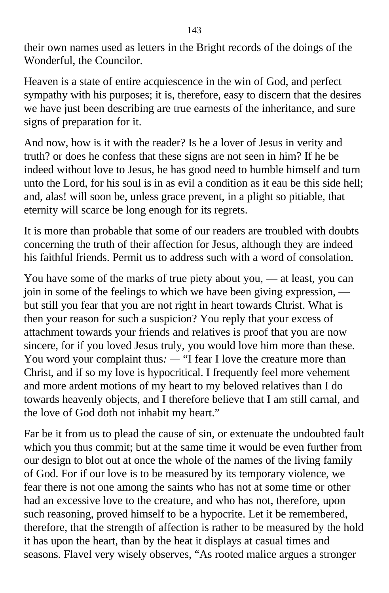their own names used as letters in the Bright records of the doings of the Wonderful, the Councilor.

Heaven is a state of entire acquiescence in the win of God, and perfect sympathy with his purposes; it is, therefore, easy to discern that the desires we have just been describing are true earnests of the inheritance, and sure signs of preparation for it.

And now, how is it with the reader? Is he a lover of Jesus in verity and truth? or does he confess that these signs are not seen in him? If he be indeed without love to Jesus, he has good need to humble himself and turn unto the Lord, for his soul is in as evil a condition as it eau be this side hell; and, alas! will soon be, unless grace prevent, in a plight so pitiable, that eternity will scarce be long enough for its regrets.

It is more than probable that some of our readers are troubled with doubts concerning the truth of their affection for Jesus, although they are indeed his faithful friends. Permit us to address such with a word of consolation.

You have some of the marks of true piety about you, — at least, you can join in some of the feelings to which we have been giving expression, but still you fear that you are not right in heart towards Christ. What is then your reason for such a suspicion? You reply that your excess of attachment towards your friends and relatives is proof that you are now sincere, for if you loved Jesus truly, you would love him more than these. You word your complaint thus*: —* "I fear I love the creature more than Christ, and if so my love is hypocritical. I frequently feel more vehement and more ardent motions of my heart to my beloved relatives than I do towards heavenly objects, and I therefore believe that I am still carnal, and the love of God doth not inhabit my heart."

Far be it from us to plead the cause of sin, or extenuate the undoubted fault which you thus commit; but at the same time it would be even further from our design to blot out at once the whole of the names of the living family of God. For if our love is to be measured by its temporary violence, we fear there is not one among the saints who has not at some time or other had an excessive love to the creature, and who has not, therefore, upon such reasoning, proved himself to be a hypocrite. Let it be remembered, therefore, that the strength of affection is rather to be measured by the hold it has upon the heart, than by the heat it displays at casual times and seasons. Flavel very wisely observes, "As rooted malice argues a stronger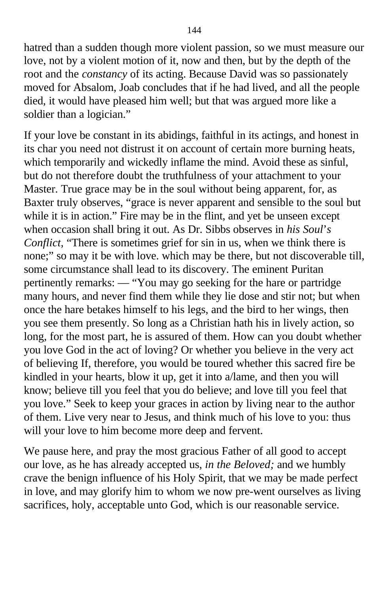hatred than a sudden though more violent passion, so we must measure our love, not by a violent motion of it, now and then, but by the depth of the root and the *constancy* of its acting. Because David was so passionately moved for Absalom, Joab concludes that if he had lived, and all the people died, it would have pleased him well; but that was argued more like a soldier than a logician."

If your love be constant in its abidings, faithful in its actings, and honest in its char you need not distrust it on account of certain more burning heats, which temporarily and wickedly inflame the mind. Avoid these as sinful, but do not therefore doubt the truthfulness of your attachment to your Master. True grace may be in the soul without being apparent, for, as Baxter truly observes, "grace is never apparent and sensible to the soul but while it is in action." Fire may be in the flint, and yet be unseen except when occasion shall bring it out. As Dr. Sibbs observes in *his Soul*'*s Conflict*, "There is sometimes grief for sin in us, when we think there is none;" so may it be with love. which may be there, but not discoverable till, some circumstance shall lead to its discovery. The eminent Puritan pertinently remarks: — "You may go seeking for the hare or partridge many hours, and never find them while they lie dose and stir not; but when once the hare betakes himself to his legs, and the bird to her wings, then you see them presently. So long as a Christian hath his in lively action, so long, for the most part, he is assured of them. How can you doubt whether you love God in the act of loving? Or whether you believe in the very act of believing If, therefore, you would be toured whether this sacred fire be kindled in your hearts, blow it up, get it into a/lame, and then you will know; believe till you feel that you do believe; and love till you feel that you love." Seek to keep your graces in action by living near to the author of them. Live very near to Jesus, and think much of his love to you: thus will your love to him become more deep and fervent.

We pause here, and pray the most gracious Father of all good to accept our love, as he has already accepted us, *in the Beloved;* and we humbly crave the benign influence of his Holy Spirit, that we may be made perfect in love, and may glorify him to whom we now pre-went ourselves as living sacrifices, holy, acceptable unto God, which is our reasonable service.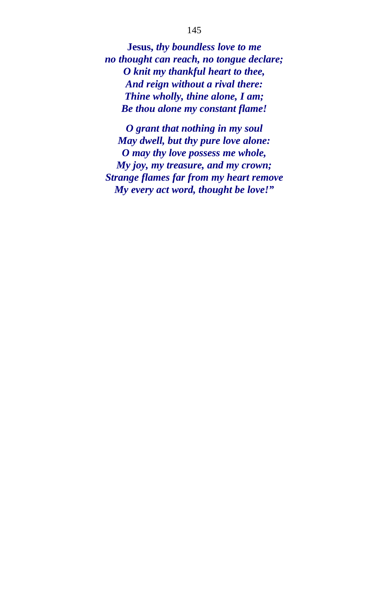**Jesus,** *thy boundless love to me no thought can reach, no tongue declare; O knit my thankful heart to thee, And reign without a rival there: Thine wholly, thine alone, I am; Be thou alone my constant flame!*

*O grant that nothing in my soul May dwell, but thy pure love alone: O may thy love possess me whole, My joy, my treasure, and my crown; Strange flames far from my heart remove My every act word, thought be love!"*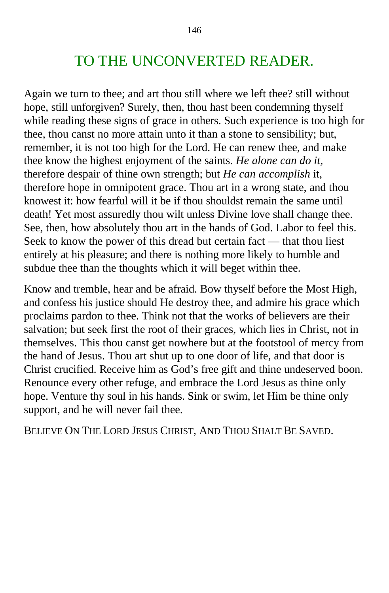## TO THE UNCONVERTED READER.

Again we turn to thee; and art thou still where we left thee? still without hope, still unforgiven? Surely, then, thou hast been condemning thyself while reading these signs of grace in others. Such experience is too high for thee, thou canst no more attain unto it than a stone to sensibility; but, remember, it is not too high for the Lord. He can renew thee, and make thee know the highest enjoyment of the saints. *He alone can do it,* therefore despair of thine own strength; but *He can accomplish* it, therefore hope in omnipotent grace. Thou art in a wrong state, and thou knowest it: how fearful will it be if thou shouldst remain the same until death! Yet most assuredly thou wilt unless Divine love shall change thee. See, then, how absolutely thou art in the hands of God. Labor to feel this. Seek to know the power of this dread but certain fact — that thou liest entirely at his pleasure; and there is nothing more likely to humble and subdue thee than the thoughts which it will beget within thee.

Know and tremble, hear and be afraid. Bow thyself before the Most High, and confess his justice should He destroy thee, and admire his grace which proclaims pardon to thee. Think not that the works of believers are their salvation; but seek first the root of their graces, which lies in Christ, not in themselves. This thou canst get nowhere but at the footstool of mercy from the hand of Jesus. Thou art shut up to one door of life, and that door is Christ crucified. Receive him as God's free gift and thine undeserved boon. Renounce every other refuge, and embrace the Lord Jesus as thine only hope. Venture thy soul in his hands. Sink or swim, let Him be thine only support, and he will never fail thee.

BELIEVE ON THE LORD JESUS CHRIST, AND THOU SHALT BE SAVED.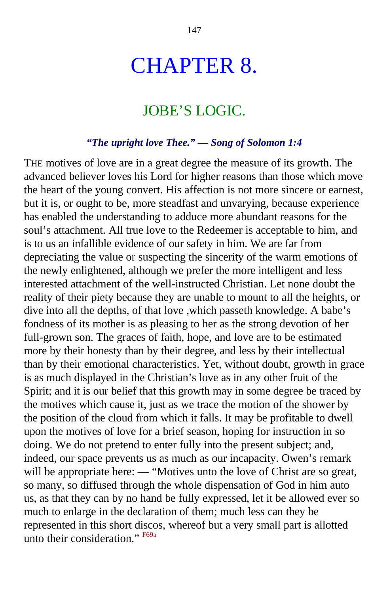# CHAPTER 8.

### JOBE'S LOGIC.

#### *"The upright love Thee." — Song of Solomon 1:4*

THE motives of love are in a great degree the measure of its growth. The advanced believer loves his Lord for higher reasons than those which move the heart of the young convert. His affection is not more sincere or earnest, but it is, or ought to be, more steadfast and unvarying, because experience has enabled the understanding to adduce more abundant reasons for the soul's attachment. All true love to the Redeemer is acceptable to him, and is to us an infallible evidence of our safety in him. We are far from depreciating the value or suspecting the sincerity of the warm emotions of the newly enlightened, although we prefer the more intelligent and less interested attachment of the well-instructed Christian. Let none doubt the reality of their piety because they are unable to mount to all the heights, or dive into all the depths, of that love ,which passeth knowledge. A babe's fondness of its mother is as pleasing to her as the strong devotion of her full-grown son. The graces of faith, hope, and love are to be estimated more by their honesty than by their degree, and less by their intellectual than by their emotional characteristics. Yet, without doubt, growth in grace is as much displayed in the Christian's love as in any other fruit of the Spirit; and it is our belief that this growth may in some degree be traced by the motives which cause it, just as we trace the motion of the shower by the position of the cloud from which it falls. It may be profitable to dwell upon the motives of love for a brief season, hoping for instruction in so doing. We do not pretend to enter fully into the present subject; and, indeed, our space prevents us as much as our incapacity. Owen's remark will be appropriate here: — "Motives unto the love of Christ are so great, so many, so diffused through the whole dispensation of God in him auto us, as that they can by no hand be fully expressed, let it be allowed ever so much to enlarge in the declaration of them; much less can they be represented in this short discos, whereof but a very small part is allotted unto their consideration." [F69a](#page-233-0)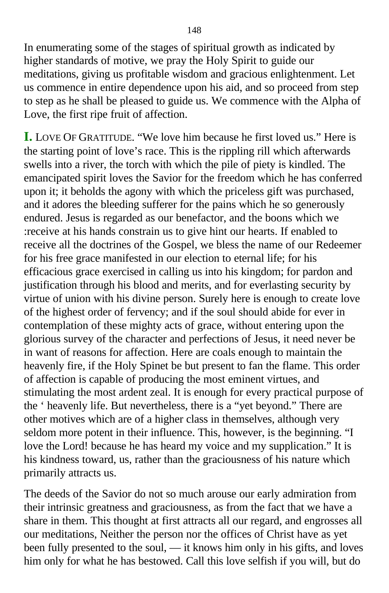In enumerating some of the stages of spiritual growth as indicated by higher standards of motive, we pray the Holy Spirit to guide our meditations, giving us profitable wisdom and gracious enlightenment. Let us commence in entire dependence upon his aid, and so proceed from step to step as he shall be pleased to guide us. We commence with the Alpha of Love, the first ripe fruit of affection.

**I.** LOVE OF GRATITUDE. "We love him because he first loved us." Here is the starting point of love's race. This is the rippling rill which afterwards swells into a river, the torch with which the pile of piety is kindled. The emancipated spirit loves the Savior for the freedom which he has conferred upon it; it beholds the agony with which the priceless gift was purchased, and it adores the bleeding sufferer for the pains which he so generously endured. Jesus is regarded as our benefactor, and the boons which we :receive at his hands constrain us to give hint our hearts. If enabled to receive all the doctrines of the Gospel, we bless the name of our Redeemer for his free grace manifested in our election to eternal life; for his efficacious grace exercised in calling us into his kingdom; for pardon and justification through his blood and merits, and for everlasting security by virtue of union with his divine person. Surely here is enough to create love of the highest order of fervency; and if the soul should abide for ever in contemplation of these mighty acts of grace, without entering upon the glorious survey of the character and perfections of Jesus, it need never be in want of reasons for affection. Here are coals enough to maintain the heavenly fire, if the Holy Spinet be but present to fan the flame. This order of affection is capable of producing the most eminent virtues, and stimulating the most ardent zeal. It is enough for every practical purpose of the ' heavenly life. But nevertheless, there is a "yet beyond." There are other motives which are of a higher class in themselves, although very seldom more potent in their influence. This, however, is the beginning. "I love the Lord! because he has heard my voice and my supplication." It is his kindness toward, us, rather than the graciousness of his nature which primarily attracts us.

The deeds of the Savior do not so much arouse our early admiration from their intrinsic greatness and graciousness, as from the fact that we have a share in them. This thought at first attracts all our regard, and engrosses all our meditations, Neither the person nor the offices of Christ have as yet been fully presented to the soul, — it knows him only in his gifts, and loves him only for what he has bestowed. Call this love selfish if you will, but do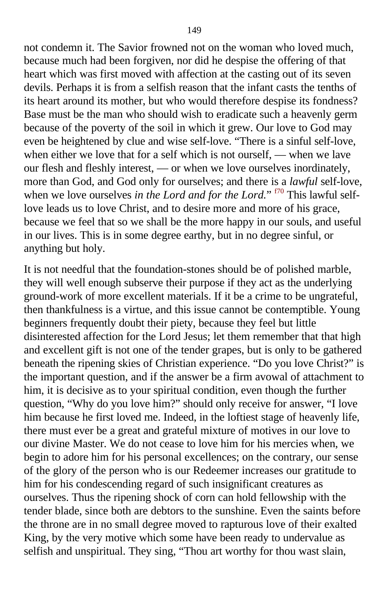not condemn it. The Savior frowned not on the woman who loved much, because much had been forgiven, nor did he despise the offering of that heart which was first moved with affection at the casting out of its seven devils. Perhaps it is from a selfish reason that the infant casts the tenths of its heart around its mother, but who would therefore despise its fondness? Base must be the man who should wish to eradicate such a heavenly germ because of the poverty of the soil in which it grew. Our love to God may even be heightened by clue and wise self-love. "There is a sinful self-love, when either we love that for a self which is not ourself, — when we lave our flesh and fleshly interest, — or when we love ourselves inordinately, more than God, and God only for ourselves; and there is a *lawful* self-love, when we love ourselves *in the Lord and for the Lord*." <sup>[f70](#page-233-0)</sup> This lawful selflove leads us to love Christ, and to desire more and more of his grace, because we feel that so we shall be the more happy in our souls, and useful in our lives. This is in some degree earthy, but in no degree sinful, or anything but holy.

It is not needful that the foundation-stones should be of polished marble, they will well enough subserve their purpose if they act as the underlying ground-work of more excellent materials. If it be a crime to be ungrateful, then thankfulness is a virtue, and this issue cannot be contemptible. Young beginners frequently doubt their piety, because they feel but little disinterested affection for the Lord Jesus; let them remember that that high and excellent gift is not one of the tender grapes, but is only to be gathered beneath the ripening skies of Christian experience. "Do you love Christ?" is the important question, and if the answer be a firm avowal of attachment to him, it is decisive as to your spiritual condition, even though the further question, "Why do you love him?" should only receive for answer, "I love him because he first loved me. Indeed, in the loftiest stage of heavenly life, there must ever be a great and grateful mixture of motives in our love to our divine Master. We do not cease to love him for his mercies when, we begin to adore him for his personal excellences; on the contrary, our sense of the glory of the person who is our Redeemer increases our gratitude to him for his condescending regard of such insignificant creatures as ourselves. Thus the ripening shock of corn can hold fellowship with the tender blade, since both are debtors to the sunshine. Even the saints before the throne are in no small degree moved to rapturous love of their exalted King, by the very motive which some have been ready to undervalue as selfish and unspiritual. They sing, "Thou art worthy for thou wast slain,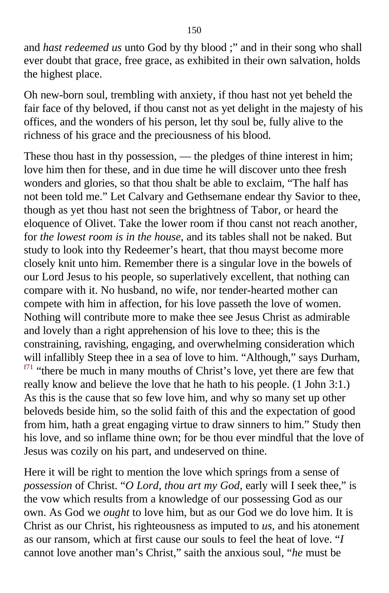and *hast redeemed us* unto God by thy blood ;" and in their song who shall ever doubt that grace, free grace, as exhibited in their own salvation, holds the highest place.

Oh new-born soul, trembling with anxiety, if thou hast not yet beheld the fair face of thy beloved, if thou canst not as yet delight in the majesty of his offices, and the wonders of his person, let thy soul be, fully alive to the richness of his grace and the preciousness of his blood.

These thou hast in thy possession, — the pledges of thine interest in him; love him then for these, and in due time he will discover unto thee fresh wonders and glories, so that thou shalt be able to exclaim, "The half has not been told me." Let Calvary and Gethsemane endear thy Savior to thee, though as yet thou hast not seen the brightness of Tabor, or heard the eloquence of Olivet. Take the lower room if thou canst not reach another, for *the lowest room is in the house,* and its tables shall not be naked. But study to look into thy Redeemer's heart, that thou mayst become more closely knit unto him. Remember there is a singular love in the bowels of our Lord Jesus to his people, so superlatively excellent, that nothing can compare with it. No husband, no wife, nor tender-hearted mother can compete with him in affection, for his love passeth the love of women. Nothing will contribute more to make thee see Jesus Christ as admirable and lovely than a right apprehension of his love to thee; this is the constraining, ravishing, engaging, and overwhelming consideration which will infallibly Steep thee in a sea of love to him. "Although," says Durham,  $f<sup>71</sup>$  "there be much in many mouths of Christ's love, yet there are few that really know and believe the love that he hath to his people. (1 John 3:1.) As this is the cause that so few love him, and why so many set up other beloveds beside him, so the solid faith of this and the expectation of good from him, hath a great engaging virtue to draw sinners to him." Study then his love, and so inflame thine own; for be thou ever mindful that the love of Jesus was cozily on his part, and undeserved on thine.

Here it will be right to mention the love which springs from a sense of *possession* of Christ. "*O Lord, thou art my God,* early will I seek thee," is the vow which results from a knowledge of our possessing God as our own. As God we *ought* to love him, but as our God we do love him. It is Christ as our Christ, his righteousness as imputed to *us,* and his atonement as our ransom, which at first cause our souls to feel the heat of love. "*I* cannot love another man's Christ," saith the anxious soul, "*he* must be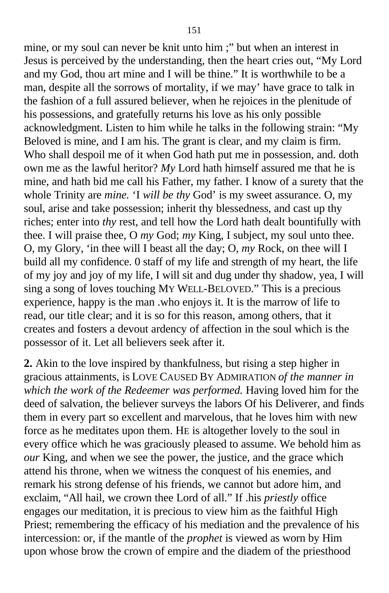mine, or my soul can never be knit unto him ;" but when an interest in Jesus is perceived by the understanding, then the heart cries out, "My Lord and my God, thou art mine and I will be thine." It is worthwhile to be a man, despite all the sorrows of mortality, if we may' have grace to talk in the fashion of a full assured believer, when he rejoices in the plenitude of his possessions, and gratefully returns his love as his only possible acknowledgment. Listen to him while he talks in the following strain: "My Beloved is mine, and I am his. The grant is clear, and my claim is firm. Who shall despoil me of it when God hath put me in possession, and. doth own me as the lawful heritor? *My* Lord hath himself assured me that he is mine, and hath bid me call his Father, my father. I know of a surety that the whole Trinity are *mine.* 'I *will be thy* God' is my sweet assurance. O, my soul, arise and take possession; inherit thy blessedness, and cast up thy riches; enter into *thy* rest, and tell how the Lord hath dealt bountifully with thee. I will praise thee, O *my* God; *my* King, I subject, my soul unto thee. O, my Glory, 'in thee will I beast all the day; O, *my* Rock, on thee will I build all my confidence. 0 staff of my life and strength of my heart, the life of my joy and joy of my life, I will sit and dug under thy shadow, yea, I will sing a song of loves touching MY WELL-BELOVED." This is a precious experience, happy is the man .who enjoys it. It is the marrow of life to read, our title clear; and it is so for this reason, among others, that it creates and fosters a devout ardency of affection in the soul which is the possessor of it. Let all believers seek after it.

**2.** Akin to the love inspired by thankfulness, but rising a step higher in gracious attainments, is LOVE CAUSED BY ADMIRATION *of the manner in which the work of the Redeemer was performed.* Having loved him for the deed of salvation, the believer surveys the labors Of his Deliverer, and finds them in every part so excellent and marvelous, that he loves him with new force as he meditates upon them. HE is altogether lovely to the soul in every office which he was graciously pleased to assume. We behold him as *our* King, and when we see the power, the justice, and the grace which attend his throne, when we witness the conquest of his enemies, and remark his strong defense of his friends, we cannot but adore him, and exclaim, "All hail, we crown thee Lord of all." If .his *priestly* office engages our meditation, it is precious to view him as the faithful High Priest; remembering the efficacy of his mediation and the prevalence of his intercession: or, if the mantle of the *prophet* is viewed as worn by Him upon whose brow the crown of empire and the diadem of the priesthood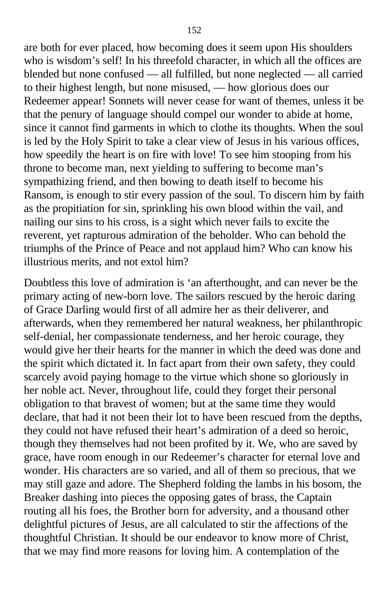are both for ever placed, how becoming does it seem upon His shoulders who is wisdom's self! In his threefold character, in which all the offices are blended but none confused — all fulfilled, but none neglected — all carried to their highest length, but none misused, — how glorious does our Redeemer appear! Sonnets will never cease for want of themes, unless it be that the penury of language should compel our wonder to abide at home, since it cannot find garments in which to clothe its thoughts. When the soul is led by the Holy Spirit to take a clear view of Jesus in his various offices, how speedily the heart is on fire with love! To see him stooping from his throne to become man, next yielding to suffering to become man's sympathizing friend, and then bowing to death itself to become his Ransom, is enough to stir every passion of the soul. To discern him by faith as the propitiation for sin, sprinkling his own blood within the vail, and nailing our sins to his cross, is a sight which never fails to excite the reverent, yet rapturous admiration of the beholder. Who can behold the triumphs of the Prince of Peace and not applaud him? Who can know his illustrious merits, and not extol him?

Doubtless this love of admiration is 'an afterthought, and can never be the primary acting of new-born love. The sailors rescued by the heroic daring of Grace Darling would first of all admire her as their deliverer, and afterwards, when they remembered her natural weakness, her philanthropic self-denial, her compassionate tenderness, and her heroic courage, they would give her their hearts for the manner in which the deed was done and the spirit which dictated it. In fact apart from their own safety, they could scarcely avoid paying homage to the virtue which shone so gloriously in her noble act. Never, throughout life, could they forget their personal obligation to that bravest of women; but at the same time they would declare, that had it not been their lot to have been rescued from the depths, they could not have refused their heart's admiration of a deed so heroic, though they themselves had not been profited by it. We, who are saved by grace, have room enough in our Redeemer's character for eternal love and wonder. His characters are so varied, and all of them so precious, that we may still gaze and adore. The Shepherd folding the lambs in his bosom, the Breaker dashing into pieces the opposing gates of brass, the Captain routing all his foes, the Brother born for adversity, and a thousand other delightful pictures of Jesus, are all calculated to stir the affections of the thoughtful Christian. It should be our endeavor to know more of Christ, that we may find more reasons for loving him. A contemplation of the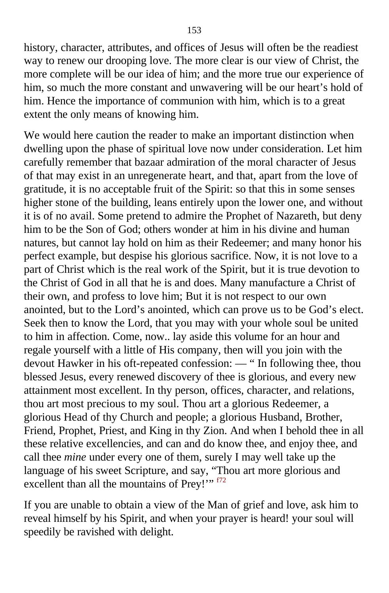history, character, attributes, and offices of Jesus will often be the readiest way to renew our drooping love. The more clear is our view of Christ, the more complete will be our idea of him; and the more true our experience of him, so much the more constant and unwavering will be our heart's hold of him. Hence the importance of communion with him, which is to a great extent the only means of knowing him.

We would here caution the reader to make an important distinction when dwelling upon the phase of spiritual love now under consideration. Let him carefully remember that bazaar admiration of the moral character of Jesus of that may exist in an unregenerate heart, and that, apart from the love of gratitude, it is no acceptable fruit of the Spirit: so that this in some senses higher stone of the building, leans entirely upon the lower one, and without it is of no avail. Some pretend to admire the Prophet of Nazareth, but deny him to be the Son of God; others wonder at him in his divine and human natures, but cannot lay hold on him as their Redeemer; and many honor his perfect example, but despise his glorious sacrifice. Now, it is not love to a part of Christ which is the real work of the Spirit, but it is true devotion to the Christ of God in all that he is and does. Many manufacture a Christ of their own, and profess to love him; But it is not respect to our own anointed, but to the Lord's anointed, which can prove us to be God's elect. Seek then to know the Lord, that you may with your whole soul be united to him in affection. Come, now.. lay aside this volume for an hour and regale yourself with a little of His company, then will you join with the devout Hawker in his oft-repeated confession: — " In following thee, thou blessed Jesus, every renewed discovery of thee is glorious, and every new attainment most excellent. In thy person, offices, character, and relations, thou art most precious to my soul. Thou art a glorious Redeemer, a glorious Head of thy Church and people; a glorious Husband, Brother, Friend, Prophet, Priest, and King in thy Zion. And when I behold thee in all these relative excellencies, and can and do know thee, and enjoy thee, and call thee *mine* under every one of them, surely I may well take up the language of his sweet Scripture, and say, "Thou art more glorious and excellent than all the mountains of Prey!""  $f72$ 

If you are unable to obtain a view of the Man of grief and love, ask him to reveal himself by his Spirit, and when your prayer is heard! your soul will speedily be ravished with delight.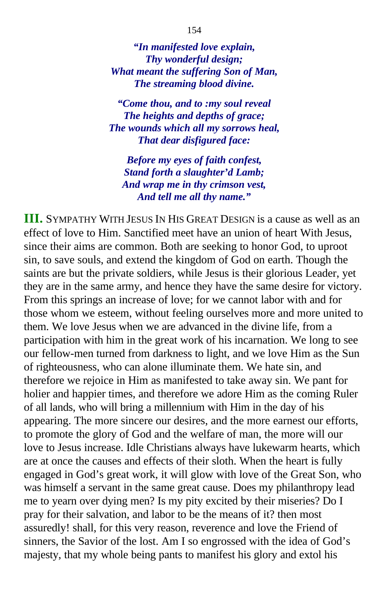*"In manifested love explain, Thy wonderful design; What meant the suffering Son of Man, The streaming blood divine.*

*"Come thou, and to :my soul reveal The heights and depths of grace; The wounds which all my sorrows heal, That dear disfigured face:*

*Before my eyes of faith confest, Stand forth a slaughter'd Lamb; And wrap me in thy crimson vest, And tell me all thy name."*

**III.** SYMPATHY WITH JESUS IN HIS GREAT DESIGN is a cause as well as an effect of love to Him. Sanctified meet have an union of heart With Jesus, since their aims are common. Both are seeking to honor God, to uproot sin, to save souls, and extend the kingdom of God on earth. Though the saints are but the private soldiers, while Jesus is their glorious Leader, yet they are in the same army, and hence they have the same desire for victory. From this springs an increase of love; for we cannot labor with and for those whom we esteem, without feeling ourselves more and more united to them. We love Jesus when we are advanced in the divine life, from a participation with him in the great work of his incarnation. We long to see our fellow-men turned from darkness to light, and we love Him as the Sun of righteousness, who can alone illuminate them. We hate sin, and therefore we rejoice in Him as manifested to take away sin. We pant for holier and happier times, and therefore we adore Him as the coming Ruler of all lands, who will bring a millennium with Him in the day of his appearing. The more sincere our desires, and the more earnest our efforts, to promote the glory of God and the welfare of man, the more will our love to Jesus increase. Idle Christians always have lukewarm hearts, which are at once the causes and effects of their sloth. When the heart is fully engaged in God's great work, it will glow with love of the Great Son, who was himself a servant in the same great cause. Does my philanthropy lead me to yearn over dying men? Is my pity excited by their miseries? Do I pray for their salvation, and labor to be the means of it? then most assuredly! shall, for this very reason, reverence and love the Friend of sinners, the Savior of the lost. Am I so engrossed with the idea of God's majesty, that my whole being pants to manifest his glory and extol his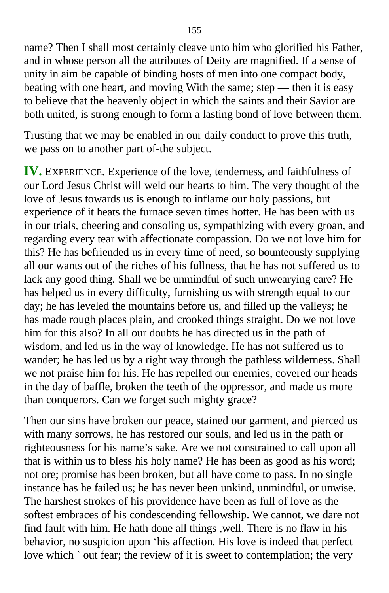name? Then I shall most certainly cleave unto him who glorified his Father, and in whose person all the attributes of Deity are magnified. If a sense of unity in aim be capable of binding hosts of men into one compact body, beating with one heart, and moving With the same; step — then it is easy to believe that the heavenly object in which the saints and their Savior are both united, is strong enough to form a lasting bond of love between them.

Trusting that we may be enabled in our daily conduct to prove this truth, we pass on to another part of-the subject.

**IV.** EXPERIENCE. Experience of the love, tenderness, and faithfulness of our Lord Jesus Christ will weld our hearts to him. The very thought of the love of Jesus towards us is enough to inflame our holy passions, but experience of it heats the furnace seven times hotter. He has been with us in our trials, cheering and consoling us, sympathizing with every groan, and regarding every tear with affectionate compassion. Do we not love him for this? He has befriended us in every time of need, so bounteously supplying all our wants out of the riches of his fullness, that he has not suffered us to lack any good thing. Shall we be unmindful of such unwearying care? He has helped us in every difficulty, furnishing us with strength equal to our day; he has leveled the mountains before us, and filled up the valleys; he has made rough places plain, and crooked things straight. Do we not love him for this also? In all our doubts he has directed us in the path of wisdom, and led us in the way of knowledge. He has not suffered us to wander; he has led us by a right way through the pathless wilderness. Shall we not praise him for his. He has repelled our enemies, covered our heads in the day of baffle, broken the teeth of the oppressor, and made us more than conquerors. Can we forget such mighty grace?

Then our sins have broken our peace, stained our garment, and pierced us with many sorrows, he has restored our souls, and led us in the path or righteousness for his name's sake. Are we not constrained to call upon all that is within us to bless his holy name? He has been as good as his word; not ore; promise has been broken, but all have come to pass. In no single instance has he failed us; he has never been unkind, unmindful, or unwise. The harshest strokes of his providence have been as full of love as the softest embraces of his condescending fellowship. We cannot, we dare not find fault with him. He hath done all things ,well. There is no flaw in his behavior, no suspicion upon 'his affection. His love is indeed that perfect love which ` out fear; the review of it is sweet to contemplation; the very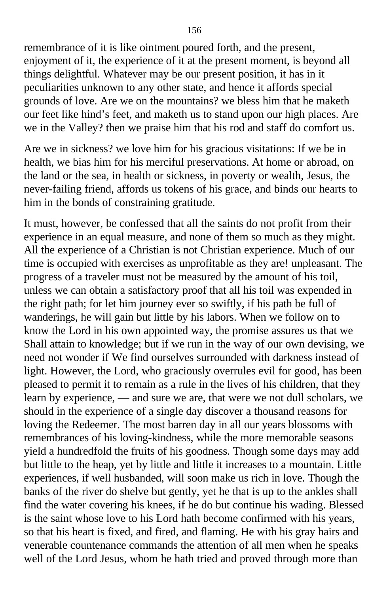remembrance of it is like ointment poured forth, and the present, enjoyment of it, the experience of it at the present moment, is beyond all things delightful. Whatever may be our present position, it has in it peculiarities unknown to any other state, and hence it affords special grounds of love. Are we on the mountains? we bless him that he maketh our feet like hind's feet, and maketh us to stand upon our high places. Are we in the Valley? then we praise him that his rod and staff do comfort us.

Are we in sickness? we love him for his gracious visitations: If we be in health, we bias him for his merciful preservations. At home or abroad, on the land or the sea, in health or sickness, in poverty or wealth, Jesus, the never-failing friend, affords us tokens of his grace, and binds our hearts to him in the bonds of constraining gratitude.

It must, however, be confessed that all the saints do not profit from their experience in an equal measure, and none of them so much as they might. All the experience of a Christian is not Christian experience. Much of our time is occupied with exercises as unprofitable as they are! unpleasant. The progress of a traveler must not be measured by the amount of his toil, unless we can obtain a satisfactory proof that all his toil was expended in the right path; for let him journey ever so swiftly, if his path be full of wanderings, he will gain but little by his labors. When we follow on to know the Lord in his own appointed way, the promise assures us that we Shall attain to knowledge; but if we run in the way of our own devising, we need not wonder if We find ourselves surrounded with darkness instead of light. However, the Lord, who graciously overrules evil for good, has been pleased to permit it to remain as a rule in the lives of his children, that they learn by experience, — and sure we are, that were we not dull scholars, we should in the experience of a single day discover a thousand reasons for loving the Redeemer. The most barren day in all our years blossoms with remembrances of his loving-kindness, while the more memorable seasons yield a hundredfold the fruits of his goodness. Though some days may add but little to the heap, yet by little and little it increases to a mountain. Little experiences, if well husbanded, will soon make us rich in love. Though the banks of the river do shelve but gently, yet he that is up to the ankles shall find the water covering his knees, if he do but continue his wading. Blessed is the saint whose love to his Lord hath become confirmed with his years, so that his heart is fixed, and fired, and flaming. He with his gray hairs and venerable countenance commands the attention of all men when he speaks well of the Lord Jesus, whom he hath tried and proved through more than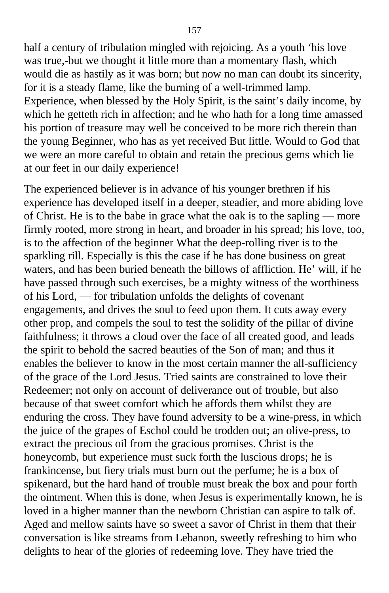half a century of tribulation mingled with rejoicing. As a youth 'his love was true,-but we thought it little more than a momentary flash, which would die as hastily as it was born; but now no man can doubt its sincerity, for it is a steady flame, like the burning of a well-trimmed lamp. Experience, when blessed by the Holy Spirit, is the saint's daily income, by which he getteth rich in affection; and he who hath for a long time amassed his portion of treasure may well be conceived to be more rich therein than the young Beginner, who has as yet received But little. Would to God that we were an more careful to obtain and retain the precious gems which lie at our feet in our daily experience!

The experienced believer is in advance of his younger brethren if his experience has developed itself in a deeper, steadier, and more abiding love of Christ. He is to the babe in grace what the oak is to the sapling — more firmly rooted, more strong in heart, and broader in his spread; his love, too, is to the affection of the beginner What the deep-rolling river is to the sparkling rill. Especially is this the case if he has done business on great waters, and has been buried beneath the billows of affliction. He' will, if he have passed through such exercises, be a mighty witness of the worthiness of his Lord, — for tribulation unfolds the delights of covenant engagements, and drives the soul to feed upon them. It cuts away every other prop, and compels the soul to test the solidity of the pillar of divine faithfulness; it throws a cloud over the face of all created good, and leads the spirit to behold the sacred beauties of the Son of man; and thus it enables the believer to know in the most certain manner the all-sufficiency of the grace of the Lord Jesus. Tried saints are constrained to love their Redeemer; not only on account of deliverance out of trouble, but also because of that sweet comfort which he affords them whilst they are enduring the cross. They have found adversity to be a wine-press, in which the juice of the grapes of Eschol could be trodden out; an olive-press, to extract the precious oil from the gracious promises. Christ is the honeycomb, but experience must suck forth the luscious drops; he is frankincense, but fiery trials must burn out the perfume; he is a box of spikenard, but the hard hand of trouble must break the box and pour forth the ointment. When this is done, when Jesus is experimentally known, he is loved in a higher manner than the newborn Christian can aspire to talk of. Aged and mellow saints have so sweet a savor of Christ in them that their conversation is like streams from Lebanon, sweetly refreshing to him who delights to hear of the glories of redeeming love. They have tried the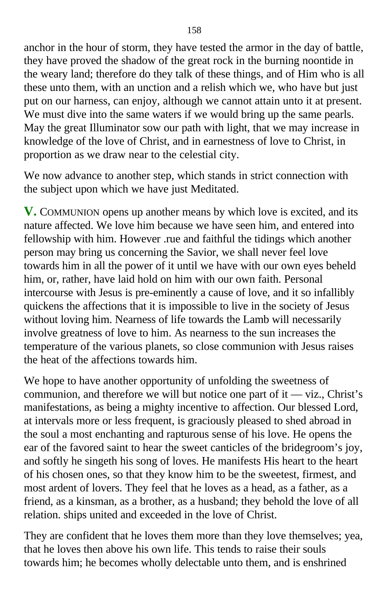anchor in the hour of storm, they have tested the armor in the day of battle, they have proved the shadow of the great rock in the burning noontide in the weary land; therefore do they talk of these things, and of Him who is all these unto them, with an unction and a relish which we, who have but just put on our harness, can enjoy, although we cannot attain unto it at present. We must dive into the same waters if we would bring up the same pearls. May the great Illuminator sow our path with light, that we may increase in knowledge of the love of Christ, and in earnestness of love to Christ, in proportion as we draw near to the celestial city.

We now advance to another step, which stands in strict connection with the subject upon which we have just Meditated.

**V.** COMMUNION opens up another means by which love is excited, and its nature affected. We love him because we have seen him, and entered into fellowship with him. However .rue and faithful the tidings which another person may bring us concerning the Savior, we shall never feel love towards him in all the power of it until we have with our own eyes beheld him, or, rather, have laid hold on him with our own faith. Personal intercourse with Jesus is pre-eminently a cause of love, and it so infallibly quickens the affections that it is impossible to live in the society of Jesus without loving him. Nearness of life towards the Lamb will necessarily involve greatness of love to him. As nearness to the sun increases the temperature of the various planets, so close communion with Jesus raises the heat of the affections towards him.

We hope to have another opportunity of unfolding the sweetness of communion, and therefore we will but notice one part of it — viz., Christ's manifestations, as being a mighty incentive to affection. Our blessed Lord, at intervals more or less frequent, is graciously pleased to shed abroad in the soul a most enchanting and rapturous sense of his love. He opens the ear of the favored saint to hear the sweet canticles of the bridegroom's joy, and softly he singeth his song of loves. He manifests His heart to the heart of his chosen ones, so that they know him to be the sweetest, firmest, and most ardent of lovers. They feel that he loves as a head, as a father, as a friend, as a kinsman, as a brother, as a husband; they behold the love of all relation. ships united and exceeded in the love of Christ.

They are confident that he loves them more than they love themselves; yea, that he loves then above his own life. This tends to raise their souls towards him; he becomes wholly delectable unto them, and is enshrined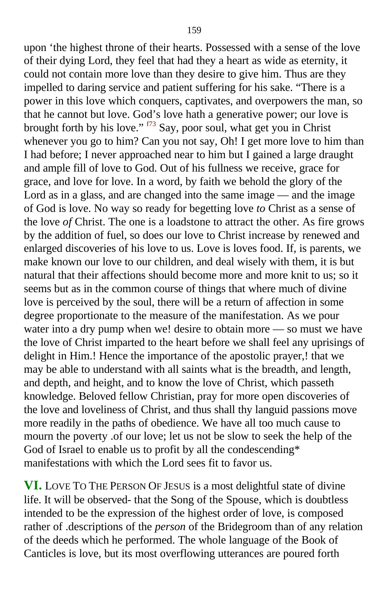upon 'the highest throne of their hearts. Possessed with a sense of the love of their dying Lord, they feel that had they a heart as wide as eternity, it could not contain more love than they desire to give him. Thus are they impelled to daring service and patient suffering for his sake. "There is a power in this love which conquers, captivates, and overpowers the man, so that he cannot but love. God's love hath a generative power; our love is brought forth by his love." <sup>[f73](#page-233-0)</sup> Say, poor soul, what get you in Christ whenever you go to him? Can you not say, Oh! I get more love to him than I had before; I never approached near to him but I gained a large draught and ample fill of love to God. Out of his fullness we receive, grace for grace, and love for love. In a word, by faith we behold the glory of the Lord as in a glass, and are changed into the same image — and the image of God is love. No way so ready for begetting love *to* Christ as a sense of the love *of* Christ. The one is a loadstone to attract the other. As fire grows by the addition of fuel, so does our love to Christ increase by renewed and enlarged discoveries of his love to us. Love is loves food. If, is parents, we make known our love to our children, and deal wisely with them, it is but natural that their affections should become more and more knit to us; so it seems but as in the common course of things that where much of divine love is perceived by the soul, there will be a return of affection in some degree proportionate to the measure of the manifestation. As we pour water into a dry pump when we! desire to obtain more — so must we have the love of Christ imparted to the heart before we shall feel any uprisings of delight in Him.! Hence the importance of the apostolic prayer,! that we may be able to understand with all saints what is the breadth, and length, and depth, and height, and to know the love of Christ, which passeth knowledge. Beloved fellow Christian, pray for more open discoveries of the love and loveliness of Christ, and thus shall thy languid passions move more readily in the paths of obedience. We have all too much cause to mourn the poverty .of our love; let us not be slow to seek the help of the God of Israel to enable us to profit by all the condescending\* manifestations with which the Lord sees fit to favor us.

**VI.** LOVE TO THE PERSON OF JESUS is a most delightful state of divine life. It will be observed- that the Song of the Spouse, which is doubtless intended to be the expression of the highest order of love, is composed rather of .descriptions of the *person* of the Bridegroom than of any relation of the deeds which he performed. The whole language of the Book of Canticles is love, but its most overflowing utterances are poured forth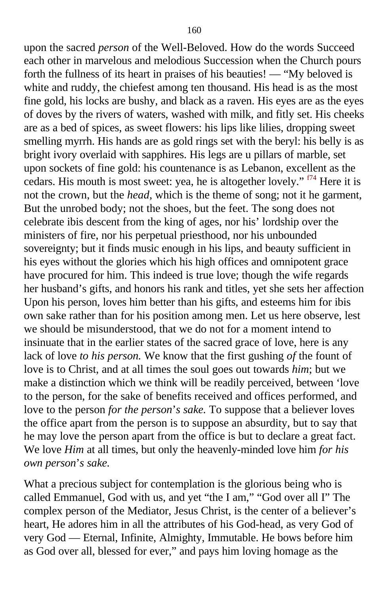upon the sacred *person* of the Well-Beloved. How do the words Succeed each other in marvelous and melodious Succession when the Church pours forth the fullness of its heart in praises of his beauties! — "My beloved is white and ruddy, the chiefest among ten thousand. His head is as the most fine gold, his locks are bushy, and black as a raven. His eyes are as the eyes of doves by the rivers of waters, washed with milk, and fitly set. His cheeks are as a bed of spices, as sweet flowers: his lips like lilies, dropping sweet smelling myrrh. His hands are as gold rings set with the beryl: his belly is as bright ivory overlaid with sapphires. His legs are u pillars of marble, set upon sockets of fine gold: his countenance is as Lebanon, excellent as the cedars. His mouth is most sweet: yea, he is altogether lovely." [f74](#page-233-0) Here it is not the crown, but the *head,* which is the theme of song; not it he garment, But the unrobed body; not the shoes, but the feet. The song does not celebrate ibis descent from the king of ages, nor his' lordship over the ministers of fire, nor his perpetual priesthood, nor his unbounded sovereignty; but it finds music enough in his lips, and beauty sufficient in his eyes without the glories which his high offices and omnipotent grace have procured for him. This indeed is true love; though the wife regards her husband's gifts, and honors his rank and titles, yet she sets her affection Upon his person, loves him better than his gifts, and esteems him for ibis own sake rather than for his position among men. Let us here observe, lest we should be misunderstood, that we do not for a moment intend to insinuate that in the earlier states of the sacred grace of love, here is any lack of love *to his person.* We know that the first gushing *of* the fount of love is to Christ, and at all times the soul goes out towards *him*; but we make a distinction which we think will be readily perceived, between 'love to the person, for the sake of benefits received and offices performed, and love to the person *for the person*'*s sake.* To suppose that a believer loves the office apart from the person is to suppose an absurdity, but to say that he may love the person apart from the office is but to declare a great fact. We love *Him* at all times, but only the heavenly-minded love him *for his own person*'*s sake.*

What a precious subject for contemplation is the glorious being who is called Emmanuel, God with us, and yet "the I am," "God over all I" The complex person of the Mediator, Jesus Christ, is the center of a believer's heart, He adores him in all the attributes of his God-head, as very God of very God — Eternal, Infinite, Almighty, Immutable. He bows before him as God over all, blessed for ever," and pays him loving homage as the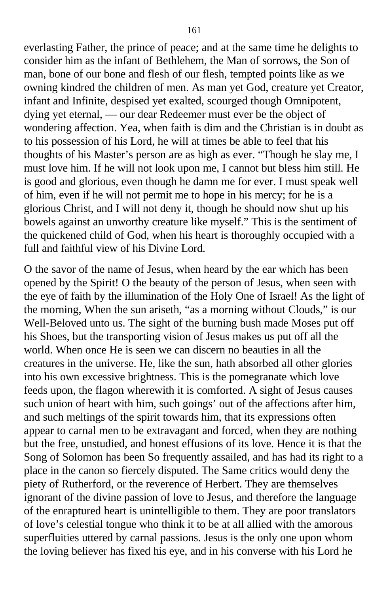everlasting Father, the prince of peace; and at the same time he delights to consider him as the infant of Bethlehem, the Man of sorrows, the Son of man, bone of our bone and flesh of our flesh, tempted points like as we owning kindred the children of men. As man yet God, creature yet Creator, infant and Infinite, despised yet exalted, scourged though Omnipotent, dying yet eternal, — our dear Redeemer must ever be the object of wondering affection. Yea, when faith is dim and the Christian is in doubt as to his possession of his Lord, he will at times be able to feel that his thoughts of his Master's person are as high as ever. "Though he slay me, I must love him. If he will not look upon me, I cannot but bless him still. He is good and glorious, even though he damn me for ever. I must speak well of him, even if he will not permit me to hope in his mercy; for he is a glorious Christ, and I will not deny it, though he should now shut up his bowels against an unworthy creature like myself." This is the sentiment of the quickened child of God, when his heart is thoroughly occupied with a full and faithful view of his Divine Lord.

O the savor of the name of Jesus, when heard by the ear which has been opened by the Spirit! O the beauty of the person of Jesus, when seen with the eye of faith by the illumination of the Holy One of Israel! As the light of the morning, When the sun ariseth, "as a morning without Clouds," is our Well-Beloved unto us. The sight of the burning bush made Moses put off his Shoes, but the transporting vision of Jesus makes us put off all the world. When once He is seen we can discern no beauties in all the creatures in the universe. He, like the sun, hath absorbed all other glories into his own excessive brightness. This is the pomegranate which love feeds upon, the flagon wherewith it is comforted. A sight of Jesus causes such union of heart with him, such goings' out of the affections after him, and such meltings of the spirit towards him, that its expressions often appear to carnal men to be extravagant and forced, when they are nothing but the free, unstudied, and honest effusions of its love. Hence it is that the Song of Solomon has been So frequently assailed, and has had its right to a place in the canon so fiercely disputed. The Same critics would deny the piety of Rutherford, or the reverence of Herbert. They are themselves ignorant of the divine passion of love to Jesus, and therefore the language of the enraptured heart is unintelligible to them. They are poor translators of love's celestial tongue who think it to be at all allied with the amorous superfluities uttered by carnal passions. Jesus is the only one upon whom the loving believer has fixed his eye, and in his converse with his Lord he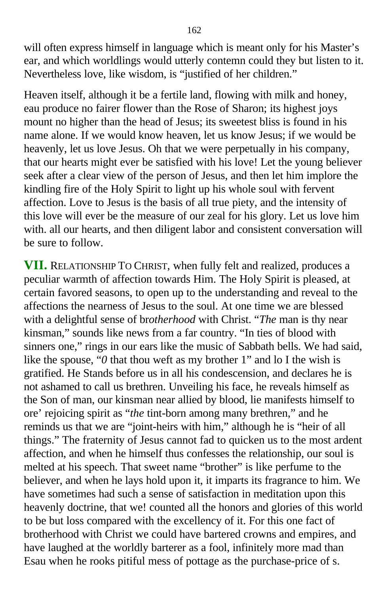will often express himself in language which is meant only for his Master's ear, and which worldlings would utterly contemn could they but listen to it. Nevertheless love, like wisdom, is "justified of her children."

Heaven itself, although it be a fertile land, flowing with milk and honey, eau produce no fairer flower than the Rose of Sharon; its highest joys mount no higher than the head of Jesus; its sweetest bliss is found in his name alone. If we would know heaven, let us know Jesus; if we would be heavenly, let us love Jesus. Oh that we were perpetually in his company, that our hearts might ever be satisfied with his love! Let the young believer seek after a clear view of the person of Jesus, and then let him implore the kindling fire of the Holy Spirit to light up his whole soul with fervent affection. Love to Jesus is the basis of all true piety, and the intensity of this love will ever be the measure of our zeal for his glory. Let us love him with. all our hearts, and then diligent labor and consistent conversation will be sure to follow.

**VII.** RELATIONSHIP TO CHRIST, when fully felt and realized, produces a peculiar warmth of affection towards Him. The Holy Spirit is pleased, at certain favored seasons, to open up to the understanding and reveal to the affections the nearness of Jesus to the soul. At one time we are blessed with a delightful sense of br*otherhood* with Christ. "*The* man is thy near kinsman," sounds like news from a far country. "In ties of blood with sinners one," rings in our ears like the music of Sabbath bells. We had said, like the spouse, "*O* that thou weft as my brother 1" and lo I the wish is gratified. He Stands before us in all his condescension, and declares he is not ashamed to call us brethren. Unveiling his face, he reveals himself as the Son of man, our kinsman near allied by blood, lie manifests himself to ore' rejoicing spirit as "*the* tint-born among many brethren," and he reminds us that we are "joint-heirs with him," although he is "heir of all things." The fraternity of Jesus cannot fad to quicken us to the most ardent affection, and when he himself thus confesses the relationship, our soul is melted at his speech. That sweet name "brother" is like perfume to the believer, and when he lays hold upon it, it imparts its fragrance to him. We have sometimes had such a sense of satisfaction in meditation upon this heavenly doctrine, that we! counted all the honors and glories of this world to be but loss compared with the excellency of it. For this one fact of brotherhood with Christ we could have bartered crowns and empires, and have laughed at the worldly barterer as a fool, infinitely more mad than Esau when he rooks pitiful mess of pottage as the purchase-price of s.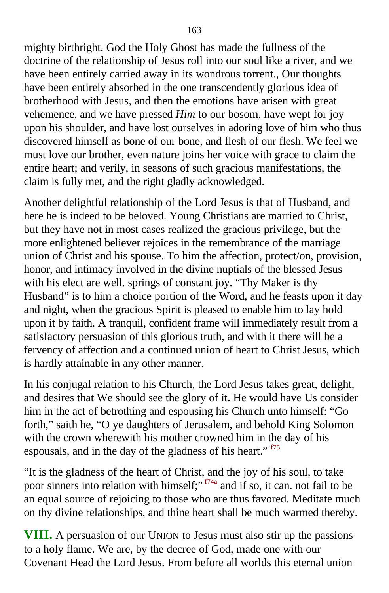mighty birthright. God the Holy Ghost has made the fullness of the doctrine of the relationship of Jesus roll into our soul like a river, and we have been entirely carried away in its wondrous torrent., Our thoughts have been entirely absorbed in the one transcendently glorious idea of brotherhood with Jesus, and then the emotions have arisen with great vehemence, and we have pressed *Him* to our bosom, have wept for joy upon his shoulder, and have lost ourselves in adoring love of him who thus discovered himself as bone of our bone, and flesh of our flesh. We feel we must love our brother, even nature joins her voice with grace to claim the entire heart; and verily, in seasons of such gracious manifestations, the claim is fully met, and the right gladly acknowledged.

Another delightful relationship of the Lord Jesus is that of Husband, and here he is indeed to be beloved. Young Christians are married to Christ, but they have not in most cases realized the gracious privilege, but the more enlightened believer rejoices in the remembrance of the marriage union of Christ and his spouse. To him the affection, protect/on, provision, honor, and intimacy involved in the divine nuptials of the blessed Jesus with his elect are well. springs of constant joy. "Thy Maker is thy Husband" is to him a choice portion of the Word, and he feasts upon it day and night, when the gracious Spirit is pleased to enable him to lay hold upon it by faith. A tranquil, confident frame will immediately result from a satisfactory persuasion of this glorious truth, and with it there will be a fervency of affection and a continued union of heart to Christ Jesus, which is hardly attainable in any other manner.

In his conjugal relation to his Church, the Lord Jesus takes great, delight, and desires that We should see the glory of it. He would have Us consider him in the act of betrothing and espousing his Church unto himself: "Go forth," saith he, "O ye daughters of Jerusalem, and behold King Solomon with the crown wherewith his mother crowned him in the day of his espousals, and in the day of the gladness of his heart."  $f^{75}$ 

"It is the gladness of the heart of Christ, and the joy of his soul, to take poor sinners into relation with himself;"  $f^{74a}$  and if so, it can. not fail to be an equal source of rejoicing to those who are thus favored. Meditate much on thy divine relationships, and thine heart shall be much warmed thereby.

**VIII.** A persuasion of our UNION to Jesus must also stir up the passions to a holy flame. We are, by the decree of God, made one with our Covenant Head the Lord Jesus. From before all worlds this eternal union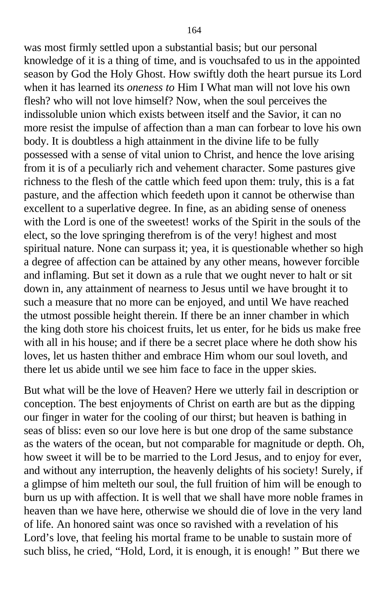was most firmly settled upon a substantial basis; but our personal knowledge of it is a thing of time, and is vouchsafed to us in the appointed season by God the Holy Ghost. How swiftly doth the heart pursue its Lord when it has learned its *oneness to* Him I What man will not love his own flesh? who will not love himself? Now, when the soul perceives the indissoluble union which exists between itself and the Savior, it can no more resist the impulse of affection than a man can forbear to love his own body. It is doubtless a high attainment in the divine life to be fully possessed with a sense of vital union to Christ, and hence the love arising from it is of a peculiarly rich and vehement character. Some pastures give richness to the flesh of the cattle which feed upon them: truly, this is a fat pasture, and the affection which feedeth upon it cannot be otherwise than excellent to a superlative degree. In fine, as an abiding sense of oneness with the Lord is one of the sweetest! works of the Spirit in the souls of the elect, so the love springing therefrom is of the very! highest and most spiritual nature. None can surpass it; yea, it is questionable whether so high a degree of affection can be attained by any other means, however forcible and inflaming. But set it down as a rule that we ought never to halt or sit down in, any attainment of nearness to Jesus until we have brought it to such a measure that no more can be enjoyed, and until We have reached the utmost possible height therein. If there be an inner chamber in which the king doth store his choicest fruits, let us enter, for he bids us make free with all in his house; and if there be a secret place where he doth show his loves, let us hasten thither and embrace Him whom our soul loveth, and there let us abide until we see him face to face in the upper skies.

But what will be the love of Heaven? Here we utterly fail in description or conception. The best enjoyments of Christ on earth are but as the dipping our finger in water for the cooling of our thirst; but heaven is bathing in seas of bliss: even so our love here is but one drop of the same substance as the waters of the ocean, but not comparable for magnitude or depth. Oh, how sweet it will be to be married to the Lord Jesus, and to enjoy for ever, and without any interruption, the heavenly delights of his society! Surely, if a glimpse of him melteth our soul, the full fruition of him will be enough to burn us up with affection. It is well that we shall have more noble frames in heaven than we have here, otherwise we should die of love in the very land of life. An honored saint was once so ravished with a revelation of his Lord's love, that feeling his mortal frame to be unable to sustain more of such bliss, he cried, "Hold, Lord, it is enough, it is enough! " But there we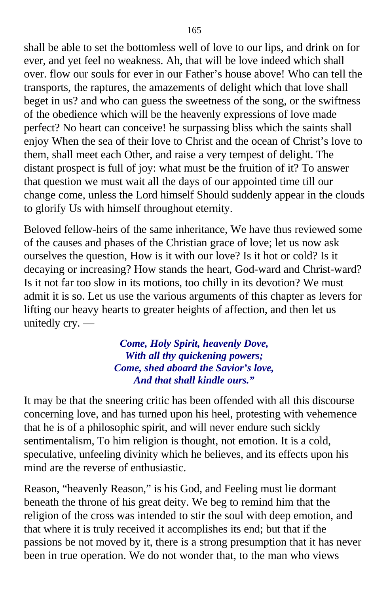shall be able to set the bottomless well of love to our lips, and drink on for ever, and yet feel no weakness. Ah, that will be love indeed which shall over. flow our souls for ever in our Father's house above! Who can tell the transports, the raptures, the amazements of delight which that love shall beget in us? and who can guess the sweetness of the song, or the swiftness of the obedience which will be the heavenly expressions of love made perfect? No heart can conceive! he surpassing bliss which the saints shall enjoy When the sea of their love to Christ and the ocean of Christ's love to them, shall meet each Other, and raise a very tempest of delight. The distant prospect is full of joy: what must be the fruition of it? To answer that question we must wait all the days of our appointed time till our change come, unless the Lord himself Should suddenly appear in the clouds to glorify Us with himself throughout eternity.

Beloved fellow-heirs of the same inheritance, We have thus reviewed some of the causes and phases of the Christian grace of love; let us now ask ourselves the question, How is it with our love? Is it hot or cold? Is it decaying or increasing? How stands the heart, God-ward and Christ-ward? Is it not far too slow in its motions, too chilly in its devotion? We must admit it is so. Let us use the various arguments of this chapter as levers for lifting our heavy hearts to greater heights of affection, and then let us unitedly cry. —

> *Come, Holy Spirit, heavenly Dove, With all thy quickening powers; Come, shed aboard the Savior's love, And that shall kindle ours."*

It may be that the sneering critic has been offended with all this discourse concerning love, and has turned upon his heel, protesting with vehemence that he is of a philosophic spirit, and will never endure such sickly sentimentalism, To him religion is thought, not emotion. It is a cold, speculative, unfeeling divinity which he believes, and its effects upon his mind are the reverse of enthusiastic.

Reason, "heavenly Reason," is his God, and Feeling must lie dormant beneath the throne of his great deity. We beg to remind him that the religion of the cross was intended to stir the soul with deep emotion, and that where it is truly received it accomplishes its end; but that if the passions be not moved by it, there is a strong presumption that it has never been in true operation. We do not wonder that, to the man who views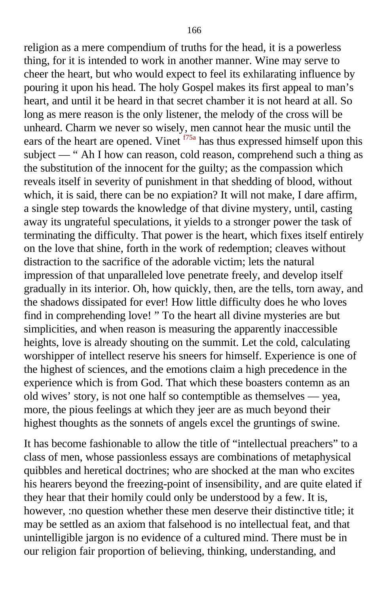religion as a mere compendium of truths for the head, it is a powerless thing, for it is intended to work in another manner. Wine may serve to cheer the heart, but who would expect to feel its exhilarating influence by pouring it upon his head. The holy Gospel makes its first appeal to man's heart, and until it be heard in that secret chamber it is not heard at all. So long as mere reason is the only listener, the melody of the cross will be unheard. Charm we never so wisely, men cannot hear the music until the ears of the heart are opened. Vinet  $f^{75a}$  has thus expressed himself upon this subject — " Ah I how can reason, cold reason, comprehend such a thing as the substitution of the innocent for the guilty; as the compassion which reveals itself in severity of punishment in that shedding of blood, without which, it is said, there can be no expiation? It will not make, I dare affirm, a single step towards the knowledge of that divine mystery, until, casting away its ungrateful speculations, it yields to a stronger power the task of terminating the difficulty. That power is the heart, which fixes itself entirely on the love that shine, forth in the work of redemption; cleaves without distraction to the sacrifice of the adorable victim; lets the natural impression of that unparalleled love penetrate freely, and develop itself gradually in its interior. Oh, how quickly, then, are the tells, torn away, and the shadows dissipated for ever! How little difficulty does he who loves find in comprehending love! " To the heart all divine mysteries are but simplicities, and when reason is measuring the apparently inaccessible heights, love is already shouting on the summit. Let the cold, calculating worshipper of intellect reserve his sneers for himself. Experience is one of the highest of sciences, and the emotions claim a high precedence in the experience which is from God. That which these boasters contemn as an old wives' story, is not one half so contemptible as themselves — yea, more, the pious feelings at which they jeer are as much beyond their highest thoughts as the sonnets of angels excel the gruntings of swine.

It has become fashionable to allow the title of "intellectual preachers" to a class of men, whose passionless essays are combinations of metaphysical quibbles and heretical doctrines; who are shocked at the man who excites his hearers beyond the freezing-point of insensibility, and are quite elated if they hear that their homily could only be understood by a few. It is, however, :no question whether these men deserve their distinctive title; it may be settled as an axiom that falsehood is no intellectual feat, and that unintelligible jargon is no evidence of a cultured mind. There must be in our religion fair proportion of believing, thinking, understanding, and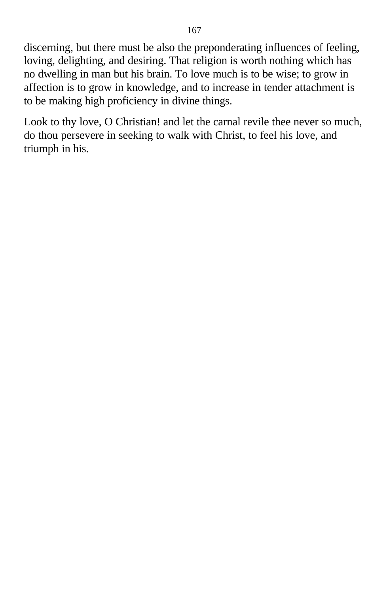discerning, but there must be also the preponderating influences of feeling, loving, delighting, and desiring. That religion is worth nothing which has no dwelling in man but his brain. To love much is to be wise; to grow in affection is to grow in knowledge, and to increase in tender attachment is to be making high proficiency in divine things.

Look to thy love, O Christian! and let the carnal revile thee never so much, do thou persevere in seeking to walk with Christ, to feel his love, and triumph in his.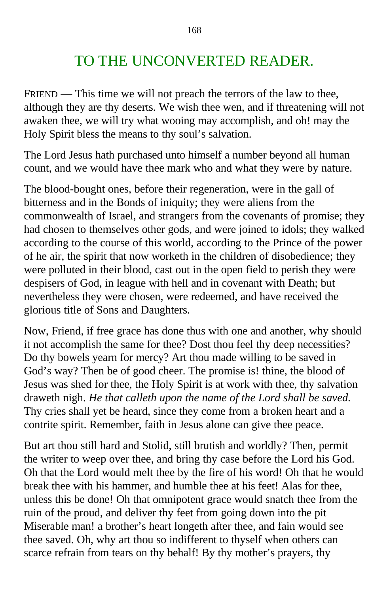## TO THE UNCONVERTED READER.

FRIEND — This time we will not preach the terrors of the law to thee, although they are thy deserts. We wish thee wen, and if threatening will not awaken thee, we will try what wooing may accomplish, and oh! may the Holy Spirit bless the means to thy soul's salvation.

The Lord Jesus hath purchased unto himself a number beyond all human count, and we would have thee mark who and what they were by nature.

The blood-bought ones, before their regeneration, were in the gall of bitterness and in the Bonds of iniquity; they were aliens from the commonwealth of Israel, and strangers from the covenants of promise; they had chosen to themselves other gods, and were joined to idols; they walked according to the course of this world, according to the Prince of the power of he air, the spirit that now worketh in the children of disobedience; they were polluted in their blood, cast out in the open field to perish they were despisers of God, in league with hell and in covenant with Death; but nevertheless they were chosen, were redeemed, and have received the glorious title of Sons and Daughters.

Now, Friend, if free grace has done thus with one and another, why should it not accomplish the same for thee? Dost thou feel thy deep necessities? Do thy bowels yearn for mercy? Art thou made willing to be saved in God's way? Then be of good cheer. The promise is! thine, the blood of Jesus was shed for thee, the Holy Spirit is at work with thee, thy salvation draweth nigh. *He that calleth upon the name of the Lord shall be saved.* Thy cries shall yet be heard, since they come from a broken heart and a contrite spirit. Remember, faith in Jesus alone can give thee peace.

But art thou still hard and Stolid, still brutish and worldly? Then, permit the writer to weep over thee, and bring thy case before the Lord his God. Oh that the Lord would melt thee by the fire of his word! Oh that he would break thee with his hammer, and humble thee at his feet! Alas for thee, unless this be done! Oh that omnipotent grace would snatch thee from the ruin of the proud, and deliver thy feet from going down into the pit Miserable man! a brother's heart longeth after thee, and fain would see thee saved. Oh, why art thou so indifferent to thyself when others can scarce refrain from tears on thy behalf! By thy mother's prayers, thy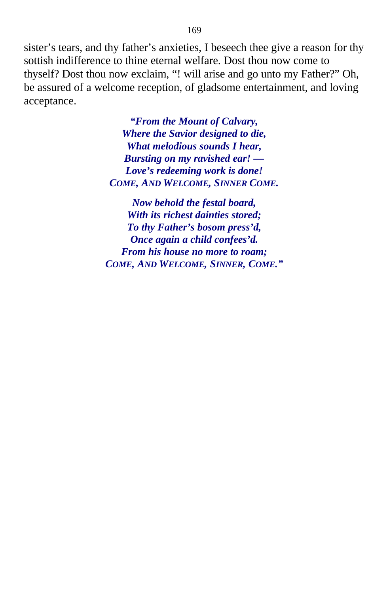sister's tears, and thy father's anxieties, I beseech thee give a reason for thy sottish indifference to thine eternal welfare. Dost thou now come to thyself? Dost thou now exclaim, "! will arise and go unto my Father?" Oh, be assured of a welcome reception, of gladsome entertainment, and loving acceptance.

> *"From the Mount of Calvary, Where the Savior designed to die, What melodious sounds I hear, Bursting on my ravished ear! — Love's redeeming work is done! COME, AND WELCOME, SINNER COME.*

*Now behold the festal board, With its richest dainties stored; To thy Father's bosom press'd, Once again a child confees'd. From his house no more to roam; COME, AND WELCOME, SINNER, COME."*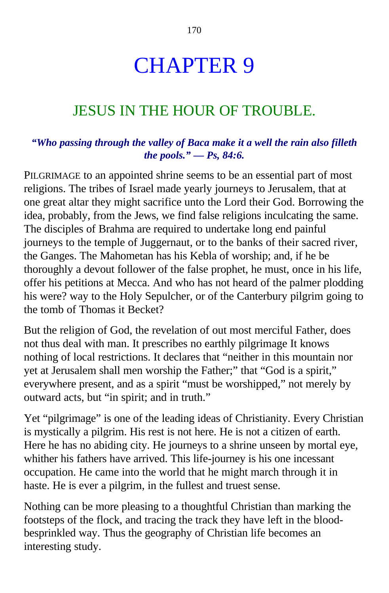# CHAPTER 9

### JESUS IN THE HOUR OF TROUBLE.

### *"Who passing through the valley of Baca make it a well the rain also filleth the pools." — Ps, 84:6.*

PILGRIMAGE to an appointed shrine seems to be an essential part of most religions. The tribes of Israel made yearly journeys to Jerusalem, that at one great altar they might sacrifice unto the Lord their God. Borrowing the idea, probably, from the Jews, we find false religions inculcating the same. The disciples of Brahma are required to undertake long end painful journeys to the temple of Juggernaut, or to the banks of their sacred river, the Ganges. The Mahometan has his Kebla of worship; and, if he be thoroughly a devout follower of the false prophet, he must, once in his life, offer his petitions at Mecca. And who has not heard of the palmer plodding his were? way to the Holy Sepulcher, or of the Canterbury pilgrim going to the tomb of Thomas it Becket?

But the religion of God, the revelation of out most merciful Father, does not thus deal with man. It prescribes no earthly pilgrimage It knows nothing of local restrictions. It declares that "neither in this mountain nor yet at Jerusalem shall men worship the Father;" that "God is a spirit," everywhere present, and as a spirit "must be worshipped," not merely by outward acts, but "in spirit; and in truth."

Yet "pilgrimage" is one of the leading ideas of Christianity. Every Christian is mystically a pilgrim. His rest is not here. He is not a citizen of earth. Here he has no abiding city. He journeys to a shrine unseen by mortal eye, whither his fathers have arrived. This life-journey is his one incessant occupation. He came into the world that he might march through it in haste. He is ever a pilgrim, in the fullest and truest sense.

Nothing can be more pleasing to a thoughtful Christian than marking the footsteps of the flock, and tracing the track they have left in the bloodbesprinkled way. Thus the geography of Christian life becomes an interesting study.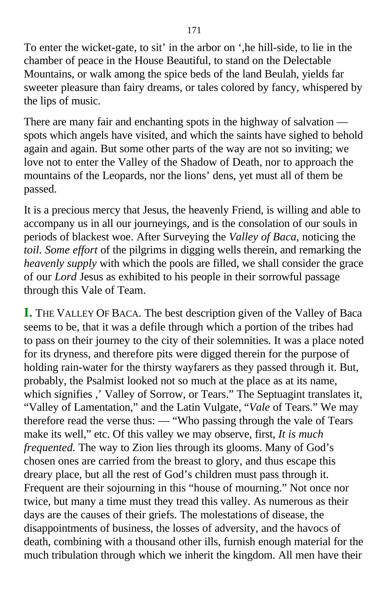To enter the wicket-gate, to sit' in the arbor on ',he hill-side, to lie in the chamber of peace in the House Beautiful, to stand on the Delectable Mountains, or walk among the spice beds of the land Beulah, yields far sweeter pleasure than fairy dreams, or tales colored by fancy, whispered by the lips of music.

There are many fair and enchanting spots in the highway of salvation spots which angels have visited, and which the saints have sighed to behold again and again. But some other parts of the way are not so inviting; we love not to enter the Valley of the Shadow of Death, nor to approach the mountains of the Leopards, nor the lions' dens, yet must all of them be passed.

It is a precious mercy that Jesus, the heavenly Friend, is willing and able to accompany us in all our journeyings, and is the consolation of our souls in periods of blackest woe. After Surveying the *Valley of Baca,* noticing the *toil. Some effort* of the pilgrims in digging wells therein, and remarking the *heavenly supply* with which the pools are filled, we shall consider the grace of our *Lord* Jesus as exhibited to his people in their sorrowful passage through this Vale of Team.

**I.** THE VALLEY OF BACA. The best description given of the Valley of Baca seems to be, that it was a defile through which a portion of the tribes had to pass on their journey to the city of their solemnities. It was a place noted for its dryness, and therefore pits were digged therein for the purpose of holding rain-water for the thirsty wayfarers as they passed through it. But, probably, the Psalmist looked not so much at the place as at its name, which signifies ,' Valley of Sorrow, or Tears." The Septuagint translates it, "Valley of Lamentation," and the Latin Vulgate, "*Vale* of Tears." We may therefore read the verse thus: — "Who passing through the vale of Tears make its well," etc. Of this valley we may observe, first, *It is much frequented.* The way to Zion lies through its glooms. Many of God's chosen ones are carried from the breast to glory, and thus escape this dreary place, but all the rest of God's children must pass through it. Frequent are their sojourning in this "house of mourning." Not once nor twice, but many a time must they tread this valley. As numerous as their days are the causes of their griefs. The molestations of disease, the disappointments of business, the losses of adversity, and the havocs of death, combining with a thousand other ills, furnish enough material for the much tribulation through which we inherit the kingdom. All men have their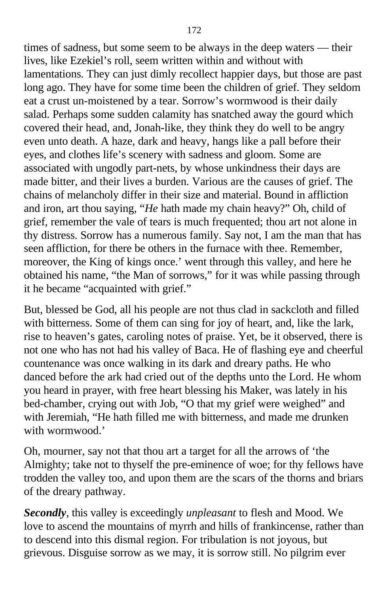times of sadness, but some seem to be always in the deep waters — their lives, like Ezekiel's roll, seem written within and without with lamentations. They can just dimly recollect happier days, but those are past long ago. They have for some time been the children of grief. They seldom eat a crust un-moistened by a tear. Sorrow's wormwood is their daily salad. Perhaps some sudden calamity has snatched away the gourd which covered their head, and, Jonah-like, they think they do well to be angry even unto death. A haze, dark and heavy, hangs like a pall before their eyes, and clothes life's scenery with sadness and gloom. Some are associated with ungodly part-nets, by whose unkindness their days are made bitter, and their lives a burden. Various are the causes of grief. The chains of melancholy differ in their size and material. Bound in affliction and iron, art thou saying, "*He* hath made my chain heavy?" Oh, child of grief, remember the vale of tears is much frequented; thou art not alone in thy distress. Sorrow has a numerous family. Say not, I am the man that has seen affliction, for there be others in the furnace with thee. Remember, moreover, the King of kings once.' went through this valley, and here he obtained his name, "the Man of sorrows," for it was while passing through it he became "acquainted with grief."

But, blessed be God, all his people are not thus clad in sackcloth and filled with bitterness. Some of them can sing for joy of heart, and, like the lark, rise to heaven's gates, caroling notes of praise. Yet, be it observed, there is not one who has not had his valley of Baca. He of flashing eye and cheerful countenance was once walking in its dark and dreary paths. He who danced before the ark had cried out of the depths unto the Lord. He whom you heard in prayer, with free heart blessing his Maker, was lately in his bed-chamber, crying out with Job, "O that my grief were weighed" and with Jeremiah, "He hath filled me with bitterness, and made me drunken with wormwood.'

Oh, mourner, say not that thou art a target for all the arrows of 'the Almighty; take not to thyself the pre-eminence of woe; for thy fellows have trodden the valley too, and upon them are the scars of the thorns and briars of the dreary pathway.

*Secondly*, this valley is exceedingly *unpleasant* to flesh and Mood. We love to ascend the mountains of myrrh and hills of frankincense, rather than to descend into this dismal region. For tribulation is not joyous, but grievous. Disguise sorrow as we may, it is sorrow still. No pilgrim ever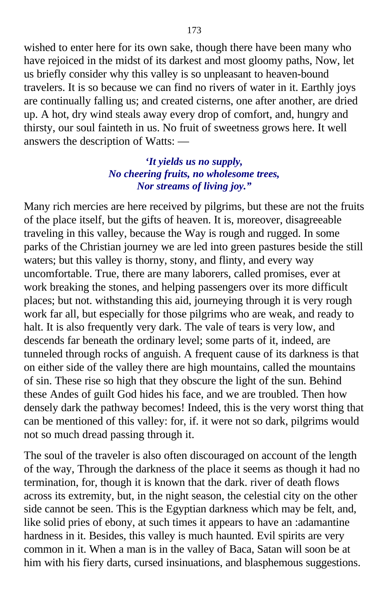wished to enter here for its own sake, though there have been many who have rejoiced in the midst of its darkest and most gloomy paths, Now, let us briefly consider why this valley is so unpleasant to heaven-bound travelers. It is so because we can find no rivers of water in it. Earthly joys are continually falling us; and created cisterns, one after another, are dried up. A hot, dry wind steals away every drop of comfort, and, hungry and thirsty, our soul fainteth in us. No fruit of sweetness grows here. It well answers the description of Watts: —

### *'It yields us no supply, No cheering fruits, no wholesome trees, Nor streams of living joy."*

Many rich mercies are here received by pilgrims, but these are not the fruits of the place itself, but the gifts of heaven. It is, moreover, disagreeable traveling in this valley, because the Way is rough and rugged. In some parks of the Christian journey we are led into green pastures beside the still waters; but this valley is thorny, stony, and flinty, and every way uncomfortable. True, there are many laborers, called promises, ever at work breaking the stones, and helping passengers over its more difficult places; but not. withstanding this aid, journeying through it is very rough work far all, but especially for those pilgrims who are weak, and ready to halt. It is also frequently very dark. The vale of tears is very low, and descends far beneath the ordinary level; some parts of it, indeed, are tunneled through rocks of anguish. A frequent cause of its darkness is that on either side of the valley there are high mountains, called the mountains of sin. These rise so high that they obscure the light of the sun. Behind these Andes of guilt God hides his face, and we are troubled. Then how densely dark the pathway becomes! Indeed, this is the very worst thing that can be mentioned of this valley: for, if. it were not so dark, pilgrims would not so much dread passing through it.

The soul of the traveler is also often discouraged on account of the length of the way, Through the darkness of the place it seems as though it had no termination, for, though it is known that the dark. river of death flows across its extremity, but, in the night season, the celestial city on the other side cannot be seen. This is the Egyptian darkness which may be felt, and, like solid pries of ebony, at such times it appears to have an :adamantine hardness in it. Besides, this valley is much haunted. Evil spirits are very common in it. When a man is in the valley of Baca, Satan will soon be at him with his fiery darts, cursed insinuations, and blasphemous suggestions.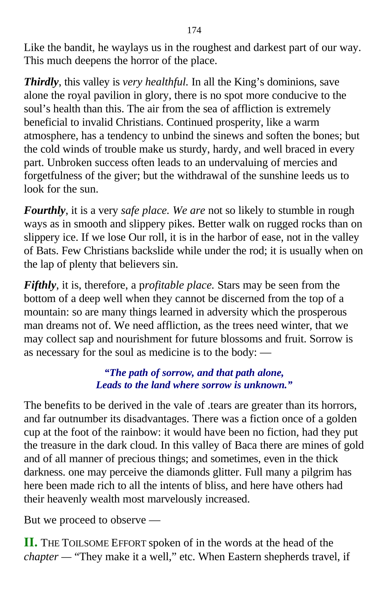Like the bandit, he waylays us in the roughest and darkest part of our way. This much deepens the horror of the place.

*Thirdly*, this valley is *very healthful.* In all the King's dominions, save alone the royal pavilion in glory, there is no spot more conducive to the soul's health than this. The air from the sea of affliction is extremely beneficial to invalid Christians. Continued prosperity, like a warm atmosphere, has a tendency to unbind the sinews and soften the bones; but the cold winds of trouble make us sturdy, hardy, and well braced in every part. Unbroken success often leads to an undervaluing of mercies and forgetfulness of the giver; but the withdrawal of the sunshine leeds us to look for the sun.

*Fourthly*, it is a very *safe place. We are* not so likely to stumble in rough ways as in smooth and slippery pikes. Better walk on rugged rocks than on slippery ice. If we lose Our roll, it is in the harbor of ease, not in the valley of Bats. Few Christians backslide while under the rod; it is usually when on the lap of plenty that believers sin.

*Fifthly*, it is, therefore, a p*rofitable place.* Stars may be seen from the bottom of a deep well when they cannot be discerned from the top of a mountain: so are many things learned in adversity which the prosperous man dreams not of. We need affliction, as the trees need winter, that we may collect sap and nourishment for future blossoms and fruit. Sorrow is as necessary for the soul as medicine is to the body: —

### *"The path of sorrow, and that path alone, Leads to the land where sorrow is unknown."*

The benefits to be derived in the vale of .tears are greater than its horrors, and far outnumber its disadvantages. There was a fiction once of a golden cup at the foot of the rainbow: it would have been no fiction, had they put the treasure in the dark cloud. In this valley of Baca there are mines of gold and of all manner of precious things; and sometimes, even in the thick darkness. one may perceive the diamonds glitter. Full many a pilgrim has here been made rich to all the intents of bliss, and here have others had their heavenly wealth most marvelously increased.

But we proceed to observe —

**II.** THE TOILSOME EFFORT spoken of in the words at the head of the *chapter —* "They make it a well," etc. When Eastern shepherds travel, if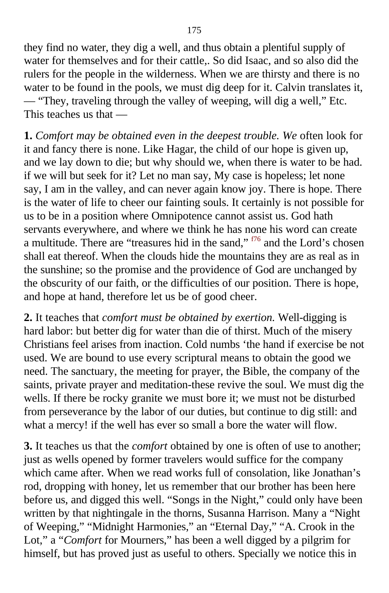they find no water, they dig a well, and thus obtain a plentiful supply of water for themselves and for their cattle,. So did Isaac, and so also did the rulers for the people in the wilderness. When we are thirsty and there is no water to be found in the pools, we must dig deep for it. Calvin translates it, — "They, traveling through the valley of weeping, will dig a well," Etc. This teaches us that —

**1.** *Comfort may be obtained even in the deepest trouble. We* often look for it and fancy there is none. Like Hagar, the child of our hope is given up, and we lay down to die; but why should we, when there is water to be had. if we will but seek for it? Let no man say, My case is hopeless; let none say, I am in the valley, and can never again know joy. There is hope. There is the water of life to cheer our fainting souls. It certainly is not possible for us to be in a position where Omnipotence cannot assist us. God hath servants everywhere, and where we think he has none his word can create a multitude. There are "treasures hid in the sand," [f76](#page-233-0) and the Lord's chosen shall eat thereof. When the clouds hide the mountains they are as real as in the sunshine; so the promise and the providence of God are unchanged by the obscurity of our faith, or the difficulties of our position. There is hope, and hope at hand, therefore let us be of good cheer.

**2.** It teaches that *comfort must be obtained by exertion.* Well-digging is hard labor: but better dig for water than die of thirst. Much of the misery Christians feel arises from inaction. Cold numbs 'the hand if exercise be not used. We are bound to use every scriptural means to obtain the good we need. The sanctuary, the meeting for prayer, the Bible, the company of the saints, private prayer and meditation-these revive the soul. We must dig the wells. If there be rocky granite we must bore it; we must not be disturbed from perseverance by the labor of our duties, but continue to dig still: and what a mercy! if the well has ever so small a bore the water will flow.

**3.** It teaches us that the *comfort* obtained by one is often of use to another; just as wells opened by former travelers would suffice for the company which came after. When we read works full of consolation, like Jonathan's rod, dropping with honey, let us remember that our brother has been here before us, and digged this well. "Songs in the Night," could only have been written by that nightingale in the thorns, Susanna Harrison. Many a "Night of Weeping," "Midnight Harmonies," an "Eternal Day," "A. Crook in the Lot," a "*Comfort* for Mourners," has been a well digged by a pilgrim for himself, but has proved just as useful to others. Specially we notice this in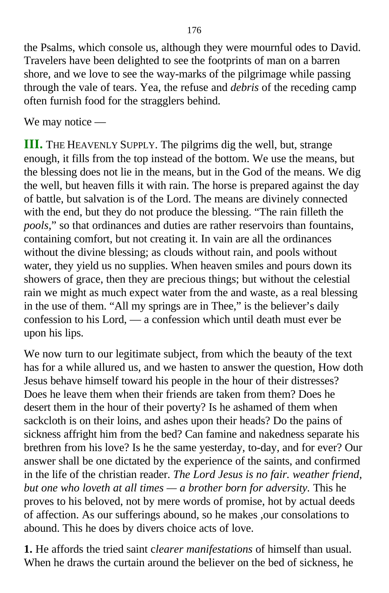the Psalms, which console us, although they were mournful odes to David. Travelers have been delighted to see the footprints of man on a barren shore, and we love to see the way-marks of the pilgrimage while passing through the vale of tears. Yea, the refuse and *debris* of the receding camp often furnish food for the stragglers behind.

We may notice —

**III.** THE HEAVENLY SUPPLY. The pilgrims dig the well, but, strange enough, it fills from the top instead of the bottom. We use the means, but the blessing does not lie in the means, but in the God of the means. We dig the well, but heaven fills it with rain. The horse is prepared against the day of battle, but salvation is of the Lord. The means are divinely connected with the end, but they do not produce the blessing. "The rain filleth the *pools,*" so that ordinances and duties are rather reservoirs than fountains, containing comfort, but not creating it. In vain are all the ordinances without the divine blessing; as clouds without rain, and pools without water, they yield us no supplies. When heaven smiles and pours down its showers of grace, then they are precious things; but without the celestial rain we might as much expect water from the and waste, as a real blessing in the use of them. "All my springs are in Thee," is the believer's daily confession to his Lord, — a confession which until death must ever be upon his lips.

We now turn to our legitimate subject, from which the beauty of the text has for a while allured us, and we hasten to answer the question, How doth Jesus behave himself toward his people in the hour of their distresses? Does he leave them when their friends are taken from them? Does he desert them in the hour of their poverty? Is he ashamed of them when sackcloth is on their loins, and ashes upon their heads? Do the pains of sickness affright him from the bed? Can famine and nakedness separate his brethren from his love? Is he the same yesterday, to-day, and for ever? Our answer shall be one dictated by the experience of the saints, and confirmed in the life of the christian reader. *The Lord Jesus is no fair. weather friend, but one who loveth at all times — a brother born for adversity.* This he proves to his beloved, not by mere words of promise, hot by actual deeds of affection. As our sufferings abound, so he makes ,our consolations to abound. This he does by divers choice acts of love.

**1.** He affords the tried saint c*learer manifestations* of himself than usual. When he draws the curtain around the believer on the bed of sickness, he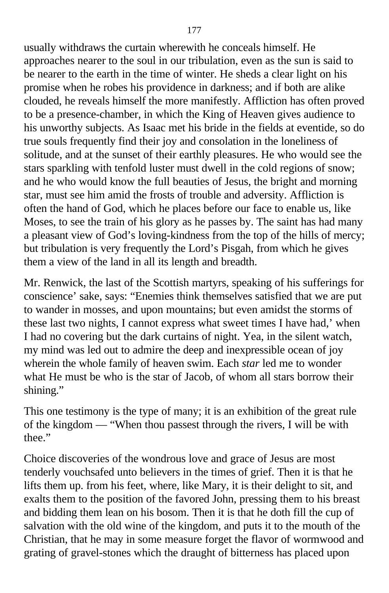usually withdraws the curtain wherewith he conceals himself. He approaches nearer to the soul in our tribulation, even as the sun is said to be nearer to the earth in the time of winter. He sheds a clear light on his promise when he robes his providence in darkness; and if both are alike clouded, he reveals himself the more manifestly. Affliction has often proved to be a presence-chamber, in which the King of Heaven gives audience to his unworthy subjects. As Isaac met his bride in the fields at eventide, so do true souls frequently find their joy and consolation in the loneliness of solitude, and at the sunset of their earthly pleasures. He who would see the stars sparkling with tenfold luster must dwell in the cold regions of snow; and he who would know the full beauties of Jesus, the bright and morning star, must see him amid the frosts of trouble and adversity. Affliction is often the hand of God, which he places before our face to enable us, like Moses, to see the train of his glory as he passes by. The saint has had many a pleasant view of God's loving-kindness from the top of the hills of mercy; but tribulation is very frequently the Lord's Pisgah, from which he gives them a view of the land in all its length and breadth.

Mr. Renwick, the last of the Scottish martyrs, speaking of his sufferings for conscience' sake, says: "Enemies think themselves satisfied that we are put to wander in mosses, and upon mountains; but even amidst the storms of these last two nights, I cannot express what sweet times I have had,' when I had no covering but the dark curtains of night. Yea, in the silent watch, my mind was led out to admire the deep and inexpressible ocean of joy wherein the whole family of heaven swim. Each *star* led me to wonder what He must be who is the star of Jacob, of whom all stars borrow their shining."

This one testimony is the type of many; it is an exhibition of the great rule of the kingdom — "When thou passest through the rivers, I will be with thee."

Choice discoveries of the wondrous love and grace of Jesus are most tenderly vouchsafed unto believers in the times of grief. Then it is that he lifts them up. from his feet, where, like Mary, it is their delight to sit, and exalts them to the position of the favored John, pressing them to his breast and bidding them lean on his bosom. Then it is that he doth fill the cup of salvation with the old wine of the kingdom, and puts it to the mouth of the Christian, that he may in some measure forget the flavor of wormwood and grating of gravel-stones which the draught of bitterness has placed upon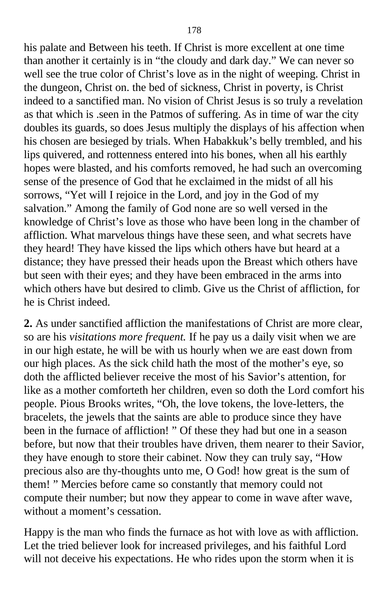his palate and Between his teeth. If Christ is more excellent at one time than another it certainly is in "the cloudy and dark day." We can never so well see the true color of Christ's love as in the night of weeping. Christ in the dungeon, Christ on. the bed of sickness, Christ in poverty, is Christ indeed to a sanctified man. No vision of Christ Jesus is so truly a revelation as that which is .seen in the Patmos of suffering. As in time of war the city doubles its guards, so does Jesus multiply the displays of his affection when his chosen are besieged by trials. When Habakkuk's belly trembled, and his lips quivered, and rottenness entered into his bones, when all his earthly hopes were blasted, and his comforts removed, he had such an overcoming sense of the presence of God that he exclaimed in the midst of all his sorrows, "Yet will I rejoice in the Lord, and joy in the God of my salvation." Among the family of God none are so well versed in the knowledge of Christ's love as those who have been long in the chamber of affliction. What marvelous things have these seen, and what secrets have they heard! They have kissed the lips which others have but heard at a distance; they have pressed their heads upon the Breast which others have but seen with their eyes; and they have been embraced in the arms into which others have but desired to climb. Give us the Christ of affliction, for he is Christ indeed.

**2.** As under sanctified affliction the manifestations of Christ are more clear, so are his *visitations more frequent.* If he pay us a daily visit when we are in our high estate, he will be with us hourly when we are east down from our high places. As the sick child hath the most of the mother's eye, so doth the afflicted believer receive the most of his Savior's attention, for like as a mother comforteth her children, even so doth the Lord comfort his people. Pious Brooks writes, "Oh, the love tokens, the love-letters, the bracelets, the jewels that the saints are able to produce since they have been in the furnace of affliction! " Of these they had but one in a season before, but now that their troubles have driven, them nearer to their Savior, they have enough to store their cabinet. Now they can truly say, "How precious also are thy-thoughts unto me, O God! how great is the sum of them! " Mercies before came so constantly that memory could not compute their number; but now they appear to come in wave after wave, without a moment's cessation.

Happy is the man who finds the furnace as hot with love as with affliction. Let the tried believer look for increased privileges, and his faithful Lord will not deceive his expectations. He who rides upon the storm when it is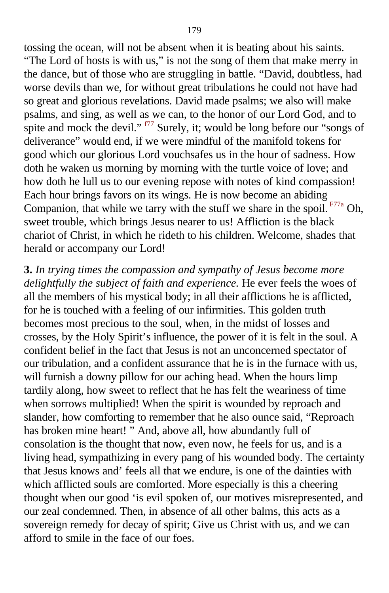tossing the ocean, will not be absent when it is beating about his saints. "The Lord of hosts is with us," is not the song of them that make merry in the dance, but of those who are struggling in battle. "David, doubtless, had worse devils than we, for without great tribulations he could not have had so great and glorious revelations. David made psalms; we also will make psalms, and sing, as well as we can, to the honor of our Lord God, and to spite and mock the devil."  $f77$  Surely, it; would be long before our "songs of deliverance" would end, if we were mindful of the manifold tokens for good which our glorious Lord vouchsafes us in the hour of sadness. How doth he waken us morning by morning with the turtle voice of love; and how doth he lull us to our evening repose with notes of kind compassion! Each hour brings favors on its wings. He is now become an abiding Companion, that while we tarry with the stuff we share in the spoil. [F77a](#page-233-0) Oh, sweet trouble, which brings Jesus nearer to us! Affliction is the black chariot of Christ, in which he rideth to his children. Welcome, shades that herald or accompany our Lord!

**3.** *In trying times the compassion and sympathy of Jesus become more delightfully the subject of faith and experience.* He ever feels the woes of all the members of his mystical body; in all their afflictions he is afflicted, for he is touched with a feeling of our infirmities. This golden truth becomes most precious to the soul, when, in the midst of losses and crosses, by the Holy Spirit's influence, the power of it is felt in the soul. A confident belief in the fact that Jesus is not an unconcerned spectator of our tribulation, and a confident assurance that he is in the furnace with us, will furnish a downy pillow for our aching head. When the hours limp tardily along, how sweet to reflect that he has felt the weariness of time when sorrows multiplied! When the spirit is wounded by reproach and slander, how comforting to remember that he also ounce said, "Reproach has broken mine heart!" And, above all, how abundantly full of consolation is the thought that now, even now, he feels for us, and is a living head, sympathizing in every pang of his wounded body. The certainty that Jesus knows and' feels all that we endure, is one of the dainties with which afflicted souls are comforted. More especially is this a cheering thought when our good 'is evil spoken of, our motives misrepresented, and our zeal condemned. Then, in absence of all other balms, this acts as a sovereign remedy for decay of spirit; Give us Christ with us, and we can afford to smile in the face of our foes.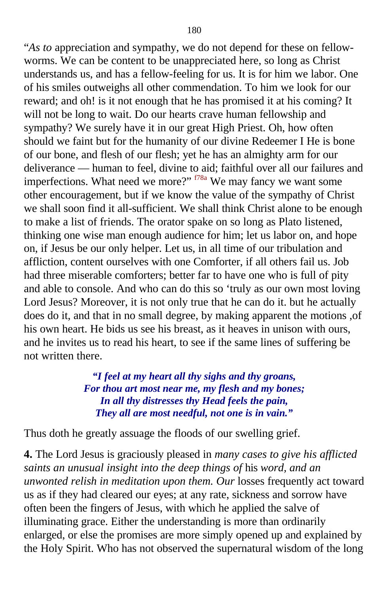"*As to* appreciation and sympathy, we do not depend for these on fellowworms. We can be content to be unappreciated here, so long as Christ understands us, and has a fellow-feeling for us. It is for him we labor. One of his smiles outweighs all other commendation. To him we look for our reward; and oh! is it not enough that he has promised it at his coming? It will not be long to wait. Do our hearts crave human fellowship and sympathy? We surely have it in our great High Priest. Oh, how often should we faint but for the humanity of our divine Redeemer I He is bone of our bone, and flesh of our flesh; yet he has an almighty arm for our deliverance — human to feel, divine to aid; faithful over all our failures and imperfections. What need we more?" [f78a](#page-233-0) We may fancy we want some other encouragement, but if we know the value of the sympathy of Christ we shall soon find it all-sufficient. We shall think Christ alone to be enough to make a list of friends. The orator spake on so long as Plato listened, thinking one wise man enough audience for him; let us labor on, and hope on, if Jesus be our only helper. Let us, in all time of our tribulation and affliction, content ourselves with one Comforter, if all others fail us. Job had three miserable comforters; better far to have one who is full of pity and able to console. And who can do this so 'truly as our own most loving Lord Jesus? Moreover, it is not only true that he can do it. but he actually does do it, and that in no small degree, by making apparent the motions ,of his own heart. He bids us see his breast, as it heaves in unison with ours, and he invites us to read his heart, to see if the same lines of suffering be not written there.

> *"I feel at my heart all thy sighs and thy groans, For thou art most near me, my flesh and my bones; In all thy distresses thy Head feels the pain, They all are most needful, not one is in vain."*

Thus doth he greatly assuage the floods of our swelling grief.

**4.** The Lord Jesus is graciously pleased in *many cases to give his afflicted saints an unusual insight into the deep things of* his *word, and an unwonted relish in meditation upon them. Our* losses frequently act toward us as if they had cleared our eyes; at any rate, sickness and sorrow have often been the fingers of Jesus, with which he applied the salve of illuminating grace. Either the understanding is more than ordinarily enlarged, or else the promises are more simply opened up and explained by the Holy Spirit. Who has not observed the supernatural wisdom of the long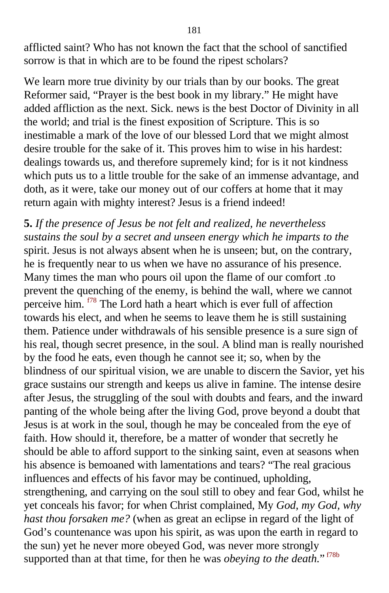afflicted saint? Who has not known the fact that the school of sanctified sorrow is that in which are to be found the ripest scholars?

We learn more true divinity by our trials than by our books. The great Reformer said, "Prayer is the best book in my library." He might have added affliction as the next. Sick. news is the best Doctor of Divinity in all the world; and trial is the finest exposition of Scripture. This is so inestimable a mark of the love of our blessed Lord that we might almost desire trouble for the sake of it. This proves him to wise in his hardest: dealings towards us, and therefore supremely kind; for is it not kindness which puts us to a little trouble for the sake of an immense advantage, and doth, as it were, take our money out of our coffers at home that it may return again with mighty interest? Jesus is a friend indeed!

**5.** *If the presence of Jesus be not felt and realized, he nevertheless sustains the soul by a secret and unseen energy which he imparts to the* spirit. Jesus is not always absent when he is unseen; but, on the contrary, he is frequently near to us when we have no assurance of his presence. Many times the man who pours oil upon the flame of our comfort .to prevent the quenching of the enemy, is behind the wall, where we cannot perceive him. [f78](#page-233-0) The Lord hath a heart which is ever full of affection towards his elect, and when he seems to leave them he is still sustaining them. Patience under withdrawals of his sensible presence is a sure sign of his real, though secret presence, in the soul. A blind man is really nourished by the food he eats, even though he cannot see it; so, when by the blindness of our spiritual vision, we are unable to discern the Savior, yet his grace sustains our strength and keeps us alive in famine. The intense desire after Jesus, the struggling of the soul with doubts and fears, and the inward panting of the whole being after the living God, prove beyond a doubt that Jesus is at work in the soul, though he may be concealed from the eye of faith. How should it, therefore, be a matter of wonder that secretly he should be able to afford support to the sinking saint, even at seasons when his absence is bemoaned with lamentations and tears? "The real gracious influences and effects of his favor may be continued, upholding, strengthening, and carrying on the soul still to obey and fear God, whilst he yet conceals his favor; for when Christ complained, My *God, my God, why hast thou forsaken me?* (when as great an eclipse in regard of the light of God's countenance was upon his spirit, as was upon the earth in regard to the sun) yet he never more obeyed God, was never more strongly supported than at that time, for then he was *obeying to the death*."<sup>178b</sup>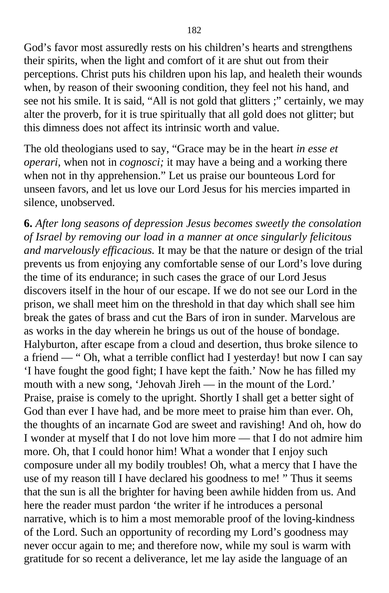God's favor most assuredly rests on his children's hearts and strengthens their spirits, when the light and comfort of it are shut out from their perceptions. Christ puts his children upon his lap, and healeth their wounds when, by reason of their swooning condition, they feel not his hand, and see not his smile. It is said, "All is not gold that glitters ;" certainly, we may alter the proverb, for it is true spiritually that all gold does not glitter; but this dimness does not affect its intrinsic worth and value.

The old theologians used to say, "Grace may be in the heart *in esse et operari,* when not in *cognosci;* it may have a being and a working there when not in thy apprehension." Let us praise our bounteous Lord for unseen favors, and let us love our Lord Jesus for his mercies imparted in silence, unobserved.

**6.** *After long seasons of depression Jesus becomes sweetly the consolation of Israel by removing our load in a manner at once singularly felicitous and marvelously efficacious.* It may be that the nature or design of the trial prevents us from enjoying any comfortable sense of our Lord's love during the time of its endurance; in such cases the grace of our Lord Jesus discovers itself in the hour of our escape. If we do not see our Lord in the prison, we shall meet him on the threshold in that day which shall see him break the gates of brass and cut the Bars of iron in sunder. Marvelous are as works in the day wherein he brings us out of the house of bondage. Halyburton, after escape from a cloud and desertion, thus broke silence to a friend — " Oh, what a terrible conflict had I yesterday! but now I can say 'I have fought the good fight; I have kept the faith.' Now he has filled my mouth with a new song, 'Jehovah Jireh — in the mount of the Lord.' Praise, praise is comely to the upright. Shortly I shall get a better sight of God than ever I have had, and be more meet to praise him than ever. Oh, the thoughts of an incarnate God are sweet and ravishing! And oh, how do I wonder at myself that I do not love him more — that I do not admire him more. Oh, that I could honor him! What a wonder that I enjoy such composure under all my bodily troubles! Oh, what a mercy that I have the use of my reason till I have declared his goodness to me! " Thus it seems that the sun is all the brighter for having been awhile hidden from us. And here the reader must pardon 'the writer if he introduces a personal narrative, which is to him a most memorable proof of the loving-kindness of the Lord. Such an opportunity of recording my Lord's goodness may never occur again to me; and therefore now, while my soul is warm with gratitude for so recent a deliverance, let me lay aside the language of an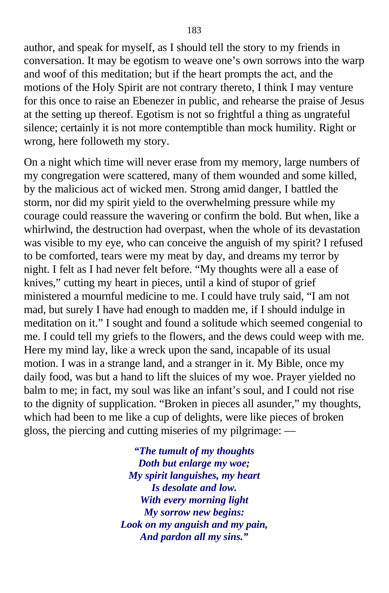author, and speak for myself, as I should tell the story to my friends in conversation. It may be egotism to weave one's own sorrows into the warp and woof of this meditation; but if the heart prompts the act, and the motions of the Holy Spirit are not contrary thereto, I think I may venture for this once to raise an Ebenezer in public, and rehearse the praise of Jesus at the setting up thereof. Egotism is not so frightful a thing as ungrateful silence; certainly it is not more contemptible than mock humility. Right or wrong, here followeth my story.

On a night which time will never erase from my memory, large numbers of my congregation were scattered, many of them wounded and some killed, by the malicious act of wicked men. Strong amid danger, I battled the storm, nor did my spirit yield to the overwhelming pressure while my courage could reassure the wavering or confirm the bold. But when, like a whirlwind, the destruction had overpast, when the whole of its devastation was visible to my eye, who can conceive the anguish of my spirit? I refused to be comforted, tears were my meat by day, and dreams my terror by night. I felt as I had never felt before. "My thoughts were all a ease of knives," cutting my heart in pieces, until a kind of stupor of grief ministered a mournful medicine to me. I could have truly said, "I am not mad, but surely I have had enough to madden me, if I should indulge in meditation on it." I sought and found a solitude which seemed congenial to me. I could tell my griefs to the flowers, and the dews could weep with me. Here my mind lay, like a wreck upon the sand, incapable of its usual motion. I was in a strange land, and a stranger in it. My Bible, once my daily food, was but a hand to lift the sluices of my woe. Prayer yielded no balm to me; in fact, my soul was like an infant's soul, and I could not rise to the dignity of supplication. "Broken in pieces all asunder," my thoughts, which had been to me like a cup of delights, were like pieces of broken gloss, the piercing and cutting miseries of my pilgrimage: —

> *"The tumult of my thoughts Doth but enlarge my woe; My spirit languishes, my heart Is desolate and low. With every morning light My sorrow new begins: Look on my anguish and my pain, And pardon all my sins."*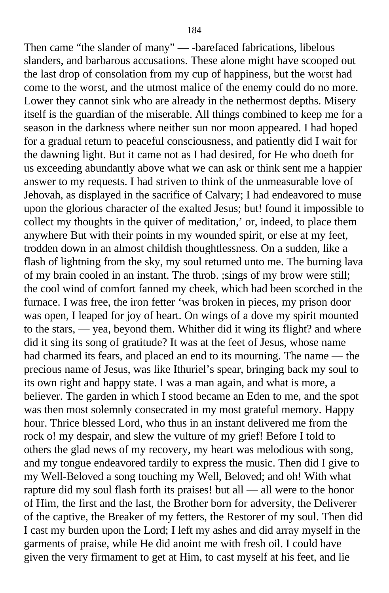Then came "the slander of many" — -barefaced fabrications, libelous slanders, and barbarous accusations. These alone might have scooped out the last drop of consolation from my cup of happiness, but the worst had come to the worst, and the utmost malice of the enemy could do no more. Lower they cannot sink who are already in the nethermost depths. Misery itself is the guardian of the miserable. All things combined to keep me for a season in the darkness where neither sun nor moon appeared. I had hoped for a gradual return to peaceful consciousness, and patiently did I wait for the dawning light. But it came not as I had desired, for He who doeth for us exceeding abundantly above what we can ask or think sent me a happier answer to my requests. I had striven to think of the unmeasurable love of Jehovah, as displayed in the sacrifice of Calvary; I had endeavored to muse upon the glorious character of the exalted Jesus; but! found it impossible to collect my thoughts in the quiver of meditation,' or, indeed, to place them anywhere But with their points in my wounded spirit, or else at my feet, trodden down in an almost childish thoughtlessness. On a sudden, like a flash of lightning from the sky, my soul returned unto me. The burning lava of my brain cooled in an instant. The throb. ;sings of my brow were still; the cool wind of comfort fanned my cheek, which had been scorched in the furnace. I was free, the iron fetter 'was broken in pieces, my prison door was open, I leaped for joy of heart. On wings of a dove my spirit mounted to the stars, — yea, beyond them. Whither did it wing its flight? and where did it sing its song of gratitude? It was at the feet of Jesus, whose name had charmed its fears, and placed an end to its mourning. The name — the precious name of Jesus, was like Ithuriel's spear, bringing back my soul to its own right and happy state. I was a man again, and what is more, a believer. The garden in which I stood became an Eden to me, and the spot was then most solemnly consecrated in my most grateful memory. Happy hour. Thrice blessed Lord, who thus in an instant delivered me from the rock o! my despair, and slew the vulture of my grief! Before I told to others the glad news of my recovery, my heart was melodious with song, and my tongue endeavored tardily to express the music. Then did I give to my Well-Beloved a song touching my Well, Beloved; and oh! With what rapture did my soul flash forth its praises! but all — all were to the honor of Him, the first and the last, the Brother born for adversity, the Deliverer of the captive, the Breaker of my fetters, the Restorer of my soul. Then did I cast my burden upon the Lord; I left my ashes and did array myself in the garments of praise, while He did anoint me with fresh oil. I could have given the very firmament to get at Him, to cast myself at his feet, and lie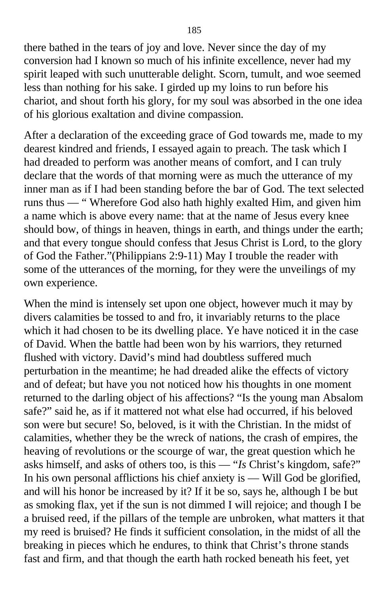there bathed in the tears of joy and love. Never since the day of my conversion had I known so much of his infinite excellence, never had my spirit leaped with such unutterable delight. Scorn, tumult, and woe seemed less than nothing for his sake. I girded up my loins to run before his chariot, and shout forth his glory, for my soul was absorbed in the one idea of his glorious exaltation and divine compassion.

After a declaration of the exceeding grace of God towards me, made to my dearest kindred and friends, I essayed again to preach. The task which I had dreaded to perform was another means of comfort, and I can truly declare that the words of that morning were as much the utterance of my inner man as if I had been standing before the bar of God. The text selected runs thus — " Wherefore God also hath highly exalted Him, and given him a name which is above every name: that at the name of Jesus every knee should bow, of things in heaven, things in earth, and things under the earth; and that every tongue should confess that Jesus Christ is Lord, to the glory of God the Father."(Philippians 2:9-11) May I trouble the reader with some of the utterances of the morning, for they were the unveilings of my own experience.

When the mind is intensely set upon one object, however much it may by divers calamities be tossed to and fro, it invariably returns to the place which it had chosen to be its dwelling place. Ye have noticed it in the case of David. When the battle had been won by his warriors, they returned flushed with victory. David's mind had doubtless suffered much perturbation in the meantime; he had dreaded alike the effects of victory and of defeat; but have you not noticed how his thoughts in one moment returned to the darling object of his affections? "Is the young man Absalom safe?" said he, as if it mattered not what else had occurred, if his beloved son were but secure! So, beloved, is it with the Christian. In the midst of calamities, whether they be the wreck of nations, the crash of empires, the heaving of revolutions or the scourge of war, the great question which he asks himself, and asks of others too, is this — "*Is* Christ's kingdom, safe?" In his own personal afflictions his chief anxiety is — Will God be glorified, and will his honor be increased by it? If it be so, says he, although I be but as smoking flax, yet if the sun is not dimmed I will rejoice; and though I be a bruised reed, if the pillars of the temple are unbroken, what matters it that my reed is bruised? He finds it sufficient consolation, in the midst of all the breaking in pieces which he endures, to think that Christ's throne stands fast and firm, and that though the earth hath rocked beneath his feet, yet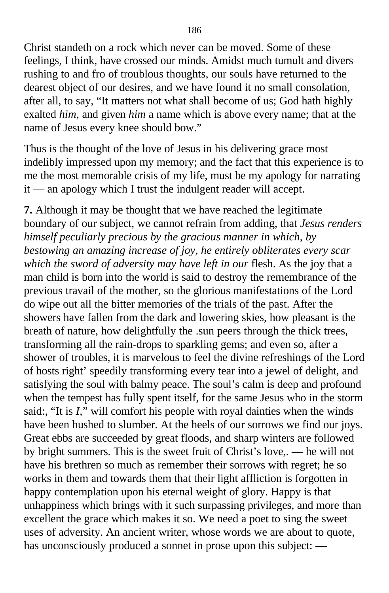Christ standeth on a rock which never can be moved. Some of these feelings, I think, have crossed our minds. Amidst much tumult and divers rushing to and fro of troublous thoughts, our souls have returned to the dearest object of our desires, and we have found it no small consolation, after all, to say, "It matters not what shall become of us; God hath highly exalted *him,* and given *him* a name which is above every name; that at the name of Jesus every knee should bow."

Thus is the thought of the love of Jesus in his delivering grace most indelibly impressed upon my memory; and the fact that this experience is to me the most memorable crisis of my life, must be my apology for narrating it — an apology which I trust the indulgent reader will accept.

**7.** Although it may be thought that we have reached the legitimate boundary of our subject, we cannot refrain from adding, that *Jesus renders himself peculiarly precious by the gracious manner in which, by bestowing an amazing increase of joy, he entirely obliterates every scar* which the sword of adversity may have left in our flesh. As the joy that a man child is born into the world is said to destroy the remembrance of the previous travail of the mother, so the glorious manifestations of the Lord do wipe out all the bitter memories of the trials of the past. After the showers have fallen from the dark and lowering skies, how pleasant is the breath of nature, how delightfully the .sun peers through the thick trees, transforming all the rain-drops to sparkling gems; and even so, after a shower of troubles, it is marvelous to feel the divine refreshings of the Lord of hosts right' speedily transforming every tear into a jewel of delight, and satisfying the soul with balmy peace. The soul's calm is deep and profound when the tempest has fully spent itself, for the same Jesus who in the storm said:, "It is *I,*" will comfort his people with royal dainties when the winds have been hushed to slumber. At the heels of our sorrows we find our joys. Great ebbs are succeeded by great floods, and sharp winters are followed by bright summers. This is the sweet fruit of Christ's love,. — he will not have his brethren so much as remember their sorrows with regret; he so works in them and towards them that their light affliction is forgotten in happy contemplation upon his eternal weight of glory. Happy is that unhappiness which brings with it such surpassing privileges, and more than excellent the grace which makes it so. We need a poet to sing the sweet uses of adversity. An ancient writer, whose words we are about to quote, has unconsciously produced a sonnet in prose upon this subject: —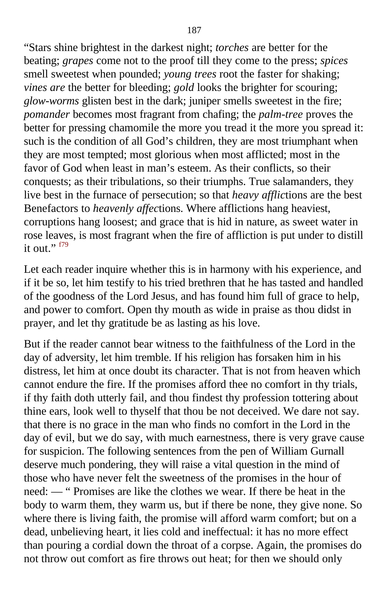"Stars shine brightest in the darkest night; *torches* are better for the beating; *grapes* come not to the proof till they come to the press; *spices* smell sweetest when pounded; *young trees* root the faster for shaking; *vines are* the better for bleeding; *gold* looks the brighter for scouring; *glow-worms* glisten best in the dark; juniper smells sweetest in the fire; *pomander* becomes most fragrant from chafing; the *palm-tree* proves the better for pressing chamomile the more you tread it the more you spread it: such is the condition of all God's children, they are most triumphant when they are most tempted; most glorious when most afflicted; most in the favor of God when least in man's esteem. As their conflicts, so their conquests; as their tribulations, so their triumphs. True salamanders, they live best in the furnace of persecution; so that *heavy afflic*tions are the best Benefactors to *heavenly affec*tions. Where afflictions hang heaviest, corruptions hang loosest; and grace that is hid in nature, as sweet water in rose leaves, is most fragrant when the fire of affliction is put under to distill it out." $579$ 

Let each reader inquire whether this is in harmony with his experience, and if it be so, let him testify to his tried brethren that he has tasted and handled of the goodness of the Lord Jesus, and has found him full of grace to help, and power to comfort. Open thy mouth as wide in praise as thou didst in prayer, and let thy gratitude be as lasting as his love.

But if the reader cannot bear witness to the faithfulness of the Lord in the day of adversity, let him tremble. If his religion has forsaken him in his distress, let him at once doubt its character. That is not from heaven which cannot endure the fire. If the promises afford thee no comfort in thy trials, if thy faith doth utterly fail, and thou findest thy profession tottering about thine ears, look well to thyself that thou be not deceived. We dare not say. that there is no grace in the man who finds no comfort in the Lord in the day of evil, but we do say, with much earnestness, there is very grave cause for suspicion. The following sentences from the pen of William Gurnall deserve much pondering, they will raise a vital question in the mind of those who have never felt the sweetness of the promises in the hour of need: — " Promises are like the clothes we wear. If there be heat in the body to warm them, they warm us, but if there be none, they give none. So where there is living faith, the promise will afford warm comfort; but on a dead, unbelieving heart, it lies cold and ineffectual: it has no more effect than pouring a cordial down the throat of a corpse. Again, the promises do not throw out comfort as fire throws out heat; for then we should only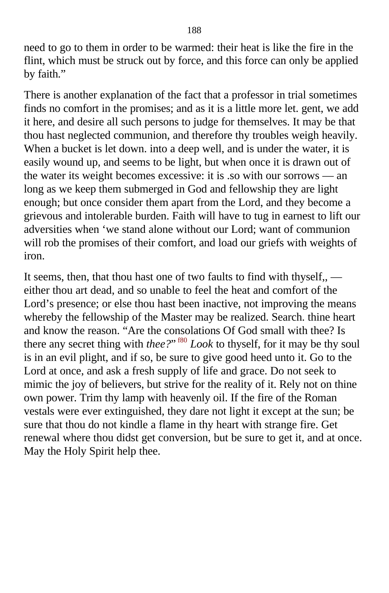need to go to them in order to be warmed: their heat is like the fire in the flint, which must be struck out by force, and this force can only be applied by faith."

There is another explanation of the fact that a professor in trial sometimes finds no comfort in the promises; and as it is a little more let. gent, we add it here, and desire all such persons to judge for themselves. It may be that thou hast neglected communion, and therefore thy troubles weigh heavily. When a bucket is let down. into a deep well, and is under the water, it is easily wound up, and seems to be light, but when once it is drawn out of the water its weight becomes excessive: it is .so with our sorrows — an long as we keep them submerged in God and fellowship they are light enough; but once consider them apart from the Lord, and they become a grievous and intolerable burden. Faith will have to tug in earnest to lift our adversities when 'we stand alone without our Lord; want of communion will rob the promises of their comfort, and load our griefs with weights of iron.

It seems, then, that thou hast one of two faults to find with thyself,, either thou art dead, and so unable to feel the heat and comfort of the Lord's presence; or else thou hast been inactive, not improving the means whereby the fellowship of the Master may be realized. Search. thine heart and know the reason. "Are the consolations Of God small with thee? Is there any secret thing with *thee?*"<sup>180</sup> *Look* to thyself, for it may be thy soul is in an evil plight, and if so, be sure to give good heed unto it. Go to the Lord at once, and ask a fresh supply of life and grace. Do not seek to mimic the joy of believers, but strive for the reality of it. Rely not on thine own power. Trim thy lamp with heavenly oil. If the fire of the Roman vestals were ever extinguished, they dare not light it except at the sun; be sure that thou do not kindle a flame in thy heart with strange fire. Get renewal where thou didst get conversion, but be sure to get it, and at once. May the Holy Spirit help thee.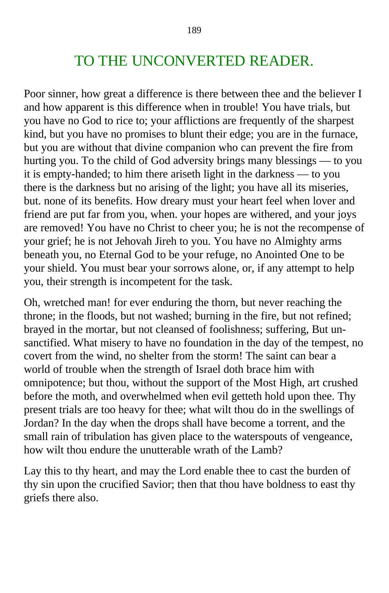## TO THE UNCONVERTED READER.

Poor sinner, how great a difference is there between thee and the believer I and how apparent is this difference when in trouble! You have trials, but you have no God to rice to; your afflictions are frequently of the sharpest kind, but you have no promises to blunt their edge; you are in the furnace, but you are without that divine companion who can prevent the fire from hurting you. To the child of God adversity brings many blessings — to you it is empty-handed; to him there ariseth light in the darkness — to you there is the darkness but no arising of the light; you have all its miseries, but. none of its benefits. How dreary must your heart feel when lover and friend are put far from you, when. your hopes are withered, and your joys are removed! You have no Christ to cheer you; he is not the recompense of your grief; he is not Jehovah Jireh to you. You have no Almighty arms beneath you, no Eternal God to be your refuge, no Anointed One to be your shield. You must bear your sorrows alone, or, if any attempt to help you, their strength is incompetent for the task.

Oh, wretched man! for ever enduring the thorn, but never reaching the throne; in the floods, but not washed; burning in the fire, but not refined; brayed in the mortar, but not cleansed of foolishness; suffering, But unsanctified. What misery to have no foundation in the day of the tempest, no covert from the wind, no shelter from the storm! The saint can bear a world of trouble when the strength of Israel doth brace him with omnipotence; but thou, without the support of the Most High, art crushed before the moth, and overwhelmed when evil getteth hold upon thee. Thy present trials are too heavy for thee; what wilt thou do in the swellings of Jordan? In the day when the drops shall have become a torrent, and the small rain of tribulation has given place to the waterspouts of vengeance, how wilt thou endure the unutterable wrath of the Lamb?

Lay this to thy heart, and may the Lord enable thee to cast the burden of thy sin upon the crucified Savior; then that thou have boldness to east thy griefs there also.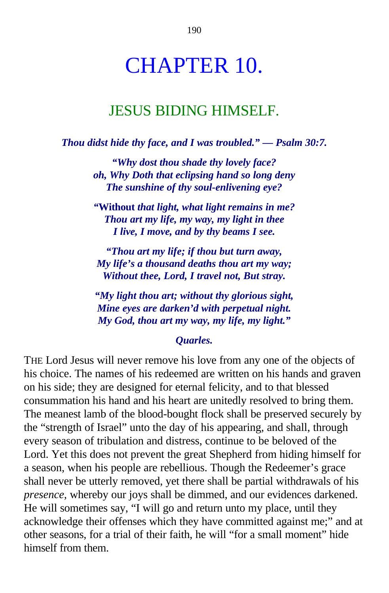## CHAPTER 10.

### JESUS BIDING HIMSELF.

*Thou didst hide thy face, and I was troubled." — Psalm 30:7.*

*"Why dost thou shade thy lovely face? oh, Why Doth that eclipsing hand so long deny The sunshine of thy soul-enlivening eye?*

*"***Without** *that light, what light remains in me? Thou art my life, my way, my light in thee I live, I move, and by thy beams I see.*

*"Thou art my life; if thou but turn away, My life's a thousand deaths thou art my way; Without thee, Lord, I travel not, But stray.*

*"My light thou art; without thy glorious sight, Mine eyes are darken'd with perpetual night. My God, thou art my way, my life, my light."*

#### *Quarles.*

THE Lord Jesus will never remove his love from any one of the objects of his choice. The names of his redeemed are written on his hands and graven on his side; they are designed for eternal felicity, and to that blessed consummation his hand and his heart are unitedly resolved to bring them. The meanest lamb of the blood-bought flock shall be preserved securely by the "strength of Israel" unto the day of his appearing, and shall, through every season of tribulation and distress, continue to be beloved of the Lord. Yet this does not prevent the great Shepherd from hiding himself for a season, when his people are rebellious. Though the Redeemer's grace shall never be utterly removed, yet there shall be partial withdrawals of his *presence,* whereby our joys shall be dimmed, and our evidences darkened. He will sometimes say, "I will go and return unto my place, until they acknowledge their offenses which they have committed against me;" and at other seasons, for a trial of their faith, he will "for a small moment" hide himself from them.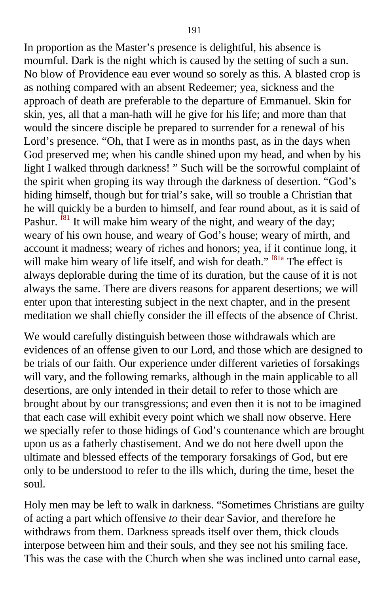In proportion as the Master's presence is delightful, his absence is mournful. Dark is the night which is caused by the setting of such a sun. No blow of Providence eau ever wound so sorely as this. A blasted crop is as nothing compared with an absent Redeemer; yea, sickness and the approach of death are preferable to the departure of Emmanuel. Skin for skin, yes, all that a man-hath will he give for his life; and more than that would the sincere disciple be prepared to surrender for a renewal of his Lord's presence. "Oh, that I were as in months past, as in the days when God preserved me; when his candle shined upon my head, and when by his light I walked through darkness! " Such will be the sorrowful complaint of the spirit when groping its way through the darkness of desertion. "God's hiding himself, though but for trial's sake, will so trouble a Christian that he will quickly be a burden to himself, and fear round about, as it is said of Pashur.  $f^{81}$  It will make him weary of the night, and weary of the day; weary of his own house, and weary of God's house; weary of mirth, and account it madness; weary of riches and honors; yea, if it continue long, it will make him weary of life itself, and wish for death." <sup>[f81a](#page-233-0)</sup> The effect is always deplorable during the time of its duration, but the cause of it is not always the same. There are divers reasons for apparent desertions; we will enter upon that interesting subject in the next chapter, and in the present meditation we shall chiefly consider the ill effects of the absence of Christ.

We would carefully distinguish between those withdrawals which are evidences of an offense given to our Lord, and those which are designed to be trials of our faith. Our experience under different varieties of forsakings will vary, and the following remarks, although in the main applicable to all desertions, are only intended in their detail to refer to those which are brought about by our transgressions; and even then it is not to be imagined that each case will exhibit every point which we shall now observe. Here we specially refer to those hidings of God's countenance which are brought upon us as a fatherly chastisement. And we do not here dwell upon the ultimate and blessed effects of the temporary forsakings of God, but ere only to be understood to refer to the ills which, during the time, beset the soul.

Holy men may be left to walk in darkness. "Sometimes Christians are guilty of acting a part which offensive *to* their dear Savior, and therefore he withdraws from them. Darkness spreads itself over them, thick clouds interpose between him and their souls, and they see not his smiling face. This was the case with the Church when she was inclined unto carnal ease,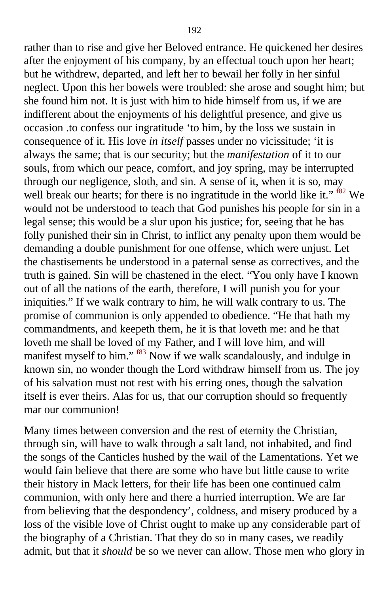rather than to rise and give her Beloved entrance. He quickened her desires after the enjoyment of his company, by an effectual touch upon her heart; but he withdrew, departed, and left her to bewail her folly in her sinful neglect. Upon this her bowels were troubled: she arose and sought him; but she found him not. It is just with him to hide himself from us, if we are indifferent about the enjoyments of his delightful presence, and give us occasion .to confess our ingratitude 'to him, by the loss we sustain in consequence of it. His love *in itself* passes under no vicissitude; 'it is always the same; that is our security; but the *manifestation* of it to our souls, from which our peace, comfort, and joy spring, may be interrupted through our negligence, sloth, and sin. A sense of it, when it is so, may well break our hearts; for there is no ingratitude in the world like it."  $\frac{1}{182}$  We would not be understood to teach that God punishes his people for sin in a legal sense; this would be a slur upon his justice; for, seeing that he has folly punished their sin in Christ, to inflict any penalty upon them would be demanding a double punishment for one offense, which were unjust. Let the chastisements be understood in a paternal sense as correctives, and the truth is gained. Sin will be chastened in the elect. "You only have I known out of all the nations of the earth, therefore, I will punish you for your iniquities." If we walk contrary to him, he will walk contrary to us. The promise of communion is only appended to obedience. "He that hath my commandments, and keepeth them, he it is that loveth me: and he that loveth me shall be loved of my Father, and I will love him, and will manifest myself to him." <sup>[f83](#page-234-0)</sup> Now if we walk scandalously, and indulge in known sin, no wonder though the Lord withdraw himself from us. The joy of his salvation must not rest with his erring ones, though the salvation itself is ever theirs. Alas for us, that our corruption should so frequently mar our communion!

Many times between conversion and the rest of eternity the Christian, through sin, will have to walk through a salt land, not inhabited, and find the songs of the Canticles hushed by the wail of the Lamentations. Yet we would fain believe that there are some who have but little cause to write their history in Mack letters, for their life has been one continued calm communion, with only here and there a hurried interruption. We are far from believing that the despondency', coldness, and misery produced by a loss of the visible love of Christ ought to make up any considerable part of the biography of a Christian. That they do so in many cases, we readily admit, but that it *should* be so we never can allow. Those men who glory in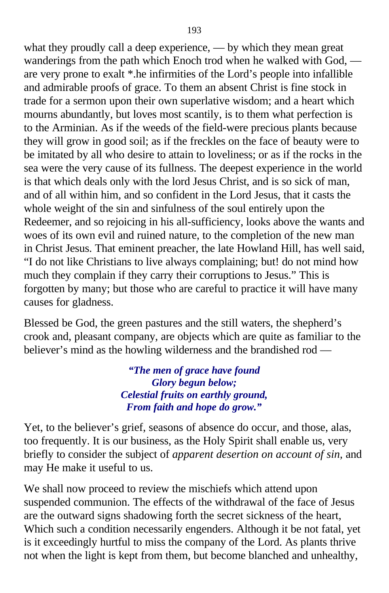what they proudly call a deep experience, — by which they mean great wanderings from the path which Enoch trod when he walked with God, are very prone to exalt \*.he infirmities of the Lord's people into infallible and admirable proofs of grace. To them an absent Christ is fine stock in trade for a sermon upon their own superlative wisdom; and a heart which mourns abundantly, but loves most scantily, is to them what perfection is to the Arminian. As if the weeds of the field-were precious plants because they will grow in good soil; as if the freckles on the face of beauty were to be imitated by all who desire to attain to loveliness; or as if the rocks in the sea were the very cause of its fullness. The deepest experience in the world is that which deals only with the lord Jesus Christ, and is so sick of man, and of all within him, and so confident in the Lord Jesus, that it casts the whole weight of the sin and sinfulness of the soul entirely upon the Redeemer, and so rejoicing in his all-sufficiency, looks above the wants and woes of its own evil and ruined nature, to the completion of the new man in Christ Jesus. That eminent preacher, the late Howland Hill, has well said, "I do not like Christians to live always complaining; but! do not mind how much they complain if they carry their corruptions to Jesus." This is forgotten by many; but those who are careful to practice it will have many causes for gladness.

Blessed be God, the green pastures and the still waters, the shepherd's crook and, pleasant company, are objects which are quite as familiar to the believer's mind as the howling wilderness and the brandished rod —

> *"The men of grace have found Glory begun below; Celestial fruits on earthly ground, From faith and hope do grow."*

Yet, to the believer's grief, seasons of absence do occur, and those, alas, too frequently. It is our business, as the Holy Spirit shall enable us, very briefly to consider the subject of *apparent desertion on account of sin,* and may He make it useful to us.

We shall now proceed to review the mischiefs which attend upon suspended communion. The effects of the withdrawal of the face of Jesus are the outward signs shadowing forth the secret sickness of the heart, Which such a condition necessarily engenders. Although it be not fatal, yet is it exceedingly hurtful to miss the company of the Lord. As plants thrive not when the light is kept from them, but become blanched and unhealthy,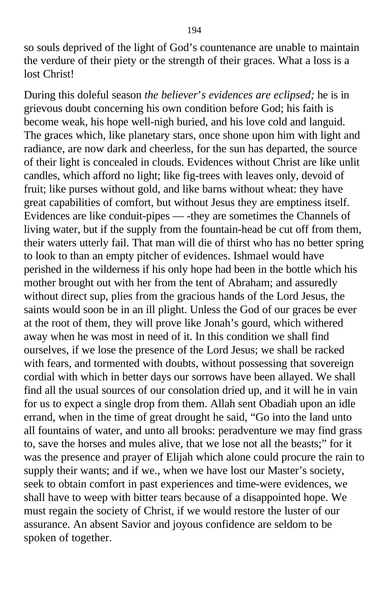so souls deprived of the light of God's countenance are unable to maintain the verdure of their piety or the strength of their graces. What a loss is a lost Christ!

During this doleful season *the believer*'*s evidences are eclipsed;* he is in grievous doubt concerning his own condition before God; his faith is become weak, his hope well-nigh buried, and his love cold and languid. The graces which, like planetary stars, once shone upon him with light and radiance, are now dark and cheerless, for the sun has departed, the source of their light is concealed in clouds. Evidences without Christ are like unlit candles, which afford no light; like fig-trees with leaves only, devoid of fruit; like purses without gold, and like barns without wheat: they have great capabilities of comfort, but without Jesus they are emptiness itself. Evidences are like conduit-pipes — -they are sometimes the Channels of living water, but if the supply from the fountain-head be cut off from them, their waters utterly fail. That man will die of thirst who has no better spring to look to than an empty pitcher of evidences. Ishmael would have perished in the wilderness if his only hope had been in the bottle which his mother brought out with her from the tent of Abraham; and assuredly without direct sup, plies from the gracious hands of the Lord Jesus, the saints would soon be in an ill plight. Unless the God of our graces be ever at the root of them, they will prove like Jonah's gourd, which withered away when he was most in need of it. In this condition we shall find ourselves, if we lose the presence of the Lord Jesus; we shall be racked with fears, and tormented with doubts, without possessing that sovereign cordial with which in better days our sorrows have been allayed. We shall find all the usual sources of our consolation dried up, and it will he in vain for us to expect a single drop from them. Allah sent Obadiah upon an idle errand, when in the time of great drought he said, "Go into the land unto all fountains of water, and unto all brooks: peradventure we may find grass to, save the horses and mules alive, that we lose not all the beasts;" for it was the presence and prayer of Elijah which alone could procure the rain to supply their wants; and if we., when we have lost our Master's society, seek to obtain comfort in past experiences and time-were evidences, we shall have to weep with bitter tears because of a disappointed hope. We must regain the society of Christ, if we would restore the luster of our assurance. An absent Savior and joyous confidence are seldom to be spoken of together.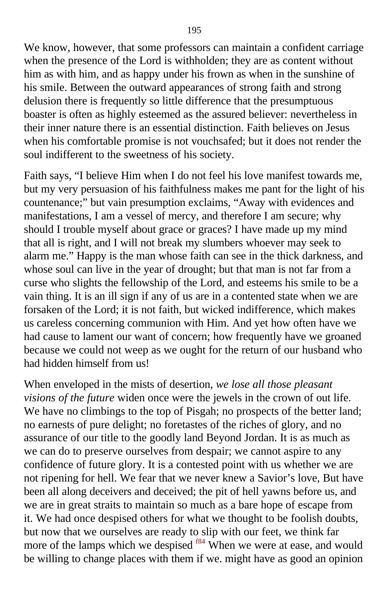We know, however, that some professors can maintain a confident carriage when the presence of the Lord is withholden; they are as content without him as with him, and as happy under his frown as when in the sunshine of his smile. Between the outward appearances of strong faith and strong delusion there is frequently so little difference that the presumptuous boaster is often as highly esteemed as the assured believer: nevertheless in their inner nature there is an essential distinction. Faith believes on Jesus when his comfortable promise is not vouchsafed; but it does not render the soul indifferent to the sweetness of his society.

Faith says, "I believe Him when I do not feel his love manifest towards me, but my very persuasion of his faithfulness makes me pant for the light of his countenance;" but vain presumption exclaims, "Away with evidences and manifestations, I am a vessel of mercy, and therefore I am secure; why should I trouble myself about grace or graces? I have made up my mind that all is right, and I will not break my slumbers whoever may seek to alarm me." Happy is the man whose faith can see in the thick darkness, and whose soul can live in the year of drought; but that man is not far from a curse who slights the fellowship of the Lord, and esteems his smile to be a vain thing. It is an ill sign if any of us are in a contented state when we are forsaken of the Lord; it is not faith, but wicked indifference, which makes us careless concerning communion with Him. And yet how often have we had cause to lament our want of concern; how frequently have we groaned because we could not weep as we ought for the return of our husband who had hidden himself from us!

When enveloped in the mists of desertion, *we lose all those pleasant visions of the future* widen once were the jewels in the crown of out life. We have no climbings to the top of Pisgah; no prospects of the better land; no earnests of pure delight; no foretastes of the riches of glory, and no assurance of our title to the goodly land Beyond Jordan. It is as much as we can do to preserve ourselves from despair; we cannot aspire to any confidence of future glory. It is a contested point with us whether we are not ripening for hell. We fear that we never knew a Savior's love, But have been all along deceivers and deceived; the pit of hell yawns before us, and we are in great straits to maintain so much as a bare hope of escape from it. We had once despised others for what we thought to be foolish doubts, but now that we ourselves are ready to slip with our feet, we think far more of the lamps which we despised  $184$  When we were at ease, and would be willing to change places with them if we. might have as good an opinion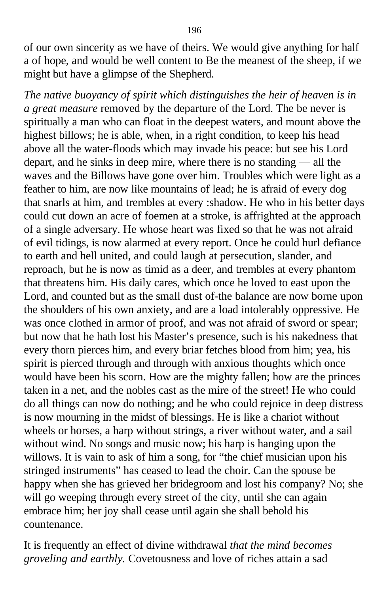of our own sincerity as we have of theirs. We would give anything for half a of hope, and would be well content to Be the meanest of the sheep, if we might but have a glimpse of the Shepherd.

*The native buoyancy of spirit which distinguishes the heir of heaven is in a great measure* removed by the departure of the Lord. The be never is spiritually a man who can float in the deepest waters, and mount above the highest billows; he is able, when, in a right condition, to keep his head above all the water-floods which may invade his peace: but see his Lord depart, and he sinks in deep mire, where there is no standing — all the waves and the Billows have gone over him. Troubles which were light as a feather to him, are now like mountains of lead; he is afraid of every dog that snarls at him, and trembles at every :shadow. He who in his better days could cut down an acre of foemen at a stroke, is affrighted at the approach of a single adversary. He whose heart was fixed so that he was not afraid of evil tidings, is now alarmed at every report. Once he could hurl defiance to earth and hell united, and could laugh at persecution, slander, and reproach, but he is now as timid as a deer, and trembles at every phantom that threatens him. His daily cares, which once he loved to east upon the Lord, and counted but as the small dust of-the balance are now borne upon the shoulders of his own anxiety, and are a load intolerably oppressive. He was once clothed in armor of proof, and was not afraid of sword or spear; but now that he hath lost his Master's presence, such is his nakedness that every thorn pierces him, and every briar fetches blood from him; yea, his spirit is pierced through and through with anxious thoughts which once would have been his scorn. How are the mighty fallen; how are the princes taken in a net, and the nobles cast as the mire of the street! He who could do all things can now do nothing; and he who could rejoice in deep distress is now mourning in the midst of blessings. He is like a chariot without wheels or horses, a harp without strings, a river without water, and a sail without wind. No songs and music now; his harp is hanging upon the willows. It is vain to ask of him a song, for "the chief musician upon his stringed instruments" has ceased to lead the choir. Can the spouse be happy when she has grieved her bridegroom and lost his company? No; she will go weeping through every street of the city, until she can again embrace him; her joy shall cease until again she shall behold his countenance.

It is frequently an effect of divine withdrawal *that the mind becomes groveling and earthly.* Covetousness and love of riches attain a sad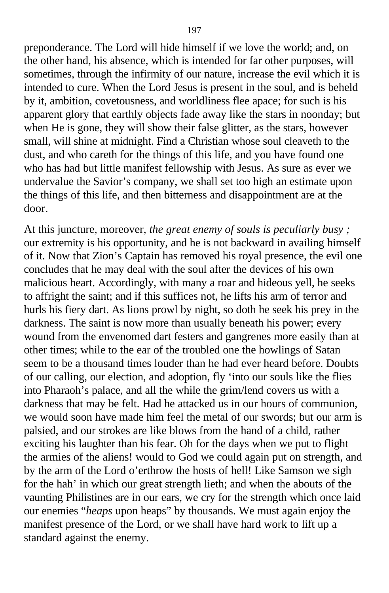preponderance. The Lord will hide himself if we love the world; and, on the other hand, his absence, which is intended for far other purposes, will sometimes, through the infirmity of our nature, increase the evil which it is intended to cure. When the Lord Jesus is present in the soul, and is beheld by it, ambition, covetousness, and worldliness flee apace; for such is his apparent glory that earthly objects fade away like the stars in noonday; but when He is gone, they will show their false glitter, as the stars, however small, will shine at midnight. Find a Christian whose soul cleaveth to the dust, and who careth for the things of this life, and you have found one who has had but little manifest fellowship with Jesus. As sure as ever we undervalue the Savior's company, we shall set too high an estimate upon the things of this life, and then bitterness and disappointment are at the door.

At this juncture, moreover, *the great enemy of souls is peculiarly busy ;* our extremity is his opportunity, and he is not backward in availing himself of it. Now that Zion's Captain has removed his royal presence, the evil one concludes that he may deal with the soul after the devices of his own malicious heart. Accordingly, with many a roar and hideous yell, he seeks to affright the saint; and if this suffices not, he lifts his arm of terror and hurls his fiery dart. As lions prowl by night, so doth he seek his prey in the darkness. The saint is now more than usually beneath his power; every wound from the envenomed dart festers and gangrenes more easily than at other times; while to the ear of the troubled one the howlings of Satan seem to be a thousand times louder than he had ever heard before. Doubts of our calling, our election, and adoption, fly 'into our souls like the flies into Pharaoh's palace, and all the while the grim/lend covers us with a darkness that may be felt. Had he attacked us in our hours of communion, we would soon have made him feel the metal of our swords; but our arm is palsied, and our strokes are like blows from the hand of a child, rather exciting his laughter than his fear. Oh for the days when we put to flight the armies of the aliens! would to God we could again put on strength, and by the arm of the Lord o'erthrow the hosts of hell! Like Samson we sigh for the hah' in which our great strength lieth; and when the abouts of the vaunting Philistines are in our ears, we cry for the strength which once laid our enemies "*heaps* upon heaps" by thousands. We must again enjoy the manifest presence of the Lord, or we shall have hard work to lift up a standard against the enemy.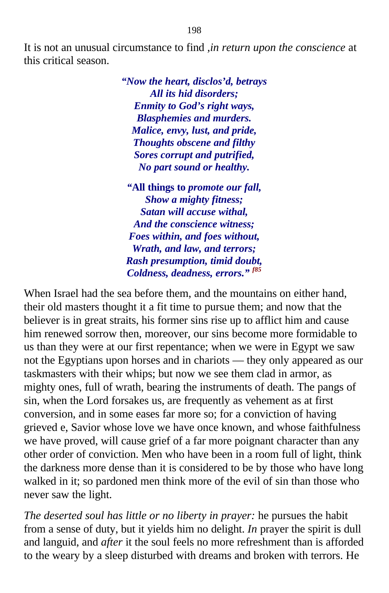It is not an unusual circumstance to find *,in return upon the conscience* at this critical season.

> *"Now the heart, disclos'd, betrays All its hid disorders; Enmity to God's right ways, Blasphemies and murders. Malice, envy, lust, and pride, Thoughts obscene and filthy Sores corrupt and putrified, No part sound or healthy.*

*"***All things to** *promote our fall, Show a mighty fitness; Satan will accuse withal, And the conscience witness; Foes within, and foes without, Wrath, and law, and terrors; Rash presumption, timid doubt, Coldness, deadness, errors." [f85](#page-234-0)*

When Israel had the sea before them, and the mountains on either hand, their old masters thought it a fit time to pursue them; and now that the believer is in great straits, his former sins rise up to afflict him and cause him renewed sorrow then, moreover, our sins become more formidable to us than they were at our first repentance; when we were in Egypt we saw not the Egyptians upon horses and in chariots — they only appeared as our taskmasters with their whips; but now we see them clad in armor, as mighty ones, full of wrath, bearing the instruments of death. The pangs of sin, when the Lord forsakes us, are frequently as vehement as at first conversion, and in some eases far more so; for a conviction of having grieved e, Savior whose love we have once known, and whose faithfulness we have proved, will cause grief of a far more poignant character than any other order of conviction. Men who have been in a room full of light, think the darkness more dense than it is considered to be by those who have long walked in it; so pardoned men think more of the evil of sin than those who never saw the light.

*The deserted soul has little or no liberty in prayer:* he pursues the habit from a sense of duty, but it yields him no delight. *In* prayer the spirit is dull and languid, and *after* it the soul feels no more refreshment than is afforded to the weary by a sleep disturbed with dreams and broken with terrors. He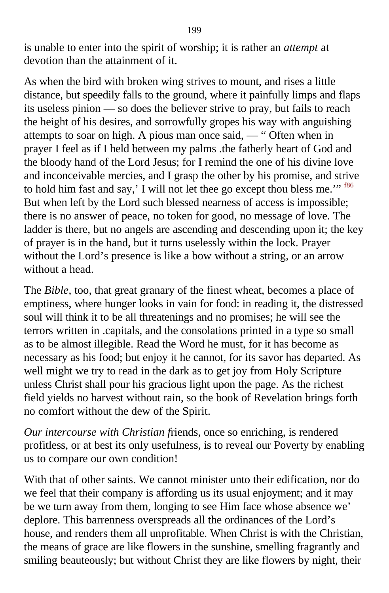is unable to enter into the spirit of worship; it is rather an *attempt* at devotion than the attainment of it.

As when the bird with broken wing strives to mount, and rises a little distance, but speedily falls to the ground, where it painfully limps and flaps its useless pinion — so does the believer strive to pray, but fails to reach the height of his desires, and sorrowfully gropes his way with anguishing attempts to soar on high. A pious man once said, — " Often when in prayer I feel as if I held between my palms .the fatherly heart of God and the bloody hand of the Lord Jesus; for I remind the one of his divine love and inconceivable mercies, and I grasp the other by his promise, and strive to hold him fast and say,' I will not let thee go except thou bless me."<sup>586</sup> But when left by the Lord such blessed nearness of access is impossible; there is no answer of peace, no token for good, no message of love. The ladder is there, but no angels are ascending and descending upon it; the key of prayer is in the hand, but it turns uselessly within the lock. Prayer without the Lord's presence is like a bow without a string, or an arrow without a head.

The *Bible,* too, that great granary of the finest wheat, becomes a place of emptiness, where hunger looks in vain for food: in reading it, the distressed soul will think it to be all threatenings and no promises; he will see the terrors written in .capitals, and the consolations printed in a type so small as to be almost illegible. Read the Word he must, for it has become as necessary as his food; but enjoy it he cannot, for its savor has departed. As well might we try to read in the dark as to get joy from Holy Scripture unless Christ shall pour his gracious light upon the page. As the richest field yields no harvest without rain, so the book of Revelation brings forth no comfort without the dew of the Spirit.

*Our intercourse with Christian f*riends, once so enriching, is rendered profitless, or at best its only usefulness, is to reveal our Poverty by enabling us to compare our own condition!

With that of other saints. We cannot minister unto their edification, nor do we feel that their company is affording us its usual enjoyment; and it may be we turn away from them, longing to see Him face whose absence we' deplore. This barrenness overspreads all the ordinances of the Lord's house, and renders them all unprofitable. When Christ is with the Christian, the means of grace are like flowers in the sunshine, smelling fragrantly and smiling beauteously; but without Christ they are like flowers by night, their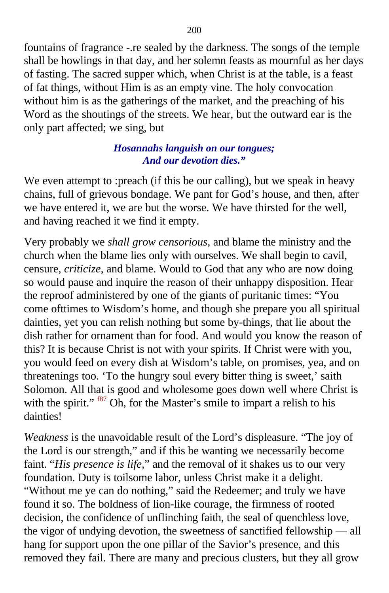fountains of fragrance -.re sealed by the darkness. The songs of the temple shall be howlings in that day, and her solemn feasts as mournful as her days of fasting. The sacred supper which, when Christ is at the table, is a feast of fat things, without Him is as an empty vine. The holy convocation without him is as the gatherings of the market, and the preaching of his Word as the shoutings of the streets. We hear, but the outward ear is the only part affected; we sing, but

#### *Hosannahs languish on our tongues; And our devotion dies."*

We even attempt to :preach (if this be our calling), but we speak in heavy chains, full of grievous bondage. We pant for God's house, and then, after we have entered it, we are but the worse. We have thirsted for the well, and having reached it we find it empty.

Very probably we *shall grow censorious,* and blame the ministry and the church when the blame lies only with ourselves. We shall begin to cavil, censure, *criticize,* and blame. Would to God that any who are now doing so would pause and inquire the reason of their unhappy disposition. Hear the reproof administered by one of the giants of puritanic times: "You come ofttimes to Wisdom's home, and though she prepare you all spiritual dainties, yet you can relish nothing but some by-things, that lie about the dish rather for ornament than for food. And would you know the reason of this? It is because Christ is not with your spirits. If Christ were with you, you would feed on every dish at Wisdom's table, on promises, yea, and on threatenings too. 'To the hungry soul every bitter thing is sweet,' saith Solomon. All that is good and wholesome goes down well where Christ is with the spirit." <sup>[f87](#page-234-0)</sup> Oh, for the Master's smile to impart a relish to his dainties!

*Weakness* is the unavoidable result of the Lord's displeasure. "The joy of the Lord is our strength," and if this be wanting we necessarily become faint. "*His presence is life,*" and the removal of it shakes us to our very foundation. Duty is toilsome labor, unless Christ make it a delight. "Without me ye can do nothing," said the Redeemer; and truly we have found it so. The boldness of lion-like courage, the firmness of rooted decision, the confidence of unflinching faith, the seal of quenchless love, the vigor of undying devotion, the sweetness of sanctified fellowship — all hang for support upon the one pillar of the Savior's presence, and this removed they fail. There are many and precious clusters, but they all grow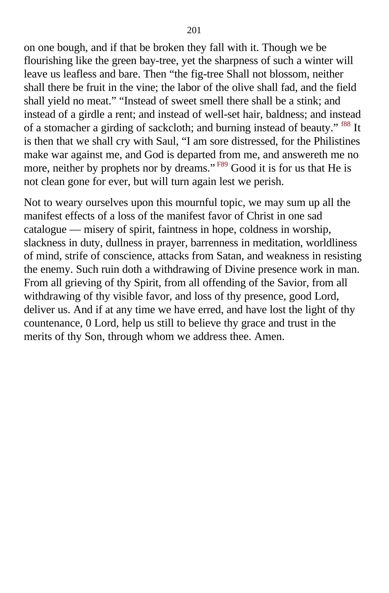on one bough, and if that be broken they fall with it. Though we be flourishing like the green bay-tree, yet the sharpness of such a winter will leave us leafless and bare. Then "the fig-tree Shall not blossom, neither shall there be fruit in the vine; the labor of the olive shall fad, and the field shall yield no meat." "Instead of sweet smell there shall be a stink; and instead of a girdle a rent; and instead of well-set hair, baldness; and instead of a stomacher a girding of sackcloth; and burning instead of beauty." <sup>[f88](#page-234-0)</sup> It is then that we shall cry with Saul, "I am sore distressed, for the Philistines make war against me, and God is departed from me, and answereth me no more, neither by prophets nor by dreams."<sup>F89</sup> Good it is for us that He is not clean gone for ever, but will turn again lest we perish.

Not to weary ourselves upon this mournful topic, we may sum up all the manifest effects of a loss of the manifest favor of Christ in one sad catalogue — misery of spirit, faintness in hope, coldness in worship, slackness in duty, dullness in prayer, barrenness in meditation, worldliness of mind, strife of conscience, attacks from Satan, and weakness in resisting the enemy. Such ruin doth a withdrawing of Divine presence work in man. From all grieving of thy Spirit, from all offending of the Savior, from all withdrawing of thy visible favor, and loss of thy presence, good Lord, deliver us. And if at any time we have erred, and have lost the light of thy countenance, 0 Lord, help us still to believe thy grace and trust in the merits of thy Son, through whom we address thee. Amen.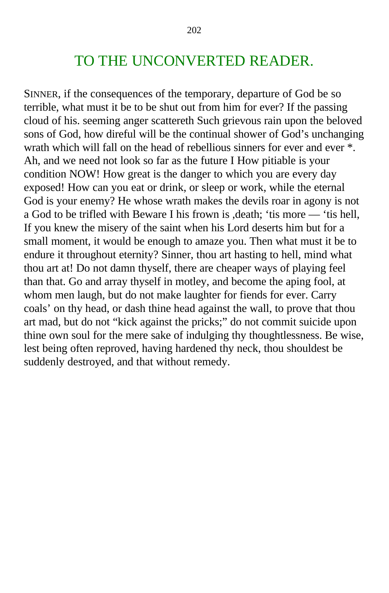## TO THE UNCONVERTED READER.

SINNER, if the consequences of the temporary, departure of God be so terrible, what must it be to be shut out from him for ever? If the passing cloud of his. seeming anger scattereth Such grievous rain upon the beloved sons of God, how direful will be the continual shower of God's unchanging wrath which will fall on the head of rebellious sinners for ever and ever \*. Ah, and we need not look so far as the future I How pitiable is your condition NOW! How great is the danger to which you are every day exposed! How can you eat or drink, or sleep or work, while the eternal God is your enemy? He whose wrath makes the devils roar in agony is not a God to be trifled with Beware I his frown is ,death; 'tis more — 'tis hell, If you knew the misery of the saint when his Lord deserts him but for a small moment, it would be enough to amaze you. Then what must it be to endure it throughout eternity? Sinner, thou art hasting to hell, mind what thou art at! Do not damn thyself, there are cheaper ways of playing feel than that. Go and array thyself in motley, and become the aping fool, at whom men laugh, but do not make laughter for fiends for ever. Carry coals' on thy head, or dash thine head against the wall, to prove that thou art mad, but do not "kick against the pricks;" do not commit suicide upon thine own soul for the mere sake of indulging thy thoughtlessness. Be wise, lest being often reproved, having hardened thy neck, thou shouldest be suddenly destroyed, and that without remedy.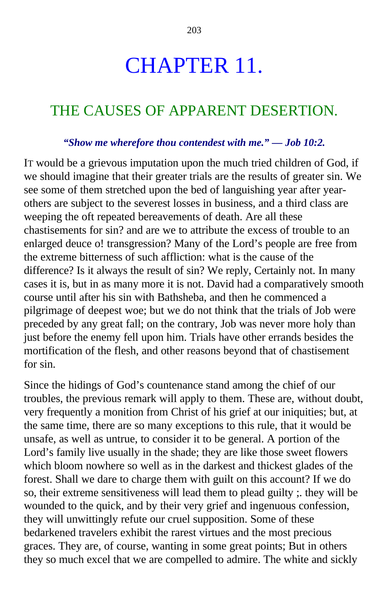# CHAPTER 11.

## THE CAUSES OF APPARENT DESERTION.

#### *"Show me wherefore thou contendest with me." — Job 10:2.*

IT would be a grievous imputation upon the much tried children of God, if we should imagine that their greater trials are the results of greater sin. We see some of them stretched upon the bed of languishing year after yearothers are subject to the severest losses in business, and a third class are weeping the oft repeated bereavements of death. Are all these chastisements for sin? and are we to attribute the excess of trouble to an enlarged deuce o! transgression? Many of the Lord's people are free from the extreme bitterness of such affliction: what is the cause of the difference? Is it always the result of sin? We reply, Certainly not. In many cases it is, but in as many more it is not. David had a comparatively smooth course until after his sin with Bathsheba, and then he commenced a pilgrimage of deepest woe; but we do not think that the trials of Job were preceded by any great fall; on the contrary, Job was never more holy than just before the enemy fell upon him. Trials have other errands besides the mortification of the flesh, and other reasons beyond that of chastisement for sin.

Since the hidings of God's countenance stand among the chief of our troubles, the previous remark will apply to them. These are, without doubt, very frequently a monition from Christ of his grief at our iniquities; but, at the same time, there are so many exceptions to this rule, that it would be unsafe, as well as untrue, to consider it to be general. A portion of the Lord's family live usually in the shade; they are like those sweet flowers which bloom nowhere so well as in the darkest and thickest glades of the forest. Shall we dare to charge them with guilt on this account? If we do so, their extreme sensitiveness will lead them to plead guilty ;. they will be wounded to the quick, and by their very grief and ingenuous confession, they will unwittingly refute our cruel supposition. Some of these bedarkened travelers exhibit the rarest virtues and the most precious graces. They are, of course, wanting in some great points; But in others they so much excel that we are compelled to admire. The white and sickly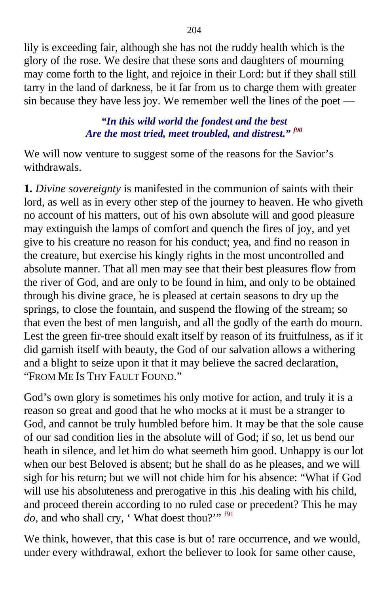lily is exceeding fair, although she has not the ruddy health which is the glory of the rose. We desire that these sons and daughters of mourning may come forth to the light, and rejoice in their Lord: but if they shall still tarry in the land of darkness, be it far from us to charge them with greater sin because they have less joy. We remember well the lines of the poet —

#### *"In this wild world the fondest and the best Are the most tried, meet troubled, and distrest." [f90](#page-234-0)*

We will now venture to suggest some of the reasons for the Savior's withdrawals.

**1.** *Divine sovereignty* is manifested in the communion of saints with their lord, as well as in every other step of the journey to heaven. He who giveth no account of his matters, out of his own absolute will and good pleasure may extinguish the lamps of comfort and quench the fires of joy, and yet give to his creature no reason for his conduct; yea, and find no reason in the creature, but exercise his kingly rights in the most uncontrolled and absolute manner. That all men may see that their best pleasures flow from the river of God, and are only to be found in him, and only to be obtained through his divine grace, he is pleased at certain seasons to dry up the springs, to close the fountain, and suspend the flowing of the stream; so that even the best of men languish, and all the godly of the earth do mourn. Lest the green fir-tree should exalt itself by reason of its fruitfulness, as if it did garnish itself with beauty, the God of our salvation allows a withering and a blight to seize upon it that it may believe the sacred declaration, "FROM ME IS THY FAULT FOUND."

God's own glory is sometimes his only motive for action, and truly it is a reason so great and good that he who mocks at it must be a stranger to God, and cannot be truly humbled before him. It may be that the sole cause of our sad condition lies in the absolute will of God; if so, let us bend our heath in silence, and let him do what seemeth him good. Unhappy is our lot when our best Beloved is absent; but he shall do as he pleases, and we will sigh for his return; but we will not chide him for his absence: "What if God will use his absoluteness and prerogative in this .his dealing with his child, and proceed therein according to no ruled case or precedent? This he may *do*, and who shall cry, 'What doest thou?"<sup>591</sup>

We think, however, that this case is but o! rare occurrence, and we would, under every withdrawal, exhort the believer to look for same other cause,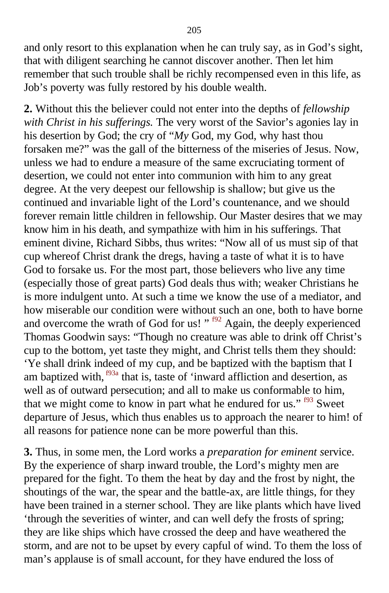and only resort to this explanation when he can truly say, as in God's sight, that with diligent searching he cannot discover another. Then let him remember that such trouble shall be richly recompensed even in this life, as Job's poverty was fully restored by his double wealth.

**2.** Without this the believer could not enter into the depths of *fellowship with Christ in his sufferings.* The very worst of the Savior's agonies lay in his desertion by God; the cry of "*My* God, my God, why hast thou forsaken me?" was the gall of the bitterness of the miseries of Jesus. Now, unless we had to endure a measure of the same excruciating torment of desertion, we could not enter into communion with him to any great degree. At the very deepest our fellowship is shallow; but give us the continued and invariable light of the Lord's countenance, and we should forever remain little children in fellowship. Our Master desires that we may know him in his death, and sympathize with him in his sufferings. That eminent divine, Richard Sibbs, thus writes: "Now all of us must sip of that cup whereof Christ drank the dregs, having a taste of what it is to have God to forsake us. For the most part, those believers who live any time (especially those of great parts) God deals thus with; weaker Christians he is more indulgent unto. At such a time we know the use of a mediator, and how miserable our condition were without such an one, both to have borne and overcome the wrath of God for us!"  $\frac{1}{12}$  Again, the deeply experienced Thomas Goodwin says: "Though no creature was able to drink off Christ's cup to the bottom, yet taste they might, and Christ tells them they should: 'Ye shall drink indeed of my cup, and be baptized with the baptism that I am baptized with, <sup>f93a</sup> that is, taste of 'inward affliction and desertion, as well as of outward persecution; and all to make us conformable to him, that we might come to know in part what he endured for us."  $f^{93}$  Sweet departure of Jesus, which thus enables us to approach the nearer to him! of all reasons for patience none can be more powerful than this.

**3.** Thus, in some men, the Lord works a *preparation for eminent s*ervice. By the experience of sharp inward trouble, the Lord's mighty men are prepared for the fight. To them the heat by day and the frost by night, the shoutings of the war, the spear and the battle-ax, are little things, for they have been trained in a sterner school. They are like plants which have lived 'through the severities of winter, and can well defy the frosts of spring; they are like ships which have crossed the deep and have weathered the storm, and are not to be upset by every capful of wind. To them the loss of man's applause is of small account, for they have endured the loss of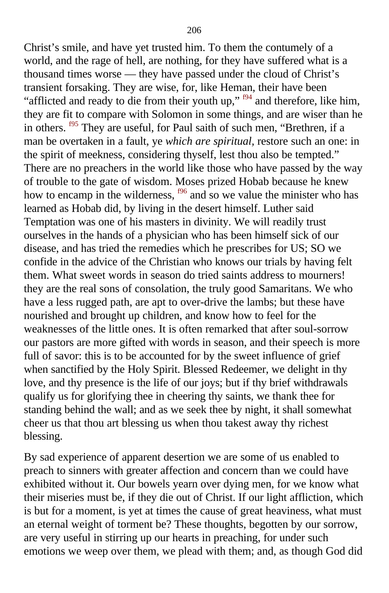Christ's smile, and have yet trusted him. To them the contumely of a world, and the rage of hell, are nothing, for they have suffered what is a thousand times worse — they have passed under the cloud of Christ's transient forsaking. They are wise, for, like Heman, their have been "afflicted and ready to die from their youth up,"  $f^{94}$  and therefore, like him, they are fit to compare with Solomon in some things, and are wiser than he in others. <sup>[f95](#page-234-0)</sup> They are useful, for Paul saith of such men, "Brethren, if a man be overtaken in a fault, ye *which are spiritual,* restore such an one: in the spirit of meekness, considering thyself, lest thou also be tempted." There are no preachers in the world like those who have passed by the way of trouble to the gate of wisdom. Moses prized Hobab because he knew how to encamp in the wilderness,  $^{196}$  and so we value the minister who has learned as Hobab did, by living in the desert himself. Luther said Temptation was one of his masters in divinity. We will readily trust ourselves in the hands of a physician who has been himself sick of our disease, and has tried the remedies which he prescribes for US; SO we confide in the advice of the Christian who knows our trials by having felt them. What sweet words in season do tried saints address to mourners! they are the real sons of consolation, the truly good Samaritans. We who have a less rugged path, are apt to over-drive the lambs; but these have nourished and brought up children, and know how to feel for the weaknesses of the little ones. It is often remarked that after soul-sorrow our pastors are more gifted with words in season, and their speech is more full of savor: this is to be accounted for by the sweet influence of grief when sanctified by the Holy Spirit. Blessed Redeemer, we delight in thy love, and thy presence is the life of our joys; but if thy brief withdrawals qualify us for glorifying thee in cheering thy saints, we thank thee for standing behind the wall; and as we seek thee by night, it shall somewhat cheer us that thou art blessing us when thou takest away thy richest blessing.

By sad experience of apparent desertion we are some of us enabled to preach to sinners with greater affection and concern than we could have exhibited without it. Our bowels yearn over dying men, for we know what their miseries must be, if they die out of Christ. If our light affliction, which is but for a moment, is yet at times the cause of great heaviness, what must an eternal weight of torment be? These thoughts, begotten by our sorrow, are very useful in stirring up our hearts in preaching, for under such emotions we weep over them, we plead with them; and, as though God did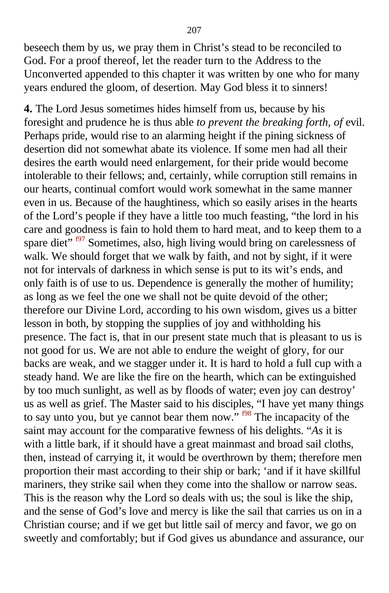beseech them by us, we pray them in Christ's stead to be reconciled to God. For a proof thereof, let the reader turn to the Address to the Unconverted appended to this chapter it was written by one who for many years endured the gloom, of desertion. May God bless it to sinners!

**4.** The Lord Jesus sometimes hides himself from us, because by his foresight and prudence he is thus able *to prevent the breaking forth, of* evil. Perhaps pride, would rise to an alarming height if the pining sickness of desertion did not somewhat abate its violence. If some men had all their desires the earth would need enlargement, for their pride would become intolerable to their fellows; and, certainly, while corruption still remains in our hearts, continual comfort would work somewhat in the same manner even in us. Because of the haughtiness, which so easily arises in the hearts of the Lord's people if they have a little too much feasting, "the lord in his care and goodness is fain to hold them to hard meat, and to keep them to a spare diet" f<sup>97</sup> Sometimes, also, high living would bring on carelessness of walk. We should forget that we walk by faith, and not by sight, if it were not for intervals of darkness in which sense is put to its wit's ends, and only faith is of use to us. Dependence is generally the mother of humility; as long as we feel the one we shall not be quite devoid of the other; therefore our Divine Lord, according to his own wisdom, gives us a bitter lesson in both, by stopping the supplies of joy and withholding his presence. The fact is, that in our present state much that is pleasant to us is not good for us. We are not able to endure the weight of glory, for our backs are weak, and we stagger under it. It is hard to hold a full cup with a steady hand. We are like the fire on the hearth, which can be extinguished by too much sunlight, as well as by floods of water; even joy can destroy' us as well as grief. The Master said to his disciples, "I have yet many things to say unto you, but ye cannot bear them now." <sup>[f98](#page-234-0)</sup> The incapacity of the saint may account for the comparative fewness of his delights. "*As* it is with a little bark, if it should have a great mainmast and broad sail cloths, then, instead of carrying it, it would be overthrown by them; therefore men proportion their mast according to their ship or bark; 'and if it have skillful mariners, they strike sail when they come into the shallow or narrow seas. This is the reason why the Lord so deals with us; the soul is like the ship, and the sense of God's love and mercy is like the sail that carries us on in a Christian course; and if we get but little sail of mercy and favor, we go on sweetly and comfortably; but if God gives us abundance and assurance, our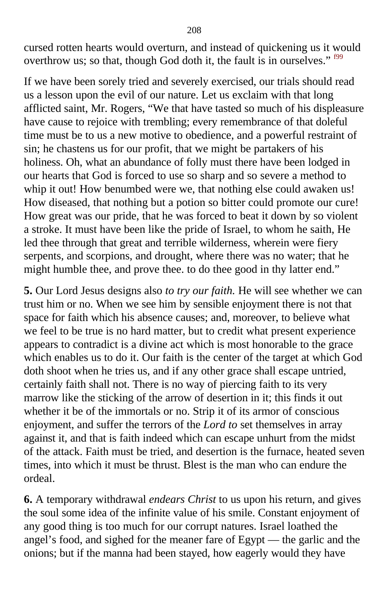cursed rotten hearts would overturn, and instead of quickening us it would overthrow us; so that, though God doth it, the fault is in ourselves." <sup>[f99](#page-234-0)</sup>

If we have been sorely tried and severely exercised, our trials should read us a lesson upon the evil of our nature. Let us exclaim with that long afflicted saint, Mr. Rogers, "We that have tasted so much of his displeasure have cause to rejoice with trembling; every remembrance of that doleful time must be to us a new motive to obedience, and a powerful restraint of sin; he chastens us for our profit, that we might be partakers of his holiness. Oh, what an abundance of folly must there have been lodged in our hearts that God is forced to use so sharp and so severe a method to whip it out! How benumbed were we, that nothing else could awaken us! How diseased, that nothing but a potion so bitter could promote our cure! How great was our pride, that he was forced to beat it down by so violent a stroke. It must have been like the pride of Israel, to whom he saith, He led thee through that great and terrible wilderness, wherein were fiery serpents, and scorpions, and drought, where there was no water; that he might humble thee, and prove thee. to do thee good in thy latter end."

**5.** Our Lord Jesus designs also *to try our faith.* He will see whether we can trust him or no. When we see him by sensible enjoyment there is not that space for faith which his absence causes; and, moreover, to believe what we feel to be true is no hard matter, but to credit what present experience appears to contradict is a divine act which is most honorable to the grace which enables us to do it. Our faith is the center of the target at which God doth shoot when he tries us, and if any other grace shall escape untried, certainly faith shall not. There is no way of piercing faith to its very marrow like the sticking of the arrow of desertion in it; this finds it out whether it be of the immortals or no. Strip it of its armor of conscious enjoyment, and suffer the terrors of the *Lord to* set themselves in array against it, and that is faith indeed which can escape unhurt from the midst of the attack. Faith must be tried, and desertion is the furnace, heated seven times, into which it must be thrust. Blest is the man who can endure the ordeal.

**6.** A temporary withdrawal *endears Christ* to us upon his return, and gives the soul some idea of the infinite value of his smile. Constant enjoyment of any good thing is too much for our corrupt natures. Israel loathed the angel's food, and sighed for the meaner fare of Egypt — the garlic and the onions; but if the manna had been stayed, how eagerly would they have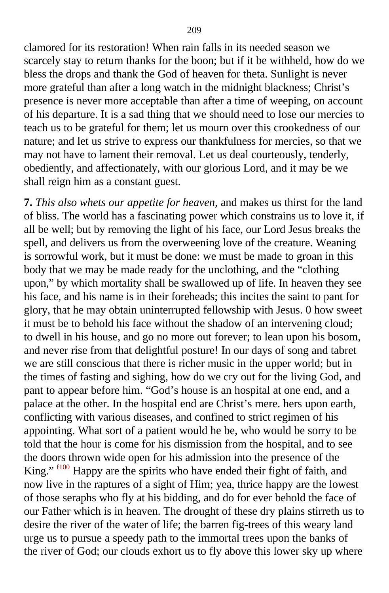clamored for its restoration! When rain falls in its needed season we scarcely stay to return thanks for the boon; but if it be withheld, how do we bless the drops and thank the God of heaven for theta. Sunlight is never more grateful than after a long watch in the midnight blackness; Christ's presence is never more acceptable than after a time of weeping, on account of his departure. It is a sad thing that we should need to lose our mercies to teach us to be grateful for them; let us mourn over this crookedness of our nature; and let us strive to express our thankfulness for mercies, so that we may not have to lament their removal. Let us deal courteously, tenderly, obediently, and affectionately, with our glorious Lord, and it may be we shall reign him as a constant guest.

**7.** *This also whets our appetite for heaven,* and makes us thirst for the land of bliss. The world has a fascinating power which constrains us to love it, if all be well; but by removing the light of his face, our Lord Jesus breaks the spell, and delivers us from the overweening love of the creature. Weaning is sorrowful work, but it must be done: we must be made to groan in this body that we may be made ready for the unclothing, and the "clothing upon," by which mortality shall be swallowed up of life. In heaven they see his face, and his name is in their foreheads; this incites the saint to pant for glory, that he may obtain uninterrupted fellowship with Jesus. 0 how sweet it must be to behold his face without the shadow of an intervening cloud; to dwell in his house, and go no more out forever; to lean upon his bosom, and never rise from that delightful posture! In our days of song and tabret we are still conscious that there is richer music in the upper world; but in the times of fasting and sighing, how do we cry out for the living God, and pant to appear before him. "God's house is an hospital at one end, and a palace at the other. In the hospital end are Christ's mere. hers upon earth, conflicting with various diseases, and confined to strict regimen of his appointing. What sort of a patient would he be, who would be sorry to be told that the hour is come for his dismission from the hospital, and to see the doors thrown wide open for his admission into the presence of the King." f<sup>100</sup> Happy are the spirits who have ended their fight of faith, and now live in the raptures of a sight of Him; yea, thrice happy are the lowest of those seraphs who fly at his bidding, and do for ever behold the face of our Father which is in heaven. The drought of these dry plains stirreth us to desire the river of the water of life; the barren fig-trees of this weary land urge us to pursue a speedy path to the immortal trees upon the banks of the river of God; our clouds exhort us to fly above this lower sky up where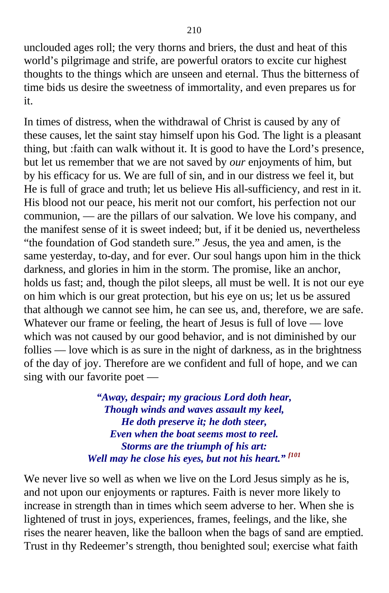unclouded ages roll; the very thorns and briers, the dust and heat of this world's pilgrimage and strife, are powerful orators to excite cur highest thoughts to the things which are unseen and eternal. Thus the bitterness of time bids us desire the sweetness of immortality, and even prepares us for it.

In times of distress, when the withdrawal of Christ is caused by any of these causes, let the saint stay himself upon his God. The light is a pleasant thing, but :faith can walk without it. It is good to have the Lord's presence, but let us remember that we are not saved by *our* enjoyments of him, but by his efficacy for us. We are full of sin, and in our distress we feel it, but He is full of grace and truth; let us believe His all-sufficiency, and rest in it. His blood not our peace, his merit not our comfort, his perfection not our communion, — are the pillars of our salvation. We love his company, and the manifest sense of it is sweet indeed; but, if it be denied us, nevertheless "the foundation of God standeth sure." *J*esus, the yea and amen, is the same yesterday, to-day, and for ever. Our soul hangs upon him in the thick darkness, and glories in him in the storm. The promise, like an anchor, holds us fast; and, though the pilot sleeps, all must be well. It is not our eye on him which is our great protection, but his eye on us; let us be assured that although we cannot see him, he can see us, and, therefore, we are safe. Whatever our frame or feeling, the heart of Jesus is full of love — love which was not caused by our good behavior, and is not diminished by our follies — love which is as sure in the night of darkness, as in the brightness of the day of joy. Therefore are we confident and full of hope, and we can sing with our favorite poet —

> *"Away, despair; my gracious Lord doth hear, Though winds and waves assault my keel, He doth preserve it; he doth steer, Even when the boat seems most to reel. Storms are the triumph of his art: Well may he close his eyes, but not his heart." [f101](#page-234-0)*

We never live so well as when we live on the Lord Jesus simply as he is, and not upon our enjoyments or raptures. Faith is never more likely to increase in strength than in times which seem adverse to her. When she is lightened of trust in joys, experiences, frames, feelings, and the like, she rises the nearer heaven, like the balloon when the bags of sand are emptied. Trust in thy Redeemer's strength, thou benighted soul; exercise what faith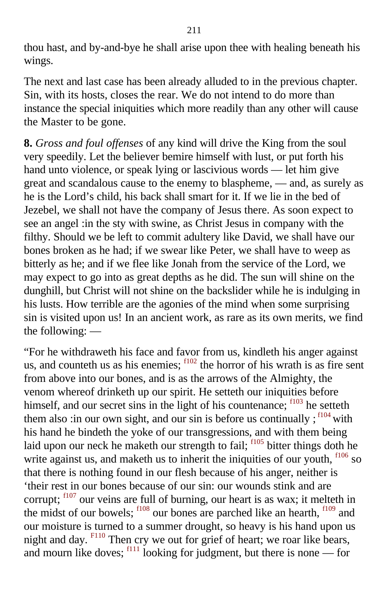thou hast, and by-and-bye he shall arise upon thee with healing beneath his wings.

The next and last case has been already alluded to in the previous chapter. Sin, with its hosts, closes the rear. We do not intend to do more than instance the special iniquities which more readily than any other will cause the Master to be gone.

**8.** *Gross and foul offenses* of any kind will drive the King from the soul very speedily. Let the believer bemire himself with lust, or put forth his hand unto violence, or speak lying or lascivious words — let him give great and scandalous cause to the enemy to blaspheme, — and, as surely as he is the Lord's child, his back shall smart for it. If we lie in the bed of Jezebel, we shall not have the company of Jesus there. As soon expect to see an angel :in the sty with swine, as Christ Jesus in company with the filthy. Should we be left to commit adultery like David, we shall have our bones broken as he had; if we swear like Peter, we shall have to weep as bitterly as he; and if we flee like Jonah from the service of the Lord, we may expect to go into as great depths as he did. The sun will shine on the dunghill, but Christ will not shine on the backslider while he is indulging in his lusts. How terrible are the agonies of the mind when some surprising sin is visited upon us! In an ancient work, as rare as its own merits, we find the following: —

"For he withdraweth his face and favor from us, kindleth his anger against us, and counteth us as his enemies;  $f102$  the horror of his wrath is as fire sent from above into our bones, and is as the arrows of the Almighty, the venom whereof drinketh up our spirit. He setteth our iniquities before himself, and our secret sins in the light of his countenance;  $f103$  he setteth them also :in our own sight, and our sin is before us continually  $\mathfrak{c}^{\text{f104}}$  with his hand he bindeth the yoke of our transgressions, and with them being laid upon our neck he maketh our strength to fail;  $f105$  bitter things doth he write against us, and maketh us to inherit the iniquities of our youth,  $106$  so that there is nothing found in our flesh because of his anger, neither is 'their rest in our bones because of our sin: our wounds stink and are corrupt;  $f107$  our veins are full of burning, our heart is as wax; it melteth in the midst of our bowels;  $f108}$  $f108}$  our bones are parched like an hearth,  $f109}$  $f109}$  and our moisture is turned to a summer drought, so heavy is his hand upon us night and day.  $F110$  Then cry we out for grief of heart; we roar like bears, and mourn like doves;  $f<sup>111</sup>$  looking for judgment, but there is none — for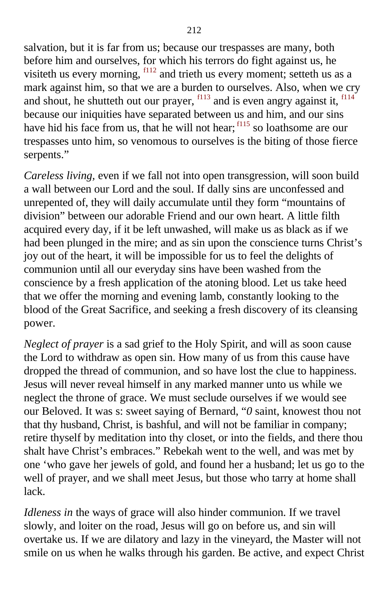salvation, but it is far from us; because our trespasses are many, both before him and ourselves, for which his terrors do fight against us, he visiteth us every morning,  $f112}$  $f112}$  and trieth us every moment; setteth us as a mark against him, so that we are a burden to ourselves. Also, when we cry and shout, he shutteth out our prayer,  $f113$  and is even angry against it,  $f114$ because our iniquities have separated between us and him, and our sins have hid his face from us, that he will not hear; <sup>f115</sup> so loathsome are our trespasses unto him, so venomous to ourselves is the biting of those fierce serpents."

*Careless living,* even if we fall not into open transgression, will soon build a wall between our Lord and the soul. If dally sins are unconfessed and unrepented of, they will daily accumulate until they form "mountains of division" between our adorable Friend and our own heart. A little filth acquired every day, if it be left unwashed, will make us as black as if we had been plunged in the mire; and as sin upon the conscience turns Christ's joy out of the heart, it will be impossible for us to feel the delights of communion until all our everyday sins have been washed from the conscience by a fresh application of the atoning blood. Let us take heed that we offer the morning and evening lamb, constantly looking to the blood of the Great Sacrifice, and seeking a fresh discovery of its cleansing power.

*Neglect of prayer* is a sad grief to the Holy Spirit, and will as soon cause the Lord to withdraw as open sin. How many of us from this cause have dropped the thread of communion, and so have lost the clue to happiness. Jesus will never reveal himself in any marked manner unto us while we neglect the throne of grace. We must seclude ourselves if we would see our Beloved. It was s: sweet saying of Bernard, "*0* saint, knowest thou not that thy husband, Christ, is bashful, and will not be familiar in company; retire thyself by meditation into thy closet, or into the fields, and there thou shalt have Christ's embraces." Rebekah went to the well, and was met by one 'who gave her jewels of gold, and found her a husband; let us go to the well of prayer, and we shall meet Jesus, but those who tarry at home shall lack.

*Idleness in* the ways of grace will also hinder communion. If we travel slowly, and loiter on the road, Jesus will go on before us, and sin will overtake us. If we are dilatory and lazy in the vineyard, the Master will not smile on us when he walks through his garden. Be active, and expect Christ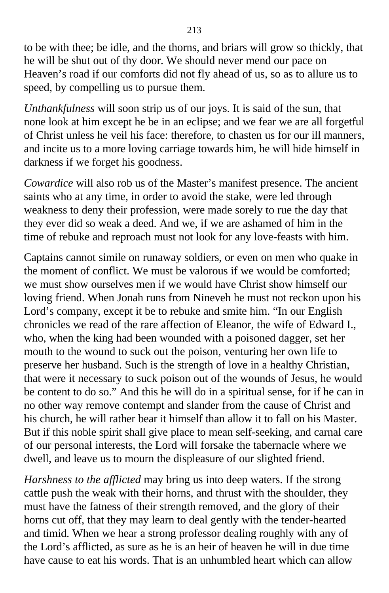to be with thee; be idle, and the thorns, and briars will grow so thickly, that he will be shut out of thy door. We should never mend our pace on Heaven's road if our comforts did not fly ahead of us, so as to allure us to speed, by compelling us to pursue them.

*Unthankfulness* will soon strip us of our joys. It is said of the sun, that none look at him except he be in an eclipse; and we fear we are all forgetful of Christ unless he veil his face: therefore, to chasten us for our ill manners, and incite us to a more loving carriage towards him, he will hide himself in darkness if we forget his goodness.

*Cowardice* will also rob us of the Master's manifest presence. The ancient saints who at any time, in order to avoid the stake, were led through weakness to deny their profession, were made sorely to rue the day that they ever did so weak a deed. And we, if we are ashamed of him in the time of rebuke and reproach must not look for any love-feasts with him.

Captains cannot simile on runaway soldiers, or even on men who quake in the moment of conflict. We must be valorous if we would be comforted; we must show ourselves men if we would have Christ show himself our loving friend. When Jonah runs from Nineveh he must not reckon upon his Lord's company, except it be to rebuke and smite him. "In our English chronicles we read of the rare affection of Eleanor, the wife of Edward I., who, when the king had been wounded with a poisoned dagger, set her mouth to the wound to suck out the poison, venturing her own life to preserve her husband. Such is the strength of love in a healthy Christian, that were it necessary to suck poison out of the wounds of Jesus, he would be content to do so." And this he will do in a spiritual sense, for if he can in no other way remove contempt and slander from the cause of Christ and his church, he will rather bear it himself than allow it to fall on his Master. But if this noble spirit shall give place to mean self-seeking, and carnal care of our personal interests, the Lord will forsake the tabernacle where we dwell, and leave us to mourn the displeasure of our slighted friend.

*Harshness to the afflicted* may bring us into deep waters. If the strong cattle push the weak with their horns, and thrust with the shoulder, they must have the fatness of their strength removed, and the glory of their horns cut off, that they may learn to deal gently with the tender-hearted and timid. When we hear a strong professor dealing roughly with any of the Lord's afflicted, as sure as he is an heir of heaven he will in due time have cause to eat his words. That is an unhumbled heart which can allow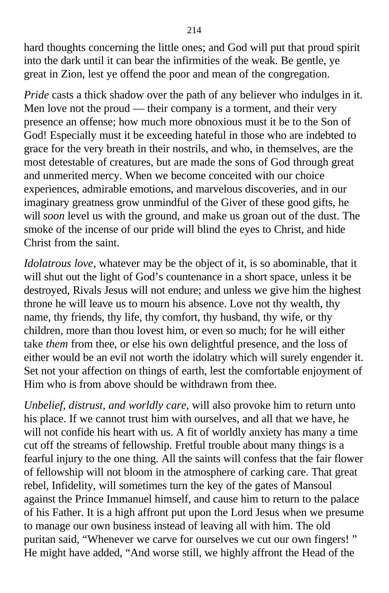hard thoughts concerning the little ones; and God will put that proud spirit into the dark until it can bear the infirmities of the weak. Be gentle, ye great in Zion, lest ye offend the poor and mean of the congregation.

*Pride* casts a thick shadow over the path of any believer who indulges in it. Men love not the proud — their company is a torment, and their very presence an offense; how much more obnoxious must it be to the Son of God! Especially must it be exceeding hateful in those who are indebted to grace for the very breath in their nostrils, and who, in themselves, are the most detestable of creatures, but are made the sons of God through great and unmerited mercy. When we become conceited with our choice experiences, admirable emotions, and marvelous discoveries, and in our imaginary greatness grow unmindful of the Giver of these good gifts, he will *soon* level us with the ground, and make us groan out of the dust. The smoke of the incense of our pride will blind the eyes to Christ, and hide Christ from the saint.

*Idolatrous love,* whatever may be the object of it, is so abominable, that it will shut out the light of God's countenance in a short space, unless it be destroyed, Rivals Jesus will not endure; and unless we give him the highest throne he will leave us to mourn his absence. Love not thy wealth, thy name, thy friends, thy life, thy comfort, thy husband, thy wife, or thy children, more than thou lovest him, or even so much; for he will either take *them* from thee, or else his own delightful presence, and the loss of either would be an evil not worth the idolatry which will surely engender it. Set not your affection on things of earth, lest the comfortable enjoyment of Him who is from above should be withdrawn from thee.

*Unbelief, distrust, and worldly care,* will also provoke him to return unto his place. If we cannot trust him with ourselves, and all that we have, he will not confide his heart with us. A fit of worldly anxiety has many a time cut off the streams of fellowship. Fretful trouble about many things is a fearful injury to the one thing. All the saints will confess that the fair flower of fellowship will not bloom in the atmosphere of carking care. That great rebel, Infidelity, will sometimes turn the key of the gates of Mansoul against the Prince Immanuel himself, and cause him to return to the palace of his Father. It is a high affront put upon the Lord Jesus when we presume to manage our own business instead of leaving all with him. The old puritan said, "Whenever we carve for ourselves we cut our own fingers! " He might have added, "And worse still, we highly affront the Head of the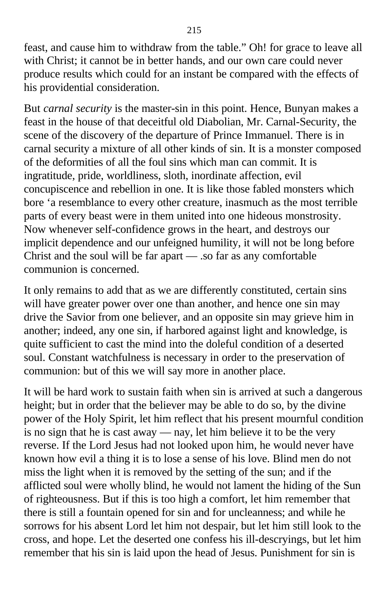feast, and cause him to withdraw from the table." Oh! for grace to leave all with Christ; it cannot be in better hands, and our own care could never produce results which could for an instant be compared with the effects of his providential consideration.

But *carnal security* is the master-sin in this point. Hence, Bunyan makes a feast in the house of that deceitful old Diabolian, Mr. Carnal-Security, the scene of the discovery of the departure of Prince Immanuel. There is in carnal security a mixture of all other kinds of sin. It is a monster composed of the deformities of all the foul sins which man can commit. It is ingratitude, pride, worldliness, sloth, inordinate affection, evil concupiscence and rebellion in one. It is like those fabled monsters which bore 'a resemblance to every other creature, inasmuch as the most terrible parts of every beast were in them united into one hideous monstrosity. Now whenever self-confidence grows in the heart, and destroys our implicit dependence and our unfeigned humility, it will not be long before Christ and the soul will be far apart — .so far as any comfortable communion is concerned.

It only remains to add that as we are differently constituted, certain sins will have greater power over one than another, and hence one sin may drive the Savior from one believer, and an opposite sin may grieve him in another; indeed, any one sin, if harbored against light and knowledge, is quite sufficient to cast the mind into the doleful condition of a deserted soul. Constant watchfulness is necessary in order to the preservation of communion: but of this we will say more in another place.

It will be hard work to sustain faith when sin is arrived at such a dangerous height; but in order that the believer may be able to do so, by the divine power of the Holy Spirit, let him reflect that his present mournful condition is no sign that he is cast away — nay, let him believe it to be the very reverse. If the Lord Jesus had not looked upon him, he would never have known how evil a thing it is to lose a sense of his love. Blind men do not miss the light when it is removed by the setting of the sun; and if the afflicted soul were wholly blind, he would not lament the hiding of the Sun of righteousness. But if this is too high a comfort, let him remember that there is still a fountain opened for sin and for uncleanness; and while he sorrows for his absent Lord let him not despair, but let him still look to the cross, and hope. Let the deserted one confess his ill-descryings, but let him remember that his sin is laid upon the head of Jesus. Punishment for sin is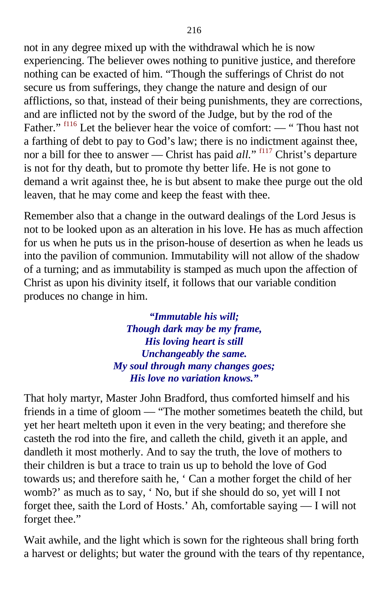not in any degree mixed up with the withdrawal which he is now experiencing. The believer owes nothing to punitive justice, and therefore nothing can be exacted of him. "Though the sufferings of Christ do not secure us from sufferings, they change the nature and design of our afflictions, so that, instead of their being punishments, they are corrections, and are inflicted not by the sword of the Judge, but by the rod of the Father." <sup>[f116](#page-235-0)</sup> Let the believer hear the voice of comfort: — " Thou hast not a farthing of debt to pay to God's law; there is no indictment against thee, nor a bill for thee to answer — Christ has paid *all*." <sup>[f117](#page-235-0)</sup> Christ's departure is not for thy death, but to promote thy better life. He is not gone to demand a writ against thee, he is but absent to make thee purge out the old leaven, that he may come and keep the feast with thee.

Remember also that a change in the outward dealings of the Lord Jesus is not to be looked upon as an alteration in his love. He has as much affection for us when he puts us in the prison-house of desertion as when he leads us into the pavilion of communion. Immutability will not allow of the shadow of a turning; and as immutability is stamped as much upon the affection of Christ as upon his divinity itself, it follows that our variable condition produces no change in him.

> *"Immutable his will; Though dark may be my frame, His loving heart is still Unchangeably the same. My soul through many changes goes; His love no variation knows."*

That holy martyr, Master John Bradford, thus comforted himself and his friends in a time of gloom — "The mother sometimes beateth the child, but yet her heart melteth upon it even in the very beating; and therefore she casteth the rod into the fire, and calleth the child, giveth it an apple, and dandleth it most motherly. And to say the truth, the love of mothers to their children is but a trace to train us up to behold the love of God towards us; and therefore saith he, ' Can a mother forget the child of her womb?' as much as to say, ' No, but if she should do so, yet will I not forget thee, saith the Lord of Hosts.' Ah, comfortable saying — I will not forget thee."

Wait awhile, and the light which is sown for the righteous shall bring forth a harvest or delights; but water the ground with the tears of thy repentance,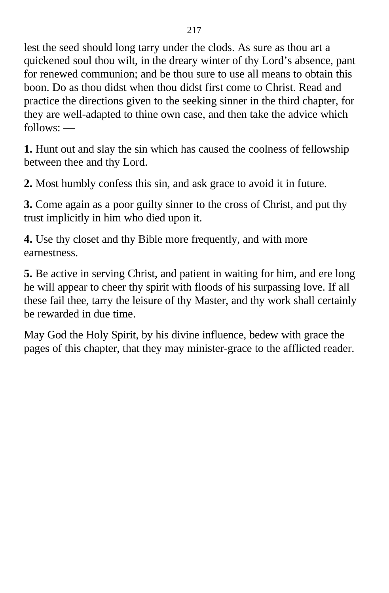lest the seed should long tarry under the clods. As sure as thou art a quickened soul thou wilt, in the dreary winter of thy Lord's absence, pant for renewed communion; and be thou sure to use all means to obtain this boon. Do as thou didst when thou didst first come to Christ. Read and practice the directions given to the seeking sinner in the third chapter, for they are well-adapted to thine own case, and then take the advice which follows: —

**1.** Hunt out and slay the sin which has caused the coolness of fellowship between thee and thy Lord.

**2.** Most humbly confess this sin, and ask grace to avoid it in future.

**3.** Come again as a poor guilty sinner to the cross of Christ, and put thy trust implicitly in him who died upon it.

**4.** Use thy closet and thy Bible more frequently, and with more earnestness.

**5.** Be active in serving Christ, and patient in waiting for him, and ere long he will appear to cheer thy spirit with floods of his surpassing love. If all these fail thee, tarry the leisure of thy Master, and thy work shall certainly be rewarded in due time.

May God the Holy Spirit, by his divine influence, bedew with grace the pages of this chapter, that they may minister-grace to the afflicted reader.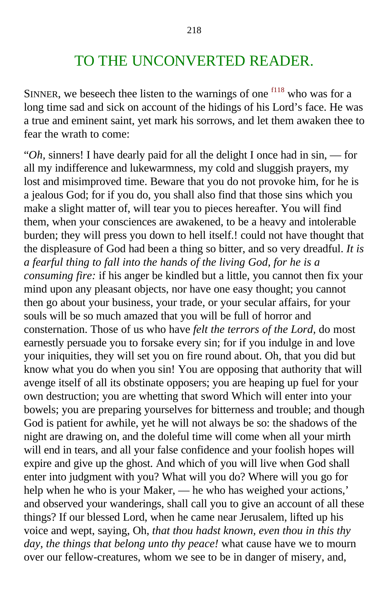### <span id="page-217-0"></span>TO THE UNCONVERTED READER.

SINNER, we beseech thee listen to the warnings of one  $f118$  who was for a long time sad and sick on account of the hidings of his Lord's face. He was a true and eminent saint, yet mark his sorrows, and let them awaken thee to fear the wrath to come:

"*Oh,* sinners! I have dearly paid for all the delight I once had in sin, — for all my indifference and lukewarmness, my cold and sluggish prayers, my lost and misimproved time. Beware that you do not provoke him, for he is a jealous God; for if you do, you shall also find that those sins which you make a slight matter of, will tear you to pieces hereafter. You will find them, when your consciences are awakened, to be a heavy and intolerable burden; they will press you down to hell itself.! could not have thought that the displeasure of God had been a thing so bitter, and so very dreadful. *It is a fearful thing to fall into the hands of the living God, for he is a consuming fire:* if his anger be kindled but a little, you cannot then fix your mind upon any pleasant objects, nor have one easy thought; you cannot then go about your business, your trade, or your secular affairs, for your souls will be so much amazed that you will be full of horror and consternation. Those of us who have *felt the terrors of the Lord,* do most earnestly persuade you to forsake every sin; for if you indulge in and love your iniquities, they will set you on fire round about. Oh, that you did but know what you do when you sin! You are opposing that authority that will avenge itself of all its obstinate opposers; you are heaping up fuel for your own destruction; you are whetting that sword Which will enter into your bowels; you are preparing yourselves for bitterness and trouble; and though God is patient for awhile, yet he will not always be so: the shadows of the night are drawing on, and the doleful time will come when all your mirth will end in tears, and all your false confidence and your foolish hopes will expire and give up the ghost. And which of you will live when God shall enter into judgment with you? What will you do? Where will you go for help when he who is your Maker, — he who has weighed your actions,' and observed your wanderings, shall call you to give an account of all these things? If our blessed Lord, when he came near Jerusalem, lifted up his voice and wept, saying, Oh, *that thou hadst known, even thou in this thy day, the things that belong unto thy peace!* what cause have we to mourn over our fellow-creatures, whom we see to be in danger of misery, and,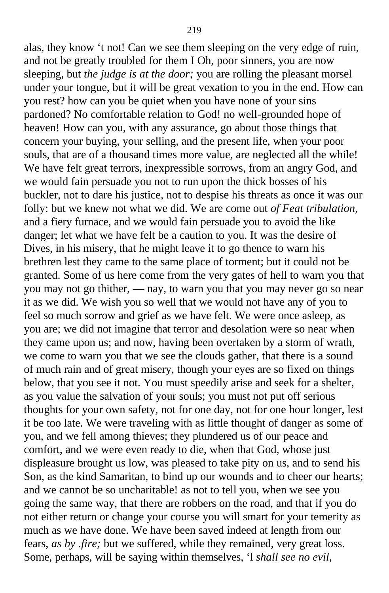alas, they know 't not! Can we see them sleeping on the very edge of ruin, and not be greatly troubled for them I Oh, poor sinners, you are now sleeping, but *the judge is at the door;* you are rolling the pleasant morsel under your tongue, but it will be great vexation to you in the end. How can you rest? how can you be quiet when you have none of your sins pardoned? No comfortable relation to God! no well-grounded hope of heaven! How can you, with any assurance, go about those things that concern your buying, your selling, and the present life, when your poor souls, that are of a thousand times more value, are neglected all the while! We have felt great terrors, inexpressible sorrows, from an angry God, and we would fain persuade you not to run upon the thick bosses of his buckler, not to dare his justice, not to despise his threats as once it was our folly: but we knew not what we did. We are come out *of Feat tribulation,* and a fiery furnace, and we would fain persuade you to avoid the like danger; let what we have felt be a caution to you. It was the desire of Dives, in his misery, that he might leave it to go thence to warn his brethren lest they came to the same place of torment; but it could not be granted. Some of us here come from the very gates of hell to warn you that you may not go thither, — nay, to warn you that you may never go so near it as we did. We wish you so well that we would not have any of you to feel so much sorrow and grief as we have felt. We were once asleep, as you are; we did not imagine that terror and desolation were so near when they came upon us; and now, having been overtaken by a storm of wrath, we come to warn you that we see the clouds gather, that there is a sound of much rain and of great misery, though your eyes are so fixed on things below, that you see it not. You must speedily arise and seek for a shelter, as you value the salvation of your souls; you must not put off serious thoughts for your own safety, not for one day, not for one hour longer, lest it be too late. We were traveling with as little thought of danger as some of you, and we fell among thieves; they plundered us of our peace and comfort, and we were even ready to die, when that God, whose just displeasure brought us low, was pleased to take pity on us, and to send his Son, as the kind Samaritan, to bind up our wounds and to cheer our hearts; and we cannot be so uncharitable! as not to tell you, when we see you going the same way, that there are robbers on the road, and that if you do not either return or change your course you will smart for your temerity as much as we have done. We have been saved indeed at length from our fears, *as by .fire;* but we suffered, while they remained, very great loss. Some, perhaps, will be saying within themselves, 'l *shall see no evil,*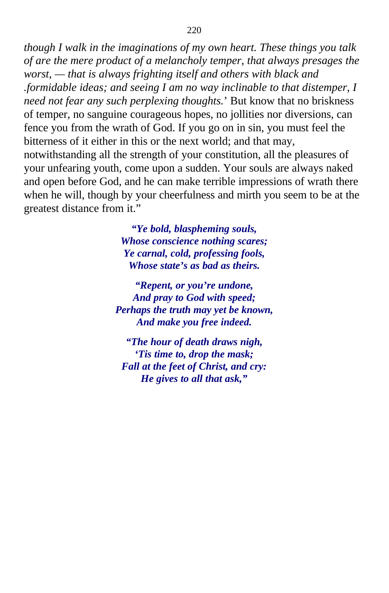*though I walk in the imaginations of my own heart. These things you talk of are the mere product of a melancholy temper, that always presages the worst, — that is always frighting itself and others with black and .formidable ideas; and seeing I am no way inclinable to that distemper, I need not fear any such perplexing thoughts.*' But know that no briskness of temper, no sanguine courageous hopes, no jollities nor diversions, can fence you from the wrath of God. If you go on in sin, you must feel the bitterness of it either in this or the next world; and that may, notwithstanding all the strength of your constitution, all the pleasures of your unfearing youth, come upon a sudden. Your souls are always naked and open before God, and he can make terrible impressions of wrath there when he will, though by your cheerfulness and mirth you seem to be at the greatest distance from it."

> *"Ye bold, blaspheming souls, Whose conscience nothing scares; Ye carnal, cold, professing fools, Whose state's as bad as theirs.*

*"Repent, or you're undone, And pray to God with speed; Perhaps the truth may yet be known, And make you free indeed.*

*"The hour of death draws nigh, 'Tis time to, drop the mask; Fall at the feet of Christ, and cry: He gives to all that ask,"*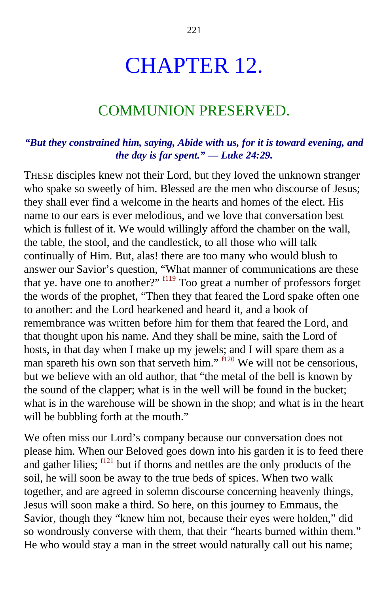## <span id="page-220-0"></span>CHAPTER 12.

### COMMUNION PRESERVED.

#### *"But they constrained him, saying, Abide with us, for it is toward evening, and the day is far spent." — Luke 24:29.*

THESE disciples knew not their Lord, but they loved the unknown stranger who spake so sweetly of him. Blessed are the men who discourse of Jesus; they shall ever find a welcome in the hearts and homes of the elect. His name to our ears is ever melodious, and we love that conversation best which is fullest of it. We would willingly afford the chamber on the wall, the table, the stool, and the candlestick, to all those who will talk continually of Him. But, alas! there are too many who would blush to answer our Savior's question, "What manner of communications are these that ye. have one to another?" [f119](#page-235-0) Too great a number of professors forget the words of the prophet, "Then they that feared the Lord spake often one to another: and the Lord hearkened and heard it, and a book of remembrance was written before him for them that feared the Lord, and that thought upon his name. And they shall be mine, saith the Lord of hosts, in that day when I make up my jewels; and I will spare them as a man spareth his own son that serveth him." <sup>[f120](#page-235-0)</sup> We will not be censorious, but we believe with an old author, that "the metal of the bell is known by the sound of the clapper; what is in the well will be found in the bucket; what is in the warehouse will be shown in the shop; and what is in the heart will be bubbling forth at the mouth."

We often miss our Lord's company because our conversation does not please him. When our Beloved goes down into his garden it is to feed there and gather lilies;  $f<sup>121</sup>$  but if thorns and nettles are the only products of the soil, he will soon be away to the true beds of spices. When two walk together, and are agreed in solemn discourse concerning heavenly things, Jesus will soon make a third. So here, on this journey to Emmaus, the Savior, though they "knew him not, because their eyes were holden," did so wondrously converse with them, that their "hearts burned within them." He who would stay a man in the street would naturally call out his name;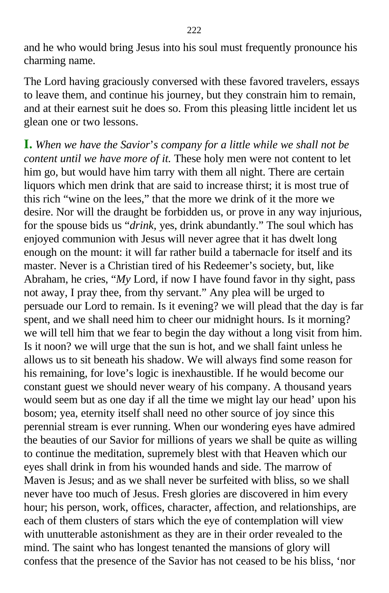and he who would bring Jesus into his soul must frequently pronounce his charming name.

The Lord having graciously conversed with these favored travelers, essays to leave them, and continue his journey, but they constrain him to remain, and at their earnest suit he does so. From this pleasing little incident let us glean one or two lessons.

**I.** *When we have the Savior*'*s company for a little while we shall not be content until we have more of it.* These holy men were not content to let him go, but would have him tarry with them all night. There are certain liquors which men drink that are said to increase thirst; it is most true of this rich "wine on the lees," that the more we drink of it the more we desire. Nor will the draught be forbidden us, or prove in any way injurious, for the spouse bids us "*drink,* yes, drink abundantly." The soul which has enjoyed communion with Jesus will never agree that it has dwelt long enough on the mount: it will far rather build a tabernacle for itself and its master. Never is a Christian tired of his Redeemer's society, but, like Abraham, he cries, "*My* Lord, if now I have found favor in thy sight, pass not away, I pray thee, from thy servant." Any plea will be urged to persuade our Lord to remain. Is it evening? we will plead that the day is far spent, and we shall need him to cheer our midnight hours. Is it morning? we will tell him that we fear to begin the day without a long visit from him. Is it noon? we will urge that the sun is hot, and we shall faint unless he allows us to sit beneath his shadow. We will always find some reason for his remaining, for love's logic is inexhaustible. If he would become our constant guest we should never weary of his company. A thousand years would seem but as one day if all the time we might lay our head' upon his bosom; yea, eternity itself shall need no other source of joy since this perennial stream is ever running. When our wondering eyes have admired the beauties of our Savior for millions of years we shall be quite as willing to continue the meditation, supremely blest with that Heaven which our eyes shall drink in from his wounded hands and side. The marrow of Maven is Jesus; and as we shall never be surfeited with bliss, so we shall never have too much of Jesus. Fresh glories are discovered in him every hour; his person, work, offices, character, affection, and relationships, are each of them clusters of stars which the eye of contemplation will view with unutterable astonishment as they are in their order revealed to the mind. The saint who has longest tenanted the mansions of glory will confess that the presence of the Savior has not ceased to be his bliss, 'nor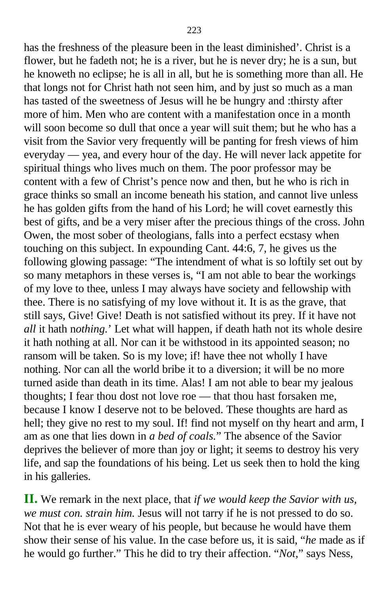has the freshness of the pleasure been in the least diminished'. Christ is a flower, but he fadeth not; he is a river, but he is never dry; he is a sun, but he knoweth no eclipse; he is all in all, but he is something more than all. He that longs not for Christ hath not seen him, and by just so much as a man has tasted of the sweetness of Jesus will he be hungry and :thirsty after more of him. Men who are content with a manifestation once in a month will soon become so dull that once a year will suit them; but he who has a visit from the Savior very frequently will be panting for fresh views of him everyday — yea, and every hour of the day. He will never lack appetite for spiritual things who lives much on them. The poor professor may be content with a few of Christ's pence now and then, but he who is rich in grace thinks so small an income beneath his station, and cannot live unless he has golden gifts from the hand of his Lord; he will covet earnestly this best of gifts, and be a very miser after the precious things of the cross. John Owen, the most sober of theologians, falls into a perfect ecstasy when touching on this subject. In expounding Cant. 44:6, 7, he gives us the following glowing passage: "The intendment of what is so loftily set out by so many metaphors in these verses is, "I am not able to bear the workings of my love to thee, unless I may always have society and fellowship with thee. There is no satisfying of my love without it. It is as the grave, that still says, Give! Give! Death is not satisfied without its prey. If it have not *all* it hath n*othing.*' Let what will happen, if death hath not its whole desire it hath nothing at all. Nor can it be withstood in its appointed season; no ransom will be taken. So is my love; if! have thee not wholly I have nothing. Nor can all the world bribe it to a diversion; it will be no more turned aside than death in its time. Alas! I am not able to bear my jealous thoughts; I fear thou dost not love roe — that thou hast forsaken me, because I know I deserve not to be beloved. These thoughts are hard as hell; they give no rest to my soul. If! find not myself on thy heart and arm, I am as one that lies down in *a bed of coals.*" The absence of the Savior deprives the believer of more than joy or light; it seems to destroy his very life, and sap the foundations of his being. Let us seek then to hold the king in his galleries.

**II.** We remark in the next place, that *if we would keep the Savior with us, we must con. strain him.* Jesus will not tarry if he is not pressed to do so. Not that he is ever weary of his people, but because he would have them show their sense of his value. In the case before us, it is said, "*he* made as if he would go further." This he did to try their affection. "*Not,*" says Ness,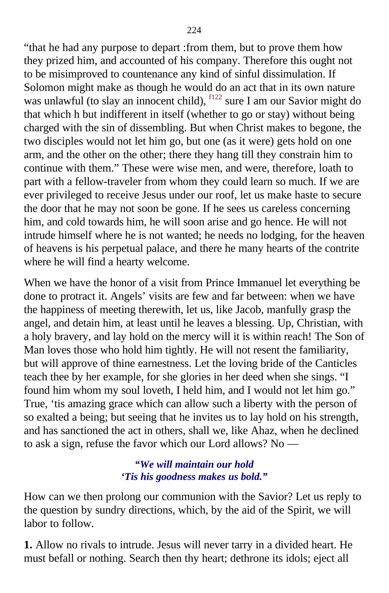<span id="page-223-0"></span>"that he had any purpose to depart :from them, but to prove them how they prized him, and accounted of his company. Therefore this ought not to be misimproved to countenance any kind of sinful dissimulation. If Solomon might make as though he would do an act that in its own nature was unlawful (to slay an innocent child),  $f122$  sure I am our Savior might do that which h but indifferent in itself (whether to go or stay) without being charged with the sin of dissembling. But when Christ makes to begone, the two disciples would not let him go, but one (as it were) gets hold on one arm, and the other on the other; there they hang till they constrain him to continue with them." These were wise men, and were, therefore, loath to part with a fellow-traveler from whom they could learn so much. If we are ever privileged to receive Jesus under our roof, let us make haste to secure the door that he may not soon be gone. If he sees us careless concerning him, and cold towards him, he will soon arise and go hence. He will not intrude himself where he is not wanted; he needs no lodging, for the heaven of heavens is his perpetual palace, and there he many hearts of the contrite where he will find a hearty welcome.

When we have the honor of a visit from Prince Immanuel let everything be done to protract it. Angels' visits are few and far between: when we have the happiness of meeting therewith, let us, like Jacob, manfully grasp the angel, and detain him, at least until he leaves a blessing. Up, Christian, with a holy bravery, and lay hold on the mercy will it is within reach! The Son of Man loves those who hold him tightly. He will not resent the familiarity, but will approve of thine earnestness. Let the loving bride of the Canticles teach thee by her example, for she glories in her deed when she sings. "I found him whom my soul loveth, I held him, and I would not let him go." True, 'tis amazing grace which can allow such a liberty with the person of so exalted a being; but seeing that he invites us to lay hold on his strength, and has sanctioned the act in others, shall we, like Ahaz, when he declined to ask a sign, refuse the favor which our Lord allows? No —

#### *"We will maintain our hold 'Tis his goodness makes us bold."*

How can we then prolong our communion with the Savior? Let us reply to the question by sundry directions, which, by the aid of the Spirit, we will labor to follow.

**1.** Allow no rivals to intrude. Jesus will never tarry in a divided heart. He must befall or nothing. Search then thy heart; dethrone its idols; eject all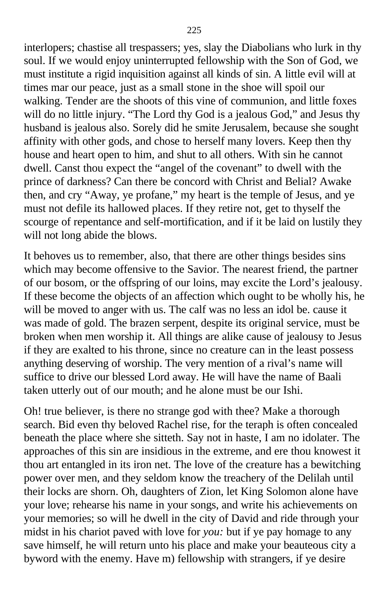interlopers; chastise all trespassers; yes, slay the Diabolians who lurk in thy soul. If we would enjoy uninterrupted fellowship with the Son of God, we must institute a rigid inquisition against all kinds of sin. A little evil will at times mar our peace, just as a small stone in the shoe will spoil our walking. Tender are the shoots of this vine of communion, and little foxes will do no little injury. "The Lord thy God is a jealous God," and Jesus thy husband is jealous also. Sorely did he smite Jerusalem, because she sought affinity with other gods, and chose to herself many lovers. Keep then thy house and heart open to him, and shut to all others. With sin he cannot dwell. Canst thou expect the "angel of the covenant" to dwell with the prince of darkness? Can there be concord with Christ and Belial? Awake then, and cry "Away, ye profane," my heart is the temple of Jesus, and ye must not defile its hallowed places. If they retire not, get to thyself the scourge of repentance and self-mortification, and if it be laid on lustily they will not long abide the blows.

It behoves us to remember, also, that there are other things besides sins which may become offensive to the Savior. The nearest friend, the partner of our bosom, or the offspring of our loins, may excite the Lord's jealousy. If these become the objects of an affection which ought to be wholly his, he will be moved to anger with us. The calf was no less an idol be. cause it was made of gold. The brazen serpent, despite its original service, must be broken when men worship it. All things are alike cause of jealousy to Jesus if they are exalted to his throne, since no creature can in the least possess anything deserving of worship. The very mention of a rival's name will suffice to drive our blessed Lord away. He will have the name of Baali taken utterly out of our mouth; and he alone must be our Ishi.

Oh! true believer, is there no strange god with thee? Make a thorough search. Bid even thy beloved Rachel rise, for the teraph is often concealed beneath the place where she sitteth. Say not in haste, I am no idolater. The approaches of this sin are insidious in the extreme, and ere thou knowest it thou art entangled in its iron net. The love of the creature has a bewitching power over men, and they seldom know the treachery of the Delilah until their locks are shorn. Oh, daughters of Zion, let King Solomon alone have your love; rehearse his name in your songs, and write his achievements on your memories; so will he dwell in the city of David and ride through your midst in his chariot paved with love for *you:* but if ye pay homage to any save himself, he will return unto his place and make your beauteous city a byword with the enemy. Have m) fellowship with strangers, if ye desire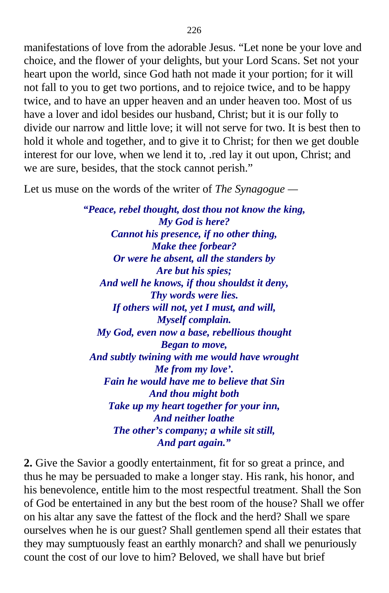manifestations of love from the adorable Jesus. "Let none be your love and choice, and the flower of your delights, but your Lord Scans. Set not your heart upon the world, since God hath not made it your portion; for it will not fall to you to get two portions, and to rejoice twice, and to be happy twice, and to have an upper heaven and an under heaven too. Most of us have a lover and idol besides our husband, Christ; but it is our folly to divide our narrow and little love; it will not serve for two. It is best then to hold it whole and together, and to give it to Christ; for then we get double interest for our love, when we lend it to, .red lay it out upon, Christ; and we are sure, besides, that the stock cannot perish."

Let us muse on the words of the writer of *The Synagogue —*

*"Peace, rebel thought, dost thou not know the king, My God is here? Cannot his presence, if no other thing, Make thee forbear? Or were he absent, all the standers by Are but his spies; And well he knows, if thou shouldst it deny, Thy words were lies. If others will not, yet I must, and will, Myself complain. My God, even now a base, rebellious thought Began to move, And subtly twining with me would have wrought Me from my love'. Fain he would have me to believe that Sin And thou might both Take up my heart together for your inn, And neither loathe The other's company; a while sit still, And part again."*

**2.** Give the Savior a goodly entertainment, fit for so great a prince, and thus he may be persuaded to make a longer stay. His rank, his honor, and his benevolence, entitle him to the most respectful treatment. Shall the Son of God be entertained in any but the best room of the house? Shall we offer on his altar any save the fattest of the flock and the herd? Shall we spare ourselves when he is our guest? Shall gentlemen spend all their estates that they may sumptuously feast an earthly monarch? and shall we penuriously count the cost of our love to him? Beloved, we shall have but brief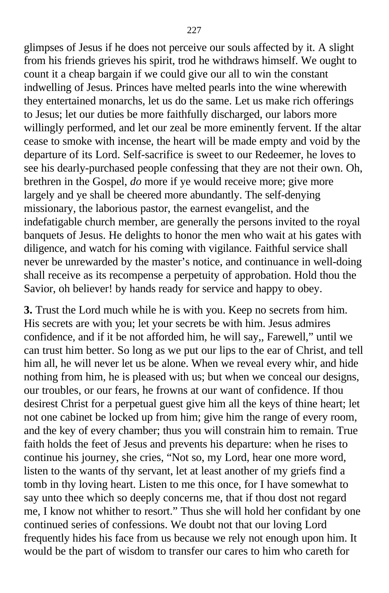glimpses of Jesus if he does not perceive our souls affected by it. A slight from his friends grieves his spirit, trod he withdraws himself. We ought to count it a cheap bargain if we could give our all to win the constant indwelling of Jesus. Princes have melted pearls into the wine wherewith they entertained monarchs, let us do the same. Let us make rich offerings to Jesus; let our duties be more faithfully discharged, our labors more willingly performed, and let our zeal be more eminently fervent. If the altar cease to smoke with incense, the heart will be made empty and void by the departure of its Lord. Self-sacrifice is sweet to our Redeemer, he loves to see his dearly-purchased people confessing that they are not their own. Oh, brethren in the Gospel, *do* more if ye would receive more; give more largely and ye shall be cheered more abundantly. The self-denying missionary, the laborious pastor, the earnest evangelist, and the indefatigable church member, are generally the persons invited to the royal banquets of Jesus. He delights to honor the men who wait at his gates with diligence, and watch for his coming with vigilance. Faithful service shall never be unrewarded by the master's notice, and continuance in well-doing shall receive as its recompense a perpetuity of approbation. Hold thou the Savior, oh believer! by hands ready for service and happy to obey.

**3.** Trust the Lord much while he is with you. Keep no secrets from him. His secrets are with you; let your secrets be with him. Jesus admires confidence, and if it be not afforded him, he will say,, Farewell," until we can trust him better. So long as we put our lips to the ear of Christ, and tell him all, he will never let us be alone. When we reveal every whir, and hide nothing from him, he is pleased with us; but when we conceal our designs, our troubles, or our fears, he frowns at our want of confidence. If thou desirest Christ for a perpetual guest give him all the keys of thine heart; let not one cabinet be locked up from him; give him the range of every room, and the key of every chamber; thus you will constrain him to remain. True faith holds the feet of Jesus and prevents his departure: when he rises to continue his journey, she cries, "Not so, my Lord, hear one more word, listen to the wants of thy servant, let at least another of my griefs find a tomb in thy loving heart. Listen to me this once, for I have somewhat to say unto thee which so deeply concerns me, that if thou dost not regard me, I know not whither to resort." Thus she will hold her confidant by one continued series of confessions. We doubt not that our loving Lord frequently hides his face from us because we rely not enough upon him. It would be the part of wisdom to transfer our cares to him who careth for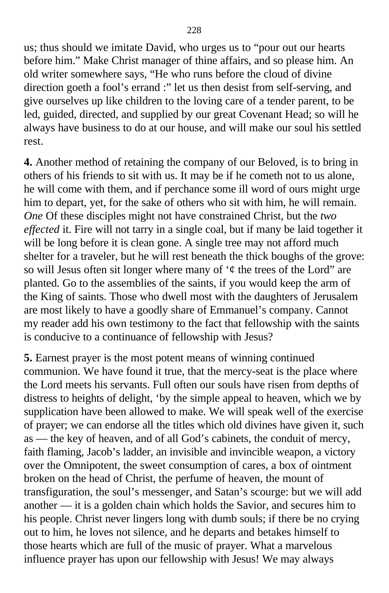us; thus should we imitate David, who urges us to "pour out our hearts before him." Make Christ manager of thine affairs, and so please him. An old writer somewhere says, "He who runs before the cloud of divine direction goeth a fool's errand :" let us then desist from self-serving, and give ourselves up like children to the loving care of a tender parent, to be led, guided, directed, and supplied by our great Covenant Head; so will he always have business to do at our house, and will make our soul his settled rest.

**4.** Another method of retaining the company of our Beloved, is to bring in others of his friends to sit with us. It may be if he cometh not to us alone, he will come with them, and if perchance some ill word of ours might urge him to depart, yet, for the sake of others who sit with him, he will remain. *One* Of these disciples might not have constrained Christ, but the *two effected* it. Fire will not tarry in a single coal, but if many be laid together it will be long before it is clean gone. A single tree may not afford much shelter for a traveler, but he will rest beneath the thick boughs of the grove: so will Jesus often sit longer where many of  $\varphi$  the trees of the Lord" are planted. Go to the assemblies of the saints, if you would keep the arm of the King of saints. Those who dwell most with the daughters of Jerusalem are most likely to have a goodly share of Emmanuel's company. Cannot my reader add his own testimony to the fact that fellowship with the saints is conducive to a continuance of fellowship with Jesus?

**5.** Earnest prayer is the most potent means of winning continued communion. We have found it true, that the mercy-seat is the place where the Lord meets his servants. Full often our souls have risen from depths of distress to heights of delight, 'by the simple appeal to heaven, which we by supplication have been allowed to make. We will speak well of the exercise of prayer; we can endorse all the titles which old divines have given it, such as — the key of heaven, and of all God's cabinets, the conduit of mercy, faith flaming, Jacob's ladder, an invisible and invincible weapon, a victory over the Omnipotent, the sweet consumption of cares, a box of ointment broken on the head of Christ, the perfume of heaven, the mount of transfiguration, the soul's messenger, and Satan's scourge: but we will add another — it is a golden chain which holds the Savior, and secures him to his people. Christ never lingers long with dumb souls; if there be no crying out to him, he loves not silence, and he departs and betakes himself to those hearts which are full of the music of prayer. What a marvelous influence prayer has upon our fellowship with Jesus! We may always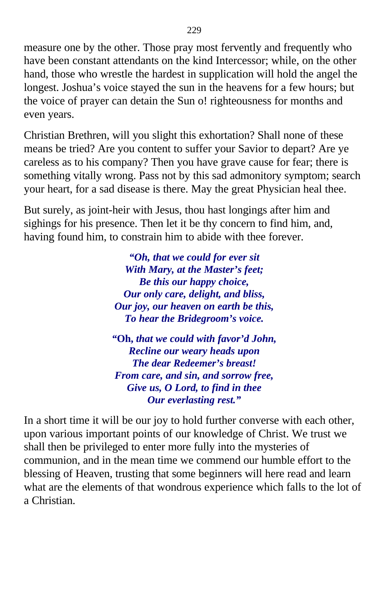measure one by the other. Those pray most fervently and frequently who have been constant attendants on the kind Intercessor; while, on the other hand, those who wrestle the hardest in supplication will hold the angel the longest. Joshua's voice stayed the sun in the heavens for a few hours; but the voice of prayer can detain the Sun o! righteousness for months and even years.

Christian Brethren, will you slight this exhortation? Shall none of these means be tried? Are you content to suffer your Savior to depart? Are ye careless as to his company? Then you have grave cause for fear; there is something vitally wrong. Pass not by this sad admonitory symptom; search your heart, for a sad disease is there. May the great Physician heal thee.

But surely, as joint-heir with Jesus, thou hast longings after him and sighings for his presence. Then let it be thy concern to find him, and, having found him, to constrain him to abide with thee forever.

> *"Oh, that we could for ever sit With Mary, at the Master's feet; Be this our happy choice, Our only care, delight, and bliss, Our joy, our heaven on earth be this, To hear the Bridegroom's voice.*

*"***Oh,** *that we could with favor'd John, Recline our weary heads upon The dear Redeemer's breast! From care, and sin, and sorrow free, Give us, O Lord, to find in thee Our everlasting rest."*

In a short time it will be our joy to hold further converse with each other, upon various important points of our knowledge of Christ. We trust we shall then be privileged to enter more fully into the mysteries of communion, and in the mean time we commend our humble effort to the blessing of Heaven, trusting that some beginners will here read and learn what are the elements of that wondrous experience which falls to the lot of a Christian.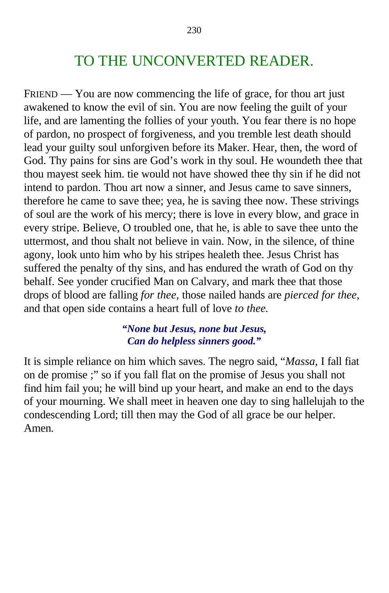## TO THE UNCONVERTED READER.

FRIEND — You are now commencing the life of grace, for thou art just awakened to know the evil of sin. You are now feeling the guilt of your life, and are lamenting the follies of your youth. You fear there is no hope of pardon, no prospect of forgiveness, and you tremble lest death should lead your guilty soul unforgiven before its Maker. Hear, then, the word of God. Thy pains for sins are God's work in thy soul. He woundeth thee that thou mayest seek him. tie would not have showed thee thy sin if he did not intend to pardon. Thou art now a sinner, and Jesus came to save sinners, therefore he came to save thee; yea, he is saving thee now. These strivings of soul are the work of his mercy; there is love in every blow, and grace in every stripe. Believe, O troubled one, that he, is able to save thee unto the uttermost, and thou shalt not believe in vain. Now, in the silence, of thine agony, look unto him who by his stripes healeth thee. Jesus Christ has suffered the penalty of thy sins, and has endured the wrath of God on thy behalf. See yonder crucified Man on Calvary, and mark thee that those drops of blood are falling *for thee,* those nailed hands are *pierced for thee,* and that open side contains a heart full of love *to thee.*

#### *"None but Jesus, none but Jesus, Can do helpless sinners good."*

It is simple reliance on him which saves. The negro said, "*Massa,* I fall fiat on de promise ;" so if you fall flat on the promise of Jesus you shall not find him fail you; he will bind up your heart, and make an end to the days of your mourning. We shall meet in heaven one day to sing hallelujah to the condescending Lord; till then may the God of all grace be our helper. Amen.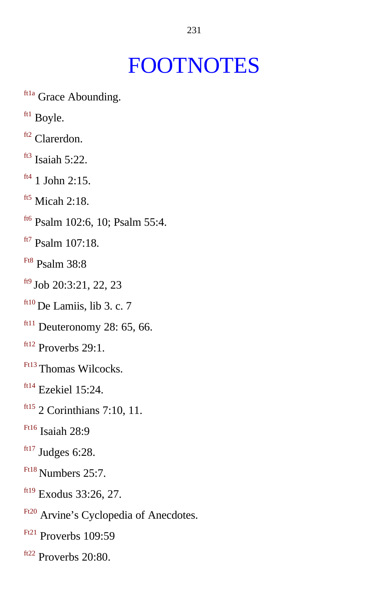# FOOTNOTES

- ft<sup>1a</sup> Grace Abounding.
- [ft1](#page-6-0) Boyle.
- ft<sup>2</sup> Clarerdon.
- $<sup>ft3</sup>$  $<sup>ft3</sup>$  $<sup>ft3</sup>$  Isaiah 5:22.</sup>
- $ft4$  1 John 2:15.
- $<sup>ft5</sup>$  $<sup>ft5</sup>$  $<sup>ft5</sup>$  Micah 2:18.</sup>
- [ft6](#page-24-0) Psalm 102:6, 10; Psalm 55:4.
- [ft7](#page-24-0) Psalm 107:18.
- [Ft8](#page-24-0) Psalm 38:8
- $f<sup>ft9</sup>$  Job 20:3:21, 22, 23
- $f(t10)$  De Lamiis, lib 3, c. 7
- $f<sup>ft11</sup>$  $f<sup>ft11</sup>$  $f<sup>ft11</sup>$  Deuteronomy 28: 65, 66.
- $ft12$  Proverbs 29:1.
- [Ft13](#page-35-0) Thomas Wilcocks.
- $ft14$  Ezekiel 15:24.
- $f<sup>ft15</sup>$  $f<sup>ft15</sup>$  $f<sup>ft15</sup>$  2 Corinthians 7:10, 11.
- [Ft16](#page-37-0) Isaiah 28:9
- $ft17$  Judges 6:28.
- [Ft18](#page-37-0) Numbers 25:7.
- [ft19](#page-37-0) Exodus 33:26, 27.
- [Ft20](#page-39-0) Arvine's Cyclopedia of Anecdotes.
- $Ft21$  Proverbs 109:59
- $ft22$  Proverbs 20:80.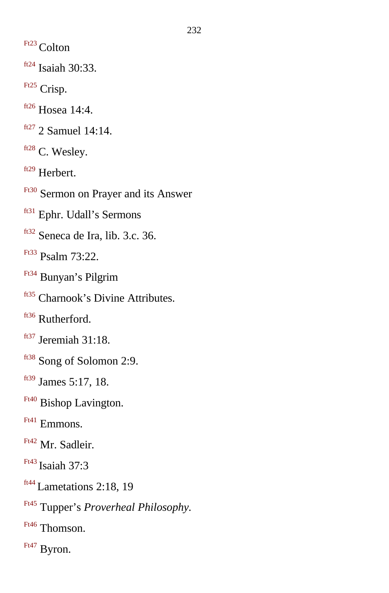Ft<sub>23</sub> Colton

- $ft24$  Isaiah 30:33.
- <sup>[Ft25](#page-53-0)</sup> Crisp.
- $ft26$  Hosea 14:4.
- [ft27](#page-54-0) 2 Samuel 14:14.
- ft<sup>28</sup> C. Wesley.
- [ft29](#page-56-0) Herbert.
- [Ft30](#page-60-0) Sermon on Prayer and its Answer
- [ft31](#page-62-0) Ephr. Udall's Sermons
- [ft32](#page-62-0) Seneca de Ira, lib. 3.c. 36.
- [Ft33](#page-62-0) Psalm 73:22.
- [Ft34](#page-63-0) Bunyan's Pilgrim
- ft<sup>35</sup> Charnook's Divine Attributes.
- [ft36](#page-67-0) Rutherford.
- ft<sup>37</sup> Jeremiah 31:18.
- [ft38](#page-67-0) Song of Solomon 2:9.
- [ft39](#page-68-0) James 5:17, 18.
- [Ft40](#page-70-0) Bishop Lavington.
- [Ft41](#page-71-0) Emmons.
- [Ft42](#page-71-0) Mr. Sadleir.
- $F<sup>t43</sup>$  Isaiah 37:3
- $f<sup>ft44</sup>$  $f<sup>ft44</sup>$  $f<sup>ft44</sup>$  Lametations 2:18, 19
- [Ft45](#page-80-0) Tupper's *Proverheal Philosophy.*
- F<sub>t46</sub> Thomson.
- <sup>[Ft47](#page-87-0)</sup> Byron.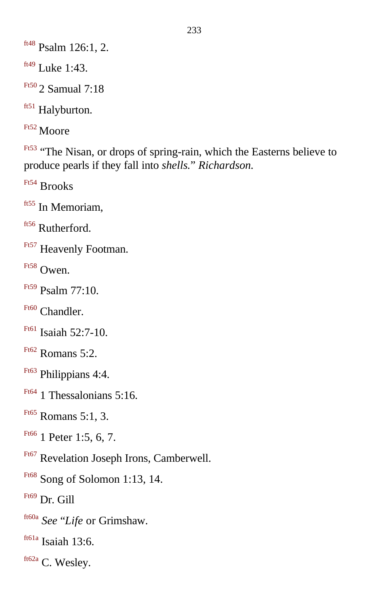[ft48](#page-89-0) Psalm 126:1, 2.

[ft49](#page-89-0) Luke 1:43.

[Ft50](#page-89-0) 2 Samual 7:18

ft<sup>51</sup> Halyburton.

[Ft52](#page-96-0) Moore

[Ft53](#page-96-0) "The Nisan, or drops of spring-rain, which the Easterns believe to produce pearls if they fall into *shells.*" *Richardson.*

[Ft54](#page-97-0) Brooks

 $<sup>ft55</sup>$  $<sup>ft55</sup>$  $<sup>ft55</sup>$  In Memoriam.</sup>

ft<sup>56</sup> Rutherford.

[Ft57](#page-101-0) Heavenly Footman.

[Ft58](#page-103-0) Owen.

<sup>[Ft59](#page-105-0)</sup> Psalm 77:10.

[Ft60](#page-110-0) Chandler.

<sup>[Ft61](#page-112-0)</sup> Isaiah 52:7-10.

- $Ft62}$  $Ft62}$  Romans 5:2.
- [Ft63](#page-112-0) Philippians 4:4.
- $Ft64$  1 Thessalonians 5:16.
- $F<sup>165</sup>$  Romans 5:1, 3.
- <sup>[Ft66](#page-112-0)</sup> 1 Peter 1:5, 6, 7.

[Ft67](#page-117-0) Revelation Joseph Irons, Camberwell.

[Ft68](#page-122-0) Song of Solomon 1:13, 14.

 $Ft69$  Dr. Gill

- [ft60a](#page-130-0) *See* "*Life* or Grimshaw.
- $ft61a$  Isaiah 13:6.
- [ft62a](#page-132-0) C. Wesley.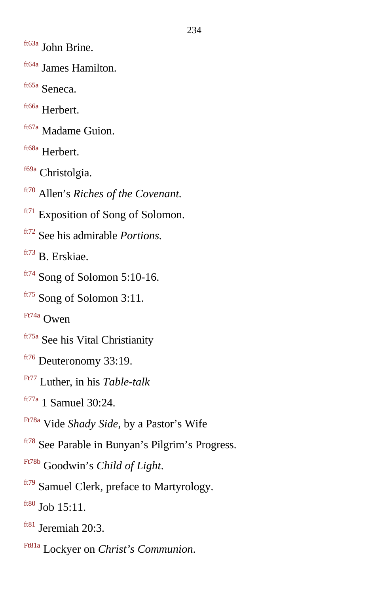<span id="page-233-0"></span>[ft63a](#page-133-0) John Brine.

- [ft64a](#page-133-0) James Hamilton.
- [ft65a](#page-134-0) Seneca.
- [ft66a](#page-135-0) Herbert.
- [ft67a](#page-136-0) Madame Guion.
- [ft68a](#page-139-0) Herbert.
- [f69a](#page-233-0) Christolgia.
- [ft70](#page-148-0) Allen's *Riches of the Covenant.*
- $f<sup>f<sub>f71</sub></sup>$  Exposition of Song of Solomon.
- [ft72](#page-152-0) See his admirable *Portions.*
- [ft73](#page-158-0) B. Erskiae.
- [ft74](#page-159-0) Song of Solomon 5:10-16.
- [ft75](#page-162-0) Song of Solomon 3:11.
- [Ft74a](#page-162-0) Owen
- [ft75a](#page-165-0) See his Vital Christianity
- ft<sup>76</sup> Deuteronomy 33:19.
- [Ft77](#page-178-0) Luther, in his *Table-talk*
- [ft77a](#page-178-0) 1 Samuel 30:24.
- [Ft78a](#page-179-0) Vide *Shady Side*, by a Pastor's Wife
- [ft78](#page-180-0) See Parable in Bunyan's Pilgrim's Progress.
- Ft78b Goodwin's *Child of Light*.
- [ft79](#page-186-0) Samuel Clerk, preface to Martyrology.
- $ft80$  Job 15:11.
- [ft81](#page-190-0) Jeremiah 20:3.
- [Ft81a](#page-190-0) Lockyer on *Christ's Communion*.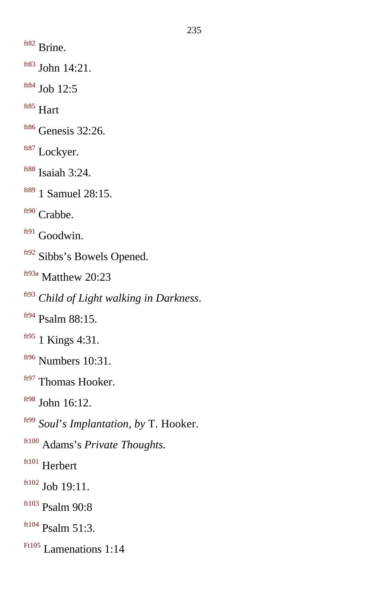[ft82](#page-191-0) Brine.

- [ft83](#page-191-0) John 14:21.
- [ft84](#page-194-0) Job 12:5
- [ft85](#page-197-0) Hart
- ft<sup>86</sup> Genesis 32:26.
- [ft87](#page-199-0) Lockyer.
- [ft88](#page-200-0) Isaiah 3:24.
- [ft89](#page-200-0) 1 Samuel 28:15.
- [ft90](#page-203-0) Crabbe.
- $ft91$  Goodwin.
- [ft92](#page-204-0) Sibbs's Bowels Opened.
- ft<sup>93a</sup> Matthew 20:23
- [ft93](#page-204-0) *Child of Light walking in Darkness*.
- [ft94](#page-205-0) Psalm 88:15.
- ft<sup>95</sup> 1 Kings 4:31.
- $f<sup>ft96</sup>$  $f<sup>ft96</sup>$  $f<sup>ft96</sup>$  Numbers 10:31.
- $ft97$  Thomas Hooker.
- $ft98$  John 16:12.
- [ft99](#page-207-0) *Soul*'*s Implantation, by* T. Hooker.
- [ft100](#page-208-0) Adams's *Private Thoughts.*
- [ft101](#page-209-0) Herbert
- $ft102$  Job 19:11.
- [ft103](#page-210-0) Psalm 90:8
- [ft104](#page-210-0) Psalm 51:3.
- [Ft105](#page-210-0) Lamenations 1:14